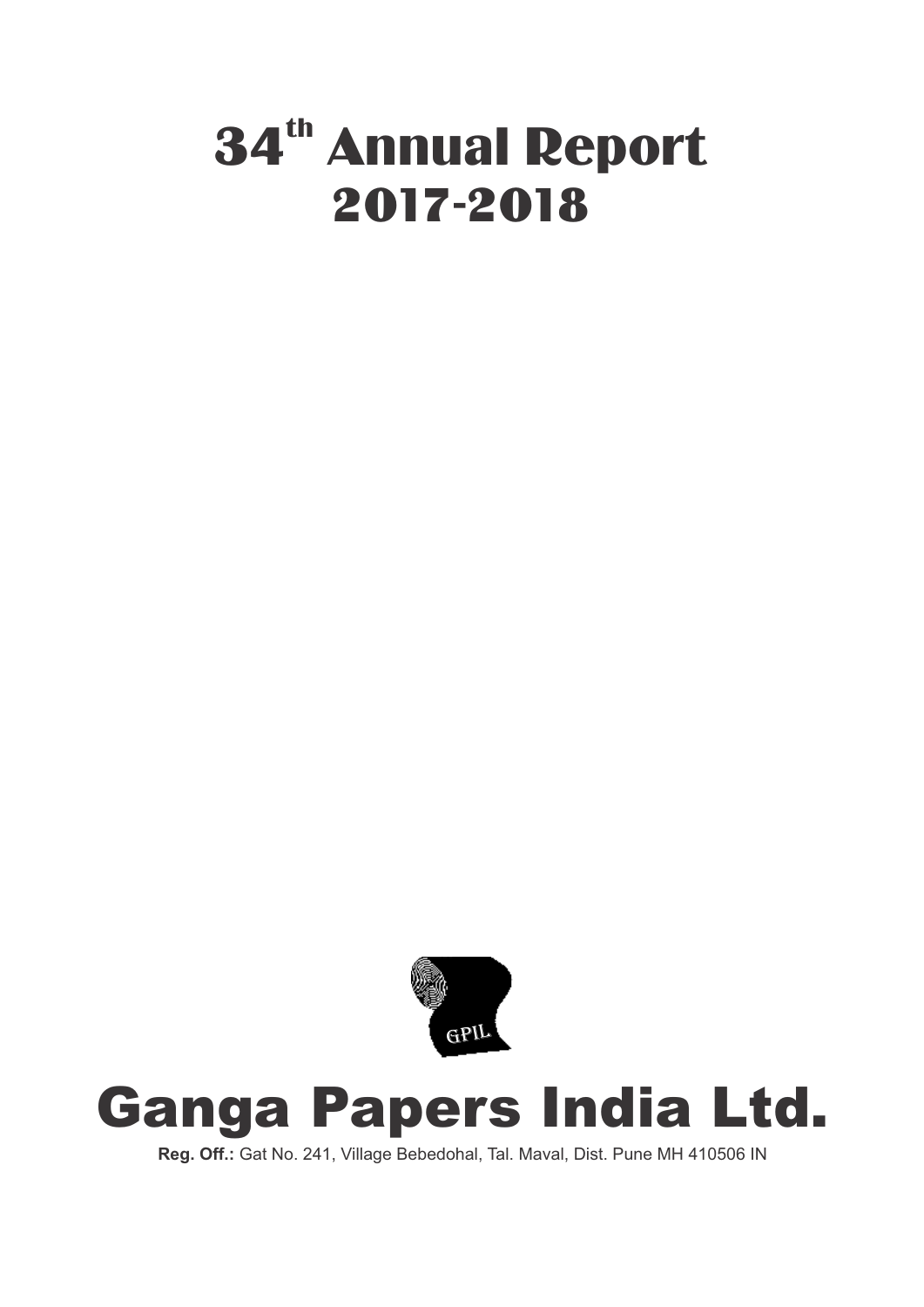# 34<sup>th</sup> Annual Report 2017-2018



# Ganga Papers India Ltd.

**Reg. Off.:** Gat No. 241, Village Bebedohal, Tal. Maval, Dist. Pune MH 410506 IN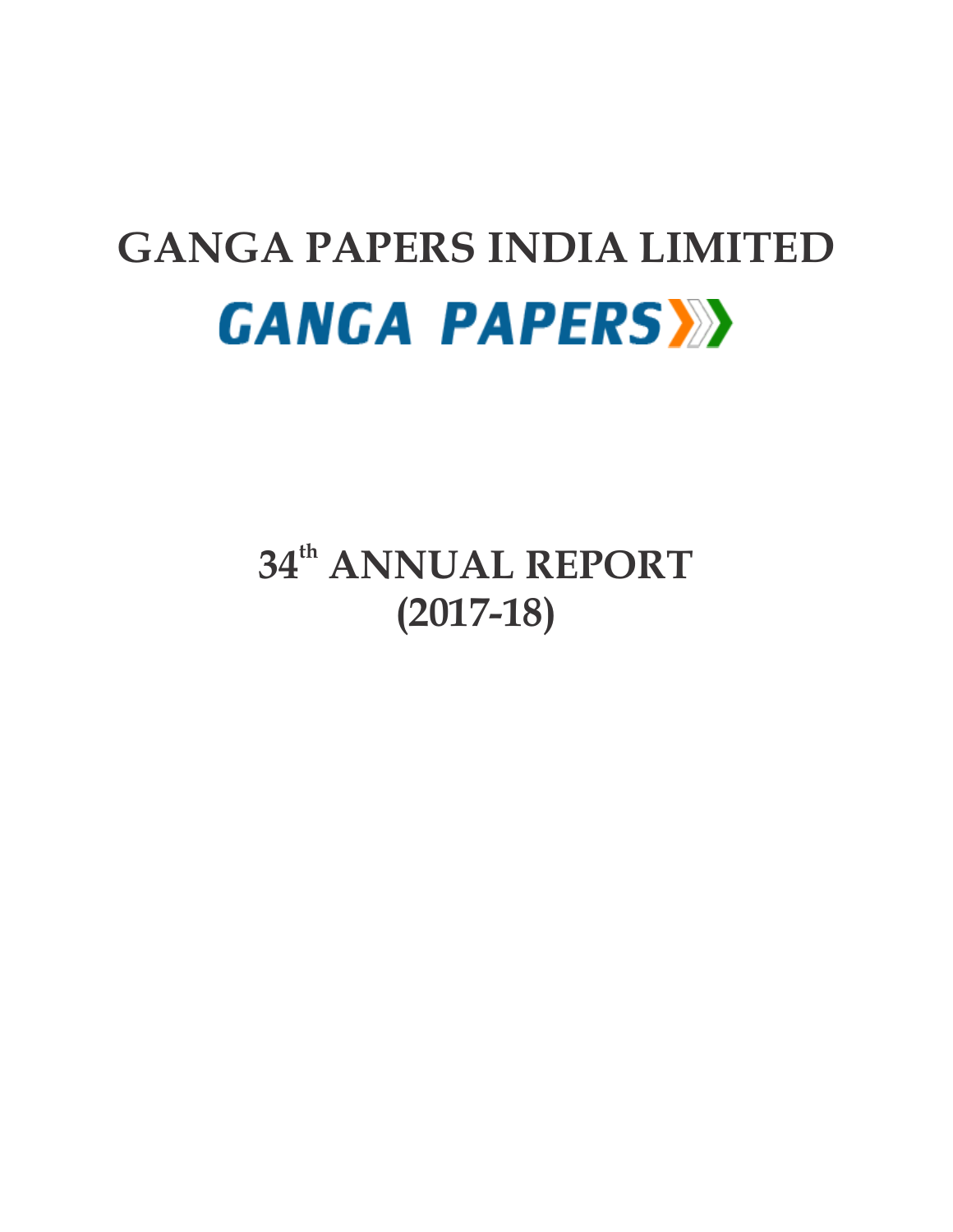# **GANGA PAPERS INDIA LIMITED GANGA PAPERS >>>>**

# $34<sup>th</sup>$  **ANNUAL REPORT (2017-18)**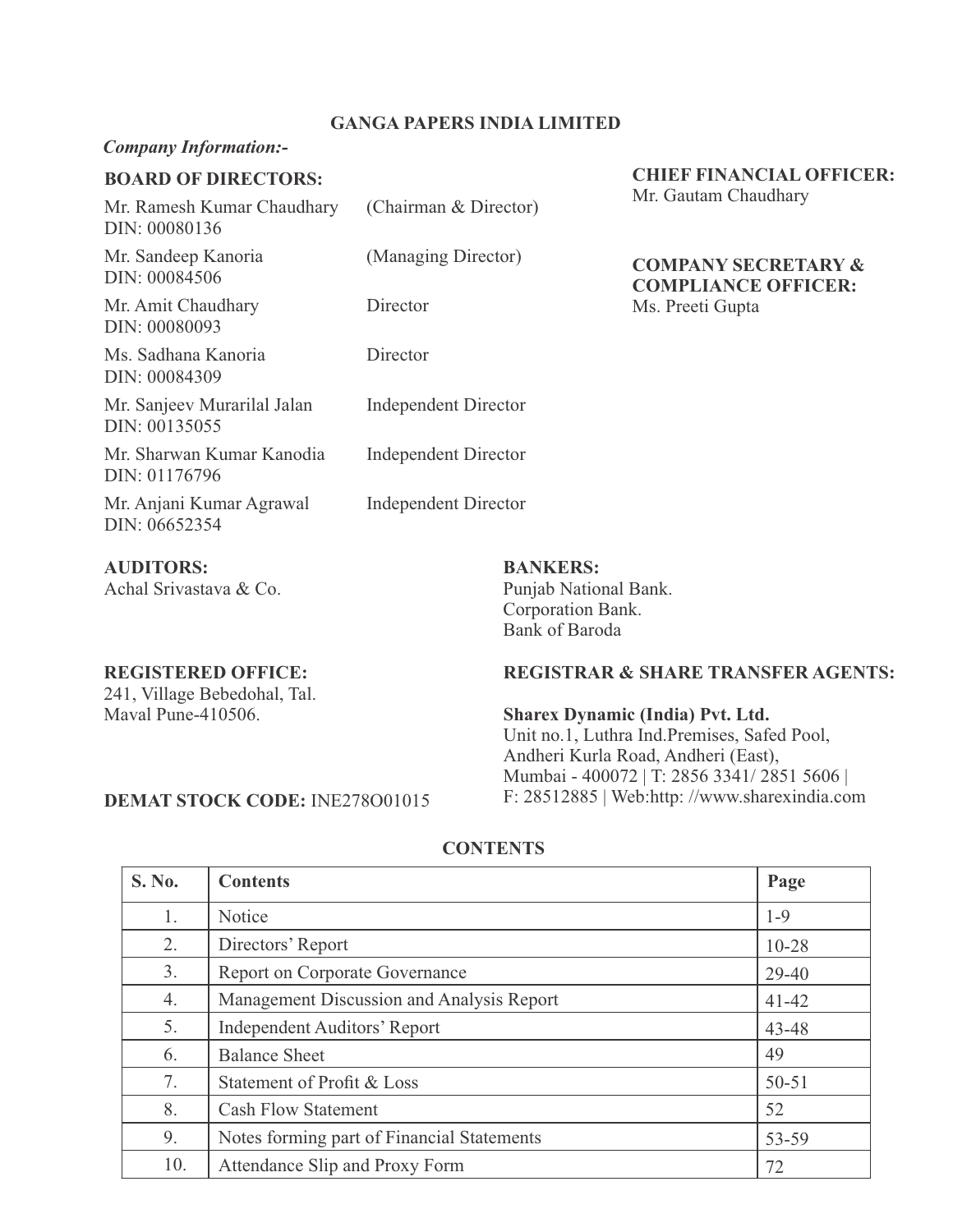# **GANGA PAPERS INDIA LIMITED**

# **BOARD OF DIRECTORS:** Mr. Ramesh Kumar Chaudhary (Chairman & Director) DIN: 00080136 Mr. Sandeep Kanoria (Managing Director) DIN: 00084506 Mr. Amit Chaudhary Director DIN: 00080093 Ms. Sadhana Kanoria Director DIN: 00084309 Mr. Sanjeev Murarilal Jalan Independent Director DIN: 00135055 Mr. Sharwan Kumar Kanodia Independent Director DIN: 01176796 Mr. Anjani Kumar Agrawal Independent Director DIN: 06652354 Mr. Gautam Chaudhary Ms. Preeti Gupta **AUDITORS: BANKERS:**

Achal Srivastava & Co.

Punjab National Bank. Corporation Bank. Bank of Baroda

# **REGISTERED OFFICE:**

241, Village Bebedohal, Tal. Maval Pune-410506.

**DEMAT STOCK CODE:** INE278O01015

# **REGISTRAR & SHARE TRANSFER AGENTS:**

# **Sharex Dynamic (India) Pvt. Ltd.**

Unit no.1, Luthra Ind.Premises, Safed Pool, Andheri Kurla Road, Andheri (East), Mumbai - 400072 | T: 2856 3341/ 2851 5606 | F: 28512885 | Web:http: //www.sharexindia.com

#### **S. No. Contents Page**  1. Notice 1.9 10-28 29-40 41-42 43-48 49 50-51 52 53-59 72 **Notice** 2. Directors' Report 3. Report on Corporate Governance 4. Management Discussion and Analysis Report 5. Independent Auditors' Report 6. Balance Sheet 7. Statement of Profit & Loss 8. Cash Flow Statement 9. Notes forming part of Financial Statements 10. Attendance Slip and Proxy Form

# **CONTENTS**

**CHIEF FINANCIAL OFFICER:**

**COMPANY SECRETARY & COMPLIANCE OFFICER:**

*Company Information:-*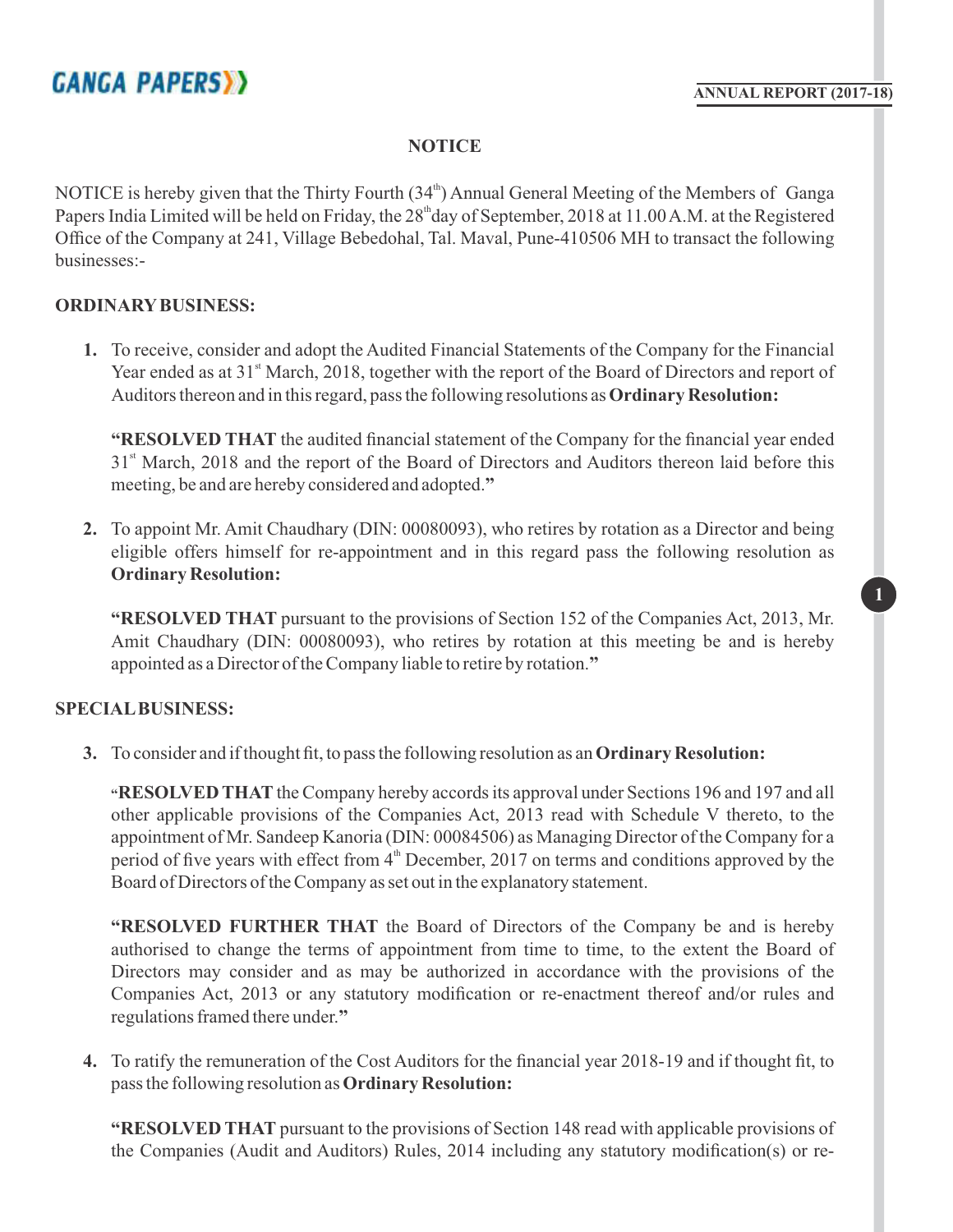

# **NOTICE**

NOTICE is hereby given that the Thirty Fourth (34<sup>th</sup>) Annual General Meeting of the Members of Ganga Papers India Limited will be held on Friday, the 28<sup>th</sup>day of September, 2018 at 11.00 A.M. at the Registered Office of the Company at 241, Village Bebedohal, Tal. Maval, Pune-410506 MH to transact the following businesses:-

# **ORDINARY BUSINESS:**

**1.** To receive, consider and adopt the Audited Financial Statements of the Company for the Financial Year ended as at 31<sup>st</sup> March, 2018, together with the report of the Board of Directors and report of Auditors thereon and in this regard, pass the following resolutions as **Ordinary Resolution:**

**"RESOLVED THAT** the audited financial statement of the Company for the financial year ended 31<sup>st</sup> March, 2018 and the report of the Board of Directors and Auditors thereon laid before this meeting, be and are hereby considered and adopted.**"**

**2.** To appoint Mr. Amit Chaudhary (DIN: 00080093), who retires by rotation as a Director and being eligible offers himself for re-appointment and in this regard pass the following resolution as **Ordinary Resolution:**

**"RESOLVED THAT** pursuant to the provisions of Section 152 of the Companies Act, 2013, Mr. Amit Chaudhary (DIN: 00080093), who retires by rotation at this meeting be and is hereby appointed as a Director of the Company liable to retire by rotation.**"**

#### **SPECIAL BUSINESS:**

**3.** To consider and if thought fit, to pass the following resolution as an **Ordinary Resolution:**

**"RESOLVED THAT** the Company hereby accords its approval under Sections 196 and 197 and all other applicable provisions of the Companies Act, 2013 read with Schedule V thereto, to the appointment of Mr. Sandeep Kanoria (DIN: 00084506) as Managing Director of the Company for a period of five years with effect from  $4<sup>th</sup>$  December, 2017 on terms and conditions approved by the Board of Directors of the Company as set out in the explanatory statement.

**"RESOLVED FURTHER THAT** the Board of Directors of the Company be and is hereby authorised to change the terms of appointment from time to time, to the extent the Board of Directors may consider and as may be authorized in accordance with the provisions of the Companies Act, 2013 or any statutory modification or re-enactment thereof and/or rules and regulations framed there under.**"**

**4.** To ratify the remuneration of the Cost Auditors for the financial year 2018-19 and if thought fit, to pass the following resolution as **Ordinary Resolution:**

**"RESOLVED THAT** pursuant to the provisions of Section 148 read with applicable provisions of the Companies (Audit and Auditors) Rules, 2014 including any statutory modification(s) or re-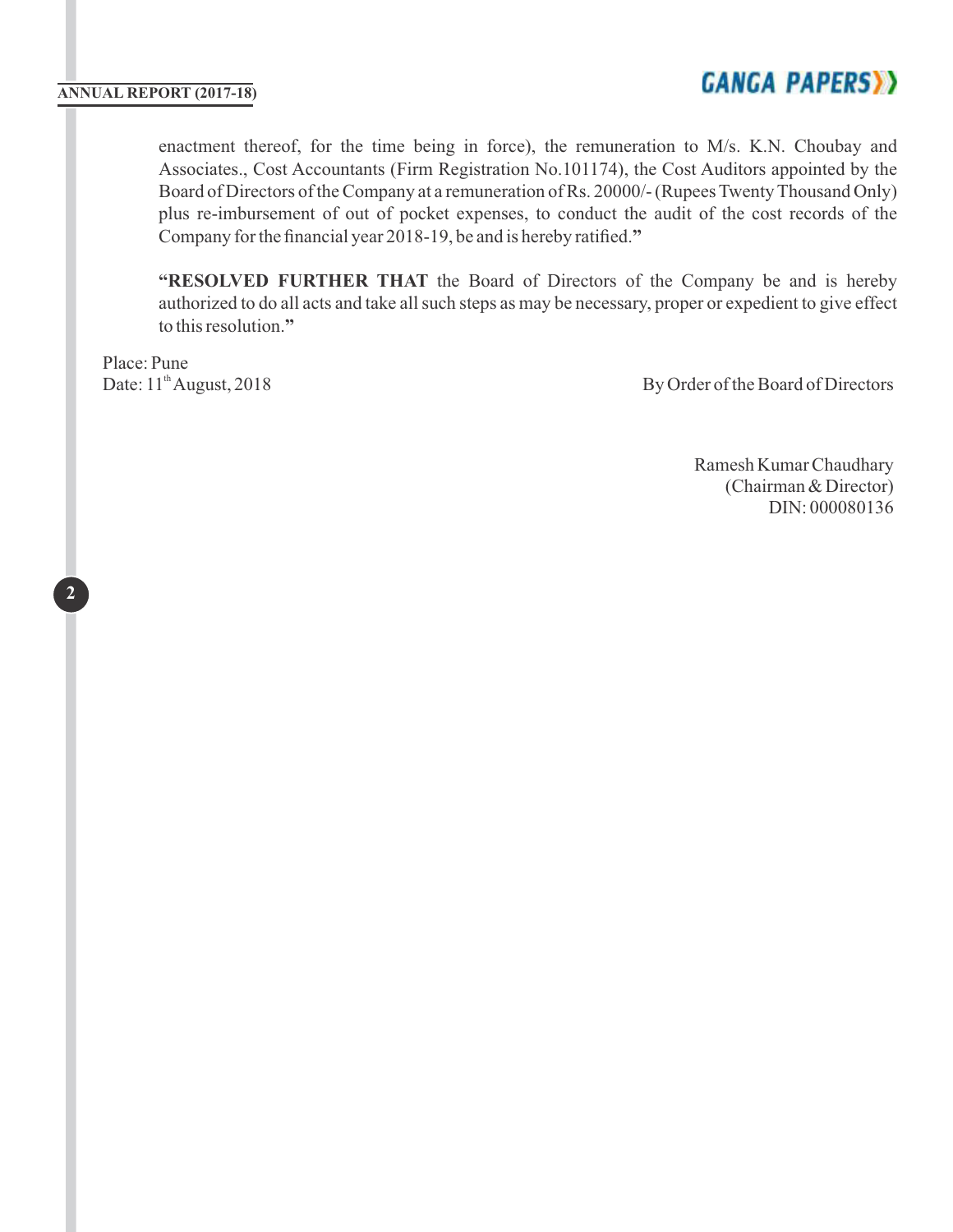

enactment thereof, for the time being in force), the remuneration to M/s. K.N. Choubay and Associates., Cost Accountants (Firm Registration No.101174), the Cost Auditors appointed by the Board of Directors of the Company at a remuneration of Rs. 20000/- (Rupees Twenty Thousand Only) plus re-imbursement of out of pocket expenses, to conduct the audit of the cost records of the Company for the financial year 2018-19, be and is hereby ratified.**"**

**"RESOLVED FURTHER THAT** the Board of Directors of the Company be and is hereby authorized to do all acts and take all such steps as may be necessary, proper or expedient to give effect to this resolution.**"**

Place: Pune

**12 2**

Date: 11<sup>th</sup> August, 2018 By Order of the Board of Directors

Ramesh Kumar Chaudhary (Chairman & Director) DIN: 000080136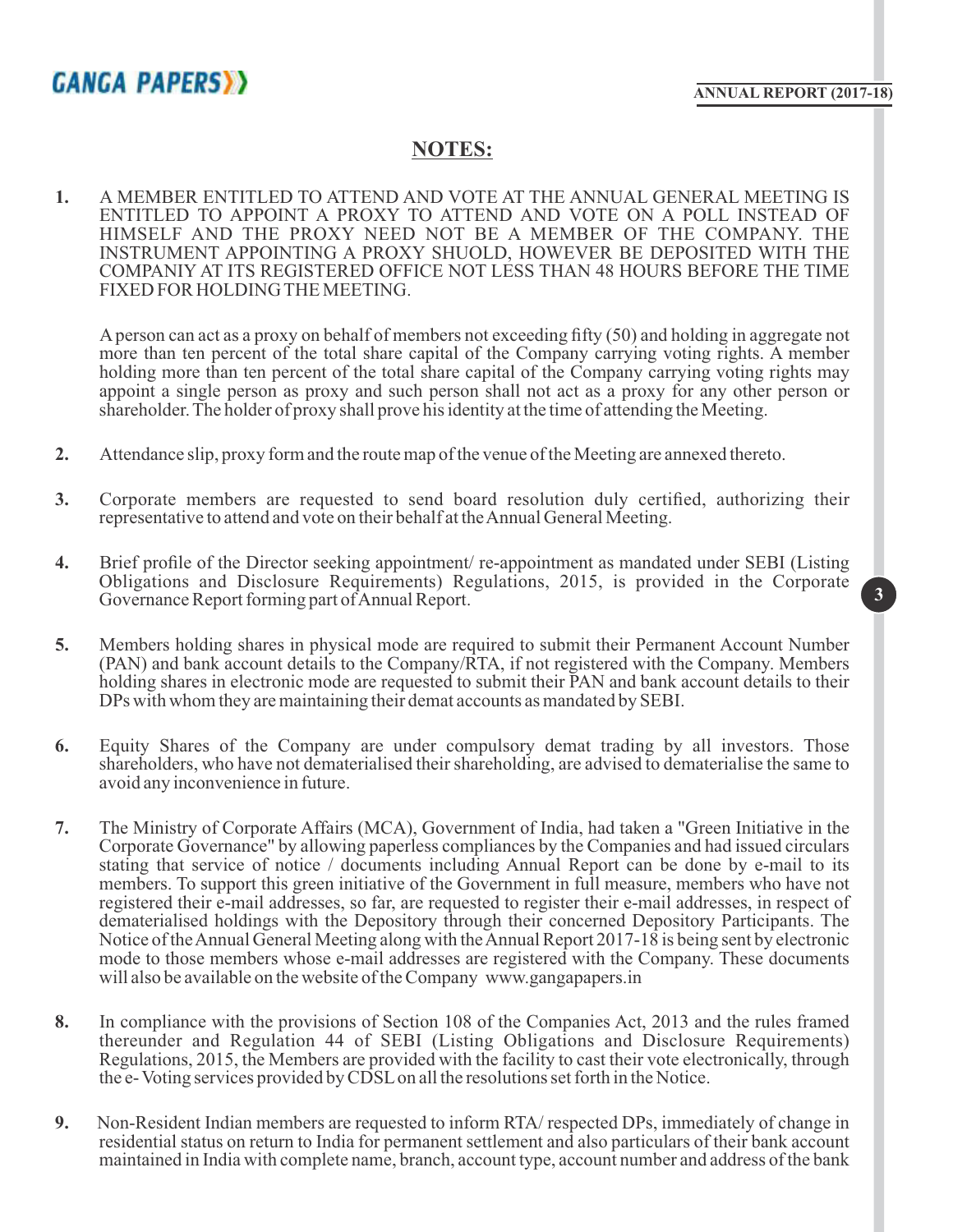

# **NOTES:**

**1.** A MEMBER ENTITLED TO ATTEND AND VOTE AT THE ANNUAL GENERAL MEETING IS ENTITLED TO APPOINT A PROXY TO ATTEND AND VOTE ON A POLL INSTEAD OF HIMSELF AND THE PROXY NEED NOT BE A MEMBER OF THE COMPANY. THE INSTRUMENT APPOINTING A PROXY SHUOLD, HOWEVER BE DEPOSITED WITH THE COMPANIY AT ITS REGISTERED OFFICE NOT LESS THAN 48 HOURS BEFORE THE TIME FIXED FOR HOLDING THE MEETING.

 A person can act as a proxy on behalf of members not exceeding fifty (50) and holding in aggregate not more than ten percent of the total share capital of the Company carrying voting rights. A member holding more than ten percent of the total share capital of the Company carrying voting rights may appoint a single person as proxy and such person shall not act as a proxy for any other person or shareholder. The holder of proxy shall prove his identity at the time of attending the Meeting.

- **2.** Attendance slip, proxy form and the route map of the venue of the Meeting are annexed thereto.
- **3.** Corporate members are requested to send board resolution duly certified, authorizing their representative to attend and vote on their behalf at the Annual General Meeting.
- **4.** Brief profile of the Director seeking appointment/ re-appointment as mandated under SEBI (Listing Obligations and Disclosure Requirements) Regulations, 2015, is provided in the Corporate Governance Report forming part of Annual Report.
- **5.** Members holding shares in physical mode are required to submit their Permanent Account Number (PAN) and bank account details to the Company/RTA, if not registered with the Company. Members holding shares in electronic mode are requested to submit their PAN and bank account details to their DPs with whom they are maintaining their demat accounts as mandated by SEBI.
- **6.** Equity Shares of the Company are under compulsory demat trading by all investors. Those shareholders, who have not dematerialised their shareholding, are advised to dematerialise the same to avoid any inconvenience in future.
- **7.** The Ministry of Corporate Affairs (MCA), Government of India, had taken a "Green Initiative in the Corporate Governance" by allowing paperless compliances by the Companies and had issued circulars stating that service of notice / documents including Annual Report can be done by e-mail to its members. To support this green initiative of the Government in full measure, members who have not registered their e-mail addresses, so far, are requested to register their e-mail addresses, in respect of dematerialised holdings with the Depository through their concerned Depository Participants. The Notice of the Annual General Meeting along with the Annual Report 2017-18 is being sent by electronic mode to those members whose e-mail addresses are registered with the Company. These documents will also be available on the website of the Company www.gangapapers.in
- **8.** In compliance with the provisions of Section 108 of the Companies Act, 2013 and the rules framed thereunder and Regulation 44 of SEBI (Listing Obligations and Disclosure Requirements) Regulations, 2015, the Members are provided with the facility to cast their vote electronically, through the e- Voting services provided by CDSL on all the resolutions set forth in the Notice.
- **9.** Non-Resident Indian members are requested to inform RTA/ respected DPs, immediately of change in residential status on return to India for permanent settlement and also particulars of their bank account maintained in India with complete name, branch, account type, account number and address of the bank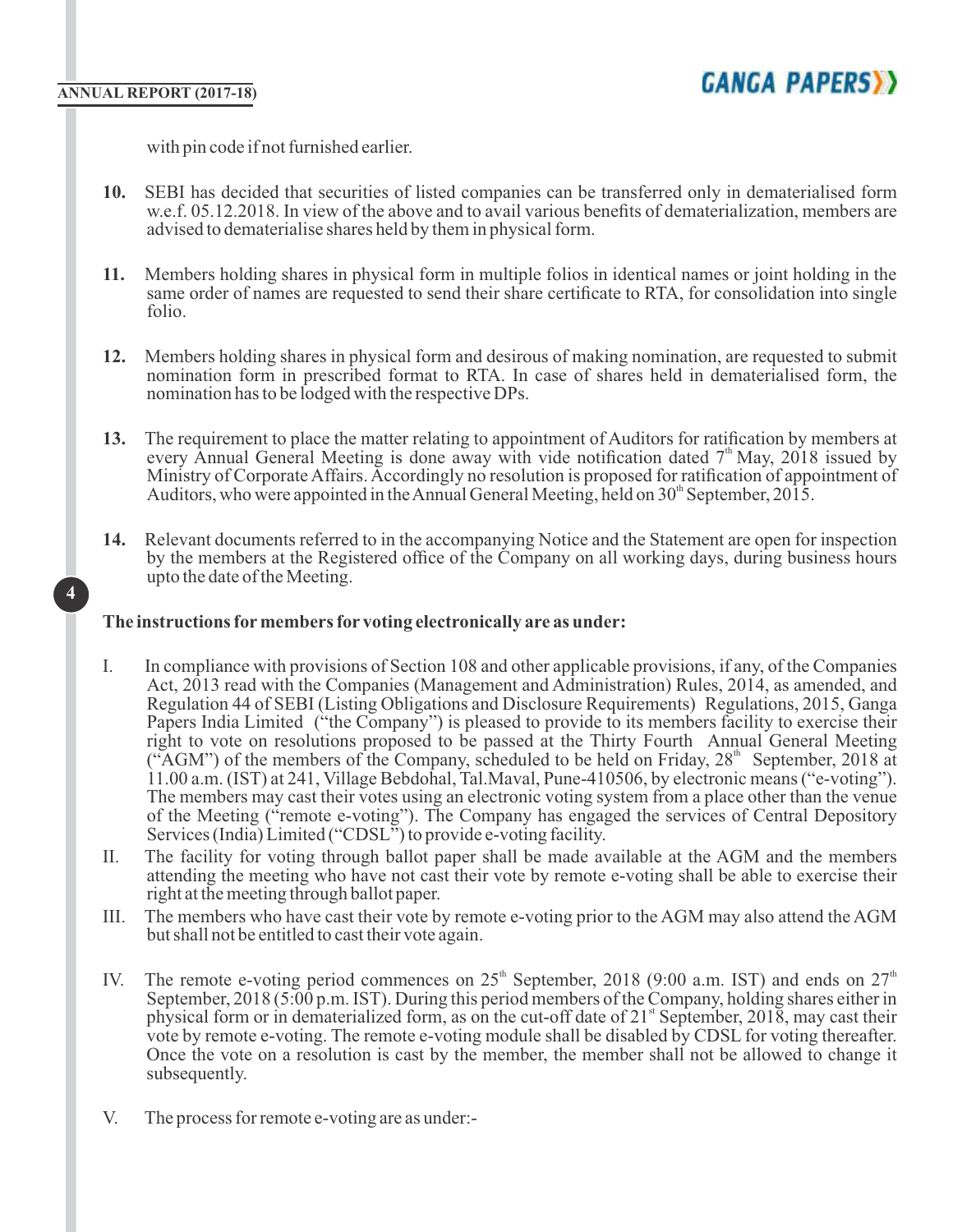**12**

**4**

with pin code if not furnished earlier.

- **10.** SEBI has decided that securities of listed companies can be transferred only in dematerialised form w.e.f. 05.12.2018. In view of the above and to avail various benefits of dematerialization, members are advised to dematerialise shares held by them in physical form.
- **11.** Members holding shares in physical form in multiple folios in identical names or joint holding in the same order of names are requested to send their share certificate to RTA, for consolidation into single folio.
- **12.** Members holding shares in physical form and desirous of making nomination, are requested to submit nomination form in prescribed format to RTA. In case of shares held in dematerialised form, the nomination has to be lodged with the respective DPs.
- **13.** The requirement to place the matter relating to appointment of Auditors for ratification by members at every Annual General Meeting is done away with vide notification dated  $7<sup>th</sup>$  May, 2018 issued by Ministry of Corporate Affairs. Accordingly no resolution is proposed for ratification of appointment of Auditors, who were appointed in the Annual General Meeting, held on  $30<sup>th</sup>$  September, 2015.
- **14.** Relevant documents referred to in the accompanying Notice and the Statement are open for inspection by the members at the Registered office of the Company on all working days, during business hours upto the date of the Meeting.

# **The instructions for members for voting electronically are as under:**

- I. In compliance with provisions of Section 108 and other applicable provisions, if any, of the Companies Act, 2013 read with the Companies (Management and Administration) Rules, 2014, as amended, and Regulation 44 of SEBI (Listing Obligations and Disclosure Requirements) Regulations, 2015, Ganga Papers India Limited ("the Company") is pleased to provide to its members facility to exercise their right to vote on resolutions proposed to be passed at the Thirty Fourth Annual General Meeting ("AGM") of the members of the Company, scheduled to be held on Friday,  $28<sup>th</sup>$  September, 2018 at 11.00 a.m. (IST) at 241, Village Bebdohal, Tal.Maval, Pune-410506, by electronic means ("e-voting"). The members may cast their votes using an electronic voting system from a place other than the venue of the Meeting ("remote e-voting"). The Company has engaged the services of Central Depository Services (India) Limited ("CDSL") to provide e-voting facility.
- II. The facility for voting through ballot paper shall be made available at the AGM and the members attending the meeting who have not cast their vote by remote e-voting shall be able to exercise their right at the meeting through ballot paper.
- III. The members who have cast their vote by remote e-voting prior to the AGM may also attend the AGM but shall not be entitled to cast their vote again.
- IV. The remote e-voting period commences on  $25<sup>th</sup>$  September, 2018 (9:00 a.m. IST) and ends on  $27<sup>th</sup>$ September, 2018 (5:00 p.m. IST). During this period members of the Company, holding shares either in physical form or in dematerialized form, as on the cut-off date of 21<sup>st</sup> September, 2018, may cast their vote by remote e-voting. The remote e-voting module shall be disabled by CDSL for voting thereafter. Once the vote on a resolution is cast by the member, the member shall not be allowed to change it subsequently.
- V. The process for remote e-voting are as under:-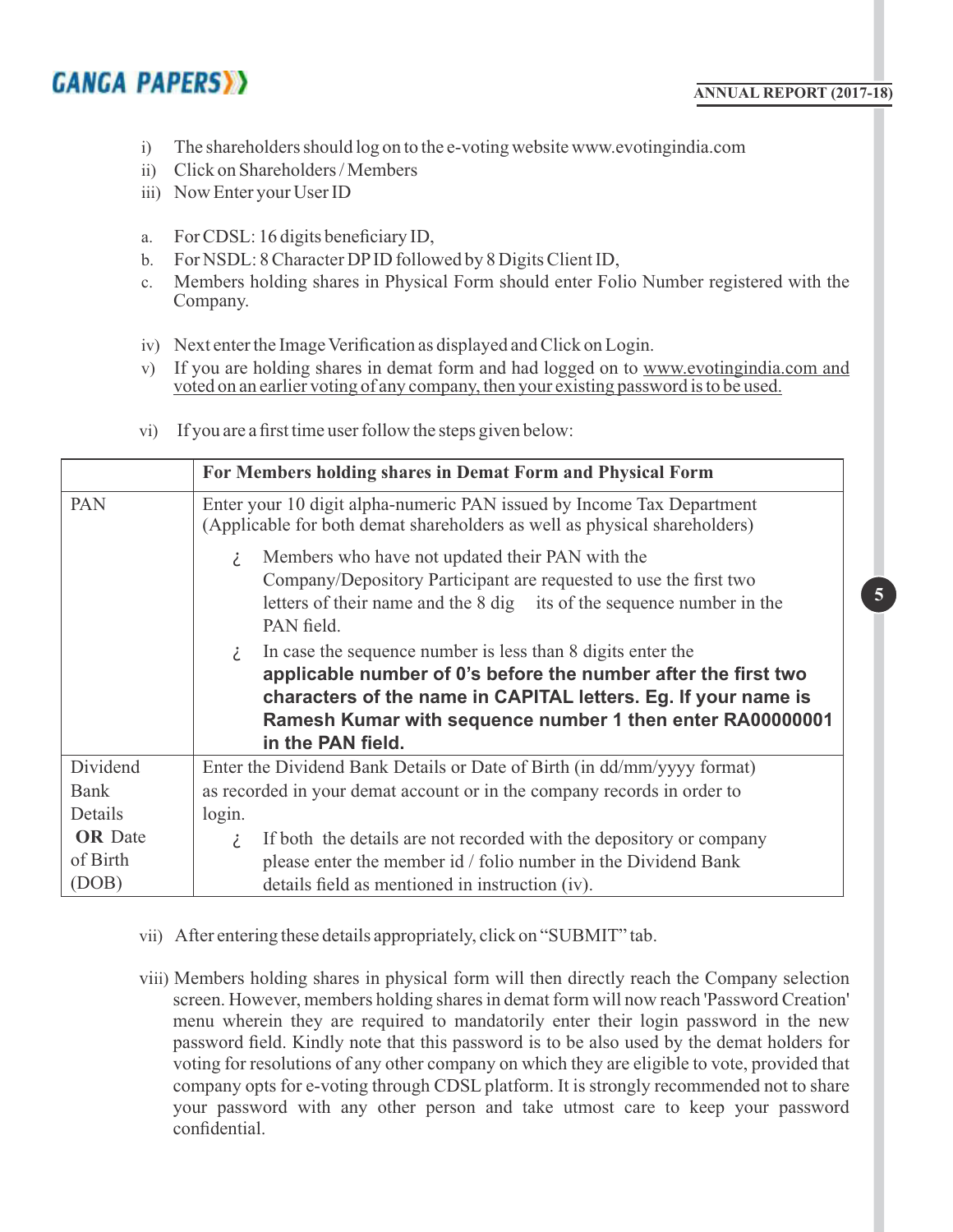

- i) The shareholders should log on to the e-voting website www.evotingindia.com
- ii) Click on Shareholders / Members
- iii) Now Enter your User ID
- a. For CDSL: 16 digits beneficiary ID,
- b. For NSDL: 8 Character DP ID followed by 8 Digits Client ID,
- c. Members holding shares in Physical Form should enter Folio Number registered with the Company.
- iv) Next enter the Image Verification as displayed and Click on Login.
- v) If you are holding shares in demat form and had logged on to www.evotingindia.com and voted on an earlier voting of any company, then your existing password is to be used.
- vi) If you are a first time user follow the steps given below:

|                | For Members holding shares in Demat Form and Physical Form                                                                                                                                                                                                                              |  |  |  |  |  |  |
|----------------|-----------------------------------------------------------------------------------------------------------------------------------------------------------------------------------------------------------------------------------------------------------------------------------------|--|--|--|--|--|--|
| PAN            | Enter your 10 digit alpha-numeric PAN issued by Income Tax Department<br>(Applicable for both demat shareholders as well as physical shareholders)                                                                                                                                      |  |  |  |  |  |  |
|                | Members who have not updated their PAN with the<br>Ż.<br>Company/Depository Participant are requested to use the first two<br>letters of their name and the 8 dig its of the sequence number in the<br>PAN field.                                                                       |  |  |  |  |  |  |
|                | In case the sequence number is less than 8 digits enter the<br>ż.<br>applicable number of 0's before the number after the first two<br>characters of the name in CAPITAL letters. Eg. If your name is<br>Ramesh Kumar with sequence number 1 then enter RA00000001<br>in the PAN field. |  |  |  |  |  |  |
| Dividend       | Enter the Dividend Bank Details or Date of Birth (in dd/mm/yyyy format)                                                                                                                                                                                                                 |  |  |  |  |  |  |
| <b>Bank</b>    | as recorded in your demat account or in the company records in order to                                                                                                                                                                                                                 |  |  |  |  |  |  |
| Details        | login.                                                                                                                                                                                                                                                                                  |  |  |  |  |  |  |
| <b>OR</b> Date | If both the details are not recorded with the depository or company<br>Ľ                                                                                                                                                                                                                |  |  |  |  |  |  |
| of Birth       | please enter the member id / folio number in the Dividend Bank                                                                                                                                                                                                                          |  |  |  |  |  |  |
| (DOB)          | details field as mentioned in instruction (iv).                                                                                                                                                                                                                                         |  |  |  |  |  |  |

- vii) After entering these details appropriately, click on "SUBMIT" tab.
- viii) Members holding shares in physical form will then directly reach the Company selection screen. However, members holding shares in demat form will now reach 'Password Creation' menu wherein they are required to mandatorily enter their login password in the new password field. Kindly note that this password is to be also used by the demat holders for voting for resolutions of any other company on which they are eligible to vote, provided that company opts for e-voting through CDSL platform. It is strongly recommended not to share your password with any other person and take utmost care to keep your password confidential.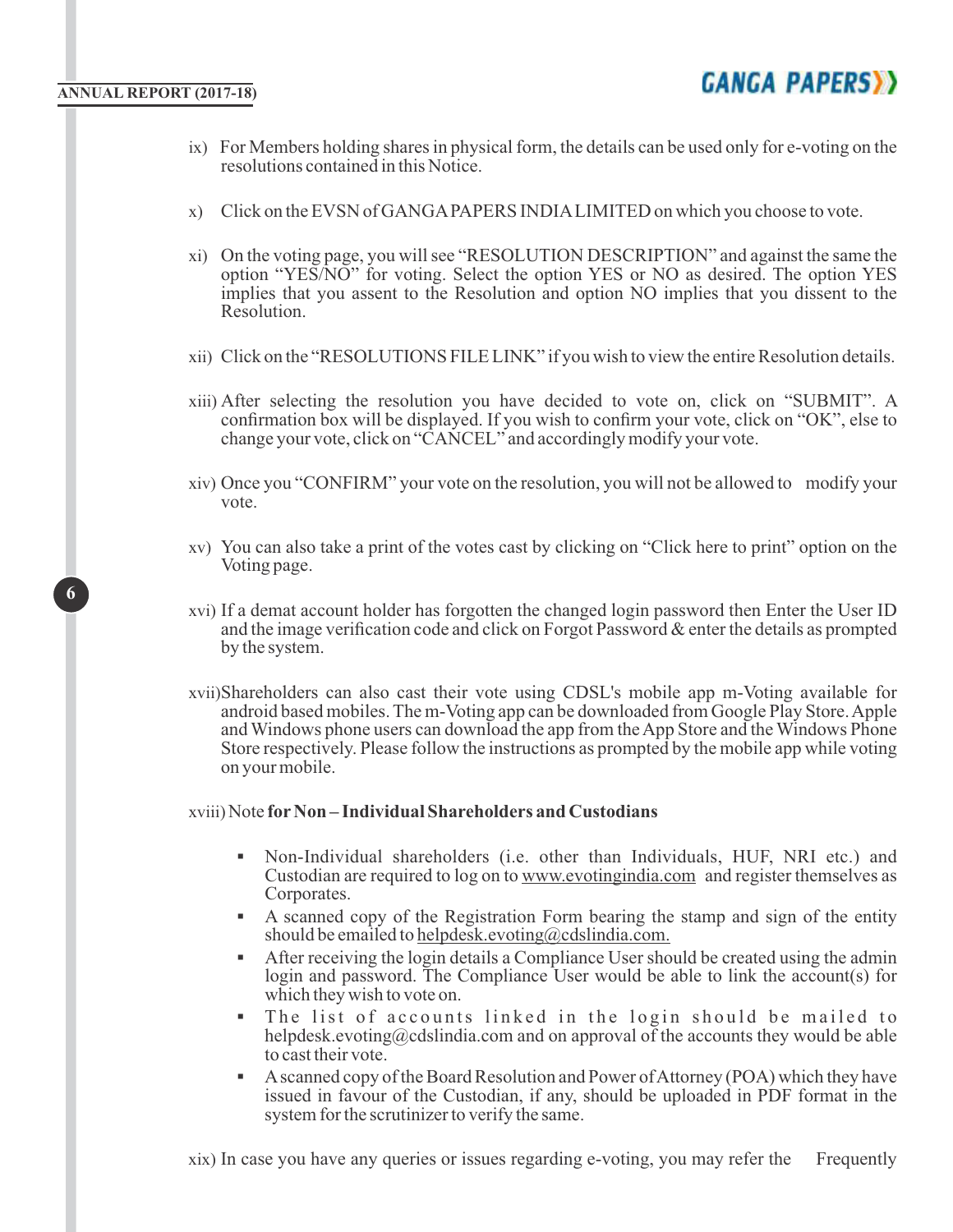**12 6**

- ix) For Members holding shares in physical form, the details can be used only for e-voting on the resolutions contained in this Notice.
- x) Click on the EVSN of GANGA PAPERS INDIA LIMITED on which you choose to vote.
- xi) On the voting page, you will see "RESOLUTION DESCRIPTION" and against the same the option "YES/NO" for voting. Select the option YES or NO as desired. The option YES implies that you assent to the Resolution and option NO implies that you dissent to the Resolution.
- xii) Click on the "RESOLUTIONS FILE LINK" if you wish to view the entire Resolution details.
- xiii) After selecting the resolution you have decided to vote on, click on "SUBMIT". A confirmation box will be displayed. If you wish to confirm your vote, click on "OK", else to change your vote, click on "CANCEL" and accordingly modify your vote.
- xiv) Once you "CONFIRM" your vote on the resolution, you will not be allowed to modify your vote.
- xv) You can also take a print of the votes cast by clicking on "Click here to print" option on the Voting page.
- xvi) If a demat account holder has forgotten the changed login password then Enter the User ID and the image verification code and click on Forgot Password & enter the details as prompted by the system.
- xvii)Shareholders can also cast their vote using CDSL's mobile app m-Voting available for android based mobiles. The m-Voting app can be downloaded from Google Play Store. Apple and Windows phone users can download the app from the App Store and the Windows Phone Store respectively. Please follow the instructions as prompted by the mobile app while voting on your mobile.

#### xviii) Note **for Non – Individual Shareholders and Custodians**

- Non-Individual shareholders (i.e. other than Individuals, HUF, NRI etc.) and Custodian are required to log on to www.evotingindia.com and register themselves as Corporates.
- A scanned copy of the Registration Form bearing the stamp and sign of the entity should be emailed to helpdesk.evoting@cdslindia.com.
- After receiving the login details a Compliance User should be created using the admin login and password. The Compliance User would be able to link the account(s) for which they wish to vote on.
- The list of accounts linked in the login should be mailed to helpdesk.evoting@cdslindia.com and on approval of the accounts they would be able to cast their vote.
- § A scanned copy of the Board Resolution and Power of Attorney (POA) which they have issued in favour of the Custodian, if any, should be uploaded in PDF format in the system for the scrutinizer to verify the same.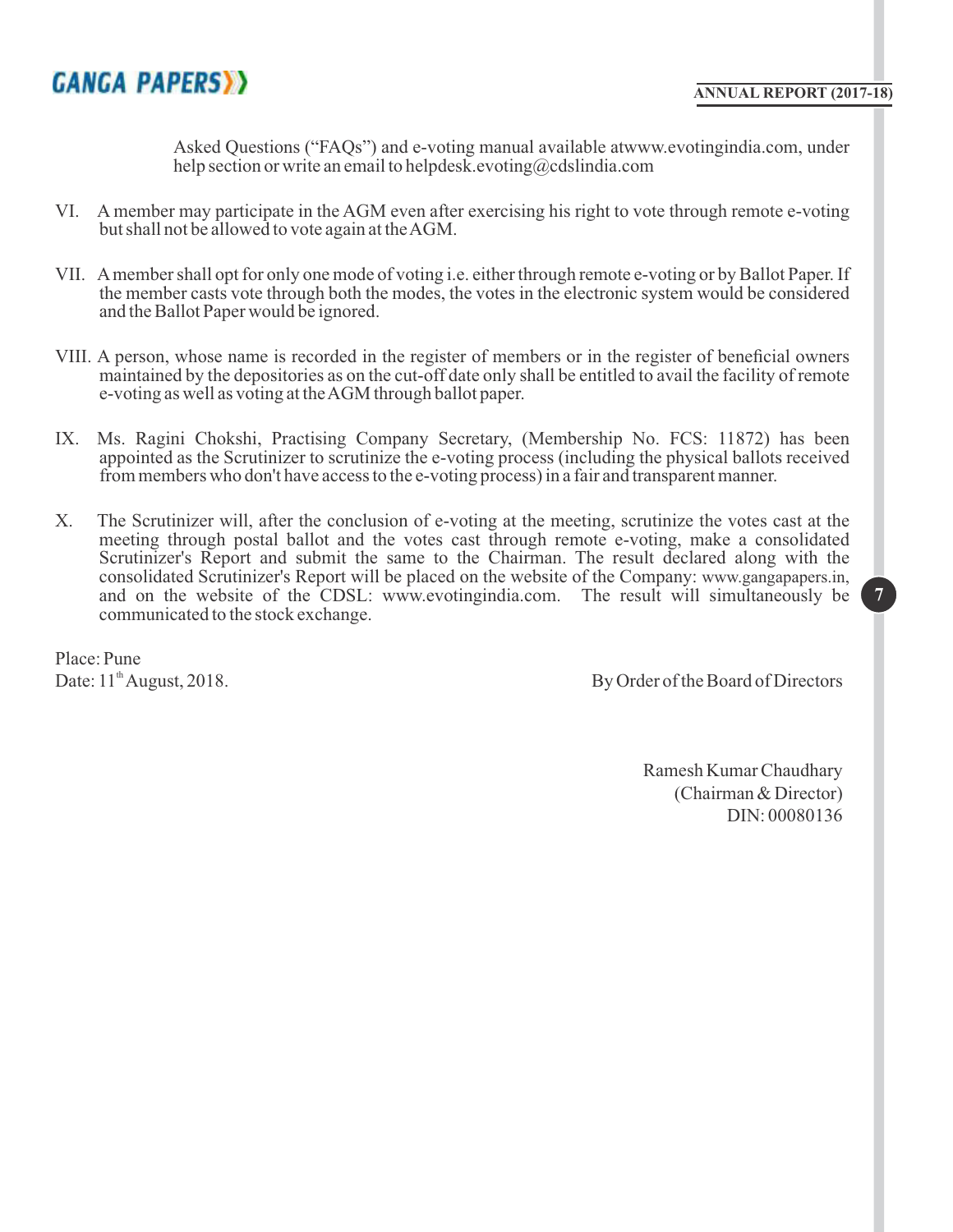

Asked Questions ("FAQs") and e-voting manual available atwww.evotingindia.com, under help section or write an email to helpdesk.evoting@cdslindia.com

- VI. A member may participate in the AGM even after exercising his right to vote through remote e-voting but shall not be allowed to vote again at the AGM.
- VII. A member shall opt for only one mode of voting i.e. either through remote e-voting or by Ballot Paper. If the member casts vote through both the modes, the votes in the electronic system would be considered and the Ballot Paper would be ignored.
- VIII. A person, whose name is recorded in the register of members or in the register of beneficial owners maintained by the depositories as on the cut-off date only shall be entitled to avail the facility of remote e-voting as well as voting at the AGM through ballot paper.
- IX. Ms. Ragini Chokshi, Practising Company Secretary, (Membership No. FCS: 11872) has been appointed as the Scrutinizer to scrutinize the e-voting process (including the physical ballots received from members who don't have access to the e-voting process) in a fair and transparent manner.
- X. The Scrutinizer will, after the conclusion of e-voting at the meeting, scrutinize the votes cast at the meeting through postal ballot and the votes cast through remote e-voting, make a consolidated Scrutinizer's Report and submit the same to the Chairman. The result declared along with the consolidated Scrutinizer's Report will be placed on the website of the Company: www.gangapapers.in, and on the website of the CDSL: www.evotingindia.com. The result will simultaneously be communicated to the stock exchange.

Place: Pune

Date:  $11<sup>th</sup>$  August, 2018. By Order of the Board of Directors

 Ramesh Kumar Chaudhary (Chairman & Director) DIN: 00080136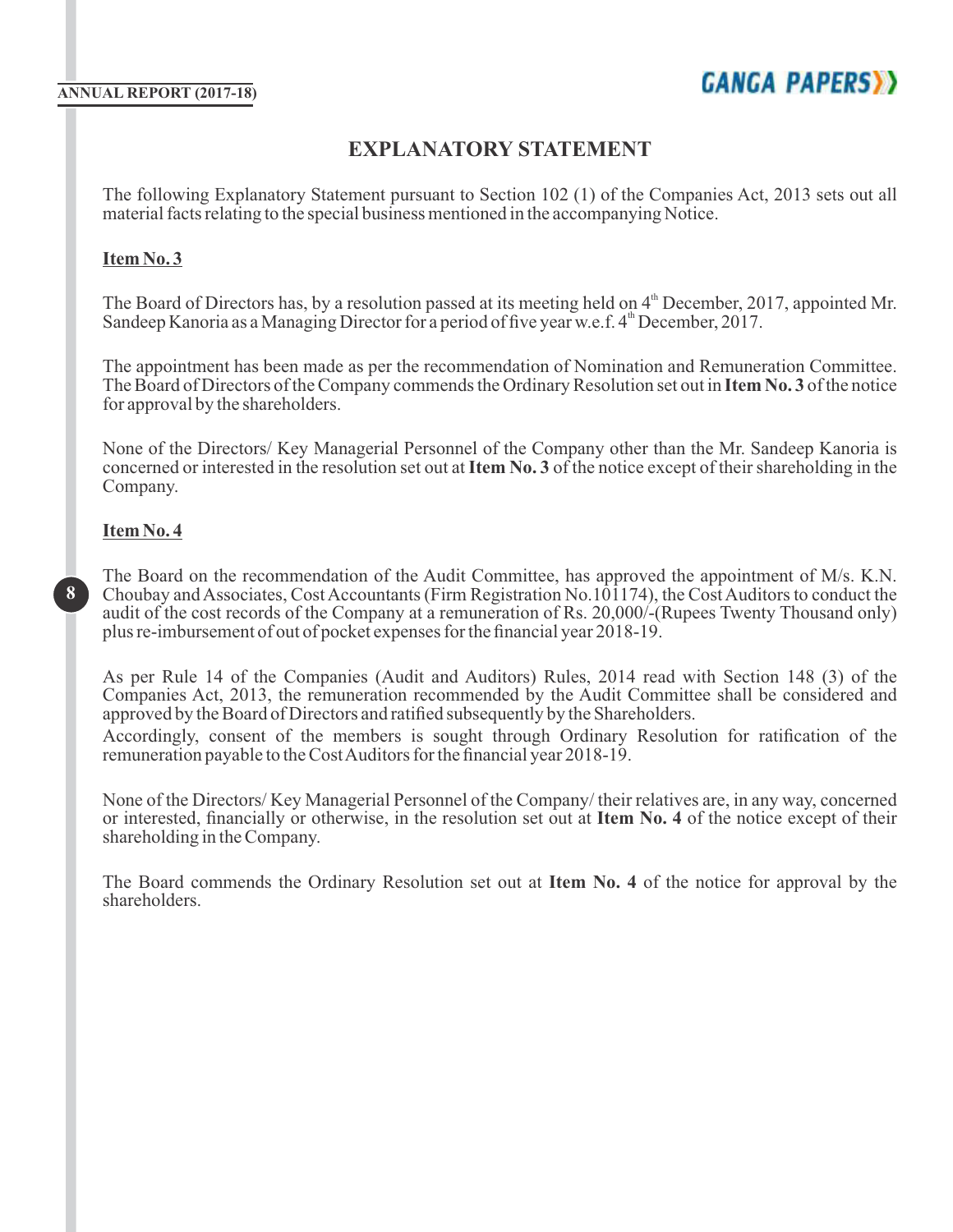# **GANGA PAPERS**)

# **EXPLANATORY STATEMENT**

The following Explanatory Statement pursuant to Section 102 (1) of the Companies Act, 2013 sets out all material facts relating to the special business mentioned in the accompanying Notice.

#### **Item No. 3**

The Board of Directors has, by a resolution passed at its meeting held on 4<sup>th</sup> December, 2017, appointed Mr. Sandeep Kanoria as a Managing Director for a period of five year w.e.f. 4<sup>th</sup> December, 2017.

The appointment has been made as per the recommendation of Nomination and Remuneration Committee. The Board of Directors of the Company commends the Ordinary Resolution set out in **Item No. 3** of the notice for approval by the shareholders.

None of the Directors/ Key Managerial Personnel of the Company other than the Mr. Sandeep Kanoria is concerned or interested in the resolution set out at **Item No. 3** of the notice except of their shareholding in the Company.

#### **Item No. 4**

**12 8**

The Board on the recommendation of the Audit Committee, has approved the appointment of M/s. K.N. Choubay and Associates, Cost Accountants (Firm Registration No.101174), the Cost Auditors to conduct the audit of the cost records of the Company at a remuneration of Rs. 20,000/-(Rupees Twenty Thousand only) plus re-imbursement of out of pocket expenses for the financial year 2018-19.

As per Rule 14 of the Companies (Audit and Auditors) Rules, 2014 read with Section 148 (3) of the Companies Act, 2013, the remuneration recommended by the Audit Committee shall be considered and approved by the Board of Directors and ratified subsequently by the Shareholders.

Accordingly, consent of the members is sought through Ordinary Resolution for ratification of the remuneration payable to the Cost Auditors for the financial year 2018-19.

None of the Directors/ Key Managerial Personnel of the Company/ their relatives are, in any way, concerned or interested, financially or otherwise, in the resolution set out at **Item No. 4** of the notice except of their shareholding in the Company.

The Board commends the Ordinary Resolution set out at **Item No. 4** of the notice for approval by the shareholders.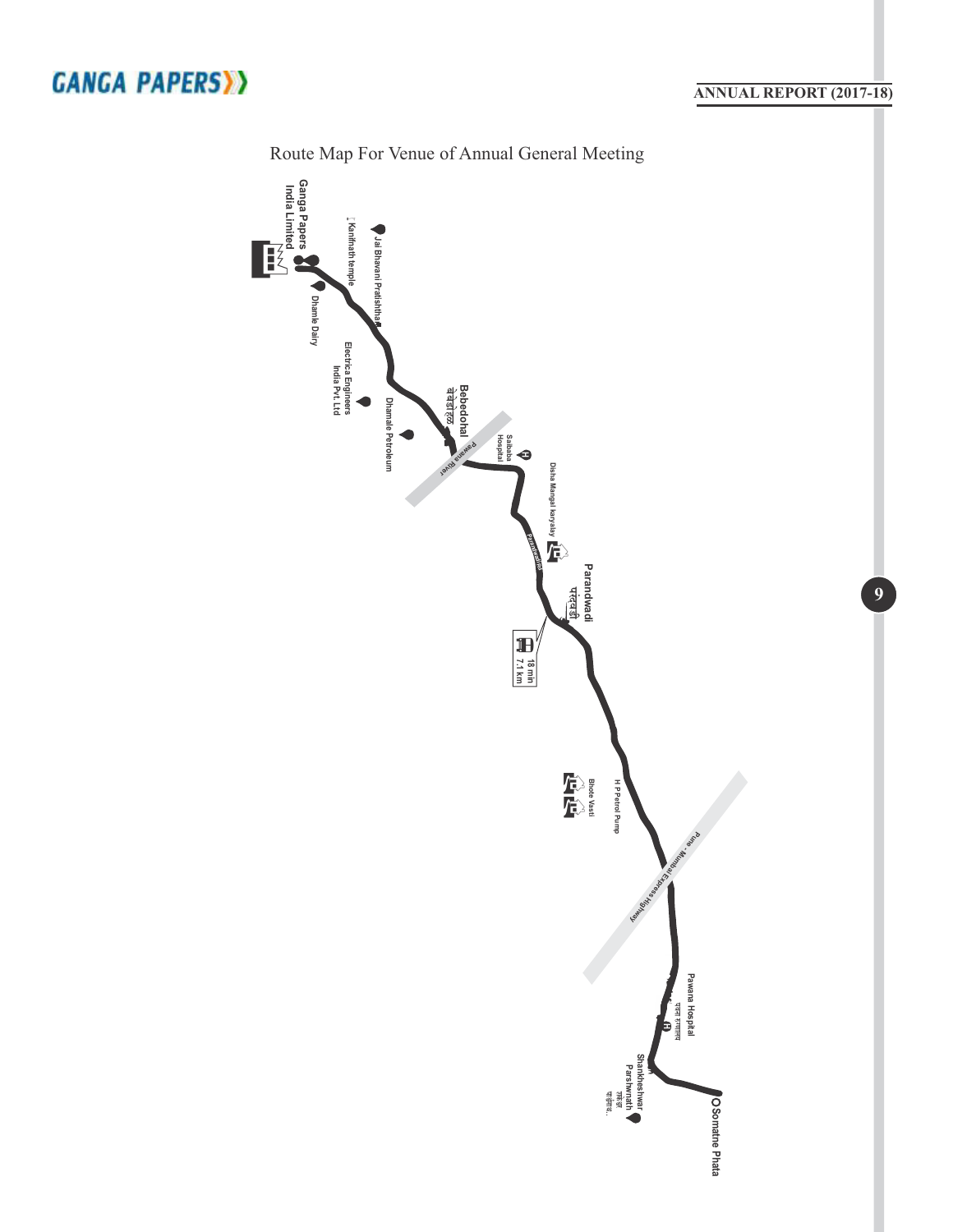

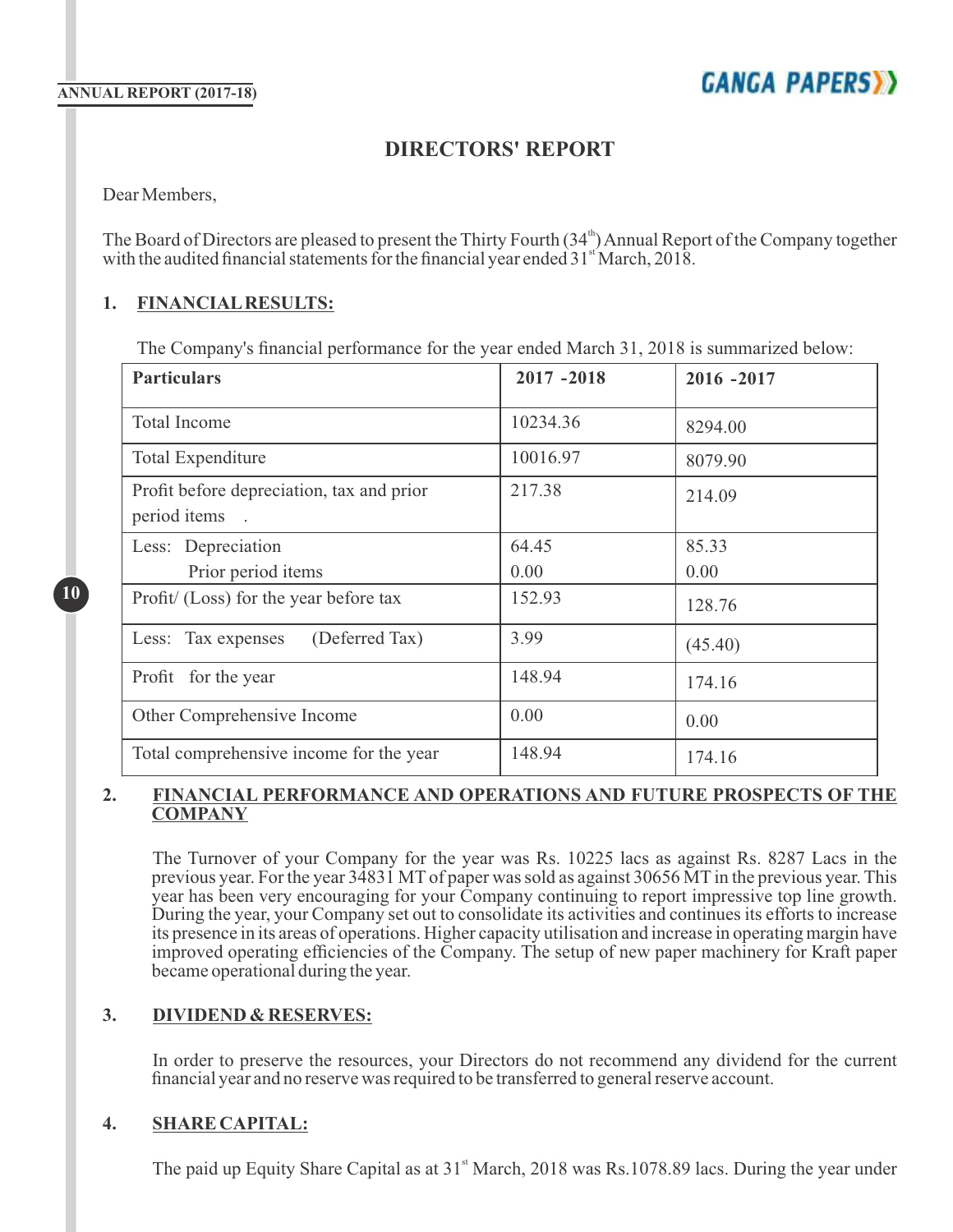# **DIRECTORS' REPORT**

Dear Members,

 $\mathbf{10}^{\mathsf{\degree}}$ 

**10**

The Board of Directors are pleased to present the Thirty Fourth  $(34<sup>th</sup>)$  Annual Report of the Company together with the audited financial statements for the financial year ended  $31<sup>st</sup>$  March, 2018.

# **1. FINANCIAL RESULTS:**

The Company's financial performance for the year ended March 31, 2018 is summarized below:

| <b>Particulars</b>                                                  | $2017 - 2018$ | 2016 -2017 |
|---------------------------------------------------------------------|---------------|------------|
| <b>Total Income</b>                                                 | 10234.36      | 8294.00    |
| Total Expenditure                                                   | 10016.97      | 8079.90    |
| Profit before depreciation, tax and prior<br>period items<br>$\sim$ | 217.38        | 214.09     |
| Less: Depreciation                                                  | 64.45         | 85.33      |
| Prior period items                                                  | 0.00          | 0.00       |
| Profit/ (Loss) for the year before tax                              | 152.93        | 128.76     |
| (Deferred Tax)<br>Less: Tax expenses                                | 3.99          | (45.40)    |
| Profit for the year                                                 | 148.94        | 174.16     |
| Other Comprehensive Income                                          | 0.00          | 0.00       |
| Total comprehensive income for the year                             | 148.94        | 174.16     |

# **2. FINANCIAL PERFORMANCE AND OPERATIONS AND FUTURE PROSPECTS OF THE COMPANY**

 The Turnover of your Company for the year was Rs. 10225 lacs as against Rs. 8287 Lacs in the previous year. For the year 34831 MT of paper was sold as against 30656 MT in the previous year. This year has been very encouraging for your Company continuing to report impressive top line growth. During the year, your Company set out to consolidate its activities and continues its efforts to increase its presence in its areas of operations. Higher capacity utilisation and increase in operating margin have improved operating efficiencies of the Company. The setup of new paper machinery for Kraft paper became operational during the year.

# **3. DIVIDEND & RESERVES:**

 In order to preserve the resources, your Directors do not recommend any dividend for the current financial year and no reserve was required to be transferred to general reserve account.

# **4. SHARE CAPITAL:**

The paid up Equity Share Capital as at  $31<sup>st</sup>$  March, 2018 was Rs.1078.89 lacs. During the year under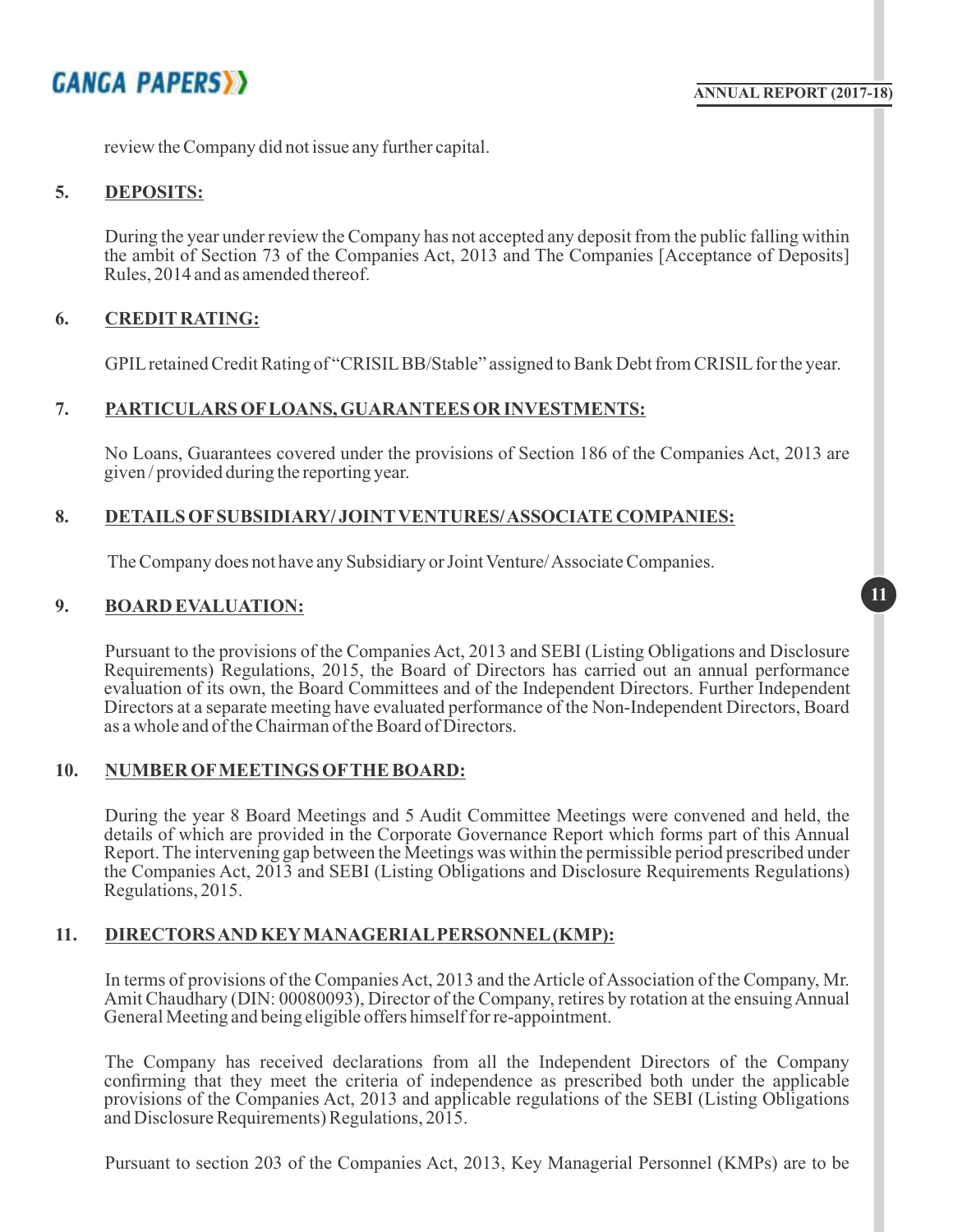

**11**

review the Company did not issue any further capital.

# **5. DEPOSITS:**

 During the year under review the Company has not accepted any deposit from the public falling within the ambit of Section 73 of the Companies Act, 2013 and The Companies [Acceptance of Deposits] Rules, 2014 and as amended thereof.

# **6. CREDIT RATING:**

GPIL retained Credit Rating of "CRISIL BB/Stable" assigned to Bank Debt from CRISIL for the year.

#### **7. PARTICULARS OF LOANS, GUARANTEES OR INVESTMENTS:**

 No Loans, Guarantees covered under the provisions of Section 186 of the Companies Act, 2013 are given / provided during the reporting year.

#### **8. DETAILS OF SUBSIDIARY/ JOINT VENTURES/ ASSOCIATE COMPANIES:**

The Company does not have any Subsidiary or Joint Venture/ Associate Companies.

#### **9. BOARD EVALUATION:**

 Pursuant to the provisions of the Companies Act, 2013 and SEBI (Listing Obligations and Disclosure Requirements) Regulations, 2015, the Board of Directors has carried out an annual performance evaluation of its own, the Board Committees and of the Independent Directors. Further Independent Directors at a separate meeting have evaluated performance of the Non-Independent Directors, Board as a whole and of the Chairman of the Board of Directors.

#### **10. NUMBER OF MEETINGS OF THE BOARD:**

 During the year 8 Board Meetings and 5 Audit Committee Meetings were convened and held, the details of which are provided in the Corporate Governance Report which forms part of this Annual Report. The intervening gap between the Meetings was within the permissible period prescribed under the Companies Act, 2013 and SEBI (Listing Obligations and Disclosure Requirements Regulations) Regulations, 2015.

# **11. DIRECTORS AND KEY MANAGERIAL PERSONNEL (KMP):**

 In terms of provisions of the Companies Act, 2013 and the Article of Association of the Company, Mr. Amit Chaudhary (DIN: 00080093), Director of the Company, retires by rotation at the ensuing Annual General Meeting and being eligible offers himself for re-appointment.

 The Company has received declarations from all the Independent Directors of the Company confirming that they meet the criteria of independence as prescribed both under the applicable provisions of the Companies Act, 2013 and applicable regulations of the SEBI (Listing Obligations and Disclosure Requirements) Regulations, 2015.

Pursuant to section 203 of the Companies Act, 2013, Key Managerial Personnel (KMPs) are to be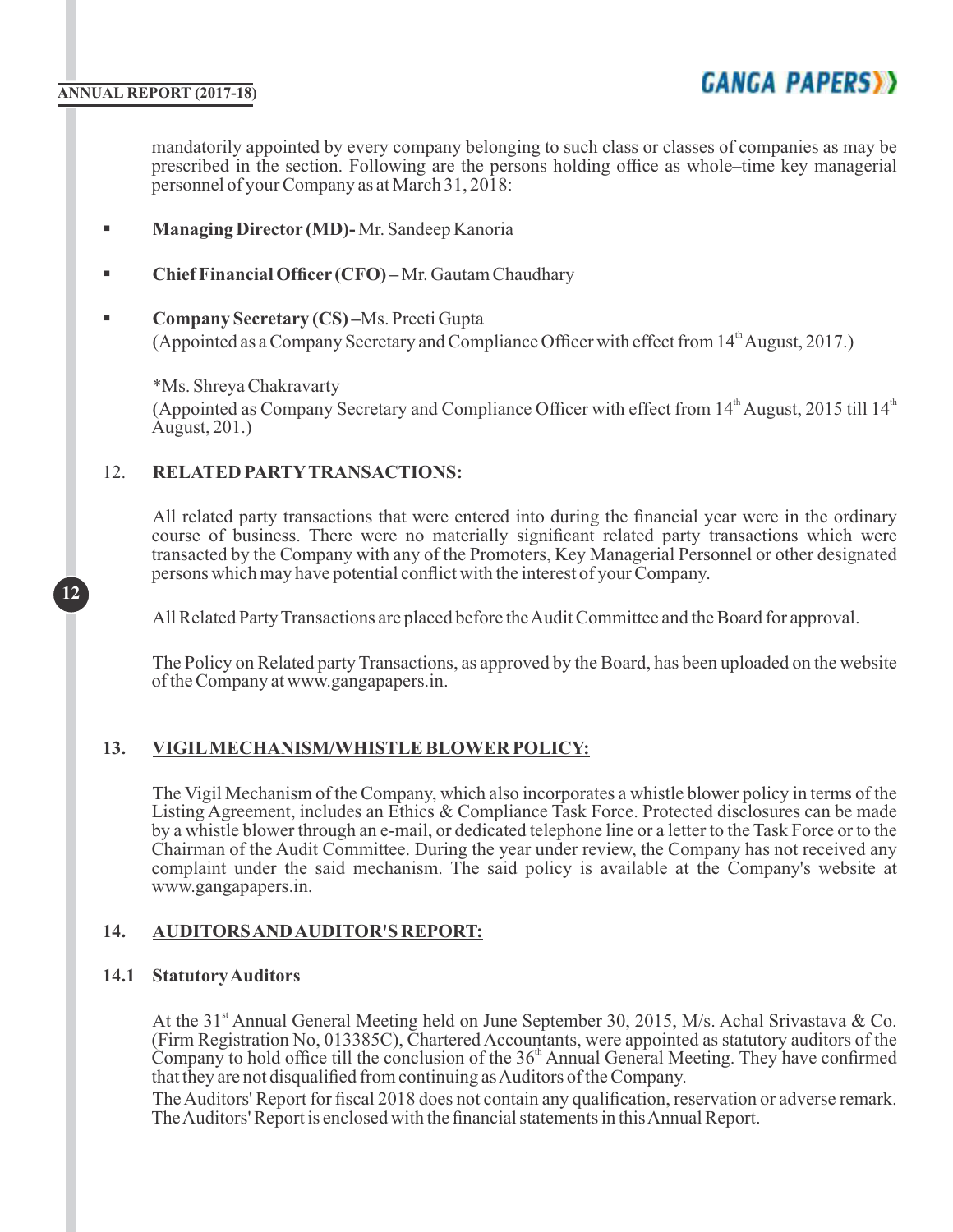**12 12**



mandatorily appointed by every company belonging to such class or classes of companies as may be prescribed in the section. Following are the persons holding office as whole–time key managerial personnel of your Company as at March 31, 2018:

- **Managing Director (MD)** Mr. Sandeep Kanoria
- § **Chief Financial Officer (CFO)** Mr. Gautam Chaudhary
	- § **Company Secretary (CS) –**Ms. Preeti Gupta (Appointed as a Company Secretary and Compliance Officer with effect from  $14<sup>th</sup>$  August, 2017.)

\*Ms. Shreya Chakravarty (Appointed as Company Secretary and Compliance Officer with effect from  $14<sup>th</sup>$  August, 2015 till  $14<sup>th</sup>$ August, 201.)

# 12. **RELATED PARTY TRANSACTIONS:**

 All related party transactions that were entered into during the financial year were in the ordinary course of business. There were no materially significant related party transactions which were transacted by the Company with any of the Promoters, Key Managerial Personnel or other designated persons which may have potential conflict with the interest of your Company.

All Related Party Transactions are placed before the Audit Committee and the Board for approval.

 The Policy on Related party Transactions, as approved by the Board, has been uploaded on the website of the Company at www.gangapapers.in.

# **13. VIGIL MECHANISM/WHISTLE BLOWER POLICY:**

 The Vigil Mechanism of the Company, which also incorporates a whistle blower policy in terms of the Listing Agreement, includes an Ethics & Compliance Task Force. Protected disclosures can be made by a whistle blower through an e-mail, or dedicated telephone line or a letter to the Task Force or to the Chairman of the Audit Committee. During the year under review, the Company has not received any complaint under the said mechanism. The said policy is available at the Company's website at www.gangapapers.in.

# **14. AUDITORS AND AUDITOR'S REPORT:**

# **14.1 Statutory Auditors**

At the 31<sup>st</sup> Annual General Meeting held on June September 30, 2015, M/s. Achal Srivastava & Co. (Firm Registration No, 013385C), Chartered Accountants, were appointed as statutory auditors of the Company to hold office till the conclusion of the  $36<sup>th</sup>$  Annual General Meeting. They have confirmed that they are not disqualified from continuing as Auditors of the Company.

 The Auditors' Report for fiscal 2018 does not contain any qualification, reservation or adverse remark. The Auditors' Report is enclosed with the financial statements in this Annual Report.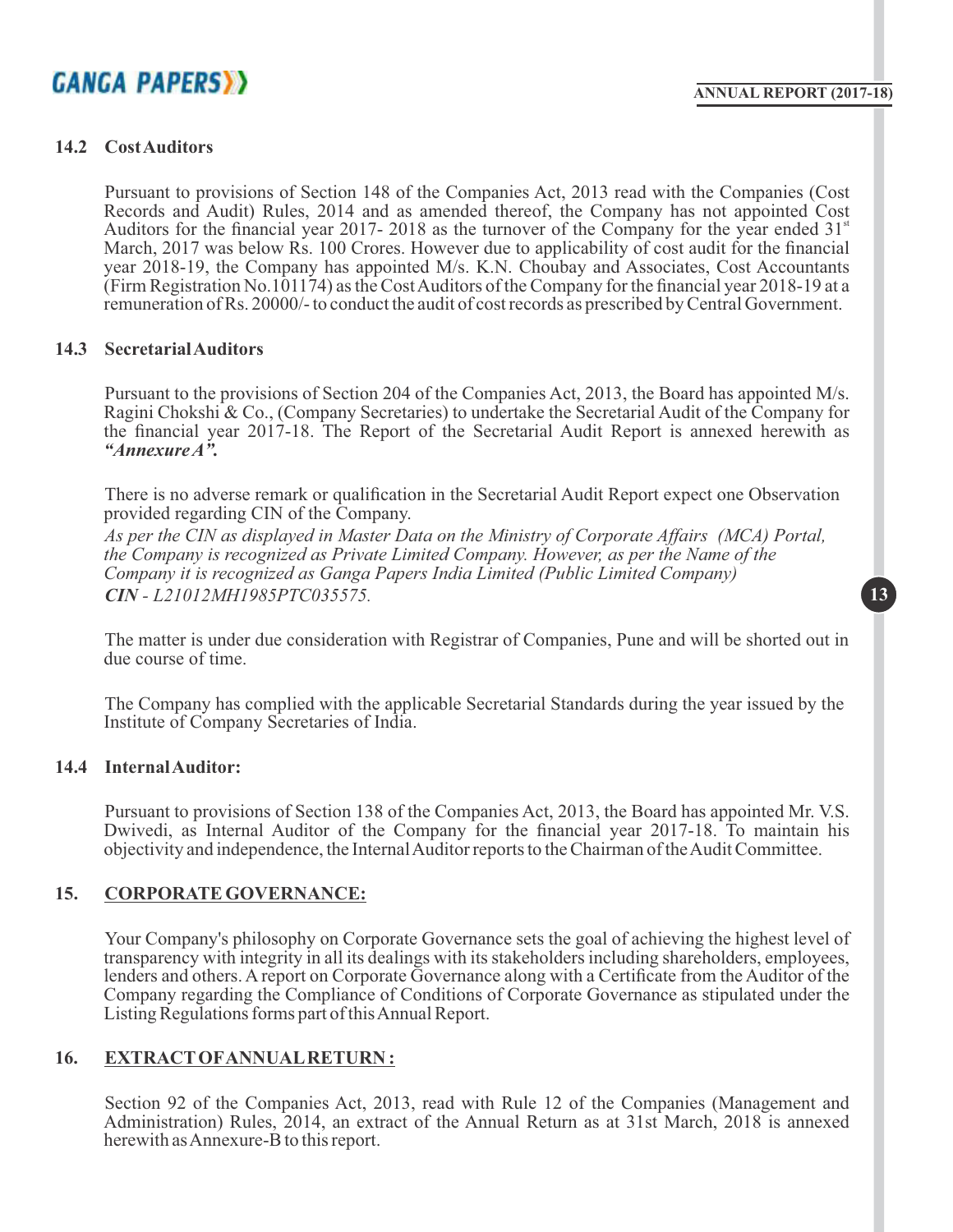

# **14.2 Cost Auditors**

 Pursuant to provisions of Section 148 of the Companies Act, 2013 read with the Companies (Cost Records and Audit) Rules, 2014 and as amended thereof, the Company has not appointed Cost Auditors for the financial year 2017- 2018 as the turnover of the Company for the year ended  $31<sup>st</sup>$ March, 2017 was below Rs. 100 Crores. However due to applicability of cost audit for the financial year 2018-19, the Company has appointed M/s. K.N. Choubay and Associates, Cost Accountants (Firm Registration No.101174) as the Cost Auditors of the Company for the financial year 2018-19 at a remuneration of Rs. 20000/- to conduct the audit of cost records as prescribed by Central Government.

#### **14.3 Secretarial Auditors**

 Pursuant to the provisions of Section 204 of the Companies Act, 2013, the Board has appointed M/s. Ragini Chokshi & Co., (Company Secretaries) to undertake the Secretarial Audit of the Company for the financial year 2017-18. The Report of the Secretarial Audit Report is annexed herewith as *"Annexure A".*

 There is no adverse remark or qualification in the Secretarial Audit Report expect one Observation provided regarding CIN of the Company.

 *As per the CIN as displayed in Master Data on the Ministry of Corporate Affairs (MCA) Portal, the Company is recognized as Private Limited Company. However, as per the Name of the Company it is recognized as Ganga Papers India Limited (Public Limited Company) CIN - L21012MH1985PTC035575.*

 The matter is under due consideration with Registrar of Companies, Pune and will be shorted out in due course of time.

 The Company has complied with the applicable Secretarial Standards during the year issued by the Institute of Company Secretaries of India.

#### **14.4 Internal Auditor:**

 Pursuant to provisions of Section 138 of the Companies Act, 2013, the Board has appointed Mr. V.S. Dwivedi, as Internal Auditor of the Company for the financial year 2017-18. To maintain his objectivity and independence, the Internal Auditor reports to the Chairman of the Audit Committee.

# **15. CORPORATE GOVERNANCE:**

 Your Company's philosophy on Corporate Governance sets the goal of achieving the highest level of transparency with integrity in all its dealings with its stakeholders including shareholders, employees, lenders and others. A report on Corporate Governance along with a Certificate from the Auditor of the Company regarding the Compliance of Conditions of Corporate Governance as stipulated under the Listing Regulations forms part of this Annual Report.

# 16. EXTRACT OF ANNUAL RETURN:

 Section 92 of the Companies Act, 2013, read with Rule 12 of the Companies (Management and Administration) Rules, 2014, an extract of the Annual Return as at 31st March, 2018 is annexed herewith as Annexure-B to this report.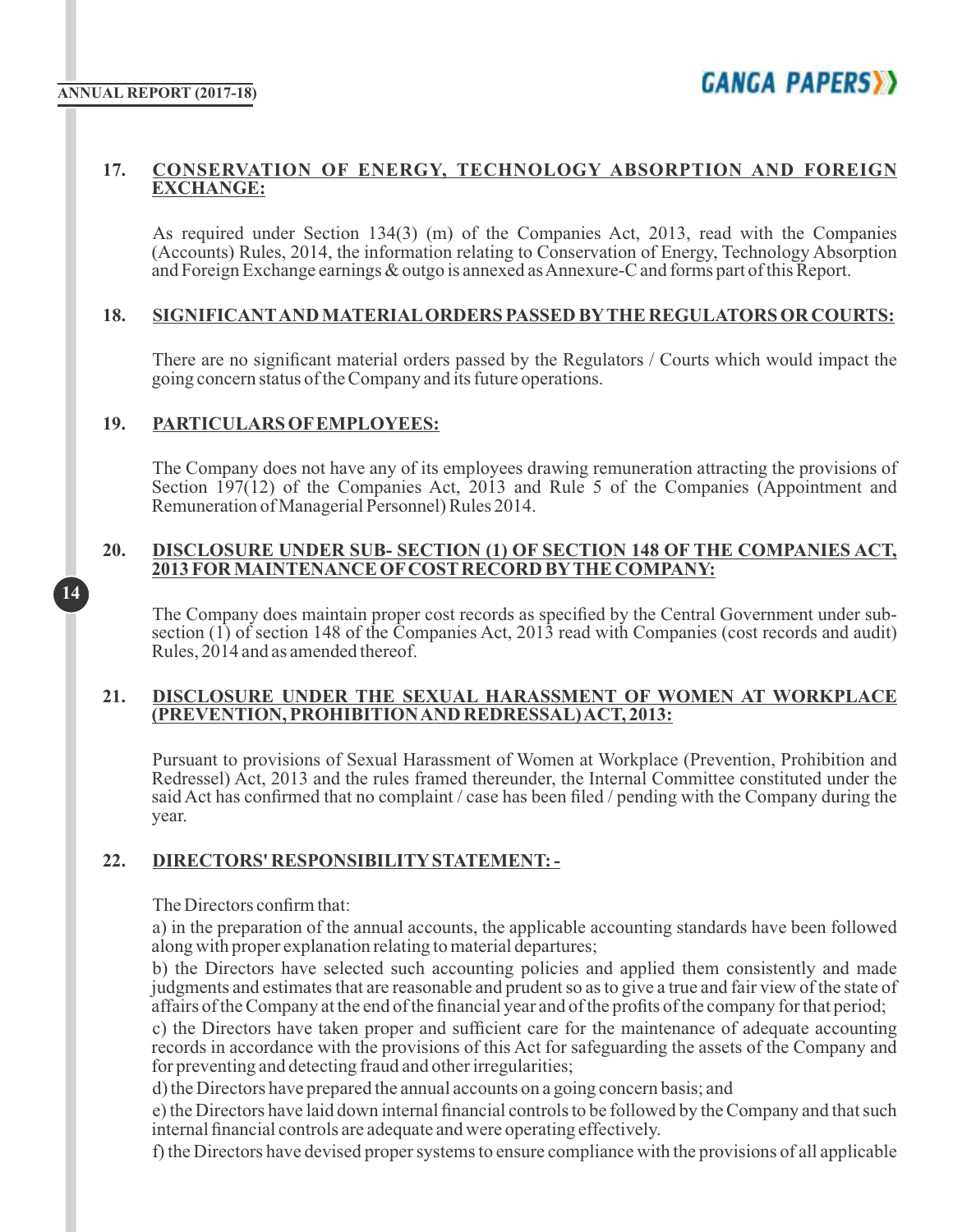**12 14**

#### **17. CONSERVATION OF ENERGY, TECHNOLOGY ABSORPTION AND FOREIGN EXCHANGE:**

 As required under Section 134(3) (m) of the Companies Act, 2013, read with the Companies (Accounts) Rules, 2014, the information relating to Conservation of Energy, Technology Absorption and Foreign Exchange earnings & outgo is annexed as Annexure-C and forms part of this Report.

#### **18. SIGNIFICANT AND MATERIAL ORDERS PASSED BY THE REGULATORS OR COURTS:**

 There are no significant material orders passed by the Regulators / Courts which would impact the going concern status of the Company and its future operations.

# **19. PARTICULARS OF EMPLOYEES:**

 The Company does not have any of its employees drawing remuneration attracting the provisions of Section 197(12) of the Companies Act, 2013 and Rule 5 of the Companies (Appointment and Remuneration of Managerial Personnel) Rules 2014.

#### **20. DISCLOSURE UNDER SUB- SECTION (1) OF SECTION 148 OF THE COMPANIES ACT, 2013 FOR MAINTENANCE OF COST RECORD BY THE COMPANY:**

 The Company does maintain proper cost records as specified by the Central Government under subsection (1) of section 148 of the Companies Act, 2013 read with Companies (cost records and audit) Rules, 2014 and as amended thereof.

#### **21. DISCLOSURE UNDER THE SEXUAL HARASSMENT OF WOMEN AT WORKPLACE (PREVENTION, PROHIBITION AND REDRESSAL) ACT, 2013:**

 Pursuant to provisions of Sexual Harassment of Women at Workplace (Prevention, Prohibition and Redressel) Act, 2013 and the rules framed thereunder, the Internal Committee constituted under the said Act has confirmed that no complaint / case has been filed / pending with the Company during the year.

# **22. DIRECTORS' RESPONSIBILITY STATEMENT: -**

The Directors confirm that:

 a) in the preparation of the annual accounts, the applicable accounting standards have been followed along with proper explanation relating to material departures;

 b) the Directors have selected such accounting policies and applied them consistently and made judgments and estimates that are reasonable and prudent so as to give a true and fair view of the state of affairs of the Company at the end of the financial year and of the profits of the company for that period;

 c) the Directors have taken proper and sufficient care for the maintenance of adequate accounting records in accordance with the provisions of this Act for safeguarding the assets of the Company and for preventing and detecting fraud and other irregularities;

d) the Directors have prepared the annual accounts on a going concern basis; and

 e) the Directors have laid down internal financial controls to be followed by the Company and that such internal financial controls are adequate and were operating effectively.

f) the Directors have devised proper systems to ensure compliance with the provisions of all applicable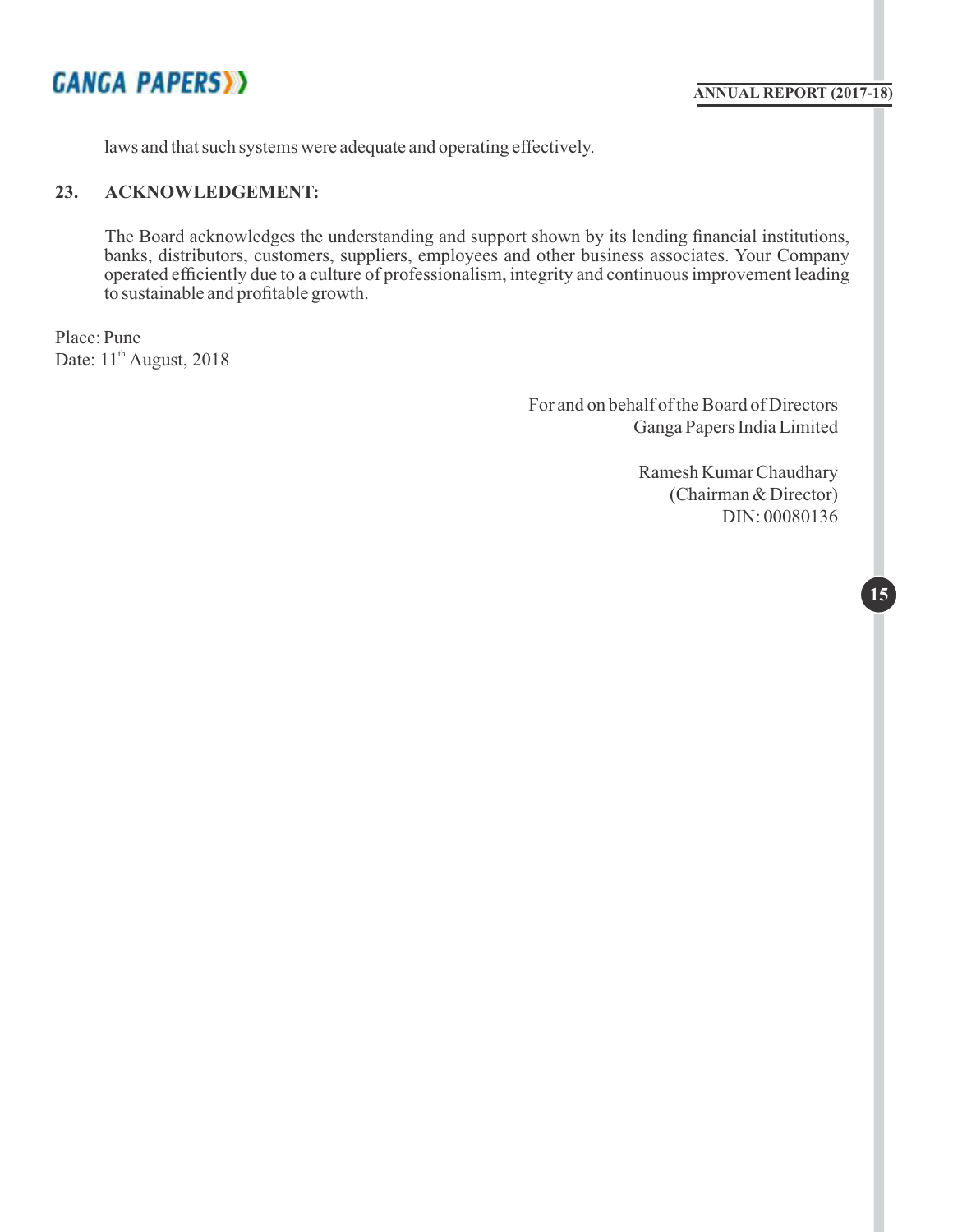

laws and that such systems were adequate and operating effectively.

# **23. ACKNOWLEDGEMENT:**

 The Board acknowledges the understanding and support shown by its lending financial institutions, banks, distributors, customers, suppliers, employees and other business associates. Your Company operated efficiently due to a culture of professionalism, integrity and continuous improvement leading to sustainable and profitable growth.

Place: Pune Date:  $11<sup>th</sup>$  August, 2018

> For and on behalf of the Board of Directors Ganga Papers India Limited

> > Ramesh Kumar Chaudhary (Chairman & Director) DIN: 00080136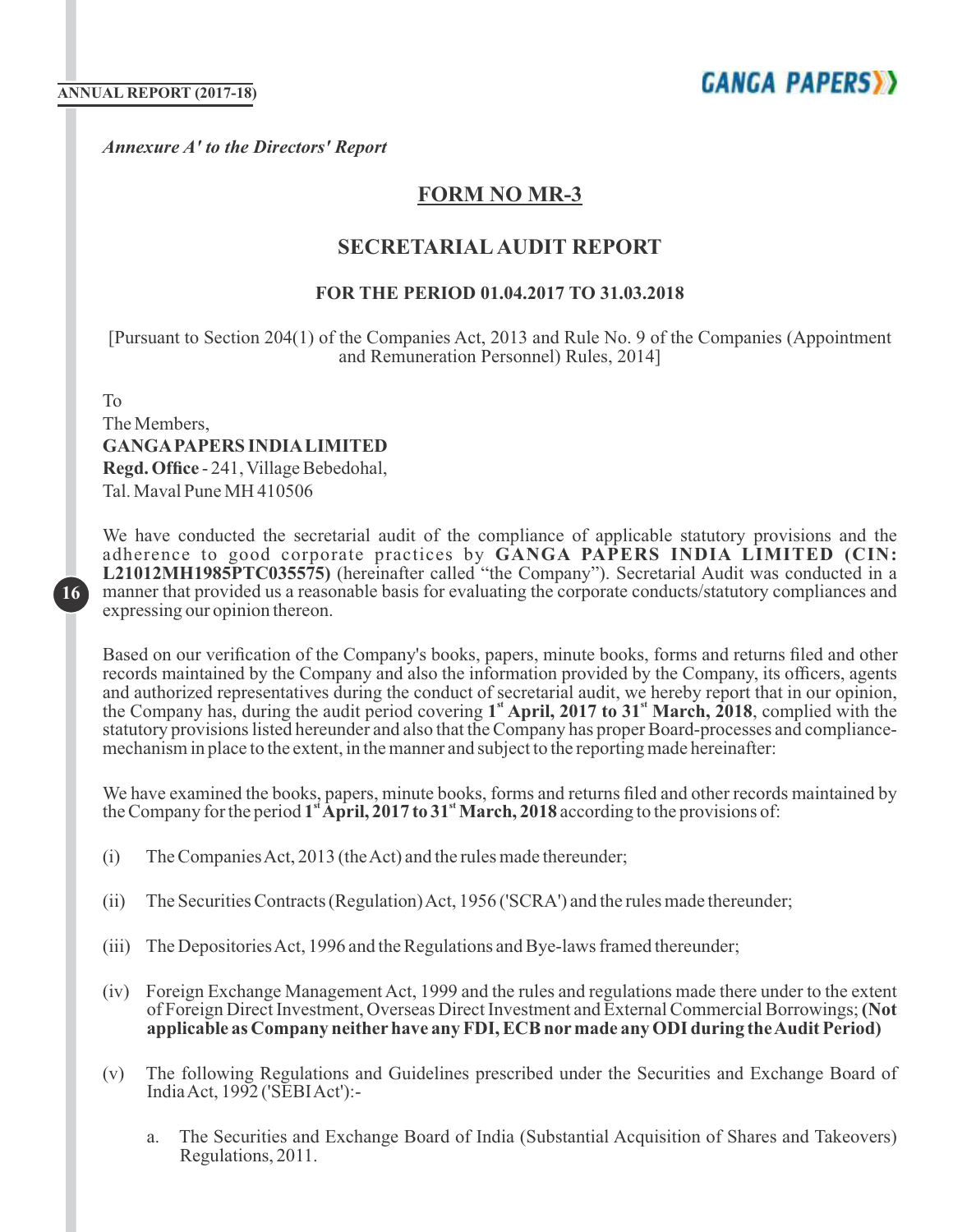**12 16**

*Annexure A' to the Directors' Report*

# **FORM NO MR-3**

# **SECRETARIAL AUDIT REPORT**

#### **FOR THE PERIOD 01.04.2017 TO 31.03.2018**

[Pursuant to Section 204(1) of the Companies Act, 2013 and Rule No. 9 of the Companies (Appointment and Remuneration Personnel) Rules, 2014]

To The Members, **GANGA PAPERS INDIA LIMITED Regd. Office** - 241, Village Bebedohal, Tal. Maval Pune MH 410506

We have conducted the secretarial audit of the compliance of applicable statutory provisions and the adherence to good corporate practices by **GANGA PAPERS INDIA LIMITED (CIN: L21012MH1985PTC035575)** (hereinafter called "the Company"). Secretarial Audit was conducted in a manner that provided us a reasonable basis for evaluating the corporate conducts/statutory compliances and expressing our opinion thereon.

Based on our verification of the Company's books, papers, minute books, forms and returns filed and other records maintained by the Company and also the information provided by the Company, its officers, agents and authorized representatives during the conduct of secretarial audit, we hereby report that in our opinion, the Company has, during the audit period covering 1<sup>st</sup> April, 2017 to 31<sup>st</sup> March, 2018, complied with the statutory provisions listed hereunder and also that the Company has proper Board-processes and compliancemechanism in place to the extent, in the manner and subject to the reporting made hereinafter:

We have examined the books, papers, minute books, forms and returns filed and other records maintained by the Company for the period  $1^{\text{st}}$  April, 2017 to 31<sup>st</sup> March, 2018 according to the provisions of:

- (i) The Companies Act, 2013 (the Act) and the rules made thereunder;
- (ii) The Securities Contracts (Regulation) Act, 1956 ('SCRA') and the rules made thereunder;
- (iii) The Depositories Act, 1996 and the Regulations and Bye-laws framed thereunder;
- (iv) Foreign Exchange Management Act, 1999 and the rules and regulations made there under to the extent of Foreign Direct Investment, Overseas Direct Investment and External Commercial Borrowings; **(Not applicable as Company neither have any FDI, ECB nor made any ODI during the Audit Period)**
- (v) The following Regulations and Guidelines prescribed under the Securities and Exchange Board of India Act, 1992 ('SEBI Act'):
	- a. The Securities and Exchange Board of India (Substantial Acquisition of Shares and Takeovers) Regulations, 2011.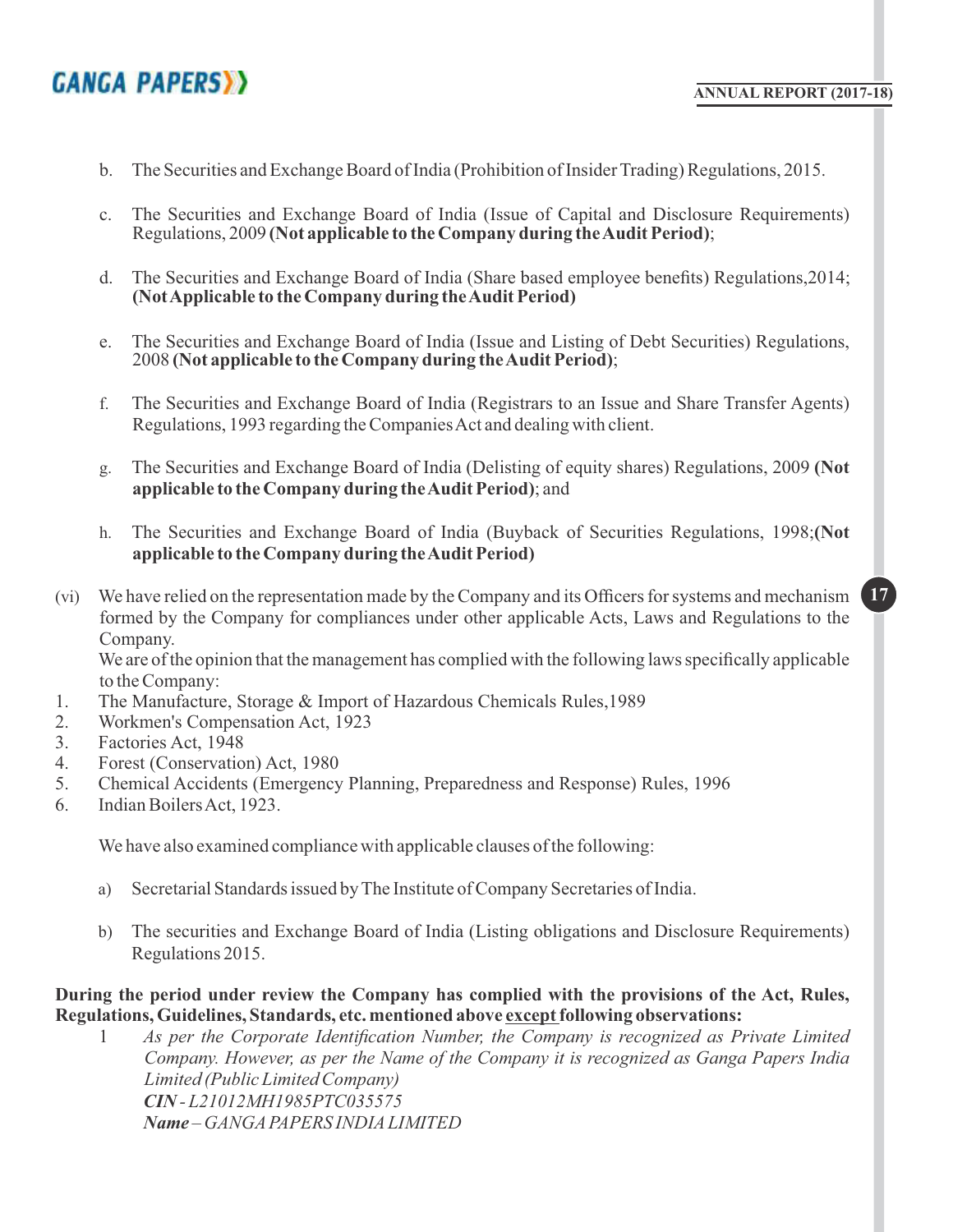

- b. The Securities and Exchange Board of India (Prohibition of Insider Trading) Regulations, 2015.
- c. The Securities and Exchange Board of India (Issue of Capital and Disclosure Requirements) Regulations, 2009 **(Not applicable to the Company during the Audit Period)**;
- d. The Securities and Exchange Board of India (Share based employee benefits) Regulations,2014; **(Not Applicable to the Company during the Audit Period)**
- e. The Securities and Exchange Board of India (Issue and Listing of Debt Securities) Regulations, 2008 **(Not applicable to the Company during the Audit Period)**;
- f. The Securities and Exchange Board of India (Registrars to an Issue and Share Transfer Agents) Regulations, 1993 regarding the Companies Act and dealing with client.
- g. The Securities and Exchange Board of India (Delisting of equity shares) Regulations, 2009 **(Not applicable to the Company during the Audit Period)**; and
- h. The Securities and Exchange Board of India (Buyback of Securities Regulations, 1998;**(Not applicable to the Company during the Audit Period)**
- (vi) We have relied on the representation made by the Company and its Officers for systems and mechanism formed by the Company for compliances under other applicable Acts, Laws and Regulations to the Company.

 We are of the opinion that the management has complied with the following laws specifically applicable to the Company:

- 1. The Manufacture, Storage & Import of Hazardous Chemicals Rules,1989
- 2. Workmen's Compensation Act, 1923
- 3. Factories Act, 1948
- 4. Forest (Conservation) Act, 1980
- 5. Chemical Accidents (Emergency Planning, Preparedness and Response) Rules, 1996
- 6. Indian Boilers Act, 1923.

We have also examined compliance with applicable clauses of the following:

- a) Secretarial Standards issued by The Institute of Company Secretaries of India.
- b) The securities and Exchange Board of India (Listing obligations and Disclosure Requirements) Regulations 2015.

# **During the period under review the Company has complied with the provisions of the Act, Rules, Regulations, Guidelines, Standards, etc. mentioned above except following observations:**

1 *As per the Corporate Identification Number, the Company is recognized as Private Limited Company. However, as per the Name of the Company it is recognized as Ganga Papers India Limited (Public Limited Company) CIN - L21012MH1985PTC035575 Name – GANGA PAPERS INDIA LIMITED*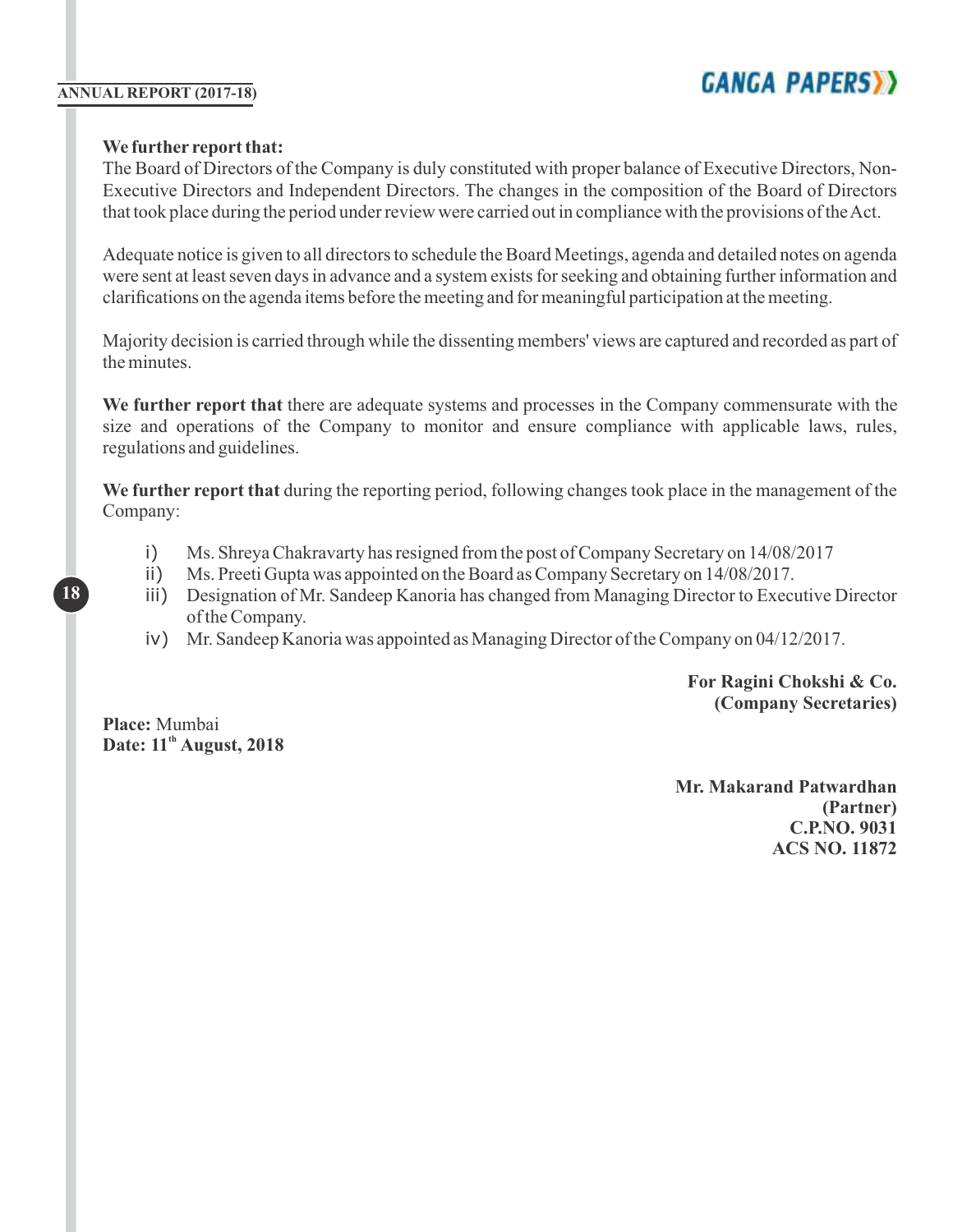# **GANGA PAPERS**>>

#### **ANNUAL REPORT (2017-18)**

#### **We further report that:**

The Board of Directors of the Company is duly constituted with proper balance of Executive Directors, Non-Executive Directors and Independent Directors. The changes in the composition of the Board of Directors that took place during the period under review were carried out in compliance with the provisions of the Act.

Adequate notice is given to all directors to schedule the Board Meetings, agenda and detailed notes on agenda were sent at least seven days in advance and a system exists for seeking and obtaining further information and clarifications on the agenda items before the meeting and for meaningful participation at the meeting.

Majority decision is carried through while the dissenting members' views are captured and recorded as part of the minutes.

**We further report that** there are adequate systems and processes in the Company commensurate with the size and operations of the Company to monitor and ensure compliance with applicable laws, rules, regulations and guidelines.

**We further report that** during the reporting period, following changes took place in the management of the Company:

- i) Ms. Shreya Chakravarty has resigned from the post of Company Secretary on 14/08/2017
- ii) Ms. Preeti Gupta was appointed on the Board as Company Secretary on 14/08/2017.
- iii) Designation of Mr. Sandeep Kanoria has changed from Managing Director to Executive Director of the Company.
- iv) Mr. Sandeep Kanoria was appointed as Managing Director of the Company on 04/12/2017.

**For Ragini Chokshi & Co. (Company Secretaries)**

**Place:** Mumbai **th Date: 11 August, 2018**

**12 18**

**Mr. Makarand Patwardhan (Partner) C.P.NO. 9031 ACS NO. 11872**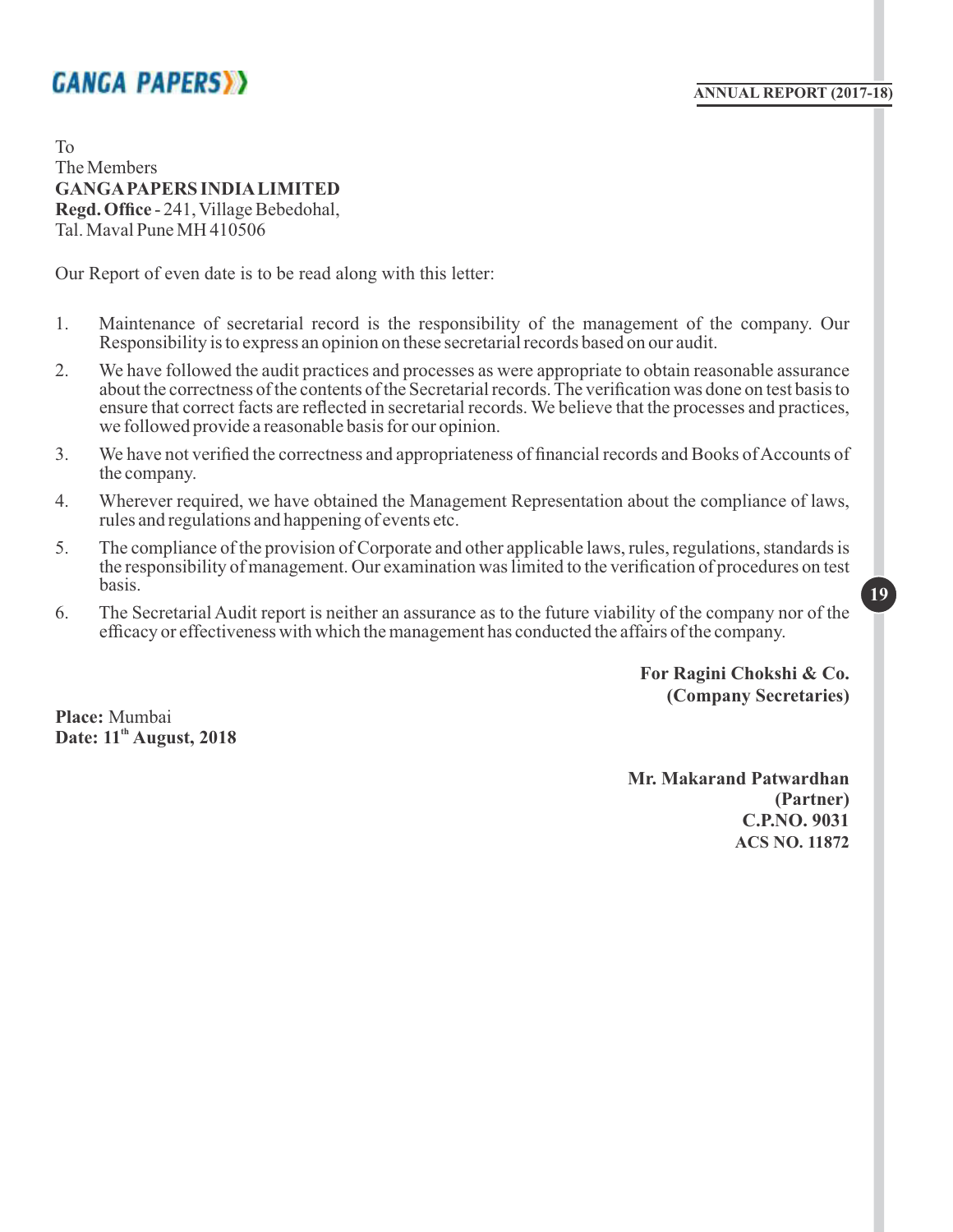

To The Members **GANGA PAPERS INDIA LIMITED Regd. Office** - 241, Village Bebedohal, Tal. Maval Pune MH 410506

Our Report of even date is to be read along with this letter:

- 1. Maintenance of secretarial record is the responsibility of the management of the company. Our Responsibility is to express an opinion on these secretarial records based on our audit.
- 2. We have followed the audit practices and processes as were appropriate to obtain reasonable assurance about the correctness of the contents of the Secretarial records. The verification was done on test basis to ensure that correct facts are reflected in secretarial records. We believe that the processes and practices, we followed provide a reasonable basis for our opinion.
- 3. We have not verified the correctness and appropriateness of financial records and Books of Accounts of the company.
- 4. Wherever required, we have obtained the Management Representation about the compliance of laws, rules and regulations and happening of events etc.
- 5. The compliance of the provision of Corporate and other applicable laws, rules, regulations, standards is the responsibility of management. Our examination was limited to the verification of procedures on test basis.
- 6. The Secretarial Audit report is neither an assurance as to the future viability of the company nor of the efficacy or effectiveness with which the management has conducted the affairs of the company.

**For Ragini Chokshi & Co. (Company Secretaries)**

**Place:** Mumbai **Date: 11<sup>th</sup> August, 2018** 

> **Mr. Makarand Patwardhan (Partner) C.P.NO. 9031 ACS NO. 11872**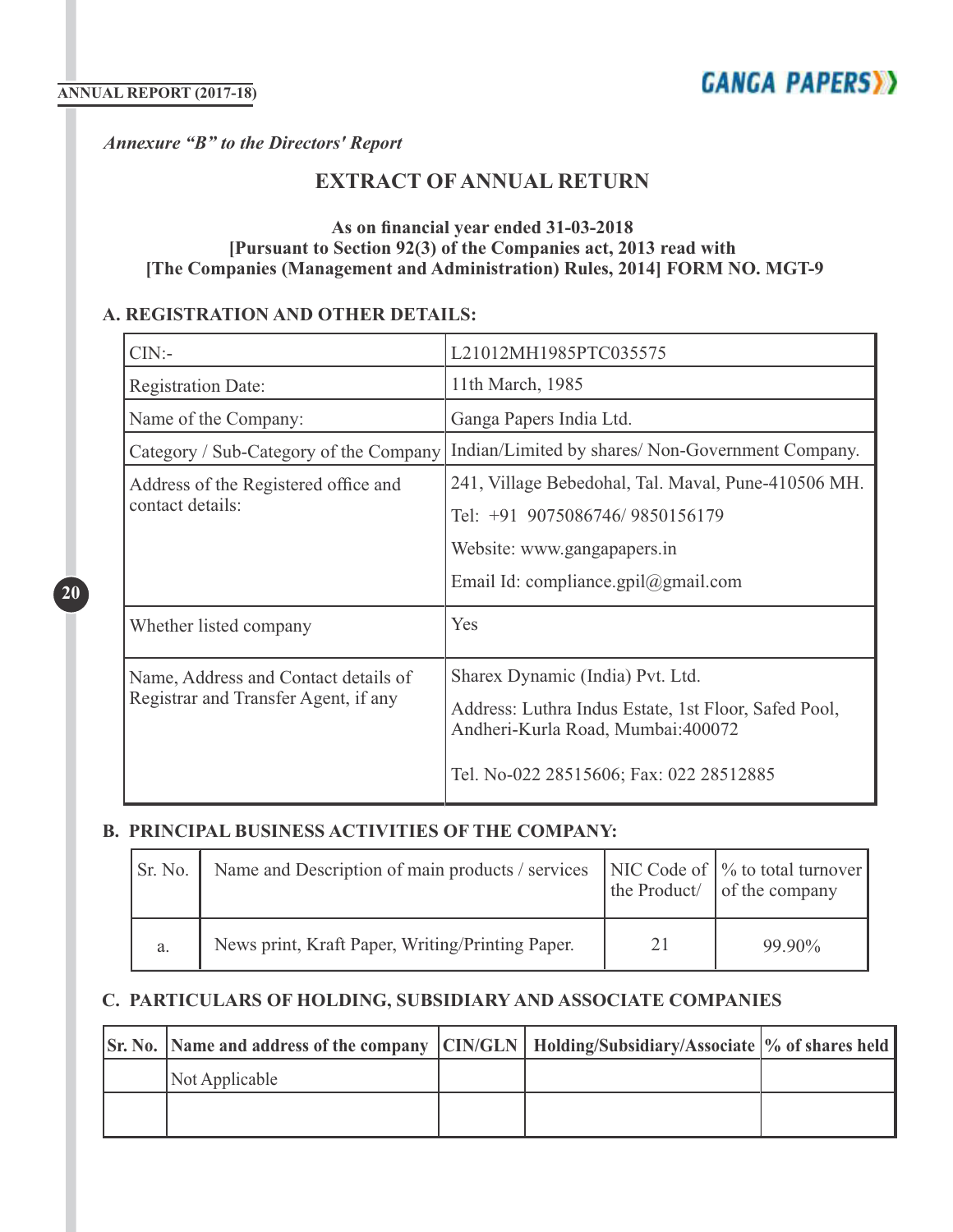*Annexure "B" to the Directors' Report*

# **EXTRACT OF ANNUAL RETURN**

# **As on financial year ended 31-03-2018 [Pursuant to Section 92(3) of the Companies act, 2013 read with [The Companies (Management and Administration) Rules, 2014] FORM NO. MGT-9**

# **A. REGISTRATION AND OTHER DETAILS:**

| $CIN:$ -                                                                     | L21012MH1985PTC035575                                                                                                                                                    |
|------------------------------------------------------------------------------|--------------------------------------------------------------------------------------------------------------------------------------------------------------------------|
| <b>Registration Date:</b>                                                    | 11th March, 1985                                                                                                                                                         |
| Name of the Company:                                                         | Ganga Papers India Ltd.                                                                                                                                                  |
| Category / Sub-Category of the Company                                       | Indian/Limited by shares/ Non-Government Company.                                                                                                                        |
| Address of the Registered office and<br>contact details:                     | 241, Village Bebedohal, Tal. Maval, Pune-410506 MH.<br>Tel: +91 9075086746/9850156179<br>Website: www.gangapapers.in<br>Email Id: compliance.gpil $@g$ gmail.com         |
| Whether listed company                                                       | Yes                                                                                                                                                                      |
| Name, Address and Contact details of<br>Registrar and Transfer Agent, if any | Sharex Dynamic (India) Pvt. Ltd.<br>Address: Luthra Indus Estate, 1st Floor, Safed Pool,<br>Andheri-Kurla Road, Mumbai:400072<br>Tel. No-022 28515606; Fax: 022 28512885 |

# **B. PRINCIPAL BUSINESS ACTIVITIES OF THE COMPANY:**

| Sr. No. | Name and Description of main products / services   NIC Code of   % to total turnover |    | the Product $\int$ of the company |
|---------|--------------------------------------------------------------------------------------|----|-----------------------------------|
| a.      | News print, Kraft Paper, Writing/Printing Paper.                                     | 21 | 99.90%                            |

# **C. PARTICULARS OF HOLDING, SUBSIDIARY AND ASSOCIATE COMPANIES**

| Sr. No. Name and address of the company CIN/GLN   Holding/Subsidiary/Associate \% of shares held |  |  |
|--------------------------------------------------------------------------------------------------|--|--|
| Not Applicable                                                                                   |  |  |
|                                                                                                  |  |  |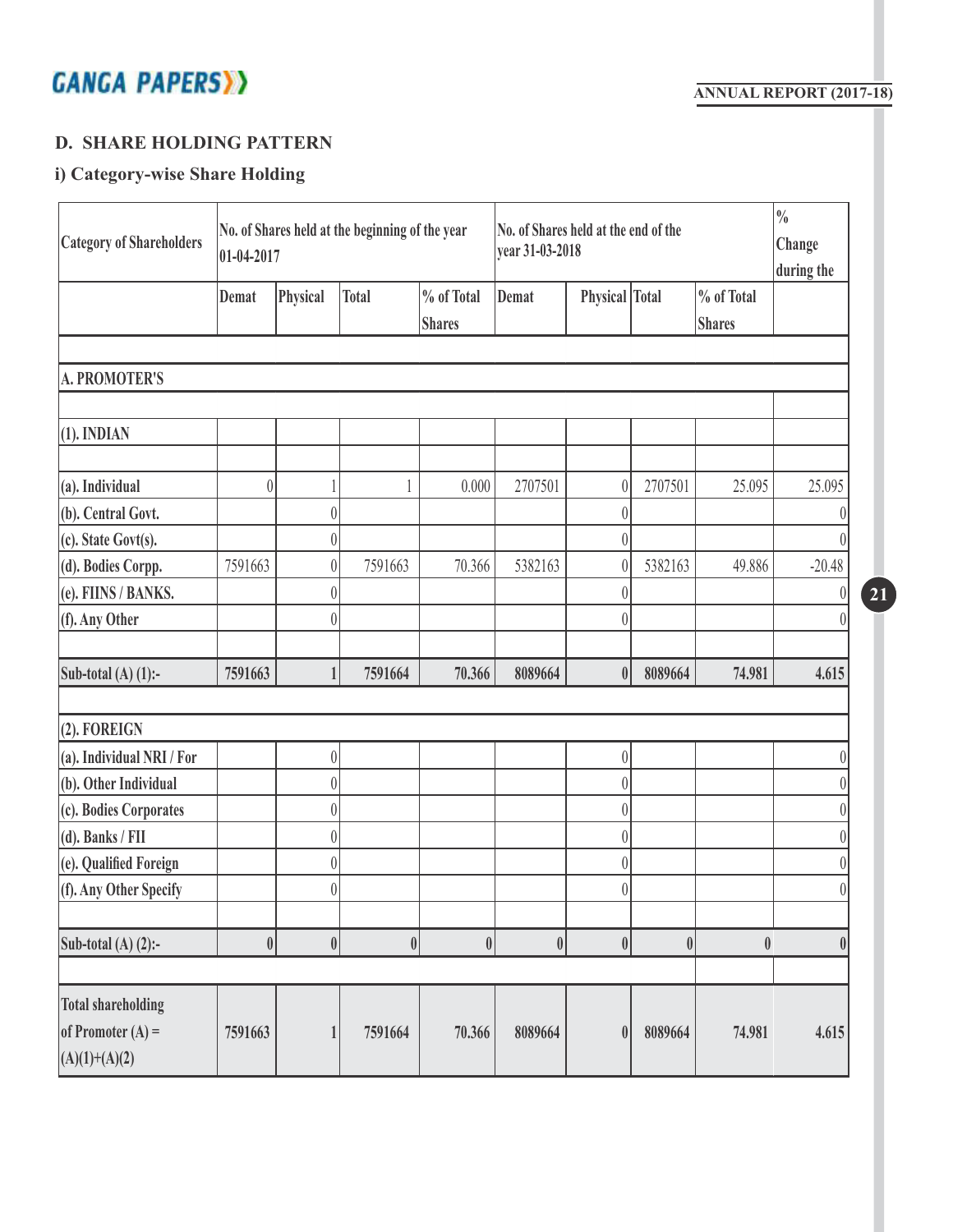

# **D. SHARE HOLDING PATTERN**

# **i) Category-wise Share Holding**

| <b>Category of Shareholders</b>                                     | 01-04-2017       | No. of Shares held at the beginning of the year |              |                             | No. of Shares held at the end of the<br>vear 31-03-2018 |                  |           |                             |                  |  |  | $\frac{0}{0}$<br>Change<br>during the |
|---------------------------------------------------------------------|------------------|-------------------------------------------------|--------------|-----------------------------|---------------------------------------------------------|------------------|-----------|-----------------------------|------------------|--|--|---------------------------------------|
|                                                                     | <b>Demat</b>     | Physical                                        | <b>Total</b> | % of Total<br><b>Shares</b> | <b>Demat</b>                                            | Physical Total   |           | % of Total<br><b>Shares</b> |                  |  |  |                                       |
|                                                                     |                  |                                                 |              |                             |                                                         |                  |           |                             |                  |  |  |                                       |
| <b>A. PROMOTER'S</b>                                                |                  |                                                 |              |                             |                                                         |                  |           |                             |                  |  |  |                                       |
|                                                                     |                  |                                                 |              |                             |                                                         |                  |           |                             |                  |  |  |                                       |
| $(1)$ . INDIAN                                                      |                  |                                                 |              |                             |                                                         |                  |           |                             |                  |  |  |                                       |
| (a). Individual                                                     | $\boldsymbol{0}$ |                                                 | 1            | 0.000                       | 2707501                                                 | $\theta$         | 2707501   | 25.095                      | 25.095           |  |  |                                       |
| (b). Central Govt.                                                  |                  | 0                                               |              |                             |                                                         | $\theta$         |           |                             |                  |  |  |                                       |
| (c). State Govt(s).                                                 |                  | $\overline{0}$                                  |              |                             |                                                         | $\theta$         |           |                             |                  |  |  |                                       |
| (d). Bodies Corpp.                                                  | 7591663          | $\theta$                                        | 7591663      | 70.366                      | 5382163                                                 | $\theta$         | 5382163   | 49.886                      | $-20.48$         |  |  |                                       |
| (e). FIINS / BANKS.                                                 |                  |                                                 |              |                             |                                                         | 0                |           |                             |                  |  |  |                                       |
| (f). Any Other                                                      |                  | $\overline{0}$                                  |              |                             |                                                         | $\boldsymbol{0}$ |           |                             |                  |  |  |                                       |
|                                                                     | 7591663          |                                                 | 7591664      | 70.366                      | 8089664                                                 | $\boldsymbol{0}$ | 8089664   | 74.981                      | 4.615            |  |  |                                       |
| Sub-total $(A)$ $(1)$ :-                                            |                  |                                                 |              |                             |                                                         |                  |           |                             |                  |  |  |                                       |
| (2). FOREIGN                                                        |                  |                                                 |              |                             |                                                         |                  |           |                             |                  |  |  |                                       |
| (a). Individual NRI / For                                           |                  | 0                                               |              |                             |                                                         | $\theta$         |           |                             |                  |  |  |                                       |
| (b). Other Individual                                               |                  | $\overline{0}$                                  |              |                             |                                                         | $\theta$         |           |                             |                  |  |  |                                       |
| (c). Bodies Corporates                                              |                  | $\boldsymbol{0}$                                |              |                             |                                                         | $\boldsymbol{0}$ |           |                             | 0                |  |  |                                       |
| $(d)$ . Banks / FII                                                 |                  | $\boldsymbol{0}$                                |              |                             |                                                         | $\boldsymbol{0}$ |           |                             | $\left( \right)$ |  |  |                                       |
| (e). Qualified Foreign                                              |                  | $\boldsymbol{0}$                                |              |                             |                                                         | $\theta$         |           |                             | 0                |  |  |                                       |
| (f). Any Other Specify                                              |                  | $\vert 0 \vert$                                 |              |                             |                                                         | $\boldsymbol{0}$ |           |                             | $\overline{0}$   |  |  |                                       |
|                                                                     |                  |                                                 |              |                             |                                                         |                  |           |                             |                  |  |  |                                       |
| Sub-total $(A)$ $(2)$ :-                                            | 0                | 0                                               | $\pmb{0}$    | $\pmb{0}$                   | $\pmb{0}$                                               | $\pmb{0}$        | $\pmb{0}$ | $\pmb{0}$                   | $\pmb{0}$        |  |  |                                       |
|                                                                     |                  |                                                 |              |                             |                                                         |                  |           |                             |                  |  |  |                                       |
| <b>Total shareholding</b><br>of Promoter $(A)$ =<br>$(A)(1)+(A)(2)$ | 7591663          |                                                 | 7591664      | 70.366                      | 8089664                                                 | $\pmb{0}$        | 8089664   | 74.981                      | 4.615            |  |  |                                       |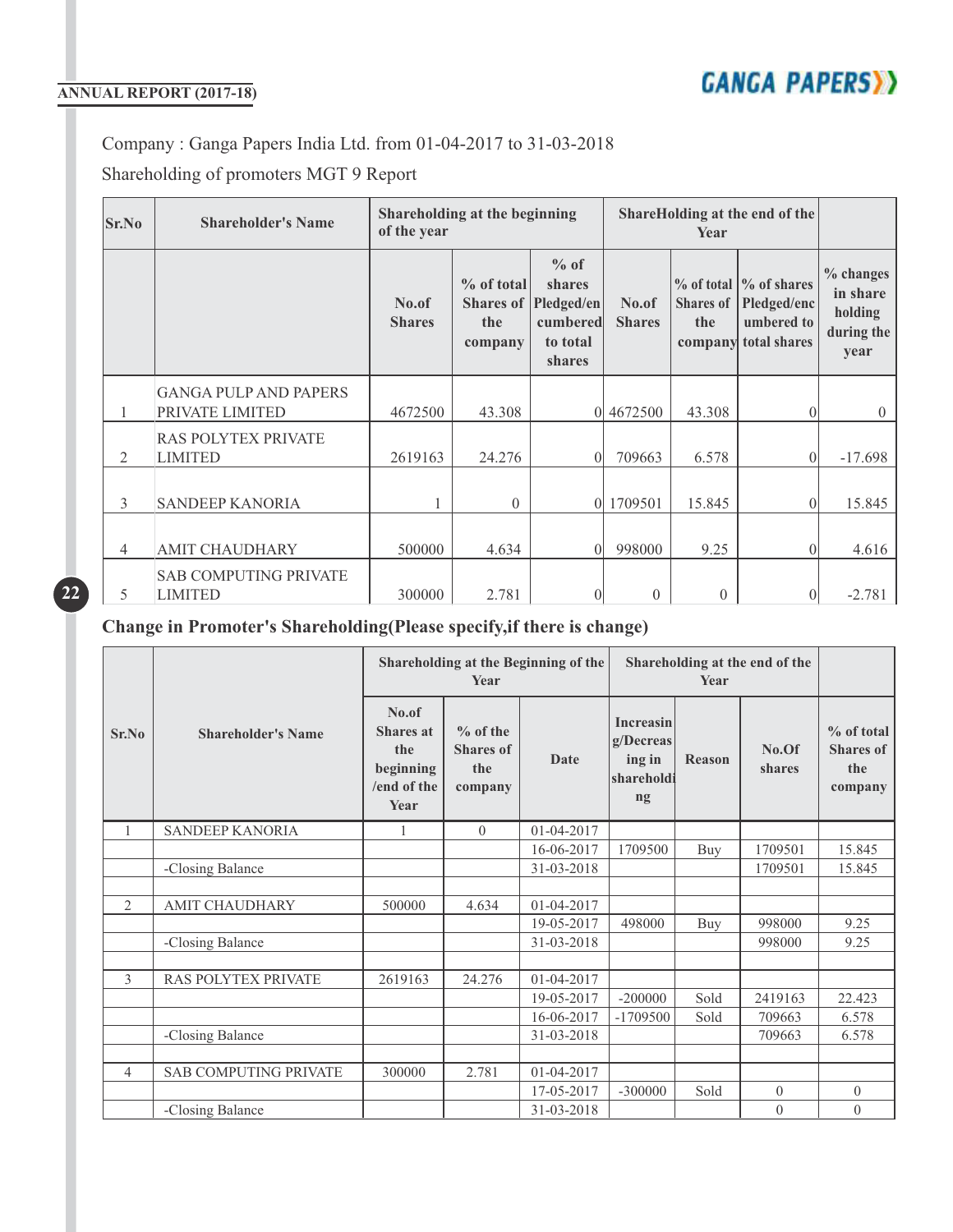# **GANGA PAPERS**>>

# **ANNUAL REPORT (2017-18)**

**12 22**

# Company : Ganga Papers India Ltd. from 01-04-2017 to 31-03-2018

# Shareholding of promoters MGT 9 Report

| <b>Sr.No</b> | <b>Shareholder's Name</b>                       | Shareholding at the beginning<br>of the year |                                                    |                                                                  | ShareHolding at the end of the<br>Year |                                       |                                                                              |                                                        |
|--------------|-------------------------------------------------|----------------------------------------------|----------------------------------------------------|------------------------------------------------------------------|----------------------------------------|---------------------------------------|------------------------------------------------------------------------------|--------------------------------------------------------|
|              |                                                 | No.of<br><b>Shares</b>                       | $%$ of total<br><b>Shares of</b><br>the<br>company | $%$ of<br>shares<br>Pledged/en<br>cumbered<br>to total<br>shares | No.of<br><b>Shares</b>                 | % of total<br><b>Shares</b> of<br>the | $\frac{9}{6}$ of shares<br>Pledged/enc<br>umbered to<br>company total shares | % changes<br>in share<br>holding<br>during the<br>year |
|              | <b>GANGA PULP AND PAPERS</b><br>PRIVATE LIMITED | 4672500                                      | 43.308                                             |                                                                  | 0 4672500                              | 43.308                                | $\Omega$                                                                     | $\Omega$                                               |
| 2            | <b>RAS POLYTEX PRIVATE</b><br><b>LIMITED</b>    | 2619163                                      | 24.276                                             | $\vert$ 0                                                        | 709663                                 | 6.578                                 | $\vert$ 0                                                                    | $-17.698$                                              |
| 3            | <b>SANDEEP KANORIA</b>                          |                                              | $\theta$                                           |                                                                  | 0 1709501                              | 15.845                                | $\Omega$                                                                     | 15.845                                                 |
| 4            | <b>AMIT CHAUDHARY</b>                           | 500000                                       | 4.634                                              | $\Omega$                                                         | 998000                                 | 9.25                                  | $\Omega$                                                                     | 4.616                                                  |
| 5            | <b>SAB COMPUTING PRIVATE</b><br><b>LIMITED</b>  | 300000                                       | 2.781                                              | $\Omega$                                                         | $\overline{0}$                         | $\theta$                              | $\Omega$                                                                     | $-2.781$                                               |

# **Change in Promoter's Shareholding(Please specify,if there is change)**

|                |                              | Shareholding at the Beginning of the<br>Year                         |                                                  |            | Shareholding at the end of the                                         |               |                 |                                                    |
|----------------|------------------------------|----------------------------------------------------------------------|--------------------------------------------------|------------|------------------------------------------------------------------------|---------------|-----------------|----------------------------------------------------|
| Sr.No          | <b>Shareholder's Name</b>    | No.of<br><b>Shares</b> at<br>the<br>beginning<br>/end of the<br>Year | $%$ of the<br><b>Shares</b> of<br>the<br>company | Date       | <b>Increasin</b><br>g/Decreas<br>ing in<br>shareholdi<br>$\mathbf{ng}$ | <b>Reason</b> | No.Of<br>shares | $%$ of total<br><b>Shares</b> of<br>the<br>company |
| $\mathbf{1}$   | SANDEEP KANORIA              |                                                                      | $\Omega$                                         | 01-04-2017 |                                                                        |               |                 |                                                    |
|                |                              |                                                                      |                                                  | 16-06-2017 | 1709500                                                                | Buy           | 1709501         | 15.845                                             |
|                | -Closing Balance             |                                                                      |                                                  | 31-03-2018 |                                                                        |               | 1709501         | 15.845                                             |
|                |                              |                                                                      |                                                  |            |                                                                        |               |                 |                                                    |
| $\overline{2}$ | <b>AMIT CHAUDHARY</b>        | 500000                                                               | 4.634                                            | 01-04-2017 |                                                                        |               |                 |                                                    |
|                |                              |                                                                      |                                                  | 19-05-2017 | 498000                                                                 | Buy           | 998000          | 9.25                                               |
|                | -Closing Balance             |                                                                      |                                                  | 31-03-2018 |                                                                        |               | 998000          | 9.25                                               |
|                |                              |                                                                      |                                                  |            |                                                                        |               |                 |                                                    |
| $\mathcal{F}$  | RAS POLYTEX PRIVATE          | 2619163                                                              | 24.276                                           | 01-04-2017 |                                                                        |               |                 |                                                    |
|                |                              |                                                                      |                                                  | 19-05-2017 | $-200000$                                                              | Sold          | 2419163         | 22.423                                             |
|                |                              |                                                                      |                                                  | 16-06-2017 | $-1709500$                                                             | Sold          | 709663          | 6.578                                              |
|                | -Closing Balance             |                                                                      |                                                  | 31-03-2018 |                                                                        |               | 709663          | 6.578                                              |
|                |                              |                                                                      |                                                  |            |                                                                        |               |                 |                                                    |
| 4              | <b>SAB COMPUTING PRIVATE</b> | 300000                                                               | 2.781                                            | 01-04-2017 |                                                                        |               |                 |                                                    |
|                |                              |                                                                      |                                                  | 17-05-2017 | $-300000$                                                              | Sold          | $\mathbf{0}$    | $\boldsymbol{0}$                                   |
|                | -Closing Balance             |                                                                      |                                                  | 31-03-2018 |                                                                        |               | $\mathbf{0}$    | $\overline{0}$                                     |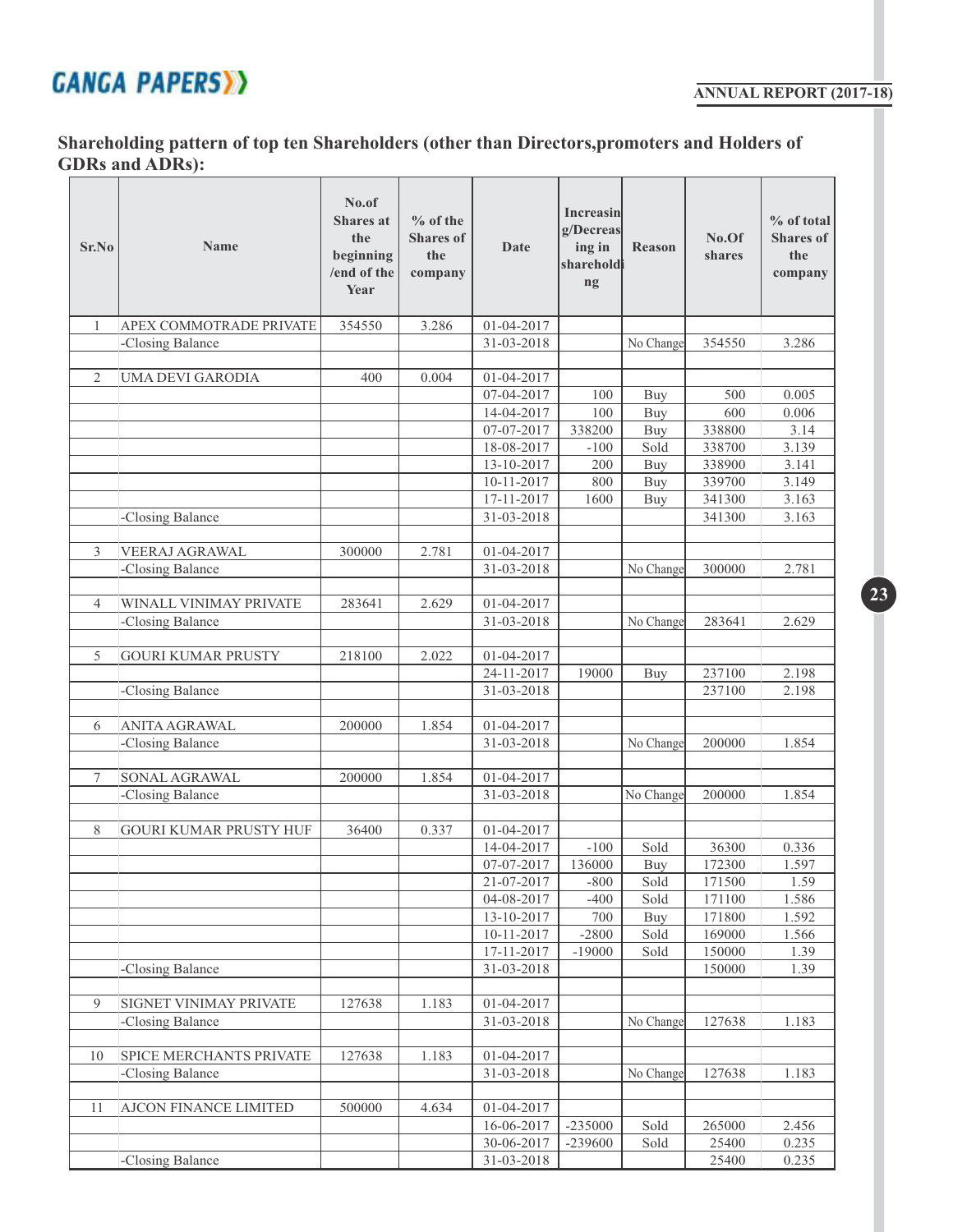

# **Shareholding pattern of top ten Shareholders (other than Directors,promoters and Holders of GDRs and ADRs):**

| Sr.No          | <b>Name</b>                                | No.of<br><b>Shares</b> at<br>the<br>beginning<br>/end of the<br>Year | $%$ of the<br><b>Shares</b> of<br>the<br>company | Date                     | <b>Increasin</b><br>g/Decreas<br>ing in<br>shareholdi<br>ng | <b>Reason</b> | No.Of<br>shares | $\%$ of total<br><b>Shares</b> of<br>the<br>company |
|----------------|--------------------------------------------|----------------------------------------------------------------------|--------------------------------------------------|--------------------------|-------------------------------------------------------------|---------------|-----------------|-----------------------------------------------------|
| 1              | APEX COMMOTRADE PRIVATE                    | 354550                                                               | 3.286                                            | 01-04-2017               |                                                             |               |                 |                                                     |
|                | -Closing Balance                           |                                                                      |                                                  | 31-03-2018               |                                                             | No Change     | 354550          | 3.286                                               |
|                |                                            |                                                                      |                                                  |                          |                                                             |               |                 |                                                     |
| $\overline{2}$ | UMA DEVI GARODIA                           | 400                                                                  | 0.004                                            | 01-04-2017               |                                                             |               |                 |                                                     |
|                |                                            |                                                                      |                                                  | 07-04-2017               | 100                                                         | Buy           | 500             | 0.005                                               |
|                |                                            |                                                                      |                                                  | 14-04-2017               | 100                                                         | Buy           | 600             | 0.006                                               |
|                |                                            |                                                                      |                                                  | 07-07-2017               | 338200                                                      | Buy           | 338800          | 3.14                                                |
|                |                                            |                                                                      |                                                  | 18-08-2017               | $-100$                                                      | Sold          | 338700          | 3.139                                               |
|                |                                            |                                                                      |                                                  | 13-10-2017               | 200                                                         | Buy           | 338900          | 3.141                                               |
|                |                                            |                                                                      |                                                  | 10-11-2017               | 800                                                         | Buy           | 339700          | 3.149                                               |
|                |                                            |                                                                      |                                                  | 17-11-2017               | 1600                                                        | Buy           | 341300          | 3.163                                               |
|                | -Closing Balance                           |                                                                      |                                                  | 31-03-2018               |                                                             |               | 341300          | 3.163                                               |
|                |                                            |                                                                      |                                                  |                          |                                                             |               |                 |                                                     |
| 3              | VEERAJ AGRAWAL                             | 300000                                                               | 2.781                                            | 01-04-2017               |                                                             |               |                 |                                                     |
|                | Closing Balance                            |                                                                      |                                                  | 31-03-2018               |                                                             | No Change     | 300000          | 2.781                                               |
|                |                                            |                                                                      |                                                  |                          |                                                             |               |                 |                                                     |
| 4              | WINALL VINIMAY PRIVATE                     | 283641                                                               | 2.629                                            | 01-04-2017               |                                                             |               |                 |                                                     |
|                | -Closing Balance                           |                                                                      |                                                  | 31-03-2018               |                                                             | No Change     | 283641          | 2.629                                               |
|                |                                            |                                                                      |                                                  |                          |                                                             |               |                 |                                                     |
| 5              | <b>GOURI KUMAR PRUSTY</b>                  | 218100                                                               | 2.022                                            | 01-04-2017<br>24-11-2017 | 19000                                                       |               | 237100          | 2.198                                               |
|                | -Closing Balance                           |                                                                      |                                                  | 31-03-2018               |                                                             | Buy           | 237100          | 2.198                                               |
|                |                                            |                                                                      |                                                  |                          |                                                             |               |                 |                                                     |
| 6              | <b>ANITA AGRAWAL</b>                       | 200000                                                               | 1.854                                            | 01-04-2017               |                                                             |               |                 |                                                     |
|                | -Closing Balance                           |                                                                      |                                                  | 31-03-2018               |                                                             | No Change     | 200000          | 1.854                                               |
|                |                                            |                                                                      |                                                  |                          |                                                             |               |                 |                                                     |
| 7              | SONAL AGRAWAL                              | 200000                                                               | 1.854                                            | 01-04-2017               |                                                             |               |                 |                                                     |
|                | -Closing Balance                           |                                                                      |                                                  | 31-03-2018               |                                                             | No Change     | 200000          | 1.854                                               |
|                |                                            |                                                                      |                                                  |                          |                                                             |               |                 |                                                     |
| 8              | <b>GOURI KUMAR PRUSTY HUF</b>              | 36400                                                                | 0.337                                            | 01-04-2017               |                                                             |               |                 |                                                     |
|                |                                            |                                                                      |                                                  | 14-04-2017               | $-100$                                                      | Sold          | 36300           | 0.336                                               |
|                |                                            |                                                                      |                                                  | 07-07-2017               | 136000                                                      | Buy           | 172300          | 1.597                                               |
|                |                                            |                                                                      |                                                  | 21-07-2017               | $-800$                                                      | Sold          | 171500          | 1.59                                                |
|                |                                            |                                                                      |                                                  | 04-08-2017               | $-400$                                                      | Sold          | 171100          | 1.586                                               |
|                |                                            |                                                                      |                                                  | 13-10-2017               | 700                                                         | <b>Buy</b>    | 171800          | 1.592                                               |
|                |                                            |                                                                      |                                                  | 10-11-2017               | $-2800$                                                     | Sold          | 169000          | 1.566                                               |
|                |                                            |                                                                      |                                                  | 17-11-2017               | $-19000$                                                    | Sold          | 150000          | 1.39                                                |
|                | -Closing Balance                           |                                                                      |                                                  | 31-03-2018               |                                                             |               | 150000          | 1.39                                                |
|                |                                            |                                                                      |                                                  |                          |                                                             |               |                 |                                                     |
| 9              | SIGNET VINIMAY PRIVATE                     | 127638                                                               | 1.183                                            | 01-04-2017               |                                                             |               |                 |                                                     |
|                | -Closing Balance                           |                                                                      |                                                  | 31-03-2018               |                                                             | No Change     | 127638          | 1.183                                               |
|                |                                            |                                                                      |                                                  |                          |                                                             |               |                 |                                                     |
| 10             | SPICE MERCHANTS PRIVATE<br>Closing Balance | 127638                                                               | 1.183                                            | 01-04-2017               |                                                             |               | 127638          |                                                     |
|                |                                            |                                                                      |                                                  | 31-03-2018               |                                                             | No Change     |                 | 1.183                                               |
| 11             | AJCON FINANCE LIMITED                      | 500000                                                               | 4.634                                            | 01-04-2017               |                                                             |               |                 |                                                     |
|                |                                            |                                                                      |                                                  | 16-06-2017               | $-235000$                                                   | Sold          | 265000          | 2.456                                               |
|                |                                            |                                                                      |                                                  | 30-06-2017               | -239600                                                     | Sold          | 25400           | 0.235                                               |
|                | -Closing Balance                           |                                                                      |                                                  | 31-03-2018               |                                                             |               | 25400           | 0.235                                               |
|                |                                            |                                                                      |                                                  |                          |                                                             |               |                 |                                                     |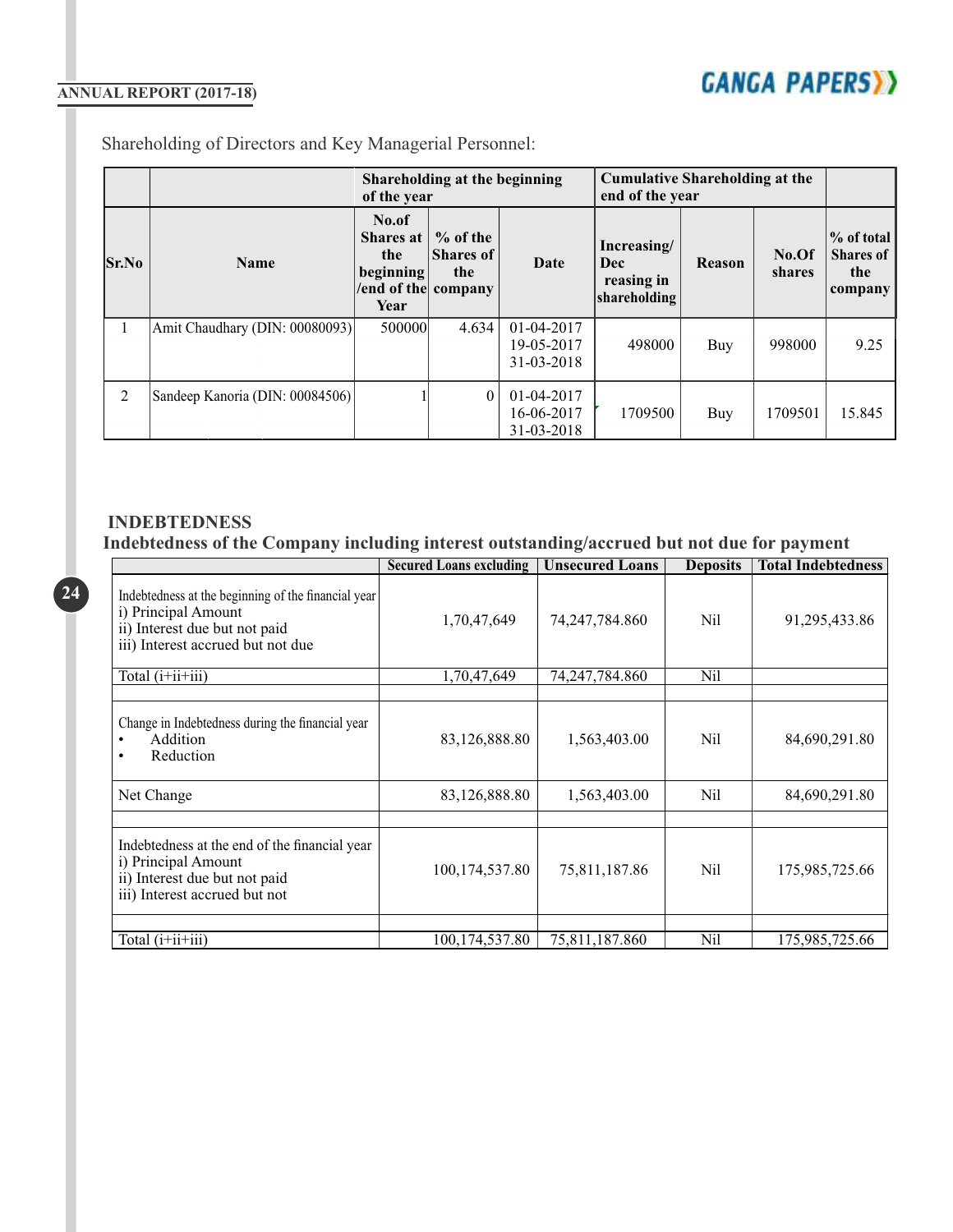# **GANGA PAPERS**>>

# **ANNUAL REPORT (2017-18)**

Shareholding of Directors and Key Managerial Personnel:

|       |                                 | Shareholding at the beginning<br>of the year                                |                                       |                                        |                                                         | <b>Cumulative Shareholding at the</b><br>end of the year |                 |                                                     |  |
|-------|---------------------------------|-----------------------------------------------------------------------------|---------------------------------------|----------------------------------------|---------------------------------------------------------|----------------------------------------------------------|-----------------|-----------------------------------------------------|--|
| Sr.No | <b>Name</b>                     | No.of<br><b>Shares</b> at<br>the<br>beginning<br>end of the company<br>Year | $%$ of the<br><b>Shares of</b><br>the | Date                                   | Increasing/<br><b>Dec</b><br>reasing in<br>shareholding | <b>Reason</b>                                            | No.Of<br>shares | $\%$ of total<br><b>Shares</b> of<br>the<br>company |  |
| 1     | Amit Chaudhary (DIN: 00080093)  | 500000                                                                      | 4.634                                 | 01-04-2017<br>19-05-2017<br>31-03-2018 | 498000                                                  | Buy                                                      | 998000          | 9.25                                                |  |
| 2     | Sandeep Kanoria (DIN: 00084506) |                                                                             | $\theta$                              | 01-04-2017<br>16-06-2017<br>31-03-2018 | 1709500                                                 | Buy                                                      | 1709501         | 15.845                                              |  |

# **INDEBTEDNESS**

**12 24**

**Indebtedness of the Company including interest outstanding/accrued but not due for payment**

|                                                                                                                                                  | <b>Secured Loans excluding</b> | <b>Unsecured Loans</b> | <b>Deposits</b> | <b>Total Indebtedness</b> |
|--------------------------------------------------------------------------------------------------------------------------------------------------|--------------------------------|------------------------|-----------------|---------------------------|
| Indebtedness at the beginning of the financial year<br>i) Principal Amount<br>ii) Interest due but not paid<br>iii) Interest accrued but not due | 1,70,47,649                    | 74, 247, 784. 860      | Nil             | 91,295,433.86             |
| Total (i+ii+iii)                                                                                                                                 | 1,70,47,649                    | 74,247,784.860         | Nil             |                           |
|                                                                                                                                                  |                                |                        |                 |                           |
| Change in Indebtedness during the financial year<br>Addition<br>Reduction<br>$\bullet$                                                           | 83,126,888.80                  | 1,563,403.00           | Nil             | 84,690,291.80             |
| Net Change                                                                                                                                       | 83,126,888.80                  | 1,563,403.00           | Nil             | 84,690,291.80             |
|                                                                                                                                                  |                                |                        |                 |                           |
| Indebtedness at the end of the financial year<br>i) Principal Amount<br>ii) Interest due but not paid<br>iii) Interest accrued but not           | 100, 174, 537.80               | 75,811,187.86          | Nil             | 175,985,725.66            |
| Total $(i+i i+i i j)$                                                                                                                            | 100, 174, 537.80               | 75,811,187.860         | Nil             | 175,985,725.66            |
|                                                                                                                                                  |                                |                        |                 |                           |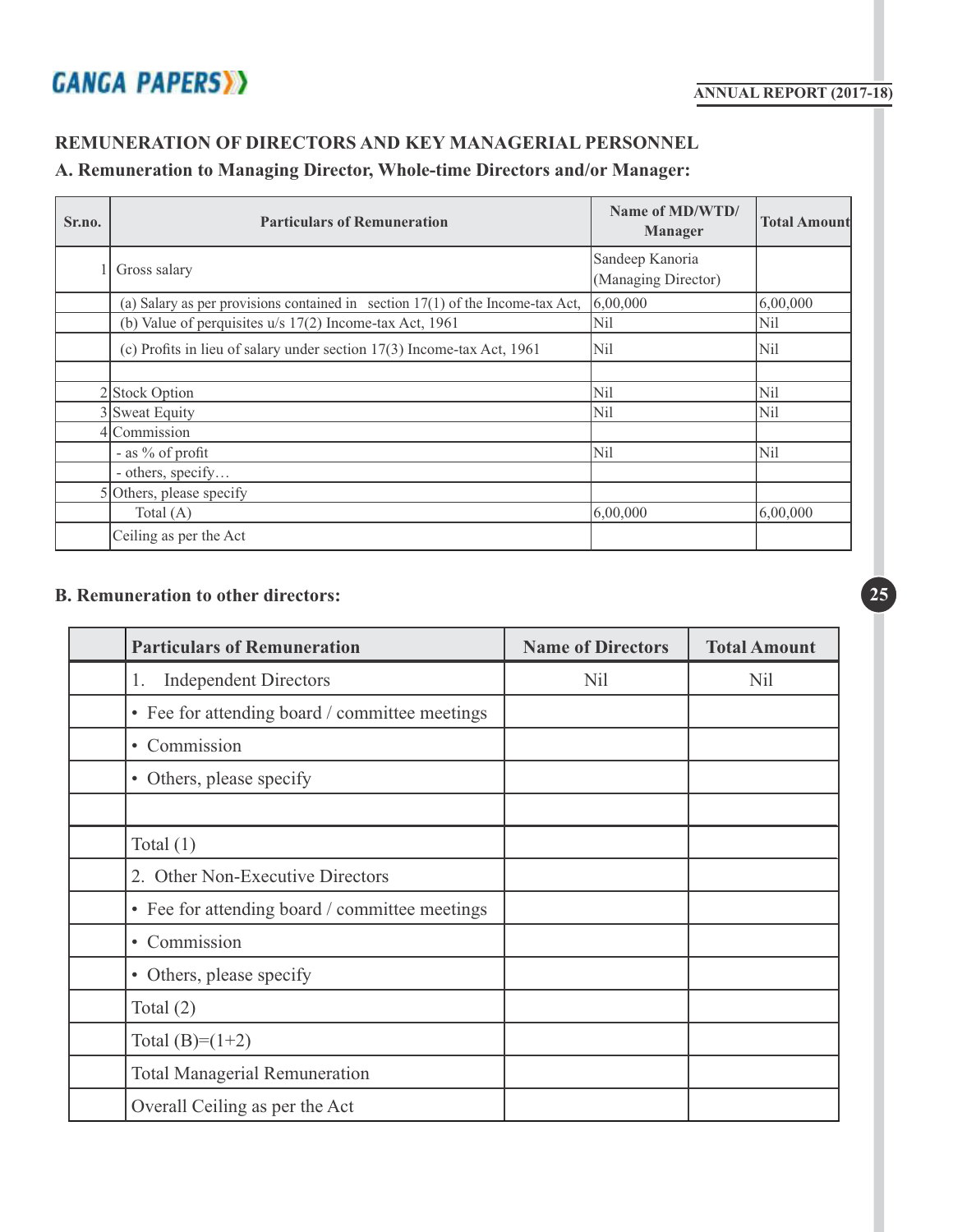# **REMUNERATION OF DIRECTORS AND KEY MANAGERIAL PERSONNEL**

# **A. Remuneration to Managing Director, Whole-time Directors and/or Manager:**

| Sr.no. | <b>Particulars of Remuneration</b>                                               | Name of MD/WTD/<br><b>Manager</b> | <b>Total Amount</b> |
|--------|----------------------------------------------------------------------------------|-----------------------------------|---------------------|
|        | Gross salary                                                                     | Sandeep Kanoria                   |                     |
|        |                                                                                  | (Managing Director)               |                     |
|        | (a) Salary as per provisions contained in section $17(1)$ of the Income-tax Act, | 6,00,000                          | 6,00,000            |
|        | (b) Value of perquisites $u/s$ 17(2) Income-tax Act, 1961                        | Nil                               | Nil                 |
|        | (c) Profits in lieu of salary under section $17(3)$ Income-tax Act, 1961         | Nil                               | Nil                 |
|        |                                                                                  |                                   |                     |
|        | 2 Stock Option                                                                   | Nil                               | Nil                 |
|        | 3 Sweat Equity                                                                   | Nil                               | Nil                 |
|        | 4 Commission                                                                     |                                   |                     |
|        | - as % of profit                                                                 | Nil                               | Nil                 |
|        | - others, specify                                                                |                                   |                     |
|        | 5 Others, please specify                                                         |                                   |                     |
|        | Total $(A)$                                                                      | 6,00,000                          | 6,00,000            |
|        | Ceiling as per the Act                                                           |                                   |                     |

# **B. Remuneration to other directors:**

| <b>Particulars of Remuneration</b>             | <b>Name of Directors</b> | <b>Total Amount</b> |
|------------------------------------------------|--------------------------|---------------------|
| <b>Independent Directors</b><br>1.             | Nil                      | N <sub>il</sub>     |
| • Fee for attending board / committee meetings |                          |                     |
| Commission<br>$\bullet$                        |                          |                     |
| • Others, please specify                       |                          |                     |
|                                                |                          |                     |
| Total $(1)$                                    |                          |                     |
| 2. Other Non-Executive Directors               |                          |                     |
| • Fee for attending board / committee meetings |                          |                     |
| Commission<br>$\bullet$                        |                          |                     |
| • Others, please specify                       |                          |                     |
| Total $(2)$                                    |                          |                     |
| Total $(B)=(1+2)$                              |                          |                     |
| <b>Total Managerial Remuneration</b>           |                          |                     |
| Overall Ceiling as per the Act                 |                          |                     |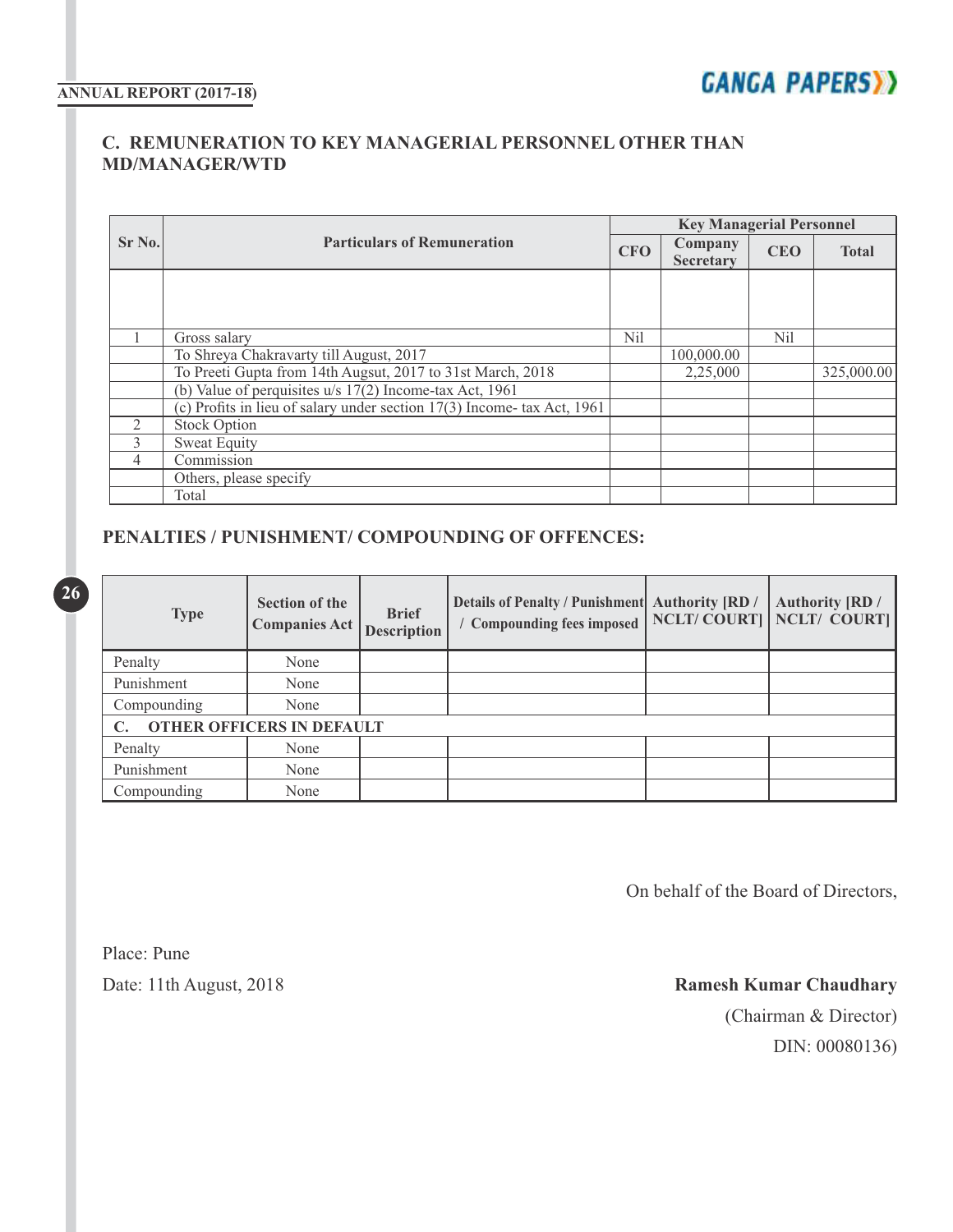**12 26**



# **C. REMUNERATION TO KEY MANAGERIAL PERSONNEL OTHER THAN MD/MANAGER/WTD**

|        |                                                                         |            |                             | <b>Key Managerial Personnel</b> |              |  |
|--------|-------------------------------------------------------------------------|------------|-----------------------------|---------------------------------|--------------|--|
| Sr No. | <b>Particulars of Remuneration</b>                                      | <b>CFO</b> | Company<br><b>Secretary</b> | <b>CEO</b>                      | <b>Total</b> |  |
|        |                                                                         |            |                             |                                 |              |  |
|        |                                                                         |            |                             |                                 |              |  |
|        | Gross salary                                                            | Nil        |                             | N <sub>il</sub>                 |              |  |
|        | To Shreya Chakravarty till August, 2017                                 |            | 100,000.00                  |                                 |              |  |
|        | To Preeti Gupta from 14th Augsut, 2017 to 31st March, 2018              |            | 2,25,000                    |                                 | 325,000.00   |  |
|        | (b) Value of perquisites $u/s$ 17(2) Income-tax Act, 1961               |            |                             |                                 |              |  |
|        | (c) Profits in lieu of salary under section 17(3) Income- tax Act, 1961 |            |                             |                                 |              |  |
| 2      | <b>Stock Option</b>                                                     |            |                             |                                 |              |  |
| 3      | <b>Sweat Equity</b>                                                     |            |                             |                                 |              |  |
| 4      | Commission                                                              |            |                             |                                 |              |  |
|        | Others, please specify                                                  |            |                             |                                 |              |  |
|        | Total                                                                   |            |                             |                                 |              |  |

#### **PENALTIES / PUNISHMENT/ COMPOUNDING OF OFFENCES:**

| <b>Type</b> | Section of the<br><b>Companies Act</b> | <b>Brief</b><br><b>Description</b> | Details of Penalty / Punishment Authority [RD /<br>/ Compounding fees imposed |  | <b>Authority [RD /</b><br><b>NCLT/COURT NCLT/COURT  </b> |  |
|-------------|----------------------------------------|------------------------------------|-------------------------------------------------------------------------------|--|----------------------------------------------------------|--|
| Penalty     | None                                   |                                    |                                                                               |  |                                                          |  |
| Punishment  | None                                   |                                    |                                                                               |  |                                                          |  |
| Compounding | None                                   |                                    |                                                                               |  |                                                          |  |
| С.          | <b>OTHER OFFICERS IN DEFAULT</b>       |                                    |                                                                               |  |                                                          |  |
| Penalty     | None                                   |                                    |                                                                               |  |                                                          |  |
| Punishment  | None                                   |                                    |                                                                               |  |                                                          |  |
| Compounding | None                                   |                                    |                                                                               |  |                                                          |  |

On behalf of the Board of Directors,

Place: Pune Date: 11th August, 2018

# **Ramesh Kumar Chaudhary**

(Chairman & Director) DIN: 00080136)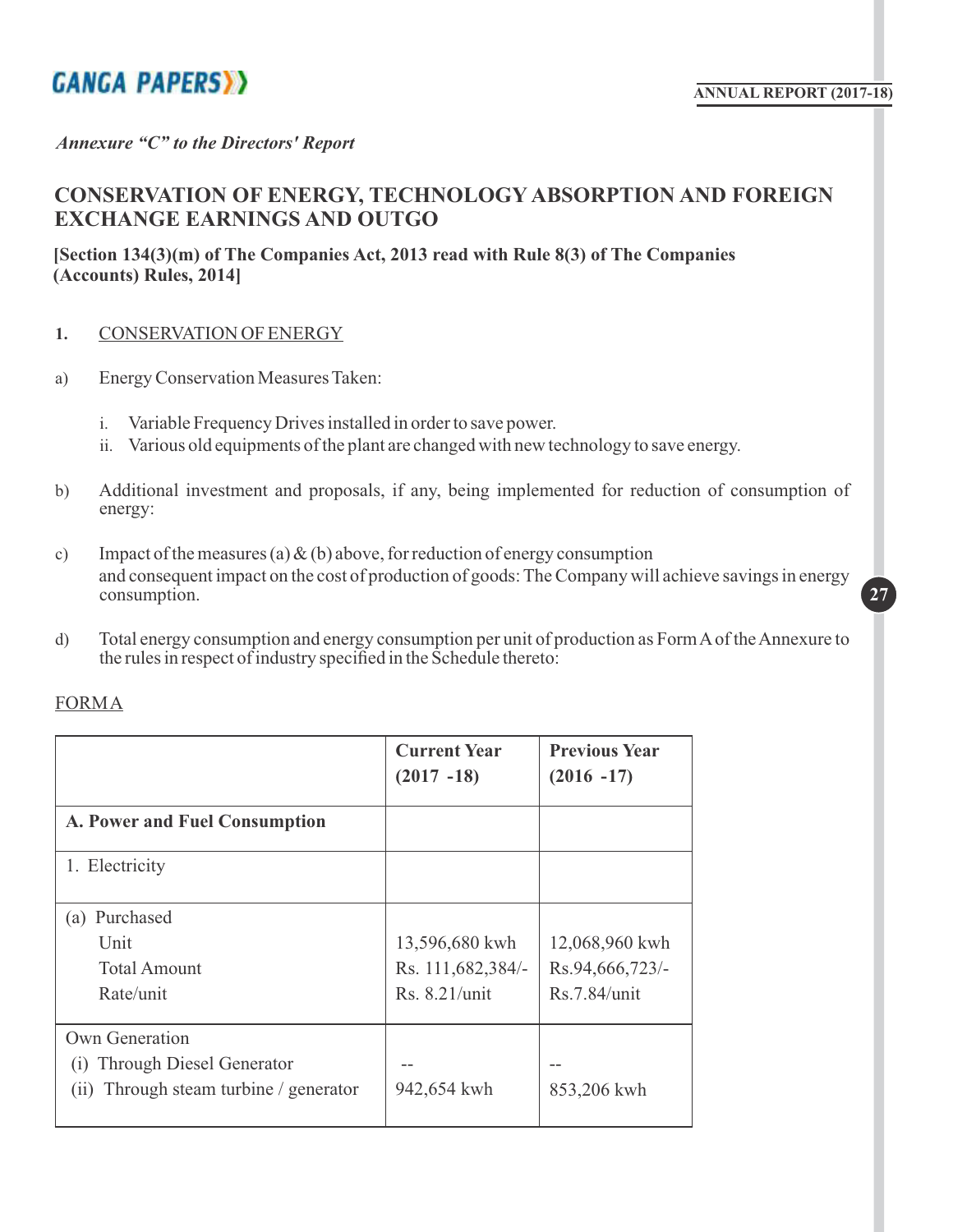

**27**

*Annexure "C" to the Directors' Report*

# **CONSERVATION OF ENERGY, TECHNOLOGY ABSORPTION AND FOREIGN EXCHANGE EARNINGS AND OUTGO**

**[Section 134(3)(m) of The Companies Act, 2013 read with Rule 8(3) of The Companies (Accounts) Rules, 2014]**

#### **1.** CONSERVATION OF ENERGY

- a) Energy Conservation Measures Taken:
	- i. Variable Frequency Drives installed in order to save power.
	- ii. Various old equipments of the plant are changed with new technology to save energy.
- b) Additional investment and proposals, if any, being implemented for reduction of consumption of energy:
- c) Impact of the measures (a)  $\&$  (b) above, for reduction of energy consumption and consequent impact on the cost of production of goods: The Company will achieve savings in energy consumption.
- d) Total energy consumption and energy consumption per unit of production as Form A of the Annexure to the rules in respect of industry specified in the Schedule thereto:

|                                        | <b>Current Year</b><br>$(2017 - 18)$ | <b>Previous Year</b><br>$(2016 - 17)$ |
|----------------------------------------|--------------------------------------|---------------------------------------|
| A. Power and Fuel Consumption          |                                      |                                       |
| 1. Electricity                         |                                      |                                       |
| Purchased<br>(a)                       |                                      |                                       |
| Unit                                   | 13,596,680 kwh                       | 12,068,960 kwh                        |
| <b>Total Amount</b>                    | Rs. 111,682,384/-                    | Rs.94,666,723/-                       |
| Rate/unit                              | Rs. 8.21/unit                        | Rs.7.84/unit                          |
| Own Generation                         |                                      |                                       |
| (i) Through Diesel Generator           |                                      |                                       |
| (ii) Through steam turbine / generator | 942,654 kwh                          | 853,206 kwh                           |

# FORM A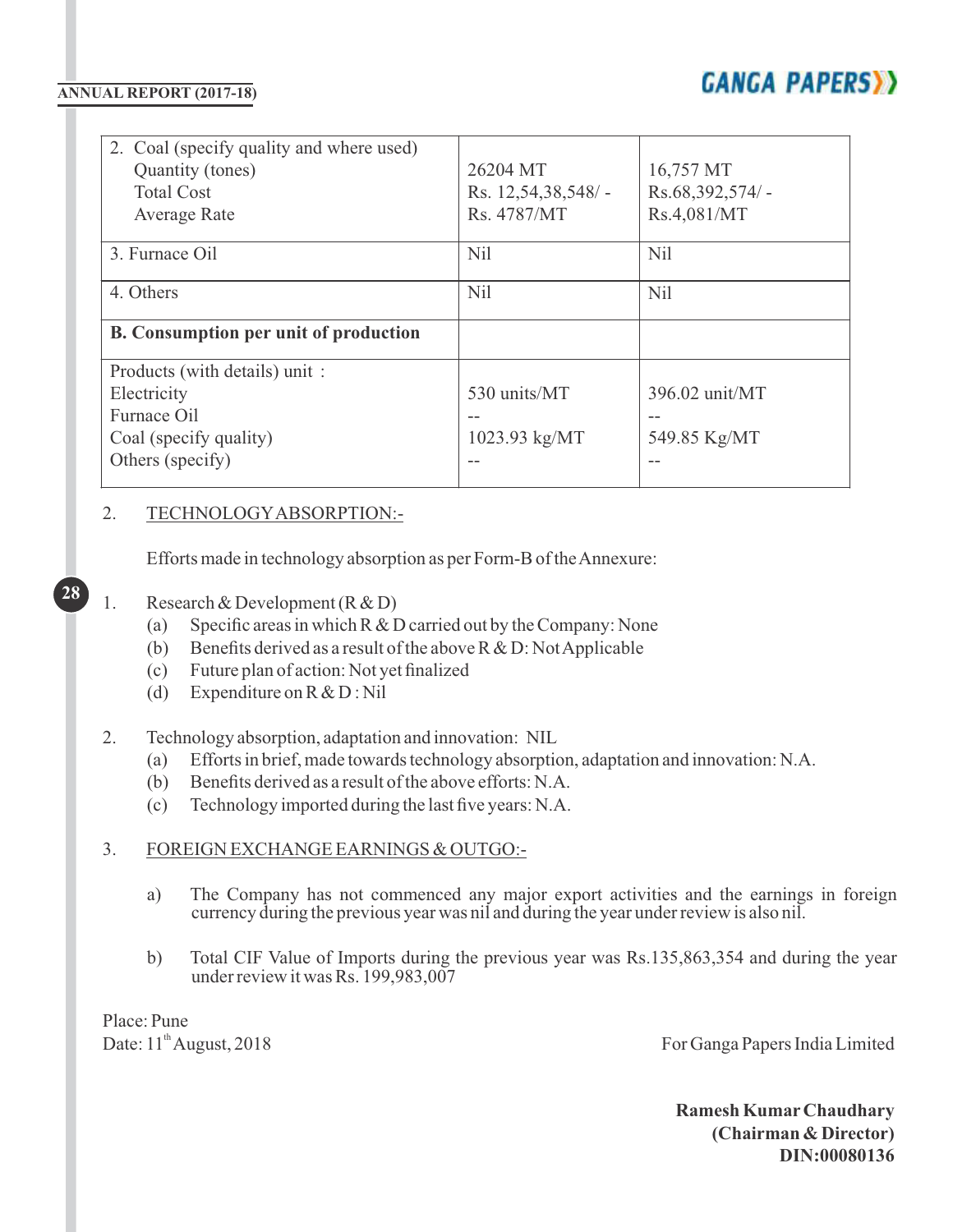# **GANGA PAPERS**>>

#### **ANNUAL REPORT (2017-18)**

| 2. Coal (specify quality and where used)<br>Quantity (tones)<br><b>Total Cost</b><br>Average Rate | 26204 MT<br>Rs. 12,54,38,548/-<br>Rs. 4787/MT | 16,757 MT<br>Rs.68,392,574/-<br>Rs.4,081/MT |
|---------------------------------------------------------------------------------------------------|-----------------------------------------------|---------------------------------------------|
| 3. Furnace Oil                                                                                    | <b>Nil</b>                                    | Nil                                         |
| 4. Others                                                                                         | <b>Nil</b>                                    | <b>Nil</b>                                  |
| <b>B.</b> Consumption per unit of production                                                      |                                               |                                             |
| Products (with details) unit:                                                                     |                                               |                                             |
| Electricity                                                                                       | 530 units/MT                                  | 396.02 unit/MT                              |
| Furnace Oil                                                                                       |                                               | --                                          |
| Coal (specify quality)                                                                            | 1023.93 kg/MT                                 | 549.85 Kg/MT                                |
| Others (specify)                                                                                  |                                               |                                             |

# 2. TECHNOLOGY ABSORPTION:-

Efforts made in technology absorption as per Form-B of the Annexure:

# 1. Research & Development (R & D)

**12 28**

- (a) Specific areas in which R & D carried out by the Company: None
- (b) Benefits derived as a result of the above  $R & D$ : Not Applicable
- (c) Future plan of action: Not yet finalized
- (d) Expenditure on  $R & D$ : Nil

# 2. Technology absorption, adaptation and innovation: NIL

- (a) Efforts in brief, made towards technology absorption, adaptation and innovation: N.A.
- (b) Benefits derived as a result of the above efforts: N.A.
- (c) Technology imported during the last five years: N.A.

# 3. FOREIGN EXCHANGE EARNINGS & OUTGO:-

- a) The Company has not commenced any major export activities and the earnings in foreign currency during the previous year was nil and during the year under review is also nil.
- b) Total CIF Value of Imports during the previous year was Rs.135,863,354 and during the year under review it was Rs. 199,983,007

Place: Pune

Date: 11<sup>th</sup> August, 2018 For Ganga Papers India Limited

**Ramesh Kumar Chaudhary (Chairman & Director) DIN:00080136**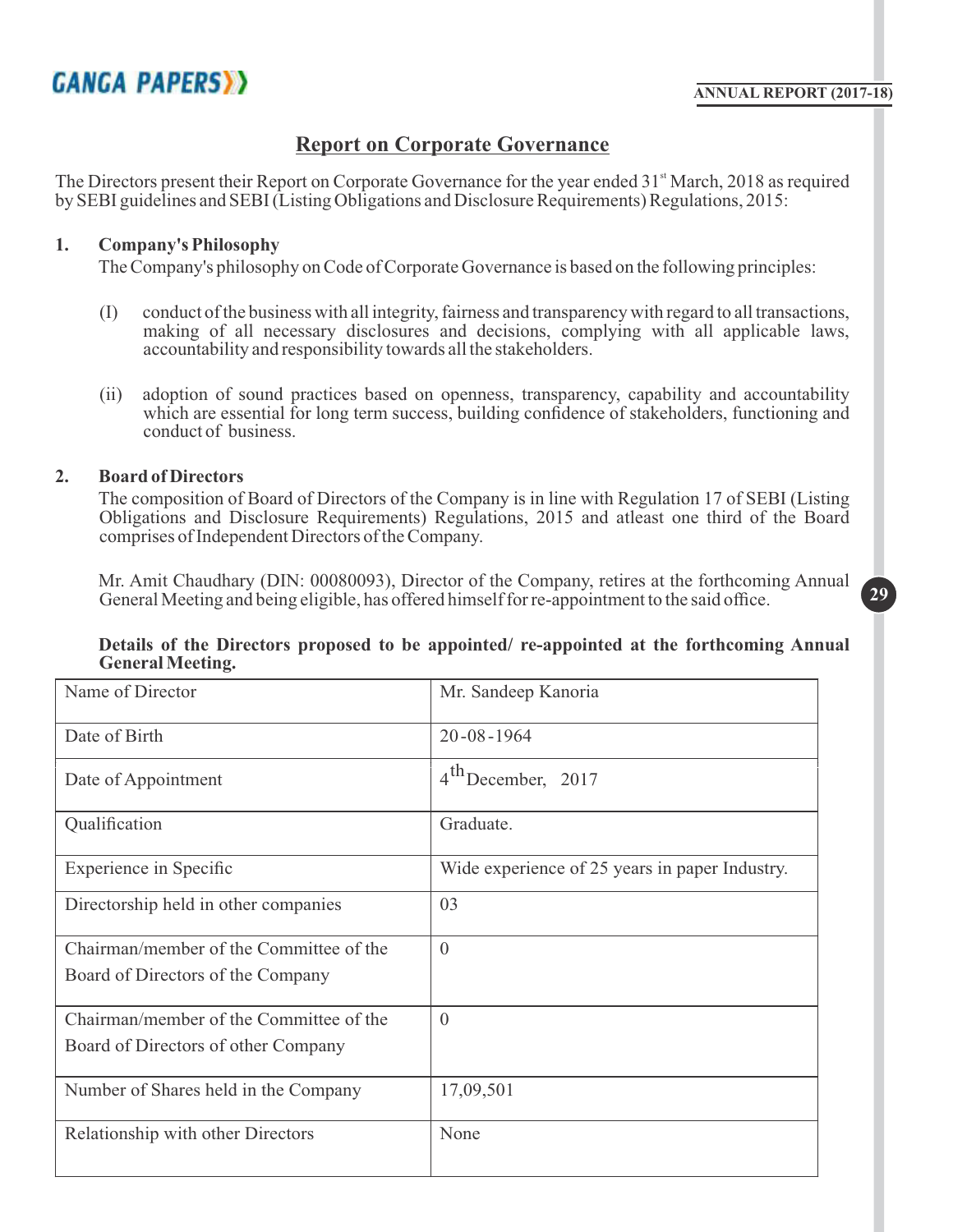

# **Report on Corporate Governance**

The Directors present their Report on Corporate Governance for the year ended  $31<sup>st</sup>$  March, 2018 as required by SEBI guidelines and SEBI (Listing Obligations and Disclosure Requirements) Regulations, 2015:

#### **1. Company's Philosophy**

The Company's philosophy on Code of Corporate Governance is based on the following principles:

- (I) conduct of the business with all integrity, fairness and transparency with regard to all transactions, making of all necessary disclosures and decisions, complying with all applicable laws, accountability and responsibility towards all the stakeholders.
- (ii) adoption of sound practices based on openness, transparency, capability and accountability which are essential for long term success, building confidence of stakeholders, functioning and conduct of business.

#### **2. Board of Directors**

 The composition of Board of Directors of the Company is in line with Regulation 17 of SEBI (Listing Obligations and Disclosure Requirements) Regulations, 2015 and atleast one third of the Board comprises of Independent Directors of the Company.

 Mr. Amit Chaudhary (DIN: 00080093), Director of the Company, retires at the forthcoming Annual General Meeting and being eligible, has offered himself for re-appointment to the said office.

#### **Details of the Directors proposed to be appointed/ re-appointed at the forthcoming Annual General Meeting.**

| Name of Director                        | Mr. Sandeep Kanoria                            |
|-----------------------------------------|------------------------------------------------|
| Date of Birth                           | $20 - 08 - 1964$                               |
| Date of Appointment                     | 4 <sup>th</sup> December, 2017                 |
| Qualification                           | Graduate.                                      |
| <b>Experience in Specific</b>           | Wide experience of 25 years in paper Industry. |
| Directorship held in other companies    | 03                                             |
| Chairman/member of the Committee of the | $\overline{0}$                                 |
| Board of Directors of the Company       |                                                |
| Chairman/member of the Committee of the | $\overline{0}$                                 |
| Board of Directors of other Company     |                                                |
| Number of Shares held in the Company    | 17,09,501                                      |
| Relationship with other Directors       | None                                           |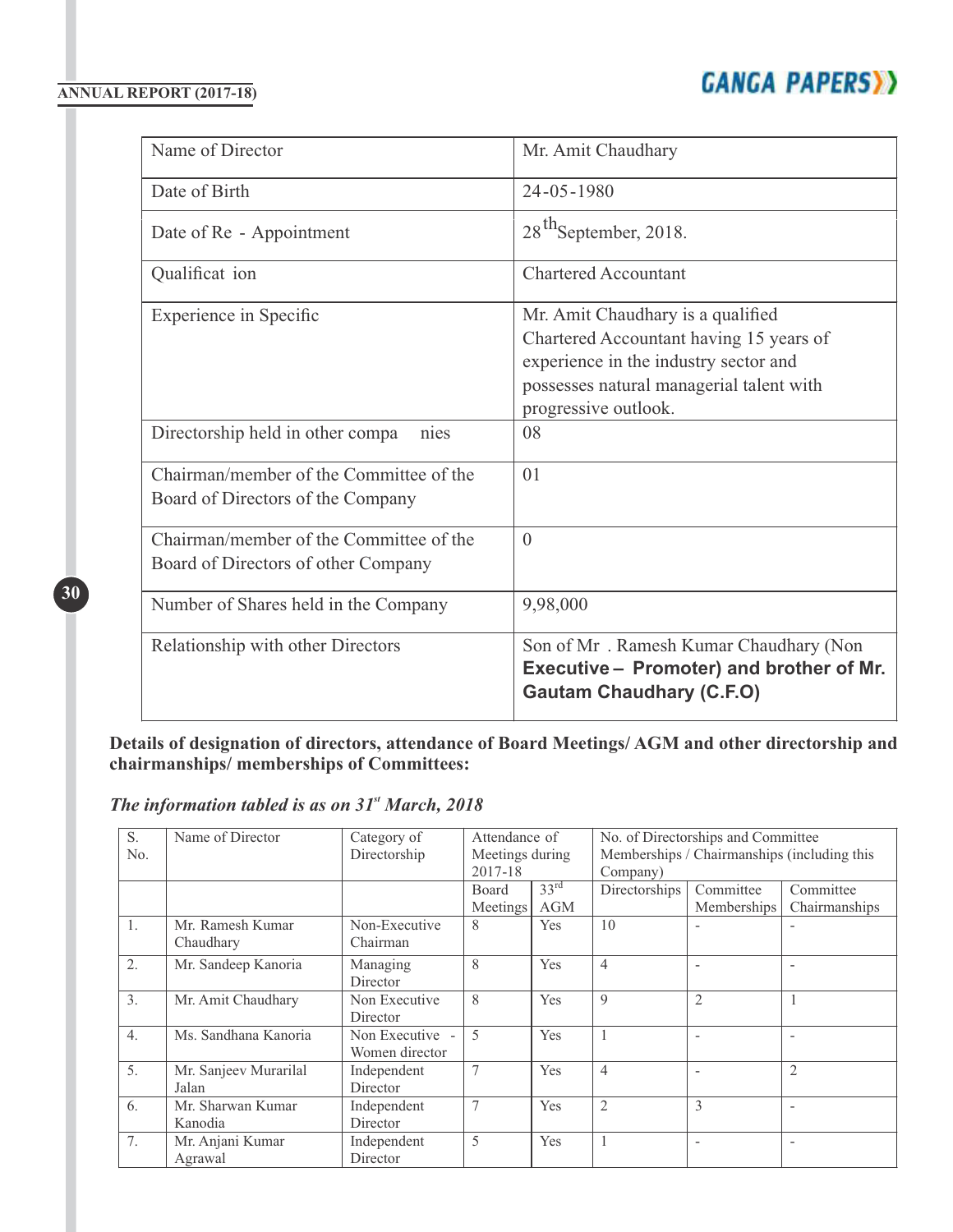# **GANGA PAPERS**>>

| Name of Director                                                               | Mr. Amit Chaudhary                                                                                                                                                                        |
|--------------------------------------------------------------------------------|-------------------------------------------------------------------------------------------------------------------------------------------------------------------------------------------|
| Date of Birth                                                                  | $24 - 05 - 1980$                                                                                                                                                                          |
| Date of Re - Appointment                                                       | 28 <sup>th</sup> September, 2018.                                                                                                                                                         |
| Qualificat ion                                                                 | <b>Chartered Accountant</b>                                                                                                                                                               |
| Experience in Specific                                                         | Mr. Amit Chaudhary is a qualified<br>Chartered Accountant having 15 years of<br>experience in the industry sector and<br>possesses natural managerial talent with<br>progressive outlook. |
| nies<br>Directorship held in other compa                                       | 08                                                                                                                                                                                        |
| Chairman/member of the Committee of the<br>Board of Directors of the Company   | 0 <sub>1</sub>                                                                                                                                                                            |
| Chairman/member of the Committee of the<br>Board of Directors of other Company | $\overline{0}$                                                                                                                                                                            |
| Number of Shares held in the Company                                           | 9,98,000                                                                                                                                                                                  |
| Relationship with other Directors                                              | Son of Mr. Ramesh Kumar Chaudhary (Non<br>Executive - Promoter) and brother of Mr.<br><b>Gautam Chaudhary (C.F.O)</b>                                                                     |

**Details of designation of directors, attendance of Board Meetings/ AGM and other directorship and chairmanships/ memberships of Committees:**

|  | The information tabled is as on 31 <sup>st</sup> March, 2018 |  |  |  |  |  |  |  |
|--|--------------------------------------------------------------|--|--|--|--|--|--|--|
|--|--------------------------------------------------------------|--|--|--|--|--|--|--|

| S.<br>No.      | Name of Director      | Category of<br>Directorship | Attendance of<br>Meetings during |                  | No. of Directorships and Committee<br>Memberships / Chairmanships (including this |                |                          |  |
|----------------|-----------------------|-----------------------------|----------------------------------|------------------|-----------------------------------------------------------------------------------|----------------|--------------------------|--|
|                |                       |                             | 2017-18                          |                  | Company)                                                                          |                |                          |  |
|                |                       |                             | Board                            | 33 <sup>rd</sup> | Directorships                                                                     | Committee      | Committee                |  |
|                |                       |                             | Meetings                         | AGM              |                                                                                   | Memberships    | Chairmanships            |  |
| $\mathbf{1}$ . | Mr. Ramesh Kumar      | Non-Executive               | 8                                | Yes              | 10                                                                                |                |                          |  |
|                | Chaudhary             | Chairman                    |                                  |                  |                                                                                   |                |                          |  |
| 2.             | Mr. Sandeep Kanoria   | Managing                    | 8                                | Yes              | $\overline{4}$                                                                    | ٠              | $\overline{\phantom{a}}$ |  |
|                |                       | Director                    |                                  |                  |                                                                                   |                |                          |  |
| 3.             | Mr. Amit Chaudhary    | Non Executive               | 8                                | <b>Yes</b>       | 9                                                                                 | $\overline{2}$ |                          |  |
|                |                       | Director                    |                                  |                  |                                                                                   |                |                          |  |
| 4.             | Ms. Sandhana Kanoria  | Non Executive -             | 5                                | Yes              | $\mathbf{1}$                                                                      | ۰              | $\overline{\phantom{a}}$ |  |
|                |                       | Women director              |                                  |                  |                                                                                   |                |                          |  |
| 5.             | Mr. Sanjeev Murarilal | Independent                 | 7                                | Yes              | $\overline{4}$                                                                    |                | $\overline{2}$           |  |
|                | Jalan                 | Director                    |                                  |                  |                                                                                   |                |                          |  |
| 6.             | Mr. Sharwan Kumar     | Independent                 | 7                                | Yes              | $\overline{2}$                                                                    | 3              | $\overline{\phantom{a}}$ |  |
|                | Kanodia               | Director                    |                                  |                  |                                                                                   |                |                          |  |
| 7.             | Mr. Anjani Kumar      | Independent                 | 5                                | Yes              | $\mathbf{1}$                                                                      | ٠              | $\overline{\phantom{a}}$ |  |
|                | Agrawal               | Director                    |                                  |                  |                                                                                   |                |                          |  |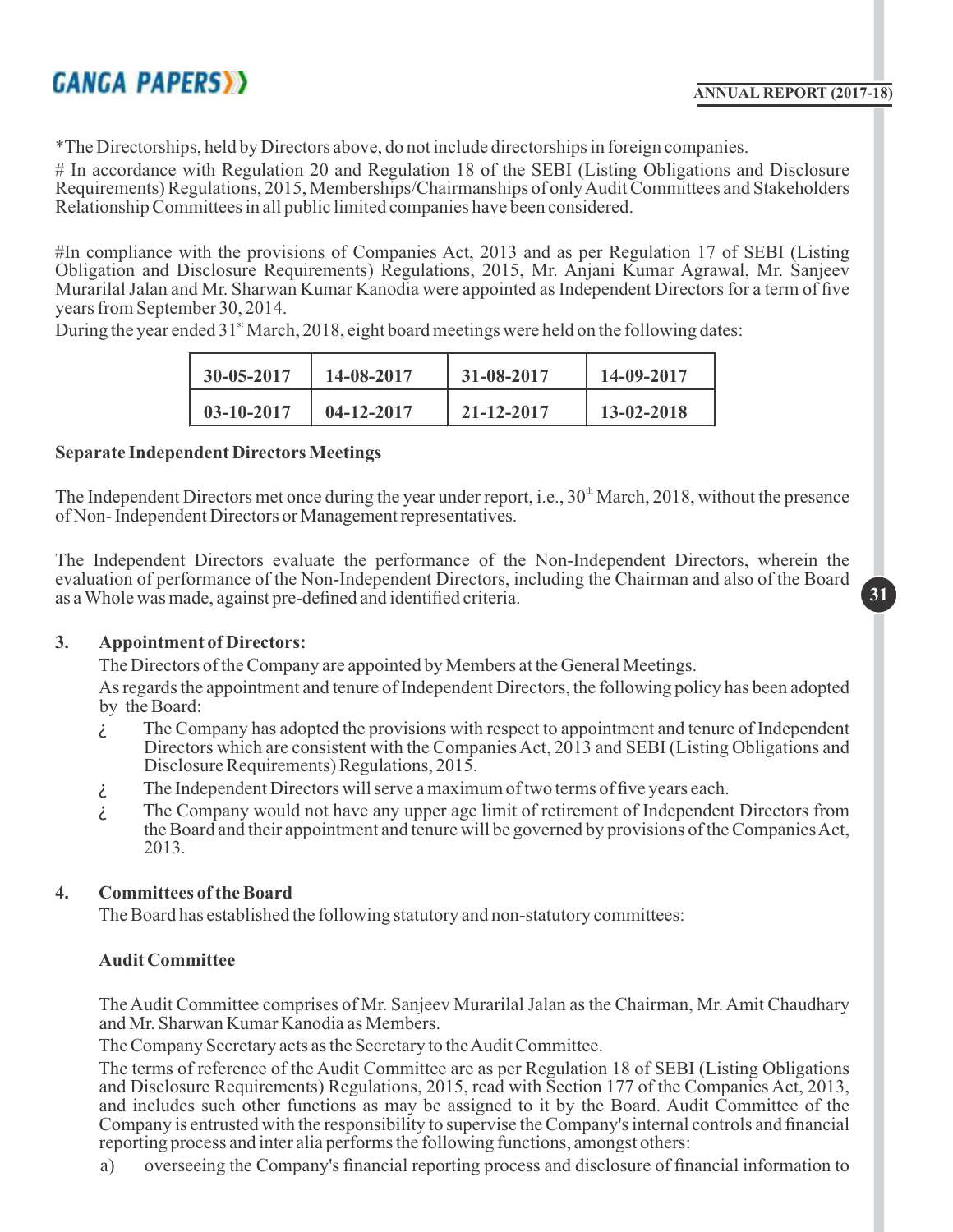

**31**

\*The Directorships, held by Directors above, do not include directorships in foreign companies.

# In accordance with Regulation 20 and Regulation 18 of the SEBI (Listing Obligations and Disclosure Requirements) Regulations, 2015, Memberships/Chairmanships of only Audit Committees and Stakeholders Relationship Committees in all public limited companies have been considered.

#In compliance with the provisions of Companies Act, 2013 and as per Regulation 17 of SEBI (Listing Obligation and Disclosure Requirements) Regulations, 2015, Mr. Anjani Kumar Agrawal, Mr. Sanjeev Murarilal Jalan and Mr. Sharwan Kumar Kanodia were appointed as Independent Directors for a term of five years from September 30, 2014.

During the year ended  $31<sup>st</sup>$  March, 2018, eight board meetings were held on the following dates:

| 30-05-2017   | 14-08-2017       | 31-08-2017 | 14-09-2017       |
|--------------|------------------|------------|------------------|
| $03-10-2017$ | $04 - 12 - 2017$ | 21-12-2017 | $13 - 02 - 2018$ |

#### **Separate Independent Directors Meetings**

The Independent Directors met once during the year under report, i.e.,  $30<sup>th</sup>$  March, 2018, without the presence of Non- Independent Directors or Management representatives.

The Independent Directors evaluate the performance of the Non-Independent Directors, wherein the evaluation of performance of the Non-Independent Directors, including the Chairman and also of the Board as a Whole was made, against pre-defined and identified criteria.

#### **3. Appointment of Directors:**

The Directors of the Company are appointed by Members at the General Meetings.

 As regards the appointment and tenure of Independent Directors, the following policy has been adopted by the Board:

- ightarrow The Company has adopted the provisions with respect to appointment and tenure of Independent Directors which are consistent with the Companies Act, 2013 and SEBI (Listing Obligations and Disclosure Requirements) Regulations, 2015.
- ightarrow The Independent Directors will serve a maximum of two terms of five years each.
- is the Company would not have any upper age limit of retirement of Independent Directors from the Board and their appointment and tenure will be governed by provisions of the Companies Act, 2013.

# **4. Committees of the Board**

The Board has established the following statutory and non-statutory committees:

#### **Audit Committee**

 The Audit Committee comprises of Mr. Sanjeev Murarilal Jalan as the Chairman, Mr. Amit Chaudhary and Mr. Sharwan Kumar Kanodia as Members.

The Company Secretary acts as the Secretary to the Audit Committee.

 The terms of reference of the Audit Committee are as per Regulation 18 of SEBI (Listing Obligations and Disclosure Requirements) Regulations, 2015, read with Section 177 of the Companies Act, 2013, and includes such other functions as may be assigned to it by the Board. Audit Committee of the Company is entrusted with the responsibility to supervise the Company's internal controls and financial reporting process and inter alia performs the following functions, amongst others:

a) overseeing the Company's financial reporting process and disclosure of financial information to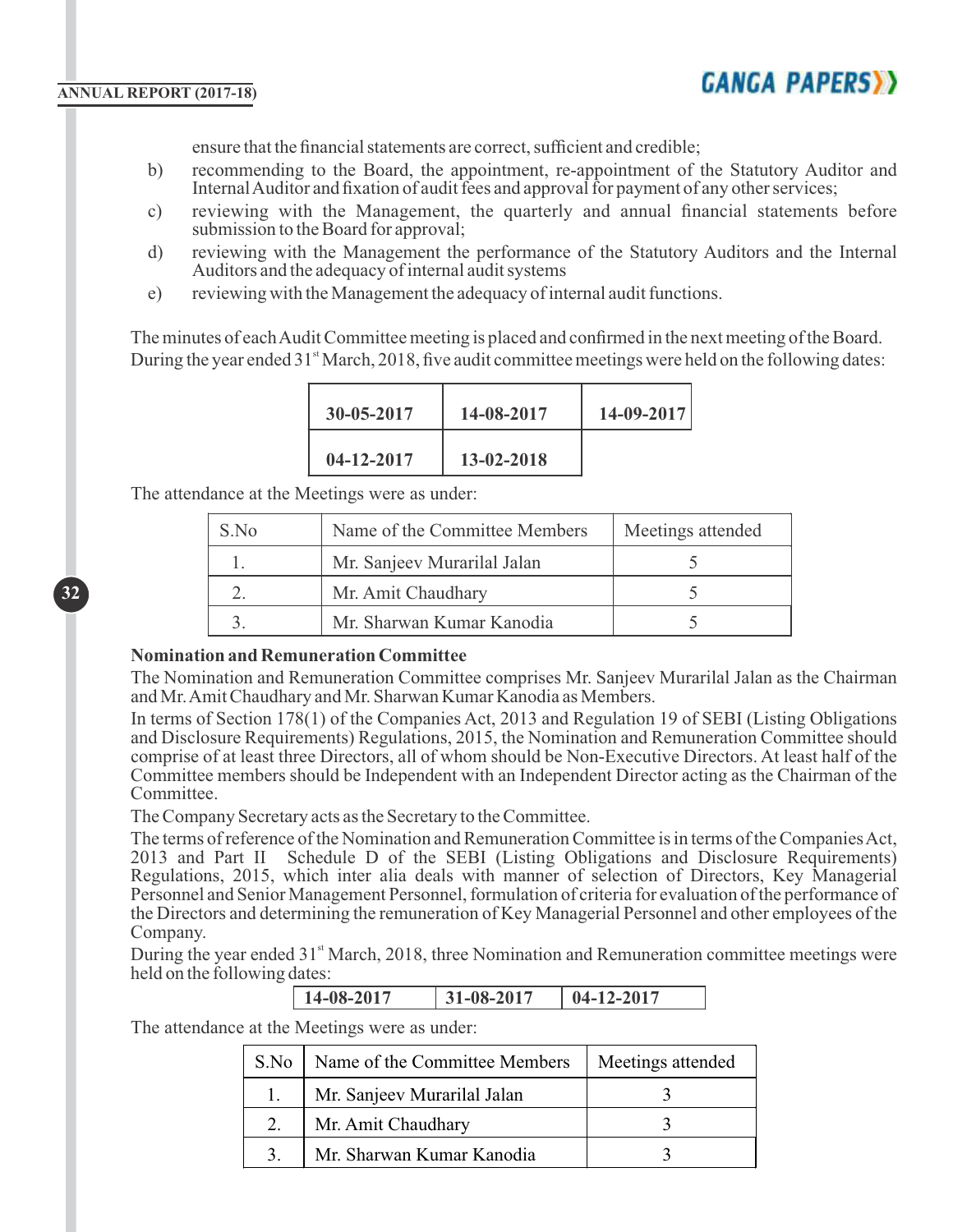

ensure that the financial statements are correct, sufficient and credible;

- b) recommending to the Board, the appointment, re-appointment of the Statutory Auditor and Internal Auditor and fixation of audit fees and approval for payment of any other services;
- c) reviewing with the Management, the quarterly and annual financial statements before submission to the Board for approval;
- d) reviewing with the Management the performance of the Statutory Auditors and the Internal Auditors and the adequacy of internal audit systems
- e) reviewing with the Management the adequacy of internal audit functions.

The minutes of each Audit Committee meeting is placed and confirmed in the next meeting of the Board. During the year ended 31<sup>st</sup> March, 2018, five audit committee meetings were held on the following dates:

| 30-05-2017       | 14-08-2017 | 14-09-2017 |
|------------------|------------|------------|
| $04 - 12 - 2017$ | 13-02-2018 |            |

The attendance at the Meetings were as under:

| S.No | Name of the Committee Members | Meetings attended |
|------|-------------------------------|-------------------|
|      | Mr. Sanjeev Murarilal Jalan   |                   |
|      | Mr. Amit Chaudhary            |                   |
|      | Mr. Sharwan Kumar Kanodia     |                   |

#### **Nomination and Remuneration Committee**

The Nomination and Remuneration Committee comprises Mr. Sanjeev Murarilal Jalan as the Chairman and Mr. Amit Chaudhary and Mr. Sharwan Kumar Kanodia as Members.

In terms of Section 178(1) of the Companies Act, 2013 and Regulation 19 of SEBI (Listing Obligations and Disclosure Requirements) Regulations, 2015, the Nomination and Remuneration Committee should comprise of at least three Directors, all of whom should be Non-Executive Directors. At least half of the Committee members should be Independent with an Independent Director acting as the Chairman of the Committee.

The Company Secretary acts as the Secretary to the Committee.

The terms of reference of the Nomination and Remuneration Committee is in terms of the Companies Act, 2013 and Part II Schedule D of the SEBI (Listing Obligations and Disclosure Requirements) Regulations, 2015, which inter alia deals with manner of selection of Directors, Key Managerial Personnel and Senior Management Personnel, formulation of criteria for evaluation of the performance of the Directors and determining the remuneration of Key Managerial Personnel and other employees of the Company.

During the year ended  $31<sup>st</sup>$  March, 2018, three Nomination and Remuneration committee meetings were held on the following dates:

| 14-08-2017 | 31-08-2017 | $04 - 12 - 2017$ |
|------------|------------|------------------|
|------------|------------|------------------|

The attendance at the Meetings were as under:

| S.No         | Name of the Committee Members | Meetings attended |
|--------------|-------------------------------|-------------------|
| 1.           | Mr. Sanjeev Murarilal Jalan   |                   |
| 2.           | Mr. Amit Chaudhary            |                   |
| $\mathbf{R}$ | Mr. Sharwan Kumar Kanodia     |                   |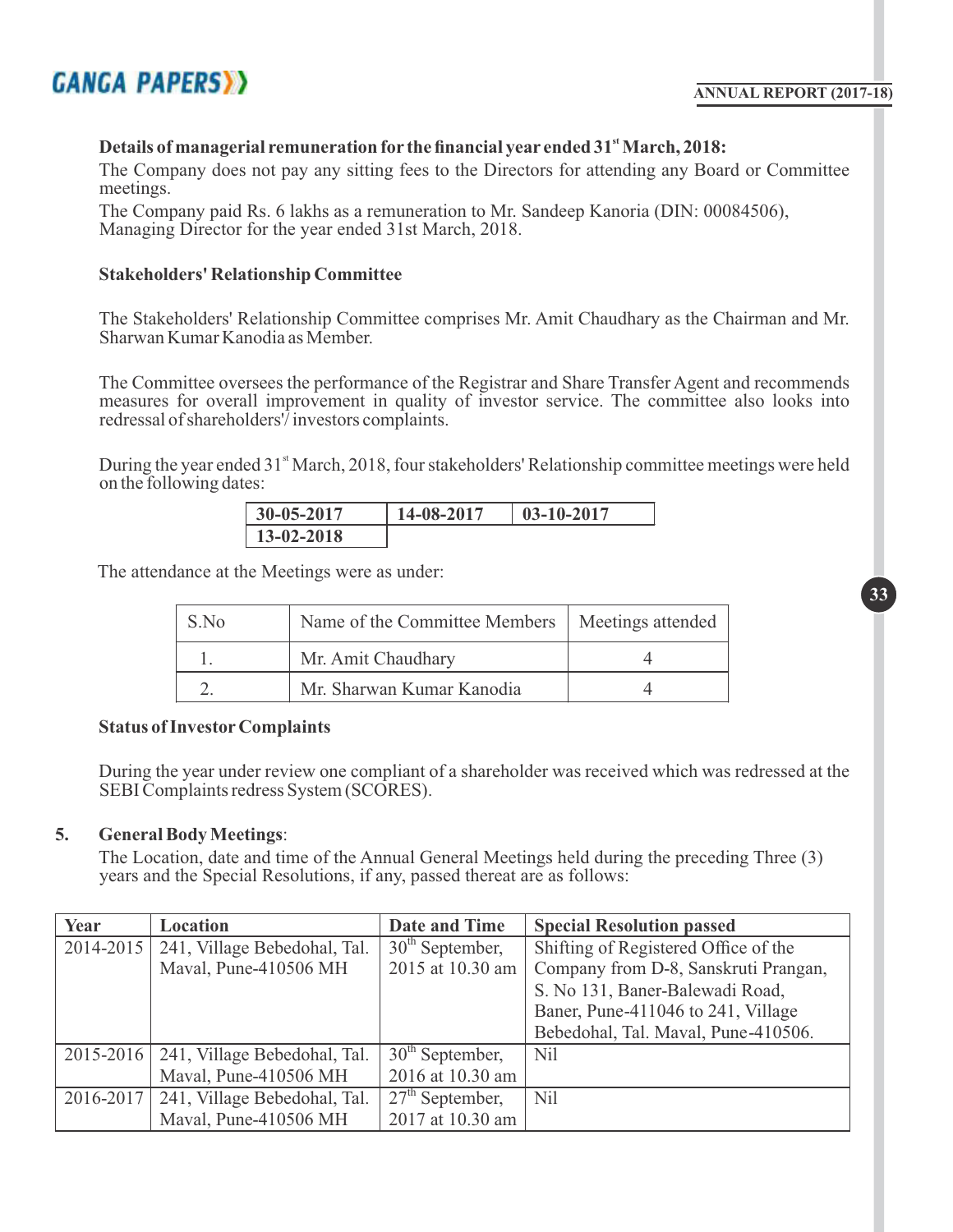

#### **Details of managerial remuneration for the financial year ended 31<sup>\*</sup> March, 2018:**

 The Company does not pay any sitting fees to the Directors for attending any Board or Committee meetings.

 The Company paid Rs. 6 lakhs as a remuneration to Mr. Sandeep Kanoria (DIN: 00084506), Managing Director for the year ended 31st March, 2018.

#### **Stakeholders' Relationship Committee**

 The Stakeholders' Relationship Committee comprises Mr. Amit Chaudhary as the Chairman and Mr. Sharwan Kumar Kanodia as Member.

 The Committee oversees the performance of the Registrar and Share Transfer Agent and recommends measures for overall improvement in quality of investor service. The committee also looks into redressal of shareholders'/ investors complaints.

During the year ended 31<sup><sup>st</sup> March, 2018, four stakeholders' Relationship committee meetings were held</sup> on the following dates:

| $30 - 05 - 2017$ | 14-08-2017 | $03 - 10 - 2017$ |
|------------------|------------|------------------|
| $13 - 02 - 2018$ |            |                  |

The attendance at the Meetings were as under:

| S.No | Name of the Committee Members   Meetings attended |  |
|------|---------------------------------------------------|--|
|      | Mr. Amit Chaudhary                                |  |
|      | Mr. Sharwan Kumar Kanodia                         |  |

#### **Status of Investor Complaints**

 During the year under review one compliant of a shareholder was received which was redressed at the SEBI Complaints redress System (SCORES).

#### **5. General Body Meetings**:

 The Location, date and time of the Annual General Meetings held during the preceding Three (3) years and the Special Resolutions, if any, passed thereat are as follows:

| Year          | Location                                 | Date and Time     | <b>Special Resolution passed</b>     |
|---------------|------------------------------------------|-------------------|--------------------------------------|
| $2014 - 2015$ | 241, Village Bebedohal, Tal.             | $30th$ September, | Shifting of Registered Office of the |
|               | Maval, Pune-410506 MH                    | 2015 at 10.30 am  | Company from D-8, Sanskruti Prangan, |
|               |                                          |                   | S. No 131, Baner-Balewadi Road,      |
|               |                                          |                   | Baner, Pune-411046 to 241, Village   |
|               |                                          |                   | Bebedohal, Tal. Maval, Pune-410506.  |
|               | 2015-2016   241, Village Bebedohal, Tal. | $30th$ September, | Nil                                  |
|               | Maval, Pune-410506 MH                    | 2016 at 10.30 am  |                                      |
| $2016 - 2017$ | 241, Village Bebedohal, Tal.             | $27th$ September, | <b>Nil</b>                           |
|               | Maval, Pune-410506 MH                    | 2017 at 10.30 am  |                                      |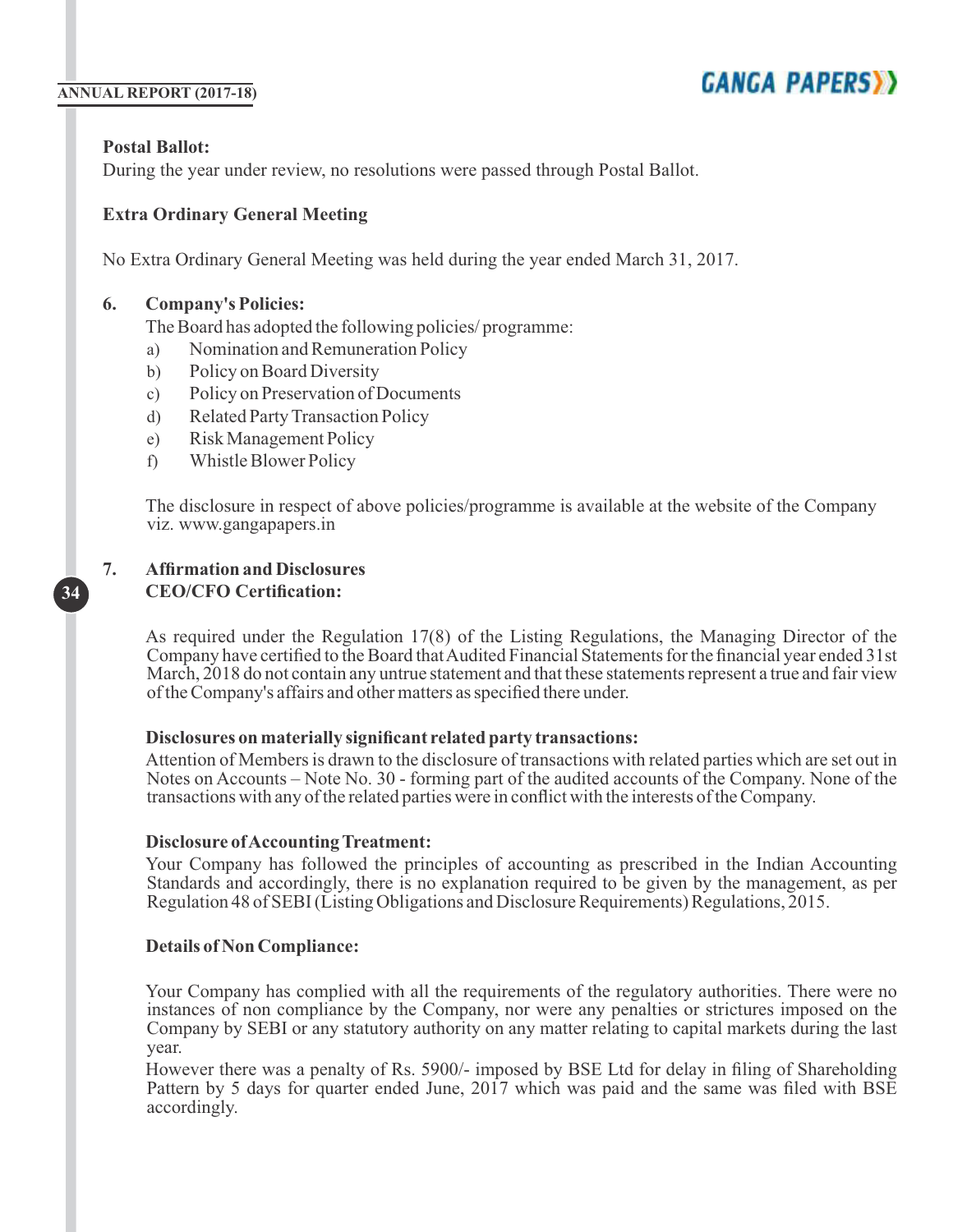# **GANGA PAPERS**)

### **Postal Ballot:**

During the year under review, no resolutions were passed through Postal Ballot.

## **Extra Ordinary General Meeting**

No Extra Ordinary General Meeting was held during the year ended March 31, 2017.

## **6. Company's Policies:**

The Board has adopted the following policies/ programme:

- a) Nomination and Remuneration Policy
- b) Policy on Board Diversity
- c) Policy on Preservation of Documents
- d) Related Party Transaction Policy
- e) Risk Management Policy
- f) Whistle Blower Policy

 The disclosure in respect of above policies/programme is available at the website of the Company viz. www.gangapapers.in

# **7. Affirmation and Disclosures CEO/CFO Certification:**

 As required under the Regulation 17(8) of the Listing Regulations, the Managing Director of the Company have certified to the Board that Audited Financial Statements for the financial year ended 31st March, 2018 do not contain any untrue statement and that these statements represent a true and fair view of the Company's affairs and other matters as specified there under.

## **Disclosures on materially significant related party transactions:**

 Attention of Members is drawn to the disclosure of transactions with related parties which are set out in Notes on Accounts – Note No. 30 - forming part of the audited accounts of the Company. None of the transactions with any of the related parties were in conflict with the interests of the Company.

#### **Disclosure of Accounting Treatment:**

 Your Company has followed the principles of accounting as prescribed in the Indian Accounting Standards and accordingly, there is no explanation required to be given by the management, as per Regulation 48 of SEBI (Listing Obligations and Disclosure Requirements) Regulations, 2015.

## **Details of Non Compliance:**

 Your Company has complied with all the requirements of the regulatory authorities. There were no instances of non compliance by the Company, nor were any penalties or strictures imposed on the Company by SEBI or any statutory authority on any matter relating to capital markets during the last year.

 However there was a penalty of Rs. 5900/- imposed by BSE Ltd for delay in filing of Shareholding Pattern by 5 days for quarter ended June, 2017 which was paid and the same was filed with BSE accordingly.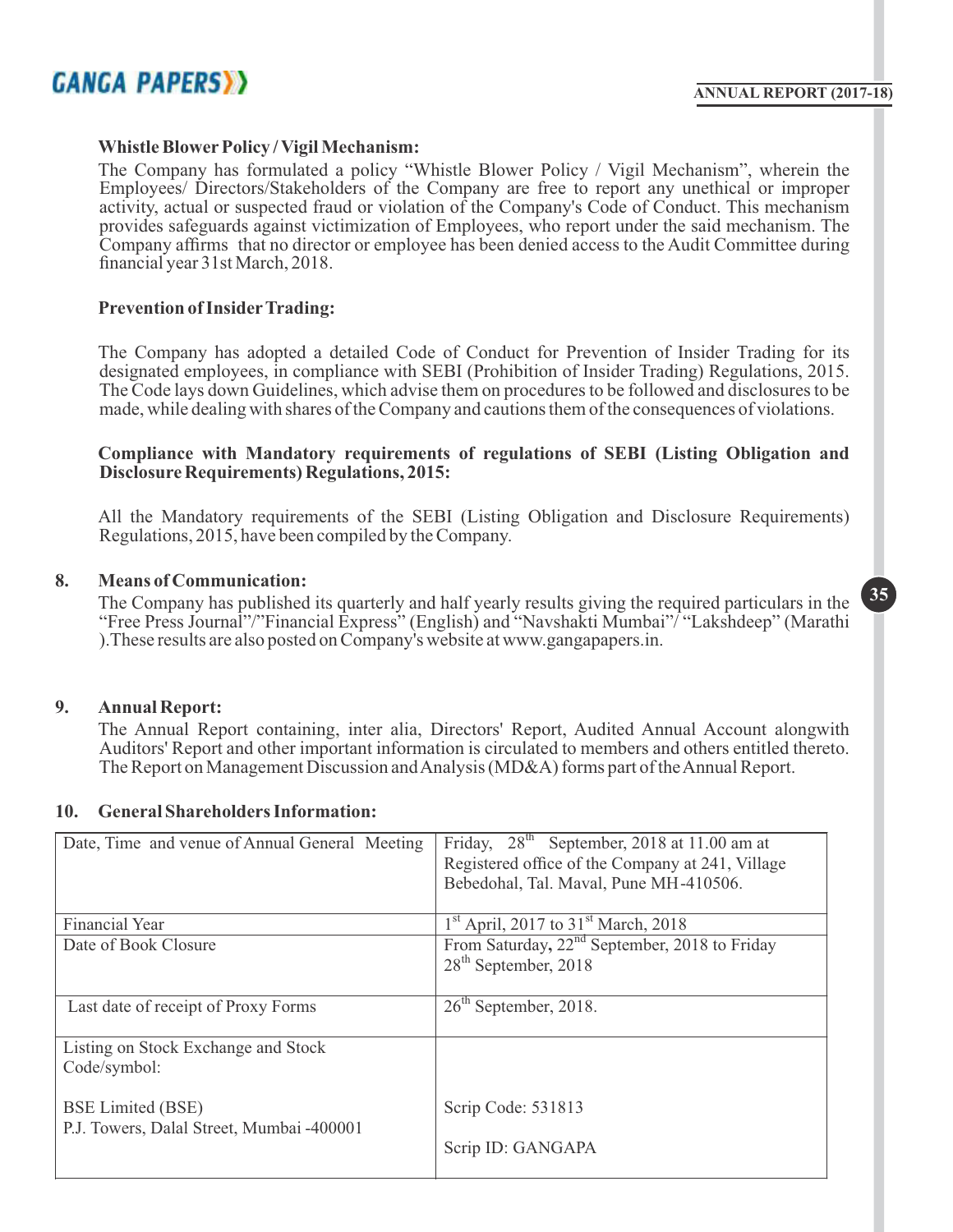

### **Whistle Blower Policy / Vigil Mechanism:**

 The Company has formulated a policy "Whistle Blower Policy / Vigil Mechanism", wherein the Employees/ Directors/Stakeholders of the Company are free to report any unethical or improper activity, actual or suspected fraud or violation of the Company's Code of Conduct. This mechanism provides safeguards against victimization of Employees, who report under the said mechanism. The Company affirms that no director or employee has been denied access to the Audit Committee during financial year 31st March, 2018.

#### **Prevention of Insider Trading:**

 The Company has adopted a detailed Code of Conduct for Prevention of Insider Trading for its designated employees, in compliance with SEBI (Prohibition of Insider Trading) Regulations, 2015. The Code lays down Guidelines, which advise them on procedures to be followed and disclosures to be made, while dealing with shares of the Company and cautions them of the consequences of violations.

#### **Compliance with Mandatory requirements of regulations of SEBI (Listing Obligation and Disclosure Requirements) Regulations, 2015:**

 All the Mandatory requirements of the SEBI (Listing Obligation and Disclosure Requirements) Regulations, 2015, have been compiled by the Company.

#### **8. Means of Communication:**

 The Company has published its quarterly and half yearly results giving the required particulars in the "Free Press Journal"/"Financial Express" (English) and "Navshakti Mumbai"/ "Lakshdeep" (Marathi ).These results are also posted on Company's website at www.gangapapers.in.

#### **9. Annual Report:**

 The Annual Report containing, inter alia, Directors' Report, Audited Annual Account alongwith Auditors' Report and other important information is circulated to members and others entitled thereto. The Report on Management Discussion and Analysis (MD&A) forms part of the Annual Report.

#### **10. General Shareholders Information:**

| Date, Time and venue of Annual General Meeting                        | Friday, 28 <sup>th</sup> September, 2018 at 11.00 am at<br>Registered office of the Company at 241, Village<br>Bebedohal, Tal. Maval, Pune MH-410506. |
|-----------------------------------------------------------------------|-------------------------------------------------------------------------------------------------------------------------------------------------------|
| <b>Financial Year</b>                                                 | $1st$ April, 2017 to 31 <sup>st</sup> March, 2018                                                                                                     |
| Date of Book Closure                                                  | From Saturday, $22nd$ September, 2018 to Friday                                                                                                       |
|                                                                       | 28 <sup>th</sup> September, 2018                                                                                                                      |
| Last date of receipt of Proxy Forms                                   | $26th$ September, 2018.                                                                                                                               |
| Listing on Stock Exchange and Stock                                   |                                                                                                                                                       |
| Code/symbol:                                                          |                                                                                                                                                       |
| <b>BSE Limited (BSE)</b><br>P.J. Towers, Dalal Street, Mumbai -400001 | Scrip Code: 531813                                                                                                                                    |
|                                                                       | Scrip ID: GANGAPA                                                                                                                                     |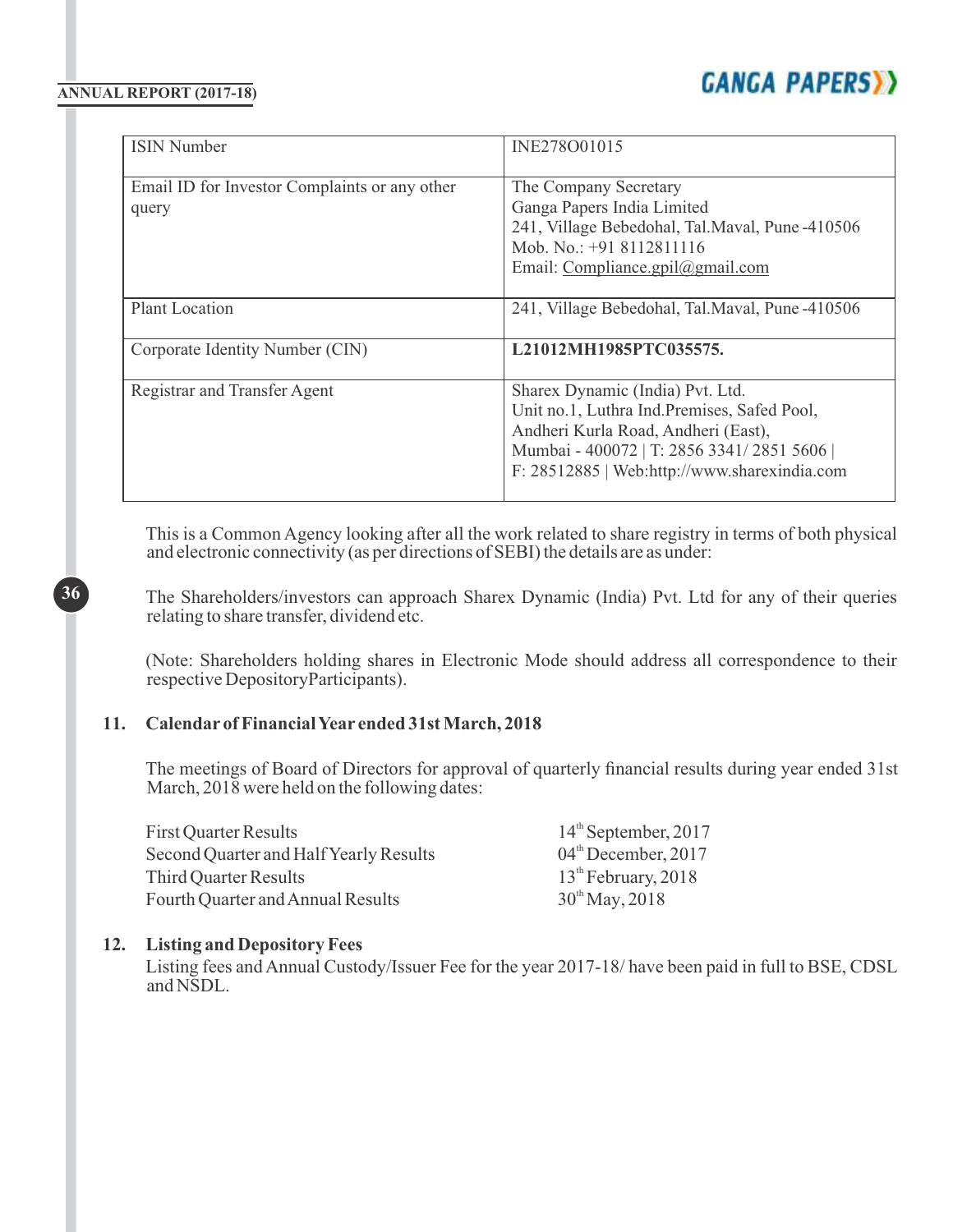# **GANGA PAPERS**>>

| <b>ISIN</b> Number                                     | INE278O01015                                                                                                                                                                                                          |
|--------------------------------------------------------|-----------------------------------------------------------------------------------------------------------------------------------------------------------------------------------------------------------------------|
| Email ID for Investor Complaints or any other<br>query | The Company Secretary<br>Ganga Papers India Limited<br>241, Village Bebedohal, Tal.Maval, Pune-410506<br>Mob. No.: +91 8112811116<br>Email: Compliance.gpil@gmail.com                                                 |
| <b>Plant Location</b>                                  | 241, Village Bebedohal, Tal.Maval, Pune -410506                                                                                                                                                                       |
| Corporate Identity Number (CIN)                        | L21012MH1985PTC035575.                                                                                                                                                                                                |
| <b>Registrar and Transfer Agent</b>                    | Sharex Dynamic (India) Pvt. Ltd.<br>Unit no.1, Luthra Ind. Premises, Safed Pool,<br>Andheri Kurla Road, Andheri (East),<br>Mumbai - 400072   T: 2856 3341/2851 5606  <br>F: 28512885   Web:http://www.sharexindia.com |

 This is a Common Agency looking after all the work related to share registry in terms of both physical and electronic connectivity (as per directions of SEBI) the details are as under:

 The Shareholders/investors can approach Sharex Dynamic (India) Pvt. Ltd for any of their queries relating to share transfer, dividend etc.

 (Note: Shareholders holding shares in Electronic Mode should address all correspondence to their respective DepositoryParticipants).

#### **11. Calendar of Financial Year ended 31st March, 2018**

 The meetings of Board of Directors for approval of quarterly financial results during year ended 31st March,  $201\bar{8}$  were held on the following dates:

| <b>First Quarter Results</b>           | $14^{\text{th}}$ September, 2017 |
|----------------------------------------|----------------------------------|
| Second Quarter and Half Yearly Results | $04^{\text{th}}$ December, 2017  |
| <b>Third Quarter Results</b>           | $13th$ February, 2018            |
| Fourth Quarter and Annual Results      | $30^{\text{th}}$ May, 2018       |

#### **12. Listing and Depository Fees**

 Listing fees and Annual Custody/Issuer Fee for the year 2017-18/ have been paid in full to BSE, CDSL and NSDL.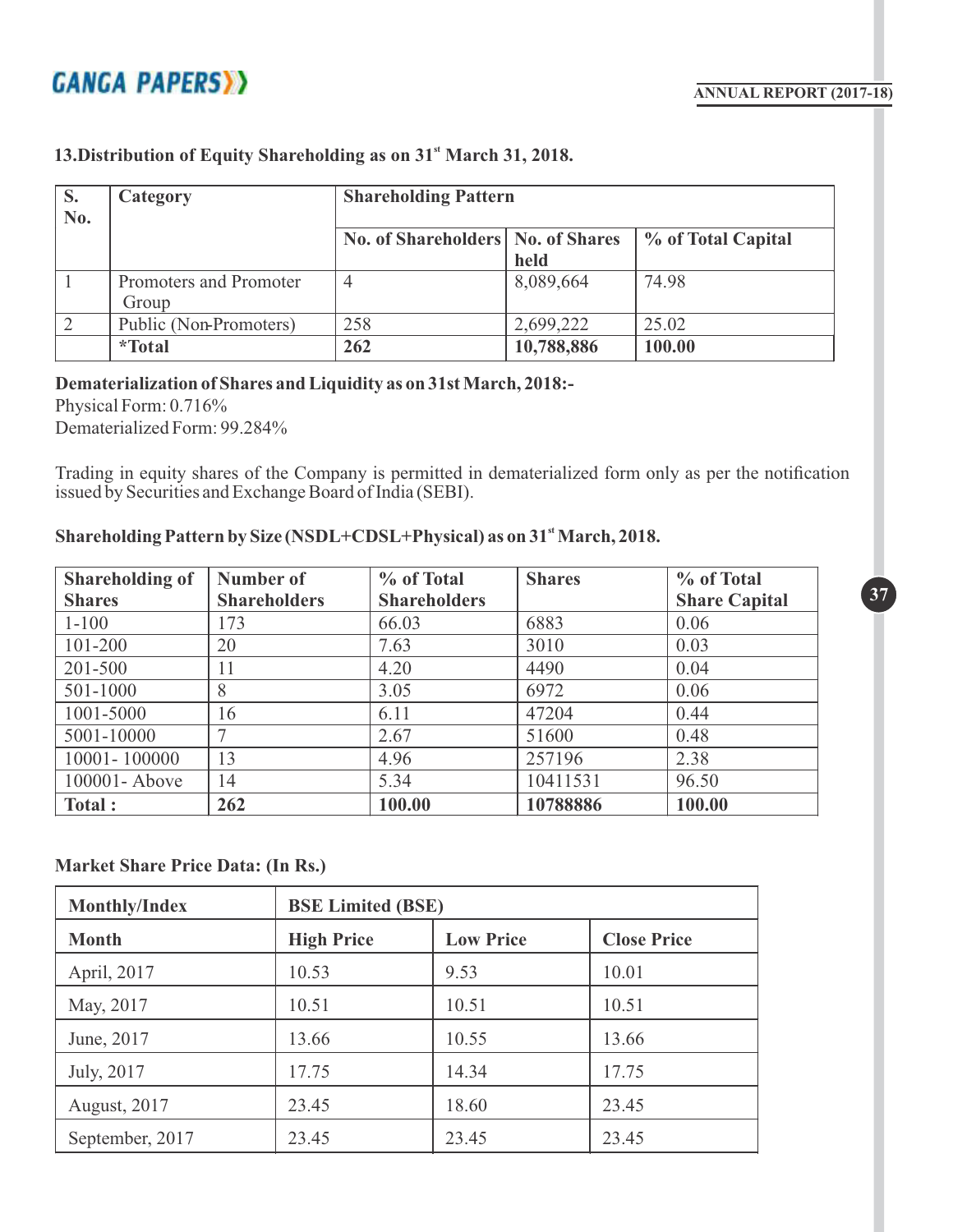



# 13. Distribution of Equity Shareholding as on 31<sup>st</sup> March 31, 2018.

| S.<br>No. | Category                        | <b>Shareholding Pattern</b>       |            |                    |
|-----------|---------------------------------|-----------------------------------|------------|--------------------|
|           |                                 | No. of Shareholders No. of Shares | held       | % of Total Capital |
|           | Promoters and Promoter<br>Group | 4                                 | 8,089,664  | 74.98              |
|           | Public (Non-Promoters)          | 258                               | 2,699,222  | 25.02              |
|           | <i>*</i> Total                  | 262                               | 10,788,886 | 100.00             |

## **Dematerialization of Shares and Liquidity as on 31st March, 2018:-**

Physical Form: 0.716%

Dematerialized Form: 99.284%

Trading in equity shares of the Company is permitted in dematerialized form only as per the notification issued by Securities and Exchange Board of India (SEBI).

# Shareholding Pattern by Size (NSDL+CDSL+Physical) as on 31<sup>st</sup> March, 2018.

| <b>Shareholding of</b> | Number of           | % of Total          | <b>Shares</b> | % of Total           |
|------------------------|---------------------|---------------------|---------------|----------------------|
| <b>Shares</b>          | <b>Shareholders</b> | <b>Shareholders</b> |               | <b>Share Capital</b> |
| $1 - 100$              | 173                 | 66.03               | 6883          | 0.06                 |
| 101-200                | 20                  | 7.63                | 3010          | 0.03                 |
| 201-500                | 11                  | 4.20                | 4490          | 0.04                 |
| 501-1000               | 8                   | 3.05                | 6972          | 0.06                 |
| 1001-5000              | 16                  | 6.11                | 47204         | 0.44                 |
| 5001-10000             | 7                   | 2.67                | 51600         | 0.48                 |
| 10001-100000           | 13                  | 4.96                | 257196        | 2.38                 |
| 100001- Above          | 14                  | 5.34                | 10411531      | 96.50                |
| <b>Total:</b>          | 262                 | 100.00              | 10788886      | 100.00               |

## **Market Share Price Data: (In Rs.)**

| <b>Monthly/Index</b> | <b>BSE Limited (BSE)</b>                                    |       |       |  |
|----------------------|-------------------------------------------------------------|-------|-------|--|
| <b>Month</b>         | <b>High Price</b><br><b>Low Price</b><br><b>Close Price</b> |       |       |  |
| April, 2017          | 10.53                                                       | 9.53  | 10.01 |  |
| May, 2017            | 10.51                                                       | 10.51 | 10.51 |  |
| June, 2017           | 13.66                                                       | 10.55 | 13.66 |  |
| July, 2017           | 17.75                                                       | 14.34 | 17.75 |  |
| <b>August, 2017</b>  | 23.45                                                       | 18.60 | 23.45 |  |
| September, 2017      | 23.45                                                       | 23.45 | 23.45 |  |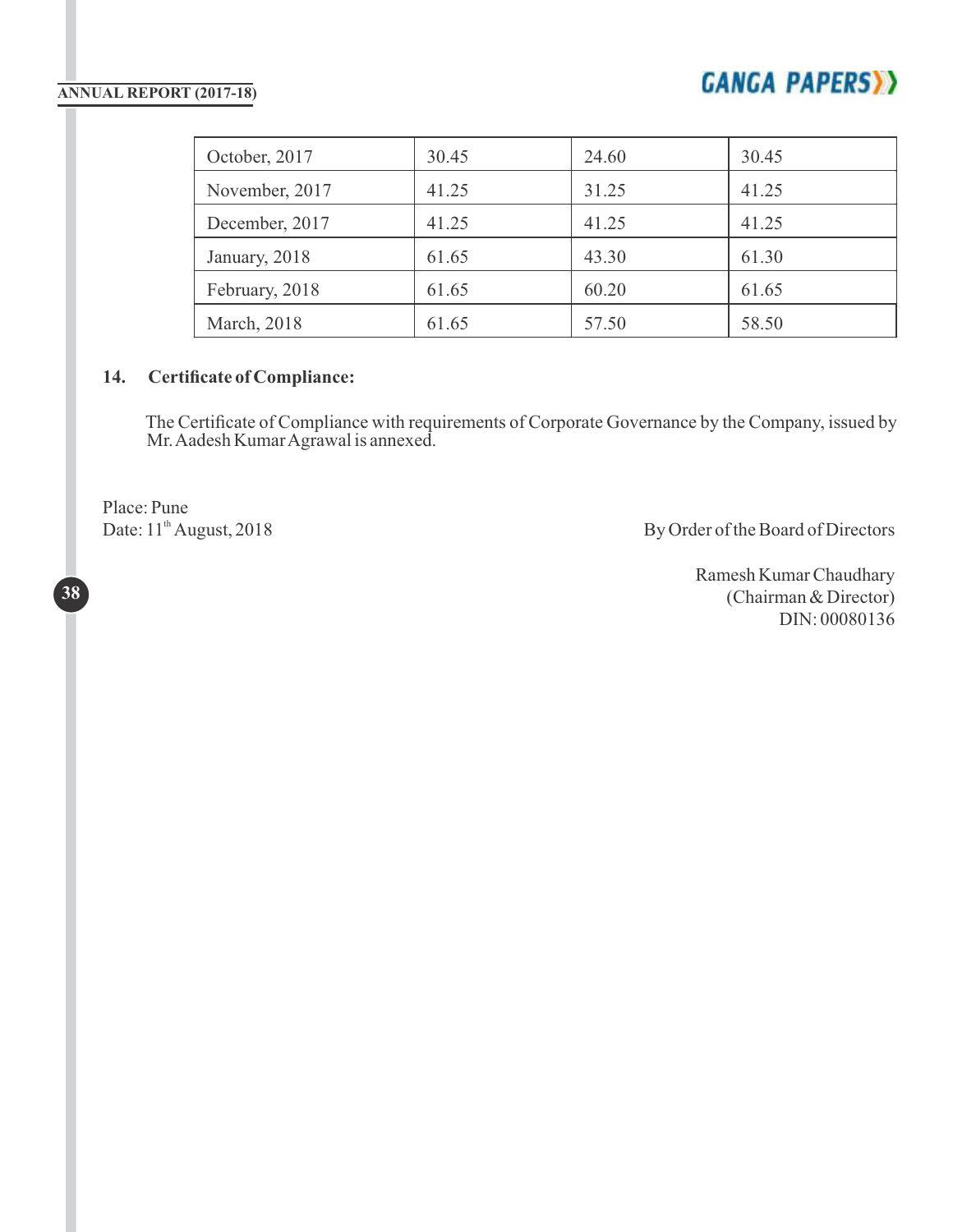# **GANGA PAPERS**>>

| October, 2017  | 30.45 | 24.60 | 30.45 |
|----------------|-------|-------|-------|
| November, 2017 | 41.25 | 31.25 | 41.25 |
| December, 2017 | 41.25 | 41.25 | 41.25 |
| January, 2018  | 61.65 | 43.30 | 61.30 |
| February, 2018 | 61.65 | 60.20 | 61.65 |
| March, 2018    | 61.65 | 57.50 | 58.50 |

# **14. Certificate of Compliance:**

 The Certificate of Compliance with requirements of Corporate Governance by the Company, issued by Mr. Aadesh Kumar Agrawal is annexed.

Place: Pune

**12 38**

Date: 11<sup>th</sup> August, 2018 By Order of the Board of Directors

 Ramesh Kumar Chaudhary (Chairman & Director) DIN: 00080136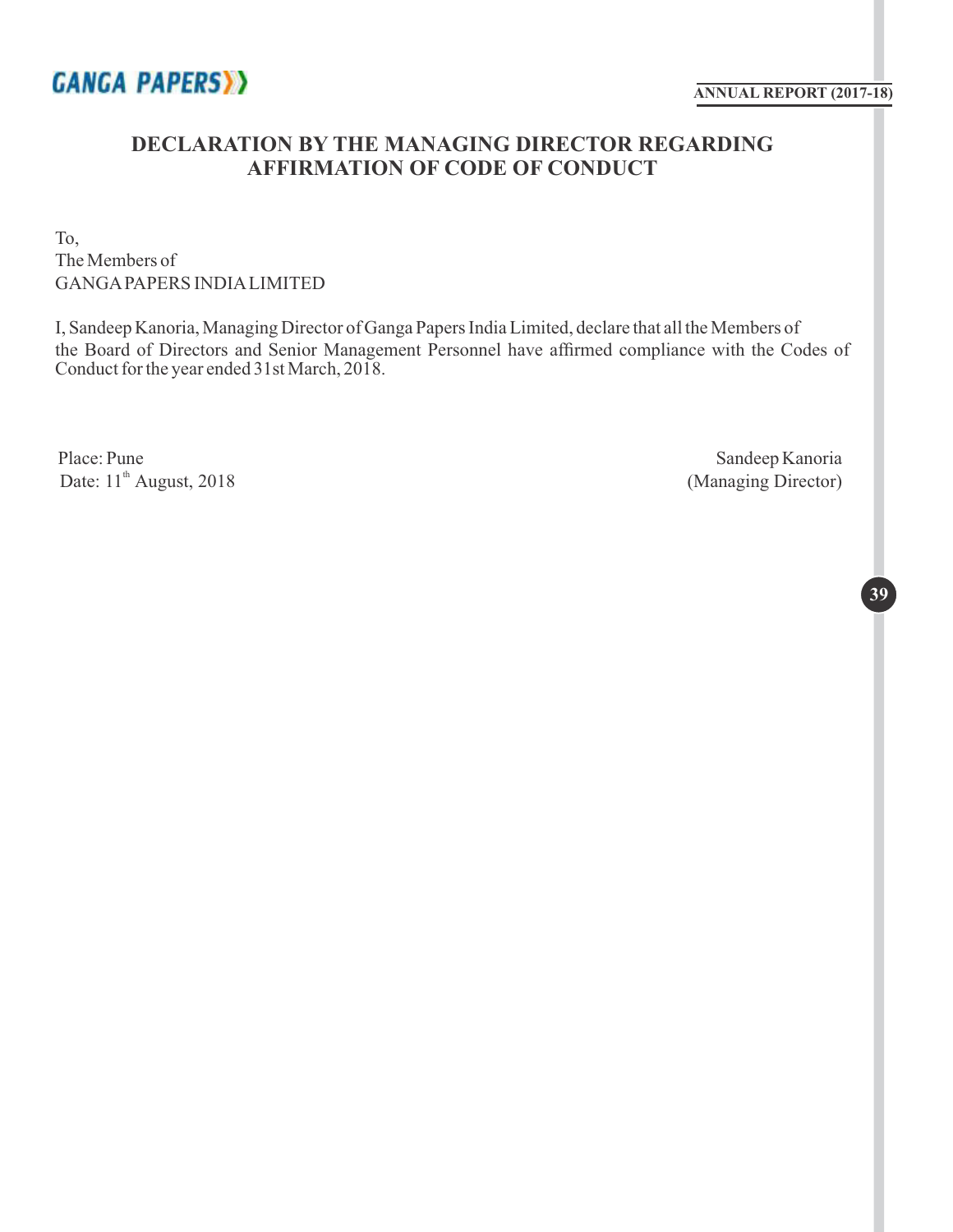

# **DECLARATION BY THE MANAGING DIRECTOR REGARDING AFFIRMATION OF CODE OF CONDUCT**

To, The Members of GANGA PAPERS INDIA LIMITED

I, Sandeep Kanoria, Managing Director of Ganga Papers India Limited, declare that all the Members of the Board of Directors and Senior Management Personnel have affirmed compliance with the Codes of Conduct for the year ended 31st March, 2018.

Place: Pune Sandeep Kanoria Date: 11<sup>th</sup> August, 2018 (Managing Director)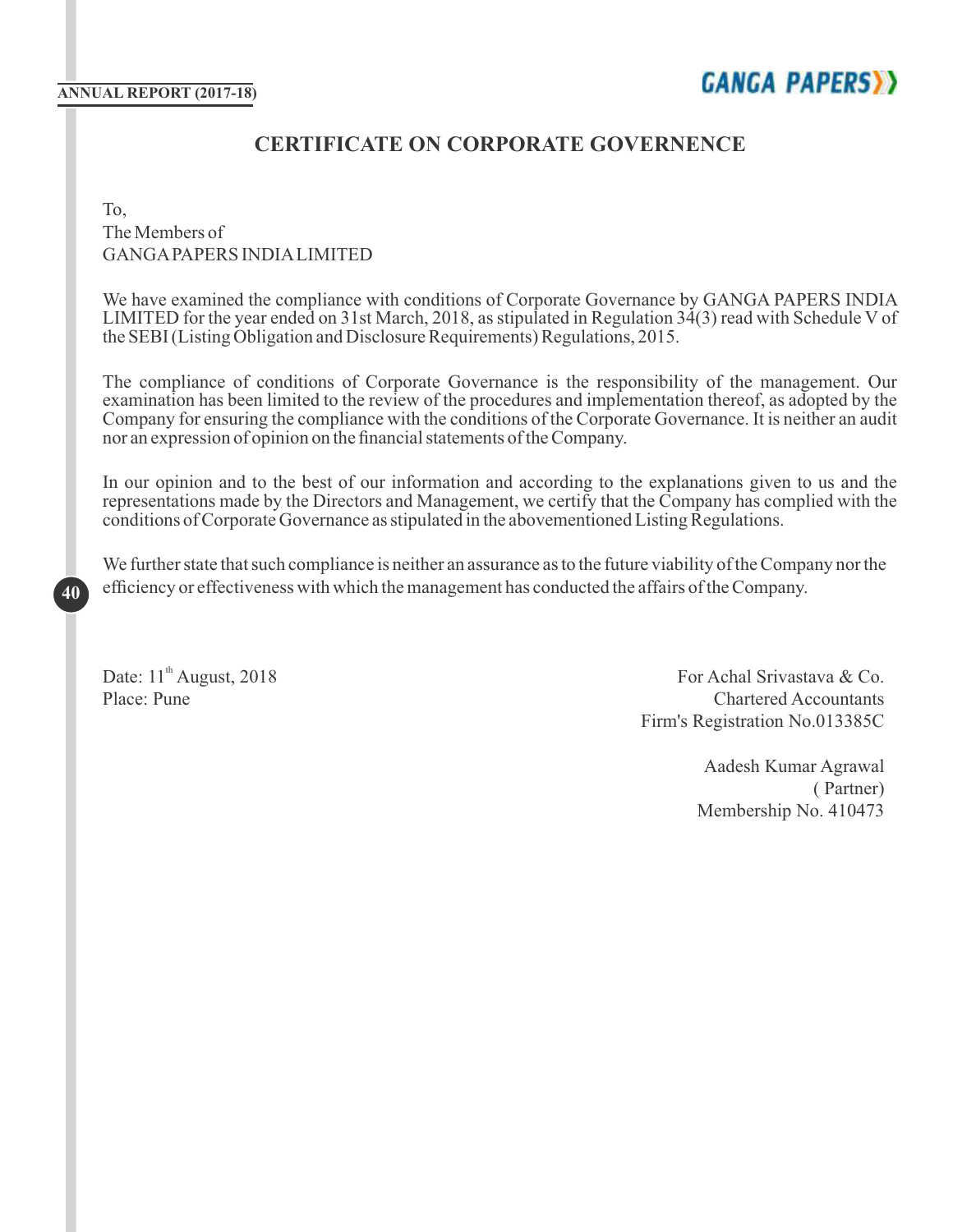# **GANGA PAPERS**)

# **CERTIFICATE ON CORPORATE GOVERNENCE**

To, The Members of GANGA PAPERS INDIA LIMITED

We have examined the compliance with conditions of Corporate Governance by GANGA PAPERS INDIA LIMITED for the year ended on 31st March, 2018, as stipulated in Regulation 34(3) read with Schedule V of the SEBI (Listing Obligation and Disclosure Requirements) Regulations, 2015.

The compliance of conditions of Corporate Governance is the responsibility of the management. Our examination has been limited to the review of the procedures and implementation thereof, as adopted by the Company for ensuring the compliance with the conditions of the Corporate Governance. It is neither an audit nor an expression of opinion on the financial statements of the Company.

In our opinion and to the best of our information and according to the explanations given to us and the representations made by the Directors and Management, we certify that the Company has complied with the conditions of Corporate Governance as stipulated in the abovementioned Listing Regulations.

We further state that such compliance is neither an assurance as to the future viability of the Company nor the efficiency or effectiveness with which the management has conducted the affairs of the Company.

**12 40**

Date:  $11<sup>th</sup>$  August, 2018 For Achal Srivastava & Co. Place: Pune Chartered Accountants Firm's Registration No.013385C

> Aadesh Kumar Agrawal ( Partner) Membership No. 410473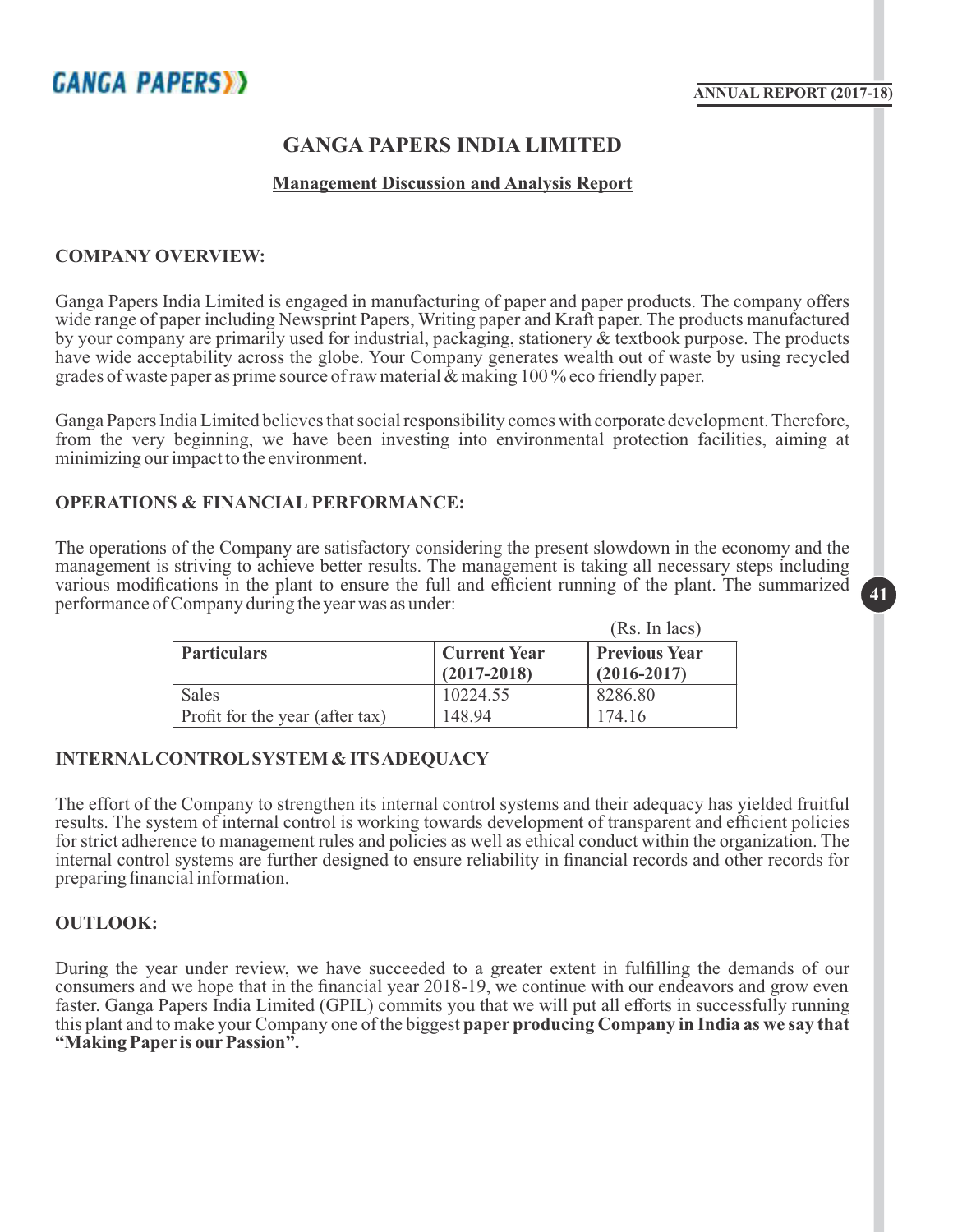# **GANGA PAPERS INDIA LIMITED**

### **Management Discussion and Analysis Report**

## **COMPANY OVERVIEW:**

Ganga Papers India Limited is engaged in manufacturing of paper and paper products. The company offers wide range of paper including Newsprint Papers, Writing paper and Kraft paper. The products manufactured by your company are primarily used for industrial, packaging, stationery & textbook purpose. The products have wide acceptability across the globe. Your Company generates wealth out of waste by using recycled grades of waste paper as prime source of raw material & making 100 % eco friendly paper.

Ganga Papers India Limited believes that social responsibility comes with corporate development. Therefore, from the very beginning, we have been investing into environmental protection facilities, aiming at minimizing our impact to the environment.

### **OPERATIONS & FINANCIAL PERFORMANCE:**

The operations of the Company are satisfactory considering the present slowdown in the economy and the management is striving to achieve better results. The management is taking all necessary steps including various modifications in the plant to ensure the full and efficient running of the plant. The summarized performance of Company during the year was as under:

|                                 |                                        | (Rs. In lacs)                           |
|---------------------------------|----------------------------------------|-----------------------------------------|
| <b>Particulars</b>              | <b>Current Year</b><br>$(2017 - 2018)$ | <b>Previous Year</b><br>$(2016 - 2017)$ |
| Sales                           | 10224.55                               | 8286.80                                 |
| Profit for the year (after tax) | 148.94                                 | 174.16                                  |

#### **INTERNAL CONTROL SYSTEM & ITS ADEQUACY**

The effort of the Company to strengthen its internal control systems and their adequacy has yielded fruitful results. The system of internal control is working towards development of transparent and efficient policies for strict adherence to management rules and policies as well as ethical conduct within the organization. The internal control systems are further designed to ensure reliability in financial records and other records for preparing financial information.

## **OUTLOOK:**

During the year under review, we have succeeded to a greater extent in fulfilling the demands of our consumers and we hope that in the financial year 2018-19, we continue with our endeavors and grow even faster. Ganga Papers India Limited (GPIL) commits you that we will put all efforts in successfully running this plant and to make your Company one of the biggest **paper producing Company in India as we say that "Making Paper is our Passion".**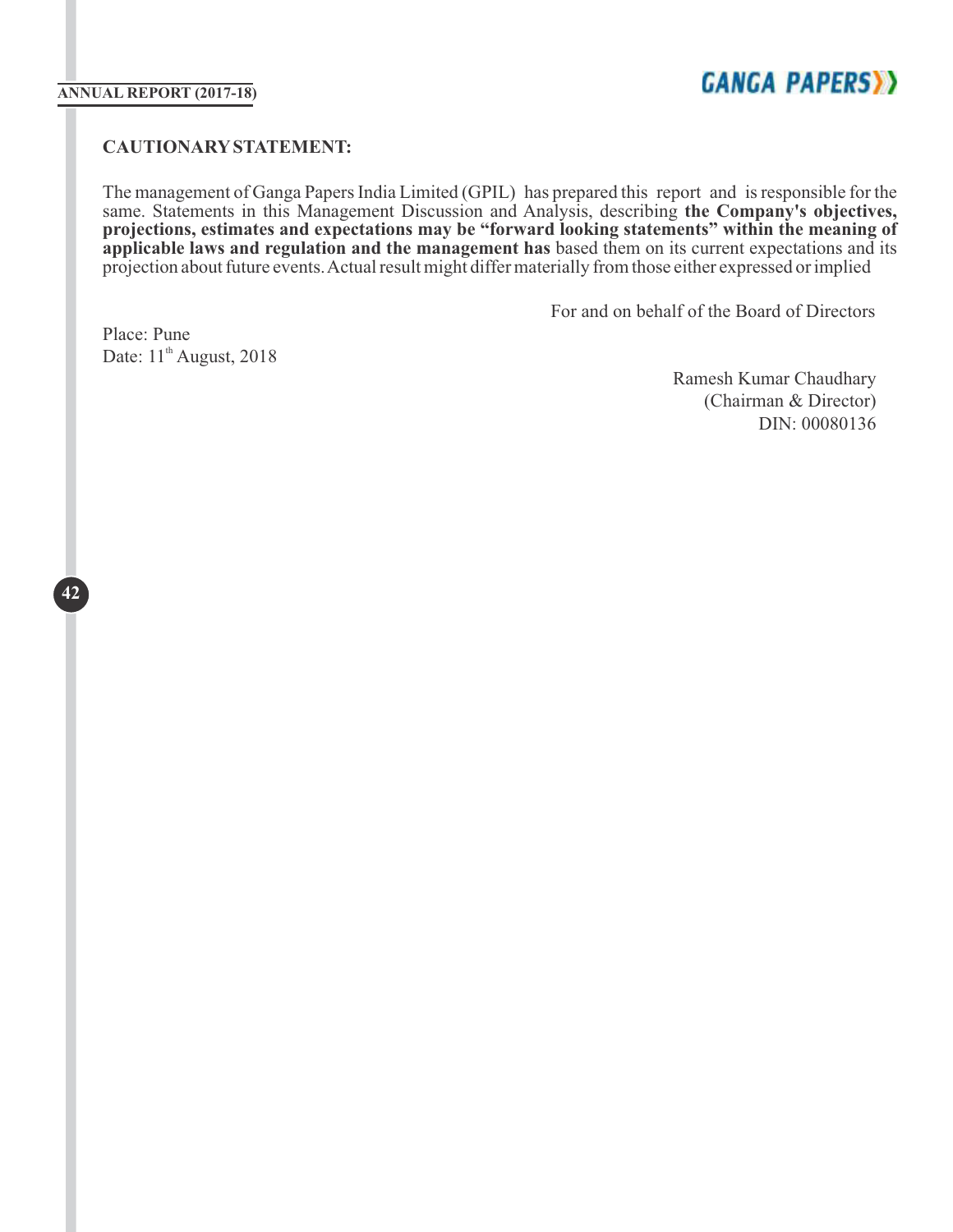

### **CAUTIONARY STATEMENT:**

The management of Ganga Papers India Limited (GPIL) has prepared this report and is responsible for the same. Statements in this Management Discussion and Analysis, describing **the Company's objectives, projections, estimates and expectations may be "forward looking statements" within the meaning of applicable laws and regulation and the management has** based them on its current expectations and its projection about future events. Actual result might differ materially from those either expressed or implied

For and on behalf of the Board of Directors

Place: Pune Date: 11<sup>th</sup> August, 2018

**12 42**

Ramesh Kumar Chaudhary (Chairman & Director) DIN: 00080136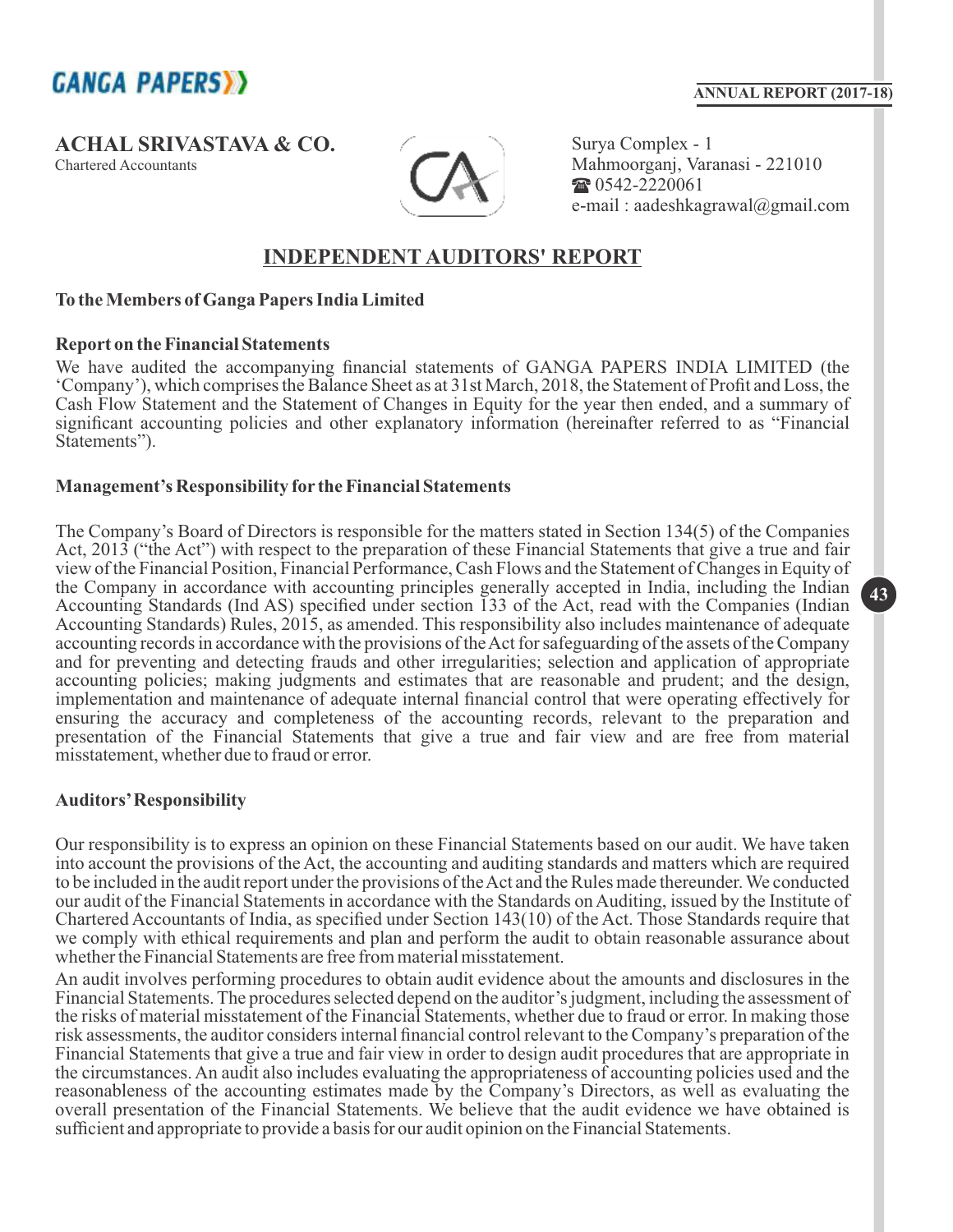

**43**

# **ACHAL SRIVASTAVA & CO.**

Chartered Accountants



Surya Complex - 1 Mahmoorganj, Varanasi - 221010 1 0542-2220061 e-mail : aadeshkagrawal@gmail.com

# **INDEPENDENT AUDITORS' REPORT**

## **To the Members of Ganga Papers India Limited**

### **Report on the Financial Statements**

We have audited the accompanying financial statements of GANGA PAPERS INDIA LIMITED (the 'Company'), which comprises the Balance Sheet as at 31st March, 2018, the Statement of Profit and Loss, the Cash Flow Statement and the Statement of Changes in Equity for the year then ended, and a summary of significant accounting policies and other explanatory information (hereinafter referred to as "Financial Statements").

### **Management's Responsibility for the Financial Statements**

The Company's Board of Directors is responsible for the matters stated in Section 134(5) of the Companies Act, 2013 ("the Act") with respect to the preparation of these Financial Statements that give a true and fair view of the Financial Position, Financial Performance, Cash Flows and the Statement of Changes in Equity of the Company in accordance with accounting principles generally accepted in India, including the Indian Accounting Standards (Ind AS) specified under section 133 of the Act, read with the Companies (Indian Accounting Standards) Rules, 2015, as amended. This responsibility also includes maintenance of adequate accounting records in accordance with the provisions of the Act for safeguarding of the assets of the Company and for preventing and detecting frauds and other irregularities; selection and application of appropriate accounting policies; making judgments and estimates that are reasonable and prudent; and the design, implementation and maintenance of adequate internal financial control that were operating effectively for ensuring the accuracy and completeness of the accounting records, relevant to the preparation and presentation of the Financial Statements that give a true and fair view and are free from material misstatement, whether due to fraud or error.

## **Auditors' Responsibility**

Our responsibility is to express an opinion on these Financial Statements based on our audit. We have taken into account the provisions of the Act, the accounting and auditing standards and matters which are required to be included in the audit report under the provisions of the Act and the Rules made thereunder. We conducted our audit of the Financial Statements in accordance with the Standards on Auditing, issued by the Institute of Chartered Accountants of India, as specified under Section 143(10) of the Act. Those Standards require that we comply with ethical requirements and plan and perform the audit to obtain reasonable assurance about whether the Financial Statements are free from material misstatement.

An audit involves performing procedures to obtain audit evidence about the amounts and disclosures in the Financial Statements. The procedures selected depend on the auditor's judgment, including the assessment of the risks of material misstatement of the Financial Statements, whether due to fraud or error. In making those risk assessments, the auditor considers internal financial control relevant to the Company's preparation of the Financial Statements that give a true and fair view in order to design audit procedures that are appropriate in the circumstances. An audit also includes evaluating the appropriateness of accounting policies used and the reasonableness of the accounting estimates made by the Company's Directors, as well as evaluating the overall presentation of the Financial Statements. We believe that the audit evidence we have obtained is sufficient and appropriate to provide a basis for our audit opinion on the Financial Statements.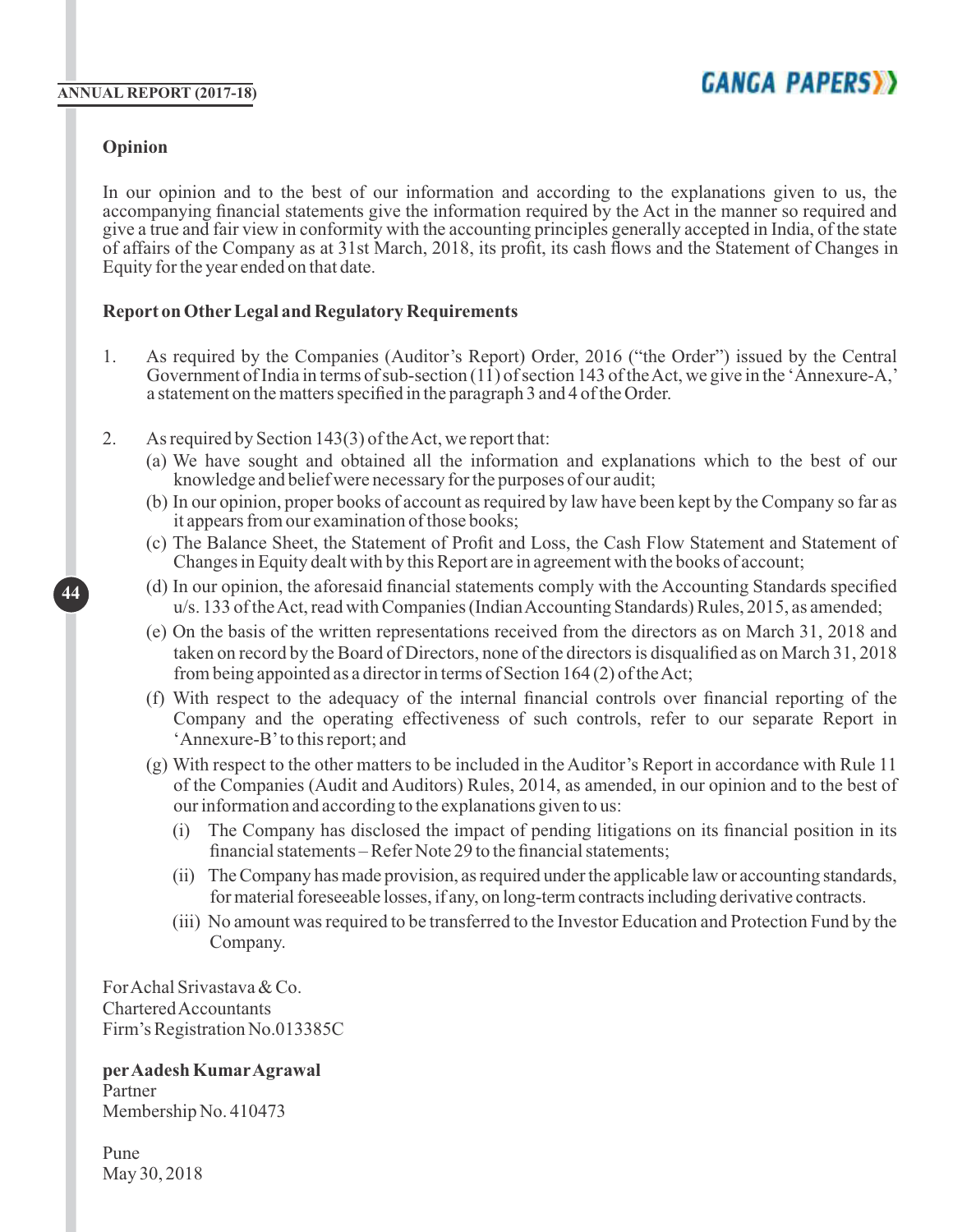## **Opinion**

**12**

**44**

In our opinion and to the best of our information and according to the explanations given to us, the accompanying financial statements give the information required by the Act in the manner so required and give a true and fair view in conformity with the accounting principles generally accepted in India, of the state of affairs of the Company as at 31st March, 2018, its profit, its cash flows and the Statement of Changes in Equity for the year ended on that date.

## **Report on Other Legal and Regulatory Requirements**

- 1. As required by the Companies (Auditor's Report) Order, 2016 ("the Order") issued by the Central Government of India in terms of sub-section (11) of section 143 of the Act, we give in the 'Annexure-A,' a statement on the matters specified in the paragraph 3 and 4 of the Order.
- 2. As required by Section 143(3) of the Act, we report that:
	- (a) We have sought and obtained all the information and explanations which to the best of our knowledge and belief were necessary for the purposes of our audit;
	- (b) In our opinion, proper books of account as required by law have been kept by the Company so far as it appears from our examination of those books;
	- (c) The Balance Sheet, the Statement of Profit and Loss, the Cash Flow Statement and Statement of Changes in Equity dealt with by this Report are in agreement with the books of account;
	- (d) In our opinion, the aforesaid financial statements comply with the Accounting Standards specified u/s. 133 of the Act, read with Companies (Indian Accounting Standards) Rules, 2015, as amended;
	- (e) On the basis of the written representations received from the directors as on March 31, 2018 and taken on record by the Board of Directors, none of the directors is disqualified as on March 31, 2018 from being appointed as a director in terms of Section 164 (2) of the Act;
	- (f) With respect to the adequacy of the internal financial controls over financial reporting of the Company and the operating effectiveness of such controls, refer to our separate Report in 'Annexure-B' to this report; and
	- (g) With respect to the other matters to be included in the Auditor's Report in accordance with Rule 11 of the Companies (Audit and Auditors) Rules, 2014, as amended, in our opinion and to the best of our information and according to the explanations given to us:
		- (i) The Company has disclosed the impact of pending litigations on its financial position in its financial statements – Refer Note 29 to the financial statements;
		- (ii) The Company has made provision, as required under the applicable law or accounting standards, for material foreseeable losses, if any, on long-term contracts including derivative contracts.
		- (iii) No amount was required to be transferred to the Investor Education and Protection Fund by the Company.

For Achal Srivastava & Co. Chartered Accountants Firm's Registration No.013385C

## **per Aadesh Kumar Agrawal**

Partner Membership No. 410473

Pune May 30, 2018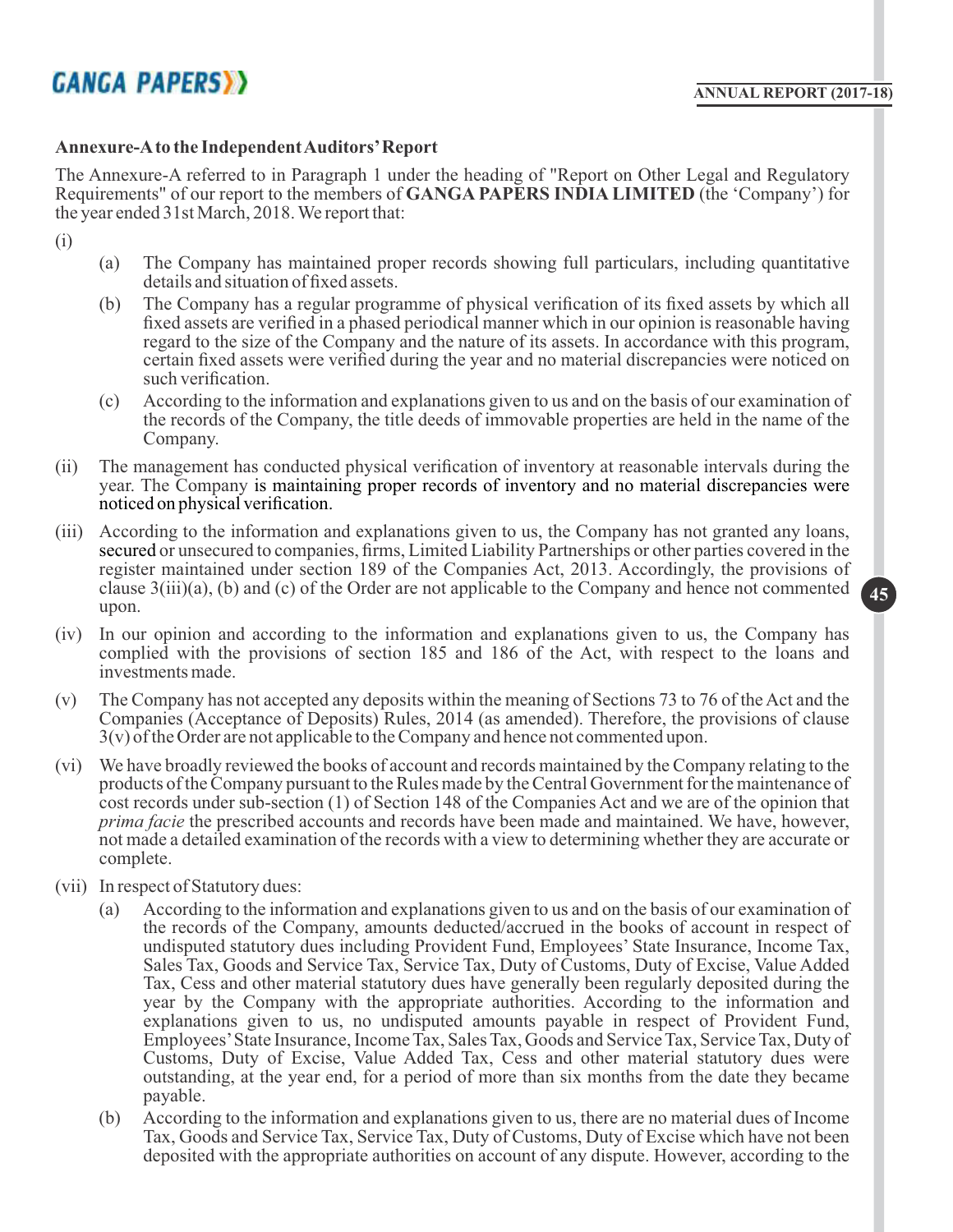

#### **Annexure-A to the Independent Auditors' Report**

The Annexure-A referred to in Paragraph 1 under the heading of "Report on Other Legal and Regulatory Requirements" of our report to the members of **GANGA PAPERS INDIA LIMITED** (the 'Company') for the year ended 31st March, 2018. We report that:

(i)

- (a) The Company has maintained proper records showing full particulars, including quantitative details and situation of fixed assets.
- (b) The Company has a regular programme of physical verification of its fixed assets by which all fixed assets are verified in a phased periodical manner which in our opinion is reasonable having regard to the size of the Company and the nature of its assets. In accordance with this program, certain fixed assets were verified during the year and no material discrepancies were noticed on such verification.
- (c) According to the information and explanations given to us and on the basis of our examination of the records of the Company, the title deeds of immovable properties are held in the name of the Company.
- (ii) The management has conducted physical verification of inventory at reasonable intervals during the year. The Company is maintaining proper records of inventory and no material discrepancies were noticed on physical verification.
- (iii) According to the information and explanations given to us, the Company has not granted any loans, secured or unsecured to companies, firms, Limited Liability Partnerships or other parties covered in the register maintained under section 189 of the Companies Act, 2013. Accordingly, the provisions of clause 3(iii)(a), (b) and (c) of the Order are not applicable to the Company and hence not commented upon.
- (iv) In our opinion and according to the information and explanations given to us, the Company has complied with the provisions of section 185 and 186 of the Act, with respect to the loans and investments made.
- (v) The Company has not accepted any deposits within the meaning of Sections 73 to 76 of the Act and the Companies (Acceptance of Deposits) Rules, 2014 (as amended). Therefore, the provisions of clause 3(v) of the Order are not applicable to the Company and hence not commented upon.
- (vi) We have broadly reviewed the books of account and records maintained by the Company relating to the products of the Company pursuant to the Rules made by the Central Government for the maintenance of cost records under sub-section (1) of Section 148 of the Companies Act and we are of the opinion that *prima facie* the prescribed accounts and records have been made and maintained. We have, however, not made a detailed examination of the records with a view to determining whether they are accurate or complete.
- (vii) In respect of Statutory dues:
	- (a) According to the information and explanations given to us and on the basis of our examination of the records of the Company, amounts deducted/accrued in the books of account in respect of undisputed statutory dues including Provident Fund, Employees' State Insurance, Income Tax, Sales Tax, Goods and Service Tax, Service Tax, Duty of Customs, Duty of Excise, Value Added Tax, Cess and other material statutory dues have generally been regularly deposited during the year by the Company with the appropriate authorities. According to the information and explanations given to us, no undisputed amounts payable in respect of Provident Fund, Employees' State Insurance, Income Tax, Sales Tax, Goods and Service Tax, Service Tax, Duty of Customs, Duty of Excise, Value Added Tax, Cess and other material statutory dues were outstanding, at the year end, for a period of more than six months from the date they became payable.
	- (b) According to the information and explanations given to us, there are no material dues of Income Tax, Goods and Service Tax, Service Tax, Duty of Customs, Duty of Excise which have not been deposited with the appropriate authorities on account of any dispute. However, according to the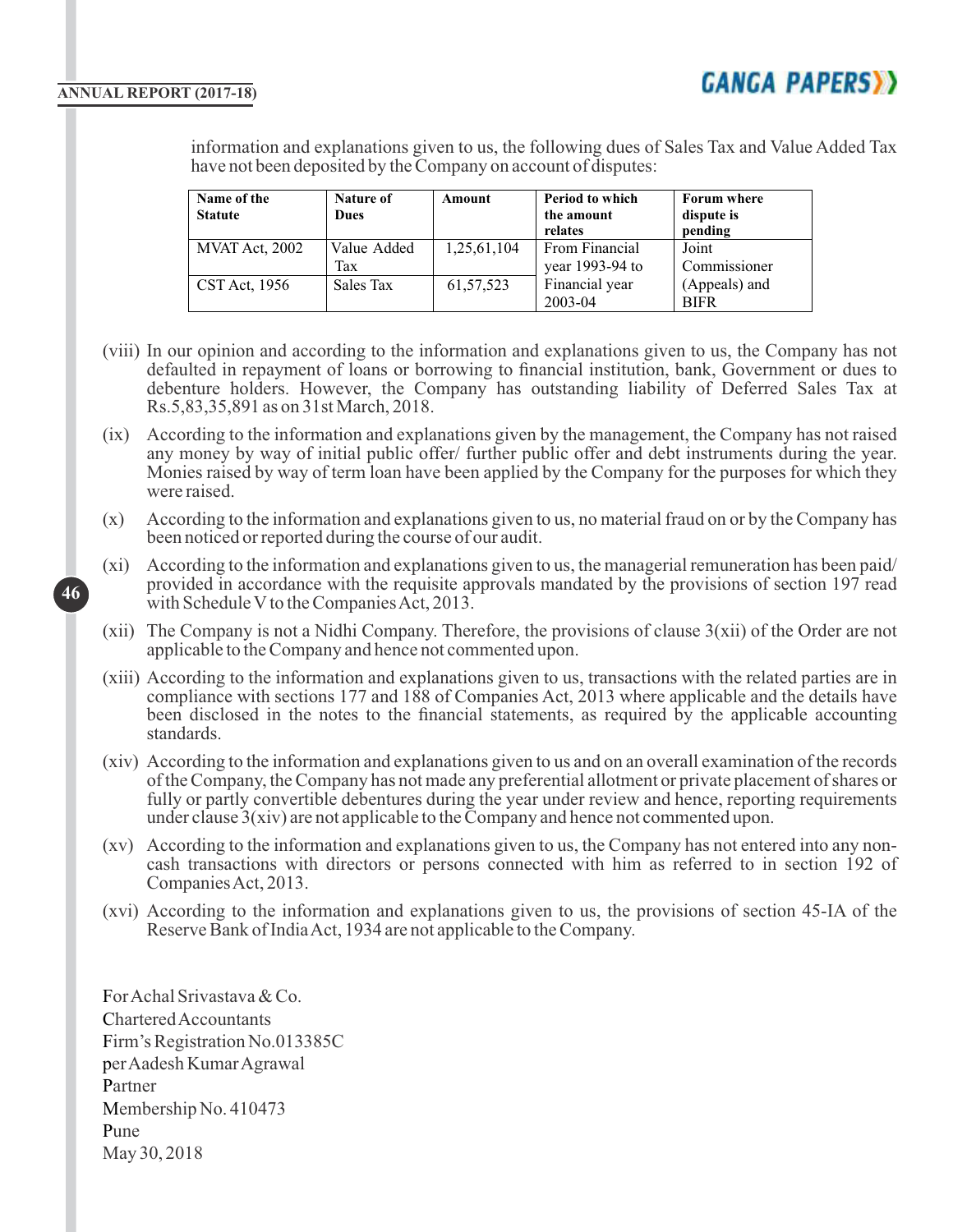# **GANGA PAPERS**)

#### **ANNUAL REPORT (2017-18)**

information and explanations given to us, the following dues of Sales Tax and Value Added Tax have not been deposited by the Company on account of disputes:

| Name of the    | Nature of   | Amount      | Period to which | <b>Forum</b> where |
|----------------|-------------|-------------|-----------------|--------------------|
| <b>Statute</b> | <b>Dues</b> |             | the amount      | dispute is         |
|                |             |             | relates         | pending            |
| MVAT Act, 2002 | Value Added | 1,25,61,104 | From Financial  | Joint              |
|                | Tax         |             | year 1993-94 to | Commissioner       |
| CST Act, 1956  | Sales Tax   | 61, 57, 523 | Financial year  | (Appeals) and      |
|                |             |             | 2003-04         | <b>BIFR</b>        |

- (viii) In our opinion and according to the information and explanations given to us, the Company has not defaulted in repayment of loans or borrowing to financial institution, bank, Government or dues to debenture holders. However, the Company has outstanding liability of Deferred Sales Tax at Rs.5,83,35,891 as on 31st March, 2018.
- (ix) According to the information and explanations given by the management, the Company has not raised any money by way of initial public offer/ further public offer and debt instruments during the year. Monies raised by way of term loan have been applied by the Company for the purposes for which they were raised.
- (x) According to the information and explanations given to us, no material fraud on or by the Company has been noticed or reported during the course of our audit.
- (xi) According to the information and explanations given to us, the managerial remuneration has been paid/ provided in accordance with the requisite approvals mandated by the provisions of section 197 read with Schedule V to the Companies Act, 2013.
- (xii) The Company is not a Nidhi Company. Therefore, the provisions of clause 3(xii) of the Order are not applicable to the Company and hence not commented upon.
- (xiii) According to the information and explanations given to us, transactions with the related parties are in compliance with sections 177 and 188 of Companies Act, 2013 where applicable and the details have been disclosed in the notes to the financial statements, as required by the applicable accounting standards.
- (xiv) According to the information and explanations given to us and on an overall examination of the records of the Company, the Company has not made any preferential allotment or private placement of shares or fully or partly convertible debentures during the year under review and hence, reporting requirements under clause  $3(xiv)$  are not applicable to the Company and hence not commented upon.
- (xv) According to the information and explanations given to us, the Company has not entered into any noncash transactions with directors or persons connected with him as referred to in section 192 of Companies Act, 2013.
- (xvi) According to the information and explanations given to us, the provisions of section 45-IA of the Reserve Bank of India Act, 1934 are not applicable to the Company.

For Achal Srivastava & Co. Chartered Accountants Firm's Registration No.013385C per Aadesh Kumar Agrawal Partner Membership No. 410473 Pune May 30, 2018

 $16<sup>2</sup>$ **46**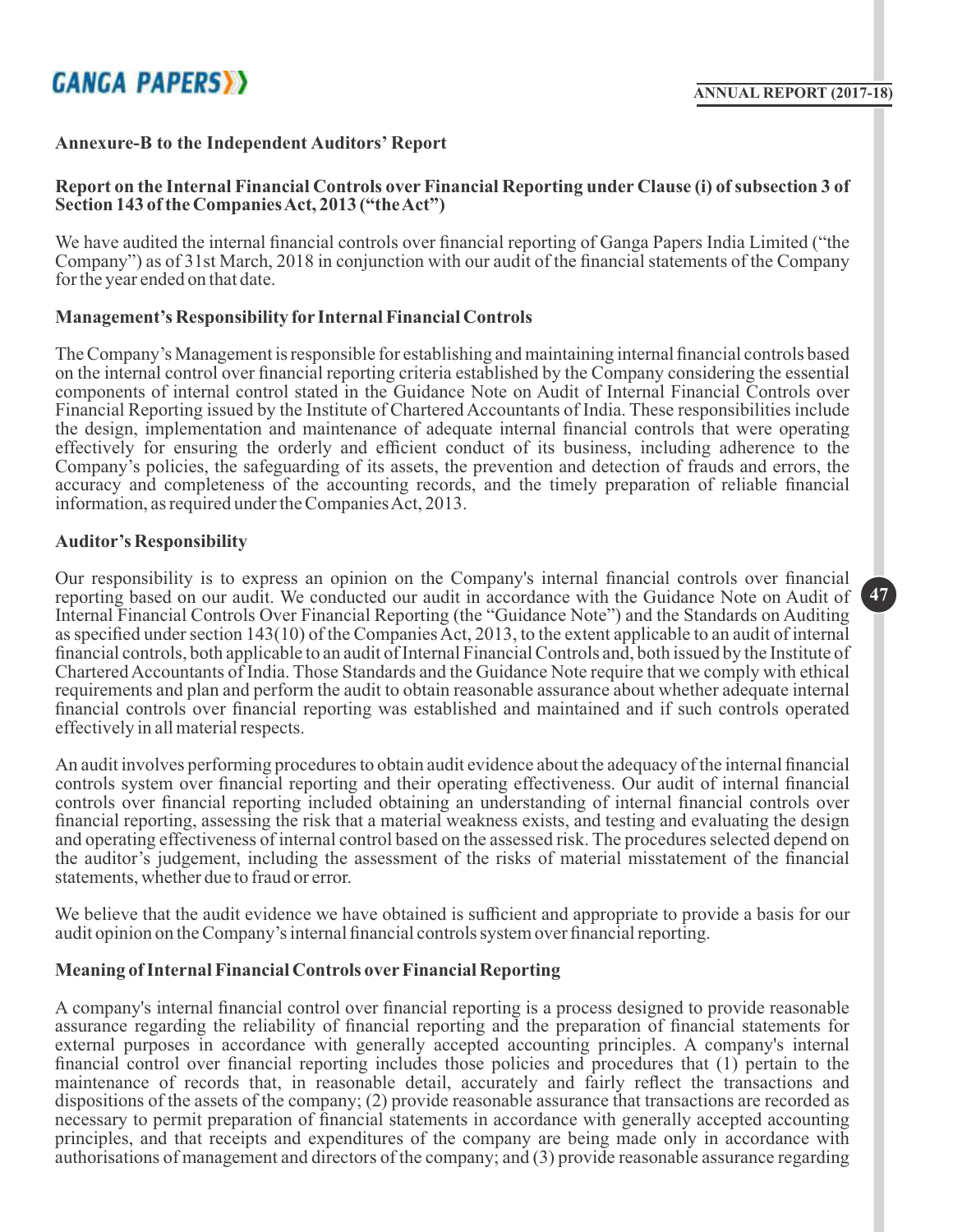

### **Annexure-B to the Independent Auditors' Report**

### **Report on the Internal Financial Controls over Financial Reporting under Clause (i) of subsection 3 of Section 143 of the Companies Act, 2013 ("the Act")**

We have audited the internal financial controls over financial reporting of Ganga Papers India Limited ("the Company") as of 31st March, 2018 in conjunction with our audit of the financial statements of the Company for the year ended on that date.

#### **Management's Responsibility for Internal Financial Controls**

The Company's Management is responsible for establishing and maintaining internal financial controls based on the internal control over financial reporting criteria established by the Company considering the essential components of internal control stated in the Guidance Note on Audit of Internal Financial Controls over Financial Reporting issued by the Institute of Chartered Accountants of India. These responsibilities include the design, implementation and maintenance of adequate internal financial controls that were operating effectively for ensuring the orderly and efficient conduct of its business, including adherence to the Company's policies, the safeguarding of its assets, the prevention and detection of frauds and errors, the accuracy and completeness of the accounting records, and the timely preparation of reliable financial information, as required under the Companies Act, 2013.

#### **Auditor's Responsibility**

Our responsibility is to express an opinion on the Company's internal financial controls over financial reporting based on our audit. We conducted our audit in accordance with the Guidance Note on Audit of Internal Financial Controls Over Financial Reporting (the "Guidance Note") and the Standards on Auditing as specified under section 143(10) of the Companies Act, 2013, to the extent applicable to an audit of internal financial controls, both applicable to an audit of Internal Financial Controls and, both issued by the Institute of Chartered Accountants of India. Those Standards and the Guidance Note require that we comply with ethical requirements and plan and perform the audit to obtain reasonable assurance about whether adequate internal financial controls over financial reporting was established and maintained and if such controls operated effectively in all material respects.

An audit involves performing procedures to obtain audit evidence about the adequacy of the internal financial controls system over financial reporting and their operating effectiveness. Our audit of internal financial controls over financial reporting included obtaining an understanding of internal financial controls over financial reporting, assessing the risk that a material weakness exists, and testing and evaluating the design and operating effectiveness of internal control based on the assessed risk. The procedures selected depend on the auditor's judgement, including the assessment of the risks of material misstatement of the financial statements, whether due to fraud or error.

We believe that the audit evidence we have obtained is sufficient and appropriate to provide a basis for our audit opinion on the Company's internal financial controls system over financial reporting.

#### **Meaning of Internal Financial Controls over Financial Reporting**

A company's internal financial control over financial reporting is a process designed to provide reasonable assurance regarding the reliability of financial reporting and the preparation of financial statements for external purposes in accordance with generally accepted accounting principles. A company's internal financial control over financial reporting includes those policies and procedures that (1) pertain to the maintenance of records that, in reasonable detail, accurately and fairly reflect the transactions and dispositions of the assets of the company; (2) provide reasonable assurance that transactions are recorded as necessary to permit preparation of financial statements in accordance with generally accepted accounting principles, and that receipts and expenditures of the company are being made only in accordance with authorisations of management and directors of the company; and (3) provide reasonable assurance regarding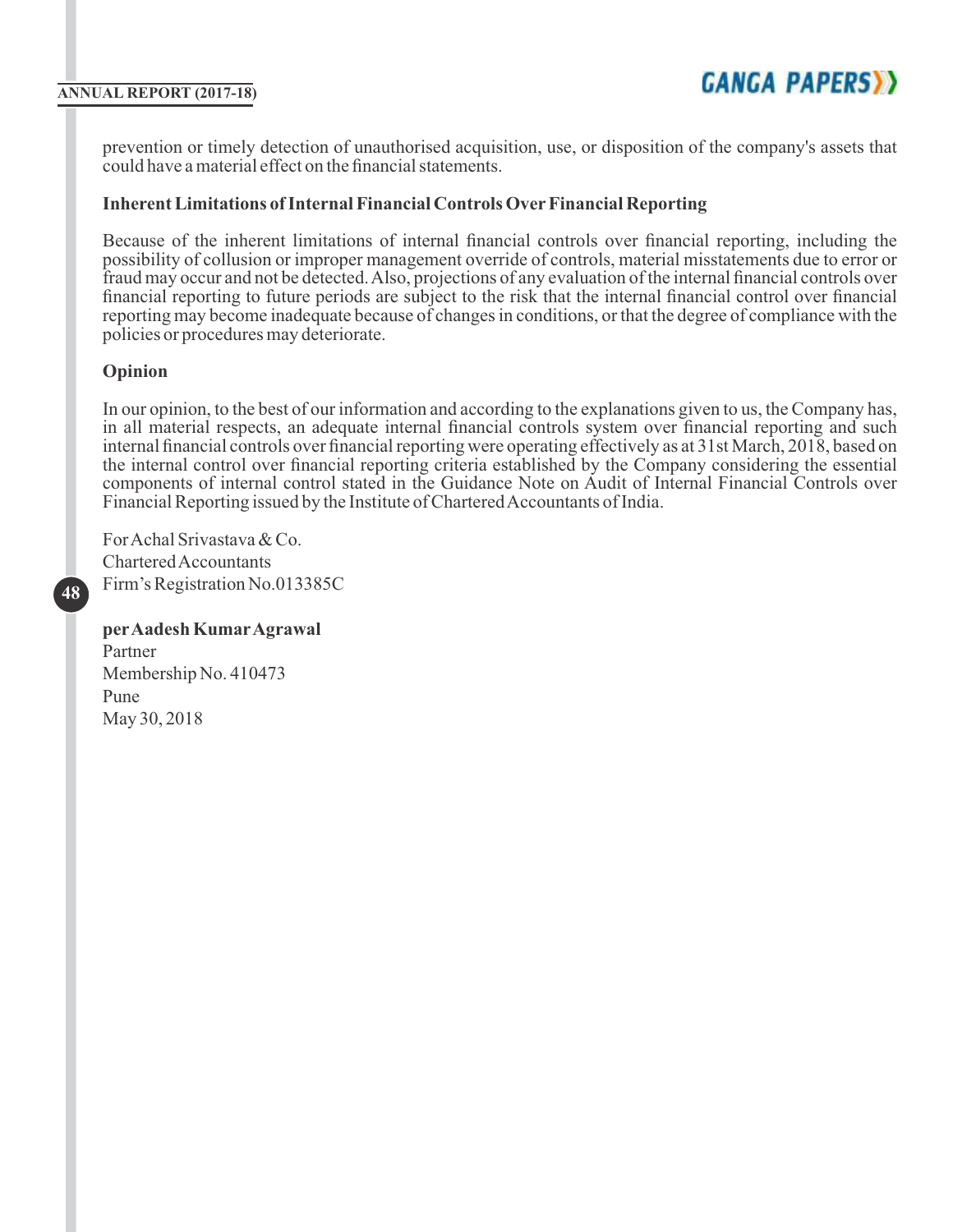prevention or timely detection of unauthorised acquisition, use, or disposition of the company's assets that could have a material effect on the financial statements.

### **Inherent Limitations of Internal Financial Controls Over Financial Reporting**

Because of the inherent limitations of internal financial controls over financial reporting, including the possibility of collusion or improper management override of controls, material misstatements due to error or fraud may occur and not be detected. Also, projections of any evaluation of the internal financial controls over financial reporting to future periods are subject to the risk that the internal financial control over financial reporting may become inadequate because of changes in conditions, or that the degree of compliance with the policies or procedures may deteriorate.

## **Opinion**

In our opinion, to the best of our information and according to the explanations given to us, the Company has, in all material respects, an adequate internal financial controls system over financial reporting and such internal financial controls over financial reporting were operating effectively as at 31st March, 2018, based on the internal control over financial reporting criteria established by the Company considering the essential components of internal control stated in the Guidance Note on Audit of Internal Financial Controls over Financial Reporting issued by the Institute of Chartered Accountants of India.

For Achal Srivastava & Co. Chartered Accountants Firm's Registration No.013385C

## **per Aadesh Kumar Agrawal**

Partner Membership No. 410473 Pune May 30, 2018

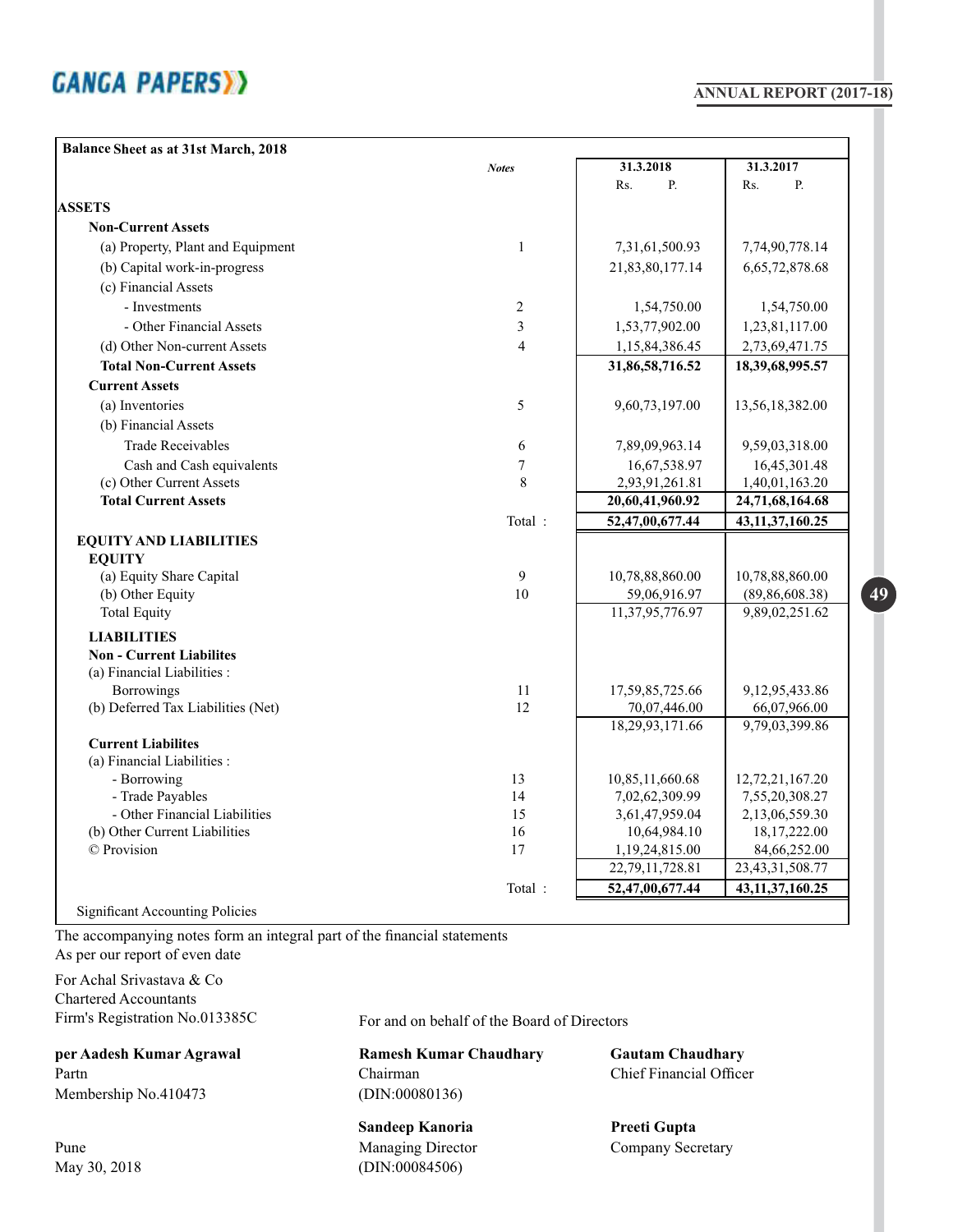# **GANGA PAPERS**>>

#### **ANNUAL REPORT (2017-18)**

**49**

| Balance Sheet as at 31st March, 2018   |                         |                                 |                                |
|----------------------------------------|-------------------------|---------------------------------|--------------------------------|
|                                        | <b>Notes</b>            | 31.3.2018                       | 31.3.2017                      |
|                                        |                         | Rs.<br>P.                       | Rs.<br>Ρ.                      |
| <b>ASSETS</b>                          |                         |                                 |                                |
| <b>Non-Current Assets</b>              |                         |                                 |                                |
| (a) Property, Plant and Equipment      | $\mathbf{1}$            | 7,31,61,500.93                  | 7,74,90,778.14                 |
| (b) Capital work-in-progress           |                         | 21,83,80,177.14                 | 6,65,72,878.68                 |
| (c) Financial Assets                   |                         |                                 |                                |
| - Investments                          | $\mathbf{2}$            | 1,54,750.00                     | 1,54,750.00                    |
| - Other Financial Assets               | $\overline{\mathbf{3}}$ | 1,53,77,902.00                  | 1,23,81,117.00                 |
| (d) Other Non-current Assets           | $\overline{4}$          | 1,15,84,386.45                  | 2,73,69,471.75                 |
| <b>Total Non-Current Assets</b>        |                         | 31,86,58,716.52                 | 18,39,68,995.57                |
| <b>Current Assets</b>                  |                         |                                 |                                |
| (a) Inventories                        | 5                       | 9,60,73,197.00                  | 13,56,18,382.00                |
| (b) Financial Assets                   |                         |                                 |                                |
| <b>Trade Receivables</b>               | 6                       | 7,89,09,963.14                  | 9,59,03,318.00                 |
| Cash and Cash equivalents              | $\tau$                  | 16,67,538.97                    | 16,45,301.48                   |
| (c) Other Current Assets               | 8                       | 2,93,91,261.81                  | 1,40,01,163.20                 |
| <b>Total Current Assets</b>            |                         | 20,60,41,960.92                 | 24,71,68,164.68                |
|                                        | Total:                  | 52,47,00,677.44                 | 43, 11, 37, 160. 25            |
| <b>EQUITY AND LIABILITIES</b>          |                         |                                 |                                |
| <b>EQUITY</b>                          |                         |                                 |                                |
| (a) Equity Share Capital               | 9                       | 10,78,88,860.00                 | 10,78,88,860.00                |
| (b) Other Equity                       | 10                      | 59,06,916.97                    | (89, 86, 608.38)               |
| <b>Total Equity</b>                    |                         | 11,37,95,776.97                 | 9,89,02,251.62                 |
| <b>LIABILITIES</b>                     |                         |                                 |                                |
| <b>Non - Current Liabilites</b>        |                         |                                 |                                |
| (a) Financial Liabilities :            |                         |                                 |                                |
| <b>Borrowings</b>                      | 11                      | 17,59,85,725.66                 | 9,12,95,433.86                 |
| (b) Deferred Tax Liabilities (Net)     | 12                      | 70,07,446.00<br>18,29,93,171.66 | 66,07,966.00<br>9,79,03,399.86 |
| <b>Current Liabilites</b>              |                         |                                 |                                |
| (a) Financial Liabilities :            |                         |                                 |                                |
| - Borrowing                            | 13                      | 10,85,11,660.68                 | 12,72,21,167.20                |
| - Trade Payables                       | 14                      | 7,02,62,309.99                  | 7,55,20,308.27                 |
| - Other Financial Liabilities          | 15                      | 3,61,47,959.04                  | 2,13,06,559.30                 |
| (b) Other Current Liabilities          | 16                      | 10,64,984.10                    | 18,17,222.00                   |
| © Provision                            | 17                      | 1,19,24,815.00                  | 84,66,252.00                   |
|                                        |                         | 22,79,11,728.81                 | 23, 43, 31, 508. 77            |
|                                        | Total:                  | 52,47,00,677.44                 | 43, 11, 37, 160. 25            |
| <b>Significant Accounting Policies</b> |                         |                                 |                                |

The accompanying notes form an integral part of the financial statements As per our report of even date

For Achal Srivastava & Co

Chartered Accountants Firm's Registration No.013385C

**per Aadesh Kumar Agrawal** Partn Membership No.410473

Pune May 30, 2018 For and on behalf of the Board of Directors

Chairman (DIN:00080136) **Ramesh Kumar Chaudhary Gautam Chaudhary**

**Sandeep Kanoria** Managing Director Company Secretary (DIN:00084506)

Chief Financial Officer

j

**Preeti Gupta**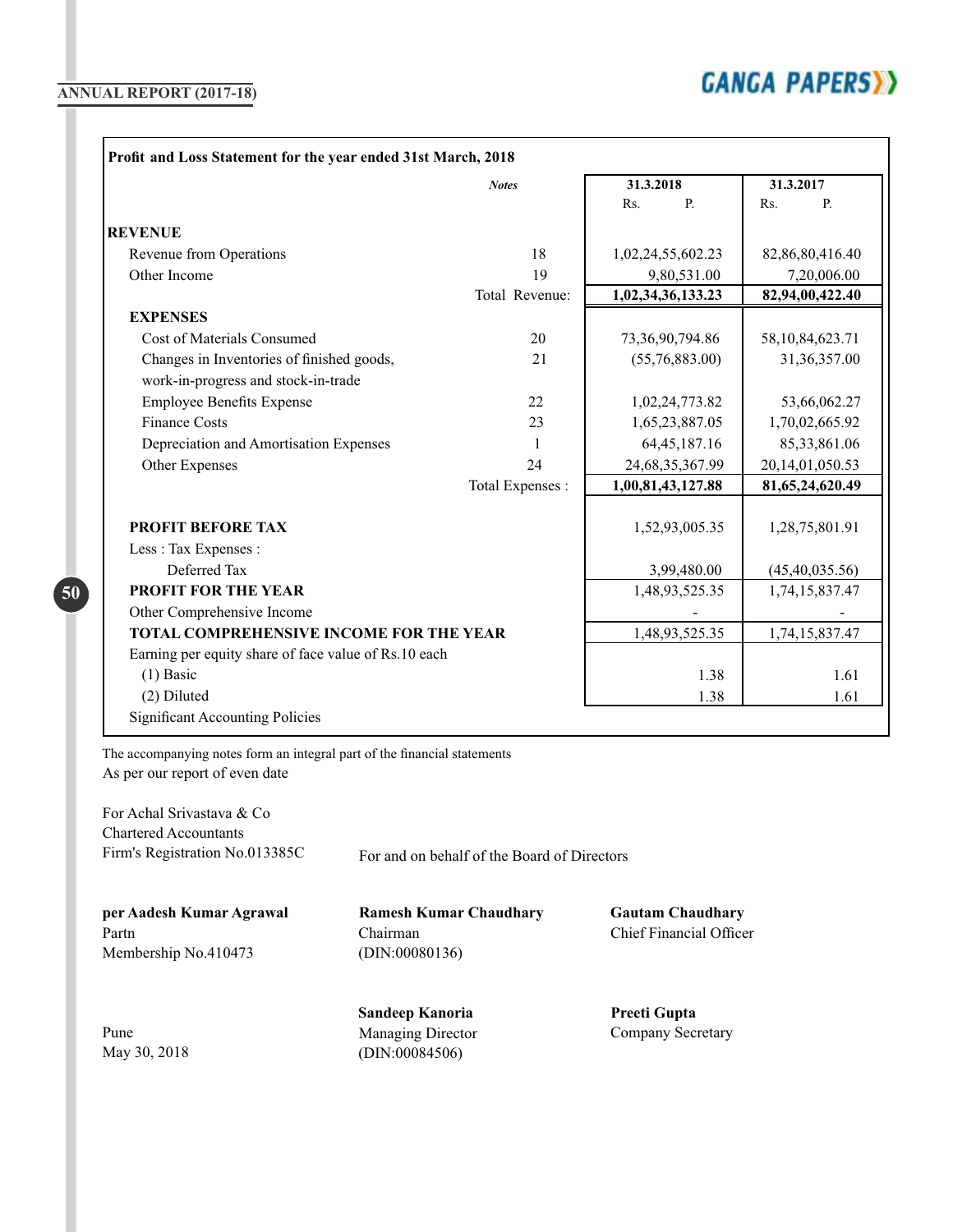# **GANGA PAPERS**>>

| Profit and Loss Statement for the year ended 31st March, 2018 |                  |                     |                     |
|---------------------------------------------------------------|------------------|---------------------|---------------------|
|                                                               | <b>Notes</b>     | 31.3.2018           | 31.3.2017           |
|                                                               |                  | P.<br>Rs.           | Rs.<br>P.           |
| <b>REVENUE</b>                                                |                  |                     |                     |
| Revenue from Operations                                       | 18               | 1,02,24,55,602.23   | 82,86,80,416.40     |
| Other Income                                                  | 19               | 9,80,531.00         | 7,20,006.00         |
|                                                               | Total Revenue:   | 1,02,34,36,133.23   | 82,94,00,422.40     |
| <b>EXPENSES</b>                                               |                  |                     |                     |
| Cost of Materials Consumed                                    | 20               | 73, 36, 90, 794. 86 | 58, 10, 84, 623. 71 |
| Changes in Inventories of finished goods,                     | 21               | (55,76,883.00)      | 31, 36, 357.00      |
| work-in-progress and stock-in-trade                           |                  |                     |                     |
| <b>Employee Benefits Expense</b>                              | 22               | 1,02,24,773.82      | 53,66,062.27        |
| <b>Finance Costs</b>                                          | 23               | 1,65,23,887.05      | 1,70,02,665.92      |
| Depreciation and Amortisation Expenses                        | $\mathbf{1}$     | 64, 45, 187. 16     | 85, 33, 861.06      |
| Other Expenses                                                | 24               | 24,68,35,367.99     | 20,14,01,050.53     |
|                                                               | Total Expenses : | 1,00,81,43,127.88   | 81,65,24,620.49     |
| <b>PROFIT BEFORE TAX</b>                                      |                  | 1,52,93,005.35      | 1,28,75,801.91      |
| Less: Tax Expenses:                                           |                  |                     |                     |
| Deferred Tax                                                  |                  | 3,99,480.00         | (45, 40, 035.56)    |
| <b>PROFIT FOR THE YEAR</b>                                    |                  | 1,48,93,525.35      | 1,74,15,837.47      |
| Other Comprehensive Income                                    |                  |                     |                     |
| <b>TOTAL COMPREHENSIVE INCOME FOR THE YEAR</b>                |                  | 1,48,93,525.35      | 1,74,15,837.47      |
| Earning per equity share of face value of Rs.10 each          |                  |                     |                     |
| $(1)$ Basic                                                   |                  | 1.38                | 1.61                |
| (2) Diluted                                                   |                  | 1.38                | 1.61                |
| <b>Significant Accounting Policies</b>                        |                  |                     |                     |

The accompanying notes form an integral part of the financial statements As per our report of even date

For Achal Srivastava & Co Chartered Accountants Firm's Registration No.013385C

For and on behalf of the Board of Directors

**per Aadesh Kumar Agrawal** Partn Membership No.410473

Chairman (DIN:00080136) **Ramesh Kumar Chaudhary Gautam Chaudhary**

Pune May 30, 2018

**12 50**

**Sandeep Kanoria** Managing Director Company Secretary (DIN:00084506)

Chief Financial Officer

**Preeti Gupta**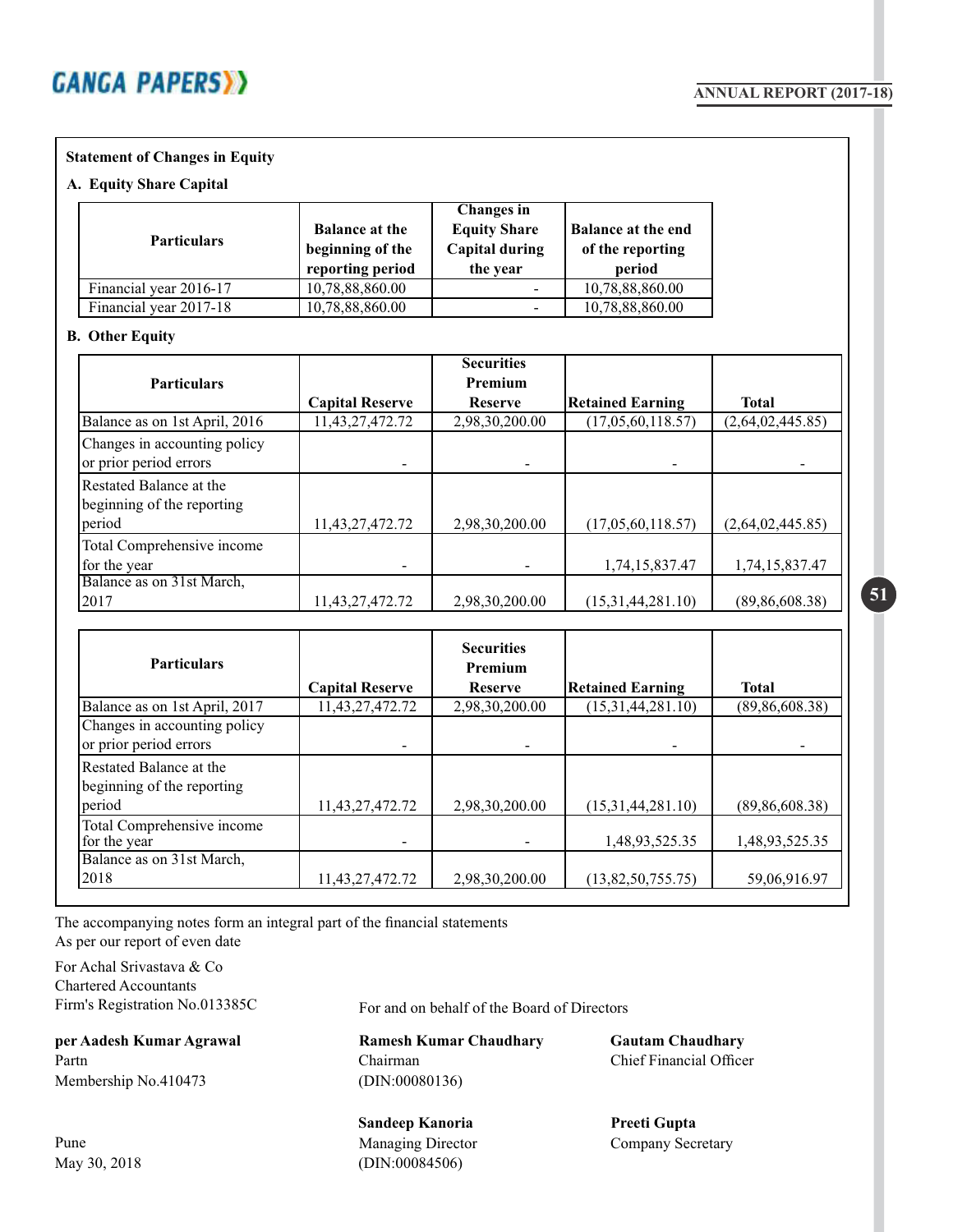#### **Statement of Changes in Equity**

#### **A. Equity Share Capital**

| <b>Particulars</b>     | <b>Balance at the</b><br>beginning of the<br>reporting period | Changes in<br><b>Equity Share</b><br>Capital during<br>the year | <b>Balance at the end</b><br>of the reporting<br>period |
|------------------------|---------------------------------------------------------------|-----------------------------------------------------------------|---------------------------------------------------------|
| Financial year 2016-17 | 10,78,88,860.00                                               |                                                                 | 10,78,88,860.00                                         |
| Financial year 2017-18 | 10,78,88,860.00                                               | $\overline{\phantom{0}}$                                        | 10,78,88,860.00                                         |

#### **B. Other Equity**

|                                                                 |                        | <b>Securities</b> |                         |                  |
|-----------------------------------------------------------------|------------------------|-------------------|-------------------------|------------------|
| <b>Particulars</b>                                              |                        | <b>Premium</b>    |                         |                  |
|                                                                 | <b>Capital Reserve</b> | <b>Reserve</b>    | <b>Retained Earning</b> | <b>Total</b>     |
| Balance as on 1st April, 2016                                   | 11,43,27,472.72        | 2,98,30,200.00    | (17,05,60,118.57)       | (2,64,02,445.85) |
| Changes in accounting policy<br>or prior period errors          |                        |                   |                         |                  |
| Restated Balance at the<br>beginning of the reporting<br>period | 11, 43, 27, 472. 72    | 2,98,30,200.00    | (17,05,60,118.57)       | (2,64,02,445.85) |
| Total Comprehensive income<br>for the year                      |                        |                   | 1,74,15,837.47          | 1,74,15,837.47   |
| Balance as on 31st March,<br>2017                               | 11,43,27,472.72        | 2,98,30,200.00    | (15,31,44,281.10)       | (89, 86, 608.38) |

| <b>Particulars</b>                                              |                        | <b>Securities</b><br><b>Premium</b> |                         |                  |
|-----------------------------------------------------------------|------------------------|-------------------------------------|-------------------------|------------------|
|                                                                 | <b>Capital Reserve</b> | <b>Reserve</b>                      | <b>Retained Earning</b> | <b>Total</b>     |
| Balance as on 1st April, 2017                                   | 11,43,27,472.72        | 2,98,30,200.00                      | (15,31,44,281.10)       | (89, 86, 608.38) |
| Changes in accounting policy<br>or prior period errors          |                        |                                     |                         |                  |
| Restated Balance at the<br>beginning of the reporting<br>period | 11,43,27,472.72        | 2,98,30,200.00                      | (15,31,44,281.10)       | (89, 86, 608.38) |
| Total Comprehensive income<br>for the year                      |                        |                                     | 1,48,93,525.35          | 1,48,93,525.35   |
| Balance as on 31st March,<br>2018                               | 11,43,27,472.72        | 2,98,30,200.00                      | (13,82,50,755.75)       | 59,06,916.97     |

The accompanying notes form an integral part of the financial statements As per our report of even date

For Achal Srivastava & Co Chartered Accountants Firm's Registration No.013385C

**per Aadesh Kumar Agrawal** Partn Membership No.410473

For and on behalf of the Board of Directors

Chairman (DIN:00080136) **Ramesh Kumar Chaudhary Gautam Chaudhary**

**Sandeep Kanoria**

Managing Director Company Secretary (DIN:00084506)

Chief Financial Officer

**Preeti Gupta**

**51**

Pune May 30, 2018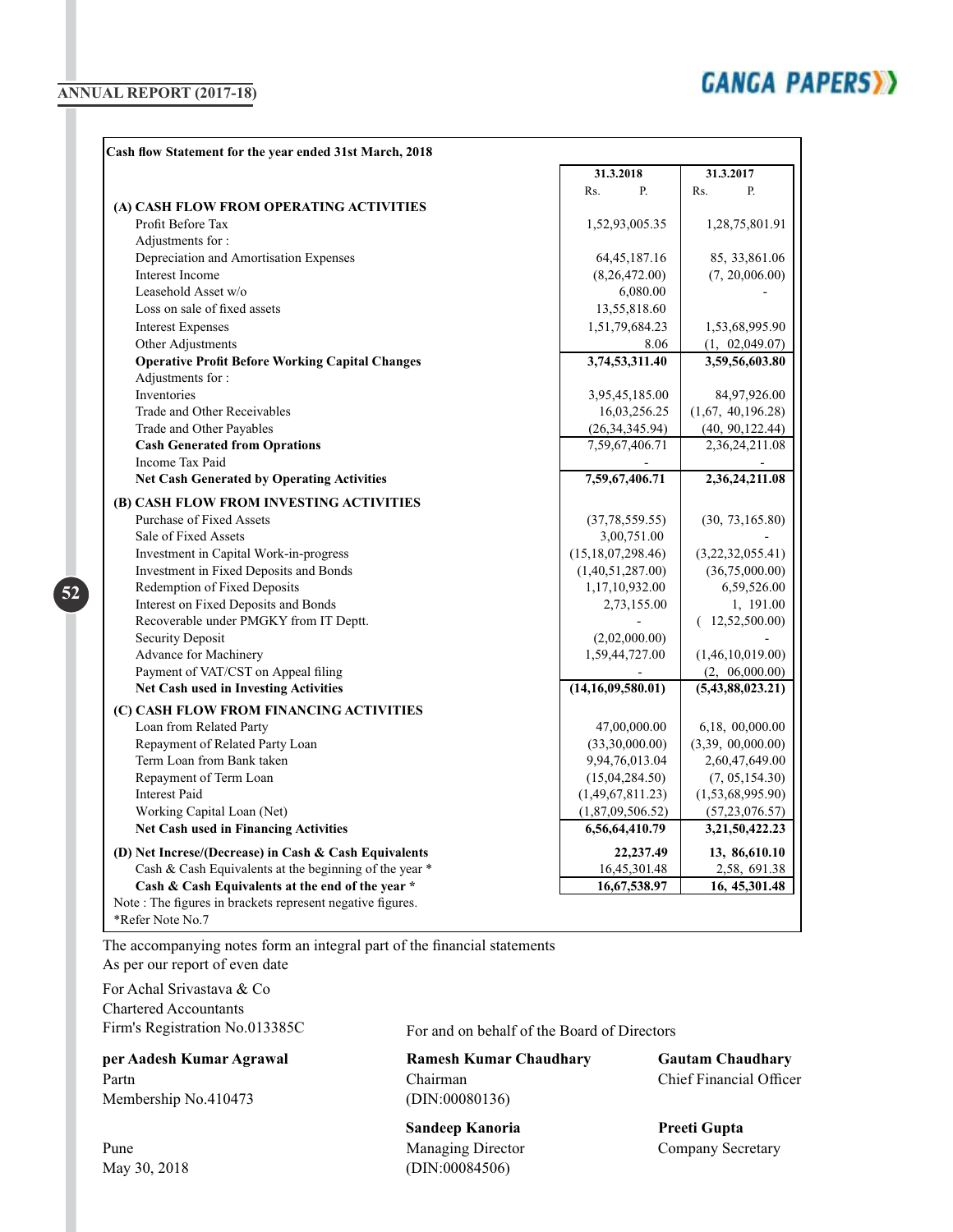**12 52**

# **GANGA PAPERS**>>

| Cash flow Statement for the year ended 31st March, 2018                       |                   |                    |
|-------------------------------------------------------------------------------|-------------------|--------------------|
|                                                                               | 31.3.2018         | 31.3.2017          |
|                                                                               | Rs.<br>Ρ.         | Rs.<br>Ρ.          |
| (A) CASH FLOW FROM OPERATING ACTIVITIES                                       |                   |                    |
| Profit Before Tax                                                             | 1,52,93,005.35    | 1,28,75,801.91     |
| Adjustments for:                                                              |                   |                    |
| Depreciation and Amortisation Expenses                                        | 64, 45, 187. 16   | 85, 33, 861.06     |
| <b>Interest Income</b>                                                        | (8,26,472.00)     | (7, 20,006.00)     |
| Leasehold Asset w/o                                                           | 6,080.00          |                    |
| Loss on sale of fixed assets                                                  | 13,55,818.60      |                    |
| <b>Interest Expenses</b>                                                      | 1,51,79,684.23    | 1,53,68,995.90     |
| Other Adjustments                                                             | 8.06              | (1, 02,049.07)     |
| <b>Operative Profit Before Working Capital Changes</b>                        | 3,74,53,311.40    | 3,59,56,603.80     |
| Adjustments for:                                                              |                   |                    |
| Inventories                                                                   | 3,95,45,185.00    | 84,97,926.00       |
| Trade and Other Receivables                                                   | 16,03,256.25      | (1,67, 40,196.28)  |
| Trade and Other Payables                                                      | (26,34,345.94)    | (40, 90, 122.44)   |
| <b>Cash Generated from Oprations</b>                                          | 7,59,67,406.71    | 2,36,24,211.08     |
| Income Tax Paid                                                               |                   |                    |
| <b>Net Cash Generated by Operating Activities</b>                             | 7,59,67,406.71    | 2,36,24,211.08     |
| <b>(B) CASH FLOW FROM INVESTING ACTIVITIES</b>                                |                   |                    |
| Purchase of Fixed Assets                                                      | (37,78,559.55)    | (30, 73, 165.80)   |
| Sale of Fixed Assets                                                          | 3,00,751.00       |                    |
| Investment in Capital Work-in-progress                                        | (15,18,07,298.46) | (3,22,32,055.41)   |
| Investment in Fixed Deposits and Bonds                                        | (1,40,51,287.00)  | (36,75,000.00)     |
| Redemption of Fixed Deposits                                                  | 1,17,10,932.00    | 6,59,526.00        |
| Interest on Fixed Deposits and Bonds                                          | 2,73,155.00       | 1, 191.00          |
| Recoverable under PMGKY from IT Deptt.                                        |                   | (12,52,500.00)     |
| <b>Security Deposit</b>                                                       | (2,02,000.00)     |                    |
| Advance for Machinery                                                         | 1,59,44,727.00    | (1,46,10,019.00)   |
| Payment of VAT/CST on Appeal filing                                           |                   | (2, 06,000.00)     |
| Net Cash used in Investing Activities                                         | (14,16,09,580.01) | (5,43,88,023.21)   |
| (C) CASH FLOW FROM FINANCING ACTIVITIES                                       |                   |                    |
| Loan from Related Party                                                       | 47,00,000.00      | 6,18, 00,000.00    |
| Repayment of Related Party Loan                                               | (33,30,000.00)    | (3,39, 00,000.00)  |
| Term Loan from Bank taken                                                     | 9,94,76,013.04    | 2,60,47,649.00     |
| Repayment of Term Loan                                                        | (15,04,284.50)    | (7, 05, 154.30)    |
| <b>Interest Paid</b>                                                          | (1,49,67,811.23)  | (1,53,68,995.90)   |
| Working Capital Loan (Net)                                                    | (1,87,09,506.52)  | (57, 23, 076.57)   |
| <b>Net Cash used in Financing Activities</b>                                  | 6,56,64,410.79    | 3, 21, 50, 422. 23 |
| (D) Net Increse/(Decrease) in Cash & Cash Equivalents                         | 22, 237. 49       | 13, 86, 610. 10    |
| Cash & Cash Equivalents at the beginning of the year *                        | 16,45,301.48      | 2,58, 691.38       |
| Cash & Cash Equivalents at the end of the year *                              | 16,67,538.97      | 16, 45, 301. 48    |
| Note: The figures in brackets represent negative figures.<br>*Refer Note No.7 |                   |                    |

The accompanying notes form an integral part of the financial statements As per our report of even date

For Achal Srivastava & Co Chartered Accountants Firm's Registration No.013385C

**per Aadesh Kumar Agrawal** Partn Membership No.410473

Pune May 30, 2018 For and on behalf of the Board of Directors

Chairman (DIN:00080136)

**Sandeep Kanoria** Managing Director Company Secretary (DIN:00084506)

**Ramesh Kumar Chaudhary Gautam Chaudhary** Chief Financial Officer

**Preeti Gupta**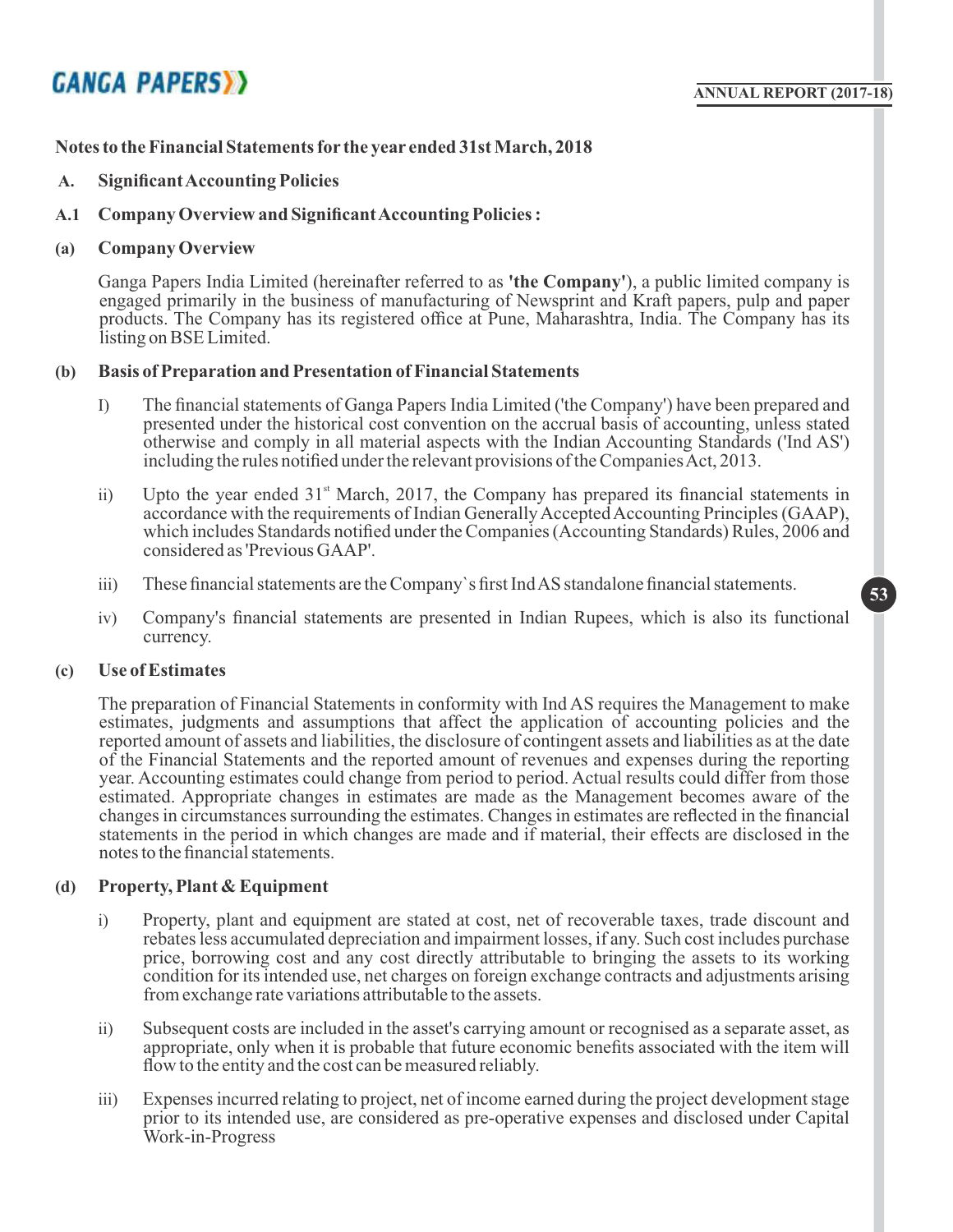

### **Notes to the Financial Statements for the year ended 31st March, 2018**

**A. Significant Accounting Policies**

### **A.1 Company Overview and Significant Accounting Policies :**

#### **(a) Company Overview**

 Ganga Papers India Limited (hereinafter referred to as **'the Company'**), a public limited company is engaged primarily in the business of manufacturing of Newsprint and Kraft papers, pulp and paper products. The Company has its registered office at Pune, Maharashtra, India. The Company has its listing on BSE Limited.

#### **(b) Basis of Preparation and Presentation of Financial Statements**

- I) The financial statements of Ganga Papers India Limited ('the Company') have been prepared and presented under the historical cost convention on the accrual basis of accounting, unless stated otherwise and comply in all material aspects with the Indian Accounting Standards ('Ind AS') including the rules notified under the relevant provisions of the Companies Act, 2013.
- ii) Upto the year ended  $31<sup>st</sup>$  March, 2017, the Company has prepared its financial statements in accordance with the requirements of Indian Generally Accepted Accounting Principles (GAAP), which includes Standards notified under the Companies (Accounting Standards) Rules, 2006 and considered as 'Previous GAAP'.
- iii) These financial statements are the Company`s first Ind AS standalone financial statements.
- iv) Company's financial statements are presented in Indian Rupees, which is also its functional currency.

### **(c) Use of Estimates**

 The preparation of Financial Statements in conformity with Ind AS requires the Management to make estimates, judgments and assumptions that affect the application of accounting policies and the reported amount of assets and liabilities, the disclosure of contingent assets and liabilities as at the date of the Financial Statements and the reported amount of revenues and expenses during the reporting year. Accounting estimates could change from period to period. Actual results could differ from those estimated. Appropriate changes in estimates are made as the Management becomes aware of the changes in circumstances surrounding the estimates. Changes in estimates are reflected in the financial statements in the period in which changes are made and if material, their effects are disclosed in the notes to the financial statements.

#### **(d) Property, Plant & Equipment**

- i) Property, plant and equipment are stated at cost, net of recoverable taxes, trade discount and rebates less accumulated depreciation and impairment losses, if any. Such cost includes purchase price, borrowing cost and any cost directly attributable to bringing the assets to its working condition for its intended use, net charges on foreign exchange contracts and adjustments arising from exchange rate variations attributable to the assets.
- ii) Subsequent costs are included in the asset's carrying amount or recognised as a separate asset, as appropriate, only when it is probable that future economic benefits associated with the item will flow to the entity and the cost can be measured reliably.
- iii) Expenses incurred relating to project, net of income earned during the project development stage prior to its intended use, are considered as pre-operative expenses and disclosed under Capital Work-in-Progress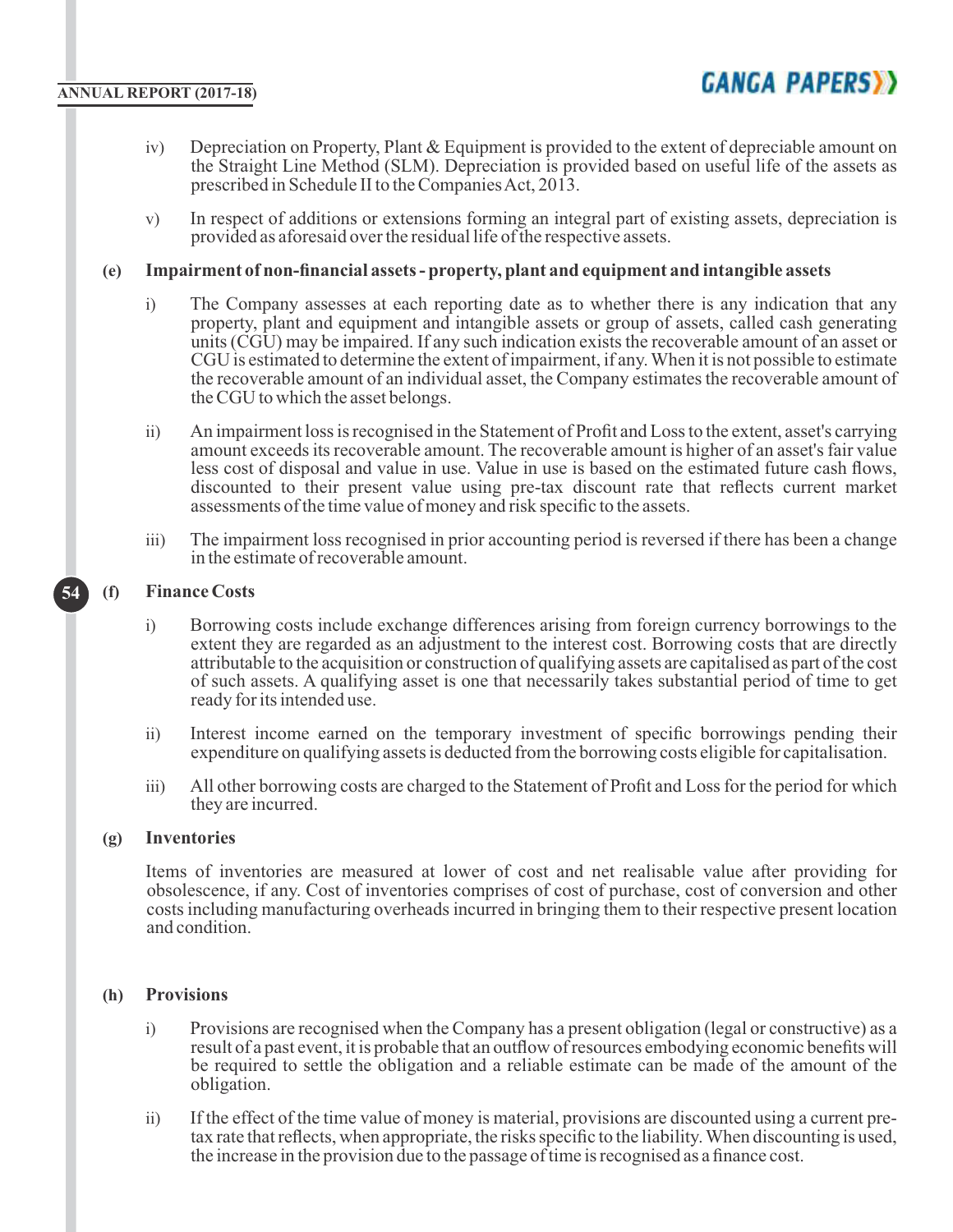# **GANGA PAPERS**)

- iv) Depreciation on Property, Plant & Equipment is provided to the extent of depreciable amount on the Straight Line Method (SLM). Depreciation is provided based on useful life of the assets as prescribed in Schedule II to the Companies Act, 2013.
- v) In respect of additions or extensions forming an integral part of existing assets, depreciation is provided as aforesaid over the residual life of the respective assets.

#### **(e) Impairment of non-financial assets - property, plant and equipment and intangible assets**

- i) The Company assesses at each reporting date as to whether there is any indication that any property, plant and equipment and intangible assets or group of assets, called cash generating units (CGU) may be impaired. If any such indication exists the recoverable amount of an asset or CGU is estimated to determine the extent of impairment, if any. When it is not possible to estimate the recoverable amount of an individual asset, the Company estimates the recoverable amount of the CGU to which the asset belongs.
- ii) An impairment loss is recognised in the Statement of Profit and Loss to the extent, asset's carrying amount exceeds its recoverable amount. The recoverable amount is higher of an asset's fair value less cost of disposal and value in use. Value in use is based on the estimated future cash flows, discounted to their present value using pre-tax discount rate that reflects current market assessments of the time value of money and risk specific to the assets.
- iii) The impairment loss recognised in prior accounting period is reversed if there has been a change in the estimate of recoverable amount.

#### **(f) Finance Costs**

**1** 

**54**

- i) Borrowing costs include exchange differences arising from foreign currency borrowings to the extent they are regarded as an adjustment to the interest cost. Borrowing costs that are directly attributable to the acquisition or construction of qualifying assets are capitalised as part of the cost of such assets. A qualifying asset is one that necessarily takes substantial period of time to get ready for its intended use.
- ii) Interest income earned on the temporary investment of specific borrowings pending their expenditure on qualifying assets is deducted from the borrowing costs eligible for capitalisation.
- iii) All other borrowing costs are charged to the Statement of Profit and Loss for the period for which they are incurred.

#### **(g) Inventories**

 Items of inventories are measured at lower of cost and net realisable value after providing for obsolescence, if any. Cost of inventories comprises of cost of purchase, cost of conversion and other costs including manufacturing overheads incurred in bringing them to their respective present location and condition.

#### **(h) Provisions**

- i) Provisions are recognised when the Company has a present obligation (legal or constructive) as a result of a past event, it is probable that an outflow of resources embodying economic benefits will be required to settle the obligation and a reliable estimate can be made of the amount of the obligation.
- ii) If the effect of the time value of money is material, provisions are discounted using a current pretax rate that reflects, when appropriate, the risks specific to the liability. When discounting is used, the increase in the provision due to the passage of time is recognised as a finance cost.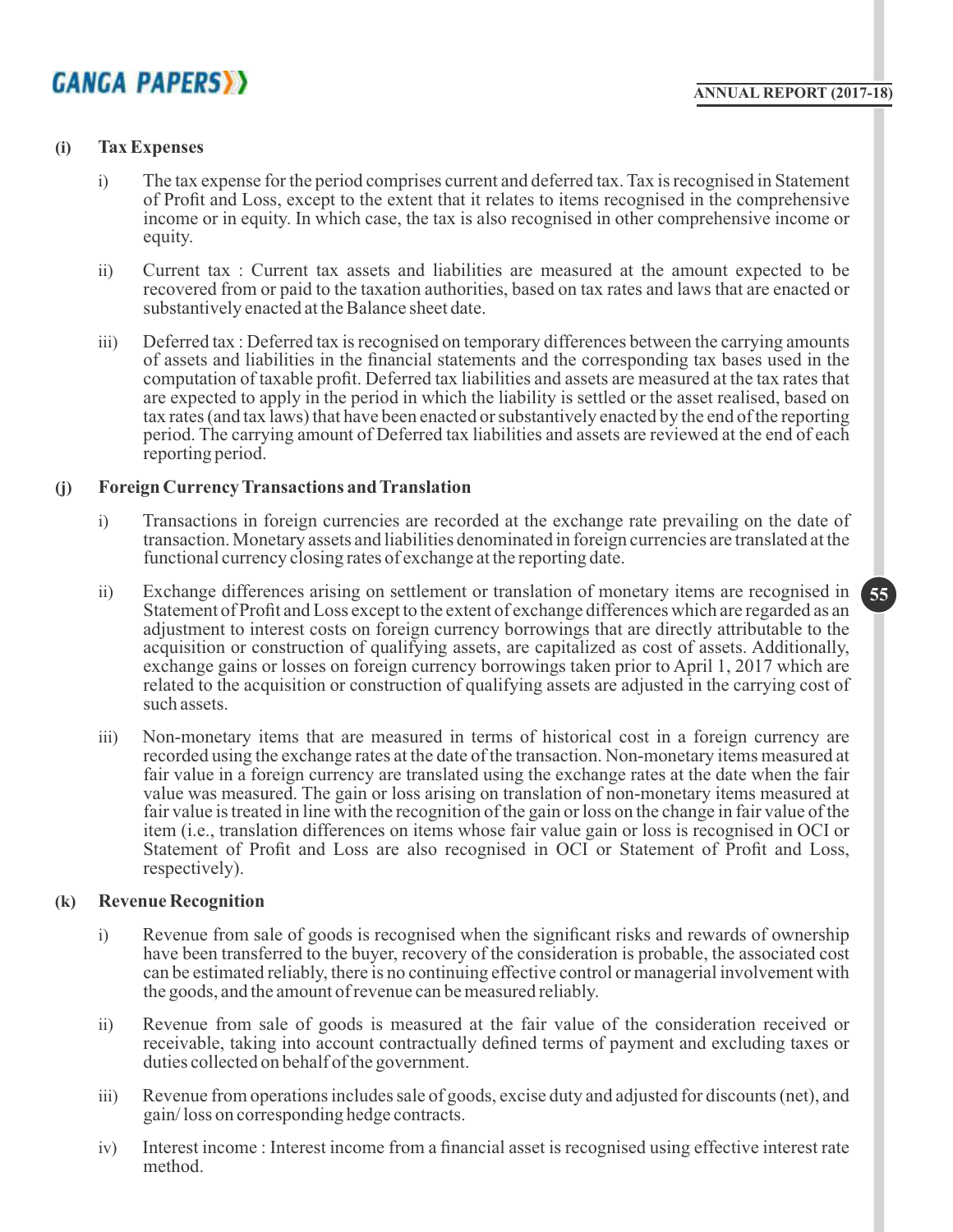

## **(i) Tax Expenses**

- i) The tax expense for the period comprises current and deferred tax. Tax is recognised in Statement of Profit and Loss, except to the extent that it relates to items recognised in the comprehensive income or in equity. In which case, the tax is also recognised in other comprehensive income or equity.
- ii) Current tax : Current tax assets and liabilities are measured at the amount expected to be recovered from or paid to the taxation authorities, based on tax rates and laws that are enacted or substantively enacted at the Balance sheet date.
- iii) Deferred tax : Deferred tax is recognised on temporary differences between the carrying amounts of assets and liabilities in the financial statements and the corresponding tax bases used in the computation of taxable profit. Deferred tax liabilities and assets are measured at the tax rates that are expected to apply in the period in which the liability is settled or the asset realised, based on tax rates (and tax laws) that have been enacted or substantively enacted by the end of the reporting period. The carrying amount of Deferred tax liabilities and assets are reviewed at the end of each reporting period.

### **(j) Foreign Currency Transactions and Translation**

- i) Transactions in foreign currencies are recorded at the exchange rate prevailing on the date of transaction. Monetary assets and liabilities denominated in foreign currencies are translated at the functional currency closing rates of exchange at the reporting date.
- ii) Exchange differences arising on settlement or translation of monetary items are recognised in Statement of Profit and Loss except to the extent of exchange differences which are regarded as an adjustment to interest costs on foreign currency borrowings that are directly attributable to the acquisition or construction of qualifying assets, are capitalized as cost of assets. Additionally, exchange gains or losses on foreign currency borrowings taken prior to April 1, 2017 which are related to the acquisition or construction of qualifying assets are adjusted in the carrying cost of such assets.
- iii) Non-monetary items that are measured in terms of historical cost in a foreign currency are recorded using the exchange rates at the date of the transaction. Non-monetary items measured at fair value in a foreign currency are translated using the exchange rates at the date when the fair value was measured. The gain or loss arising on translation of non-monetary items measured at fair value is treated in line with the recognition of the gain or loss on the change in fair value of the item (i.e., translation differences on items whose fair value gain or loss is recognised in OCI or Statement of Profit and Loss are also recognised in OCI or Statement of Profit and Loss, respectively).

#### **(k) Revenue Recognition**

- i) Revenue from sale of goods is recognised when the significant risks and rewards of ownership have been transferred to the buyer, recovery of the consideration is probable, the associated cost can be estimated reliably, there is no continuing effective control or managerial involvement with the goods, and the amount of revenue can be measured reliably.
- ii) Revenue from sale of goods is measured at the fair value of the consideration received or receivable, taking into account contractually defined terms of payment and excluding taxes or duties collected on behalf of the government.
- iii) Revenue from operations includes sale of goods, excise duty and adjusted for discounts (net), and gain/ loss on corresponding hedge contracts.
- iv) Interest income : Interest income from a financial asset is recognised using effective interest rate method.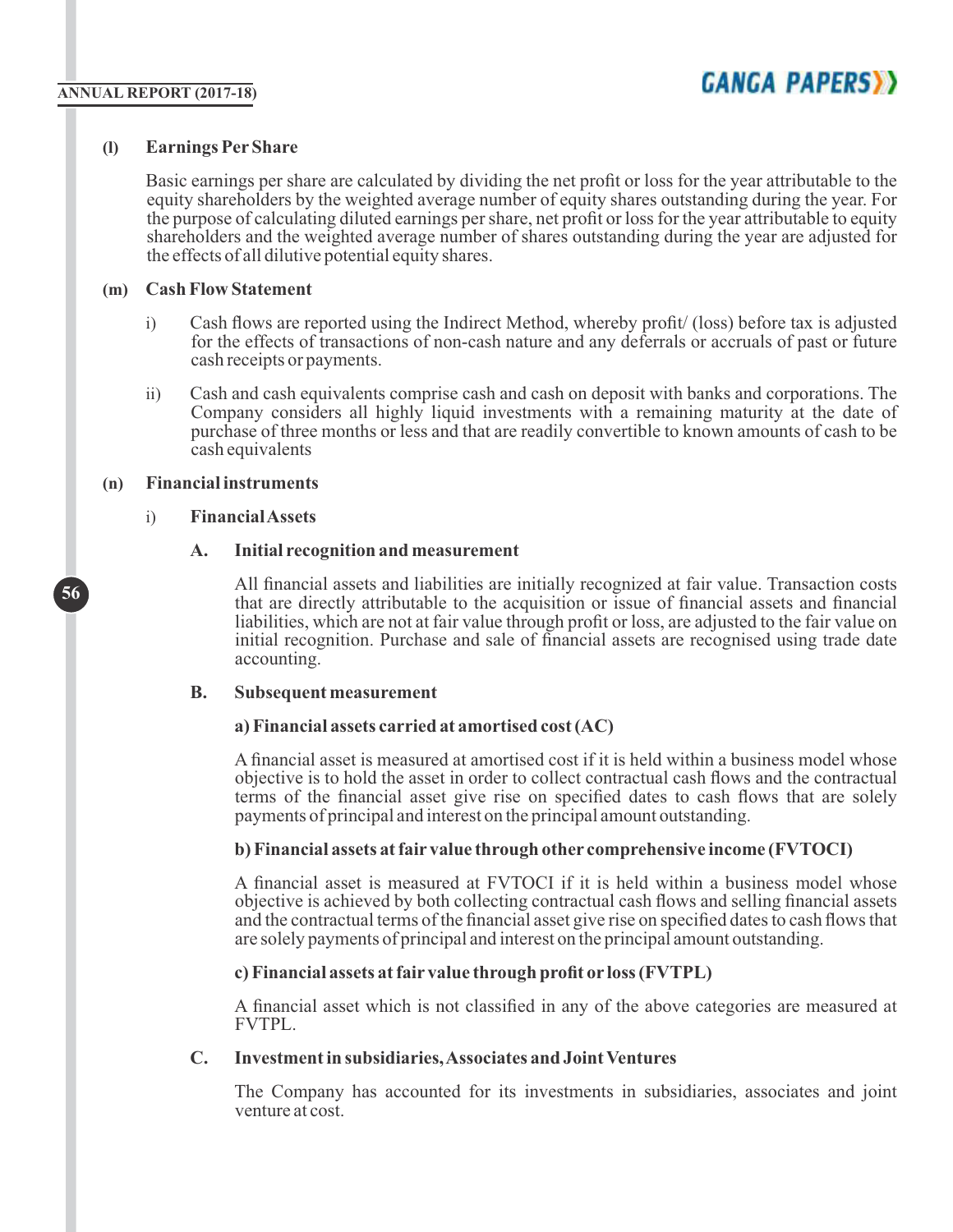# **GANGA PAPERS**)

#### **(l) Earnings Per Share**

 Basic earnings per share are calculated by dividing the net profit or loss for the year attributable to the equity shareholders by the weighted average number of equity shares outstanding during the year. For the purpose of calculating diluted earnings per share, net profit or loss for the year attributable to equity shareholders and the weighted average number of shares outstanding during the year are adjusted for the effects of all dilutive potential equity shares.

#### **(m) Cash Flow Statement**

- i) Cash flows are reported using the Indirect Method, whereby profit/ (loss) before tax is adjusted for the effects of transactions of non-cash nature and any deferrals or accruals of past or future cash receipts or payments.
- ii) Cash and cash equivalents comprise cash and cash on deposit with banks and corporations. The Company considers all highly liquid investments with a remaining maturity at the date of purchase of three months or less and that are readily convertible to known amounts of cash to be cash equivalents

#### **(n) Financial instruments**

#### i) **Financial Assets**

#### **A. Initial recognition and measurement**

 All financial assets and liabilities are initially recognized at fair value. Transaction costs that are directly attributable to the acquisition or issue of financial assets and financial liabilities, which are not at fair value through profit or loss, are adjusted to the fair value on initial recognition. Purchase and sale of financial assets are recognised using trade date accounting.

#### **B. Subsequent measurement**

#### **a) Financial assets carried at amortised cost (AC)**

 A financial asset is measured at amortised cost if it is held within a business model whose objective is to hold the asset in order to collect contractual cash flows and the contractual terms of the financial asset give rise on specified dates to cash flows that are solely payments of principal and interest on the principal amount outstanding.

#### **b) Financial assets at fair value through other comprehensive income (FVTOCI)**

 A financial asset is measured at FVTOCI if it is held within a business model whose objective is achieved by both collecting contractual cash flows and selling financial assets and the contractual terms of the financial asset give rise on specified dates to cash flows that are solely payments of principal and interest on the principal amount outstanding.

#### **c) Financial assets at fair value through profit or loss (FVTPL)**

 A financial asset which is not classified in any of the above categories are measured at FVTPL.

#### **C. Investment in subsidiaries, Associates and Joint Ventures**

 The Company has accounted for its investments in subsidiaries, associates and joint venture at cost.

**12**<br> **12 56**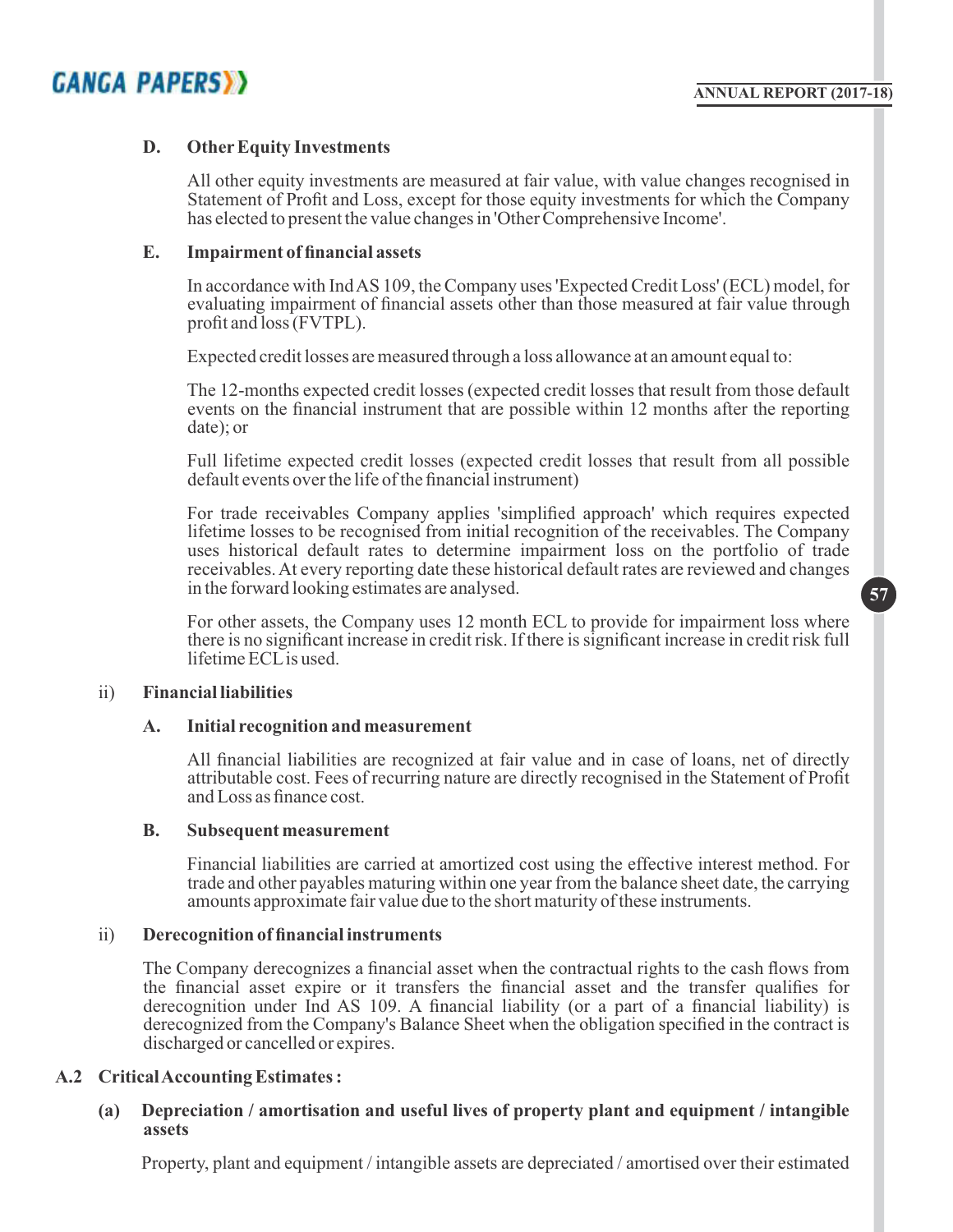

### **D. Other Equity Investments**

 All other equity investments are measured at fair value, with value changes recognised in Statement of Profit and Loss, except for those equity investments for which the Company has elected to present the value changes in 'Other Comprehensive Income'.

#### **E. Impairment of financial assets**

 In accordance with Ind AS 109, the Company uses 'Expected Credit Loss' (ECL) model, for evaluating impairment of financial assets other than those measured at fair value through profit and loss (FVTPL).

Expected credit losses are measured through a loss allowance at an amount equal to:

 The 12-months expected credit losses (expected credit losses that result from those default events on the financial instrument that are possible within 12 months after the reporting date); or

 Full lifetime expected credit losses (expected credit losses that result from all possible default events over the life of the financial instrument)

 For trade receivables Company applies 'simplified approach' which requires expected lifetime losses to be recognised from initial recognition of the receivables. The Company uses historical default rates to determine impairment loss on the portfolio of trade receivables. At every reporting date these historical default rates are reviewed and changes in the forward looking estimates are analysed.

 For other assets, the Company uses 12 month ECL to provide for impairment loss where there is no significant increase in credit risk. If there is significant increase in credit risk full lifetime ECL is used.

#### ii) **Financial liabilities**

#### **A. Initial recognition and measurement**

 All financial liabilities are recognized at fair value and in case of loans, net of directly attributable cost. Fees of recurring nature are directly recognised in the Statement of Profit and Loss as finance cost.

#### **B. Subsequent measurement**

 Financial liabilities are carried at amortized cost using the effective interest method. For trade and other payables maturing within one year from the balance sheet date, the carrying amounts approximate fair value due to the short maturity of these instruments.

#### ii) **Derecognition of financial instruments**

 The Company derecognizes a financial asset when the contractual rights to the cash flows from the financial asset expire or it transfers the financial asset and the transfer qualifies for derecognition under Ind AS 109. A financial liability (or a part of a financial liability) is derecognized from the Company's Balance Sheet when the obligation specified in the contract is discharged or cancelled or expires.

### **A.2 Critical Accounting Estimates :**

#### **(a) Depreciation / amortisation and useful lives of property plant and equipment / intangible assets**

Property, plant and equipment / intangible assets are depreciated / amortised over their estimated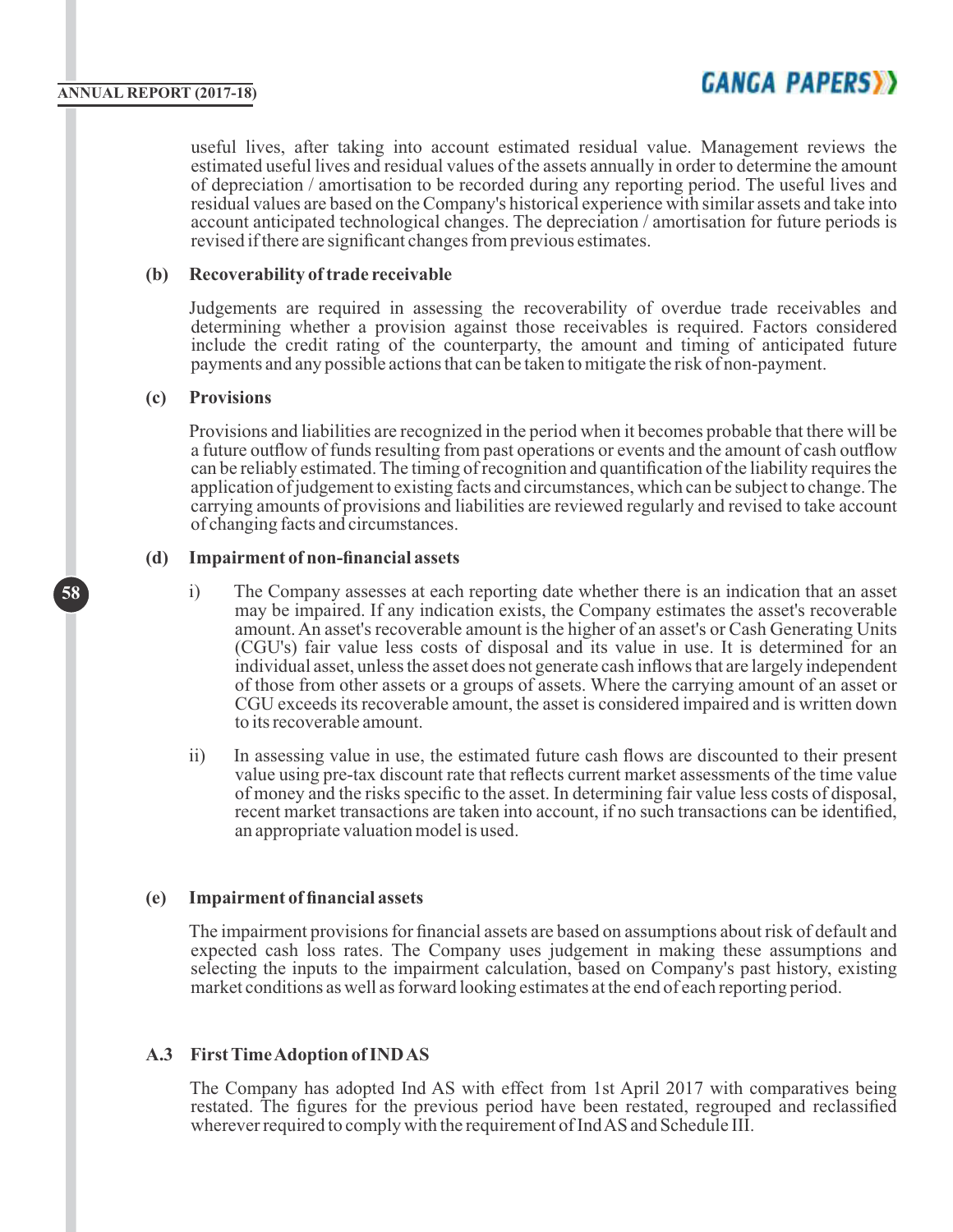useful lives, after taking into account estimated residual value. Management reviews the estimated useful lives and residual values of the assets annually in order to determine the amount of depreciation / amortisation to be recorded during any reporting period. The useful lives and residual values are based on the Company's historical experience with similar assets and take into account anticipated technological changes. The depreciation / amortisation for future periods is revised if there are significant changes from previous estimates.

#### **(b) Recoverability of trade receivable**

 Judgements are required in assessing the recoverability of overdue trade receivables and determining whether a provision against those receivables is required. Factors considered include the credit rating of the counterparty, the amount and timing of anticipated future payments and any possible actions that can be taken to mitigate the risk of non-payment.

#### **(c) Provisions**

 Provisions and liabilities are recognized in the period when it becomes probable that there will be a future outflow of funds resulting from past operations or events and the amount of cash outflow can be reliably estimated. The timing of recognition and quantification of the liability requires the application of judgement to existing facts and circumstances, which can be subject to change. The carrying amounts of provisions and liabilities are reviewed regularly and revised to take account of changing facts and circumstances.

#### **(d) Impairment of non-financial assets**

- i) The Company assesses at each reporting date whether there is an indication that an asset may be impaired. If any indication exists, the Company estimates the asset's recoverable amount. An asset's recoverable amount is the higher of an asset's or Cash Generating Units (CGU's) fair value less costs of disposal and its value in use. It is determined for an individual asset, unless the asset does not generate cash inflows that are largely independent of those from other assets or a groups of assets. Where the carrying amount of an asset or CGU exceeds its recoverable amount, the asset is considered impaired and is written down to its recoverable amount.
- ii) In assessing value in use, the estimated future cash flows are discounted to their present value using pre-tax discount rate that reflects current market assessments of the time value of money and the risks specific to the asset. In determining fair value less costs of disposal, recent market transactions are taken into account, if no such transactions can be identified, an appropriate valuation model is used.

#### **(e) Impairment of financial assets**

 The impairment provisions for financial assets are based on assumptions about risk of default and expected cash loss rates. The Company uses judgement in making these assumptions and selecting the inputs to the impairment calculation, based on Company's past history, existing market conditions as well as forward looking estimates at the end of each reporting period.

#### **A.3 First Time Adoption of IND AS**

 The Company has adopted Ind AS with effect from 1st April 2017 with comparatives being restated. The figures for the previous period have been restated, regrouped and reclassified wherever required to comply with the requirement of Ind AS and Schedule III.

**12**<br> **12 58**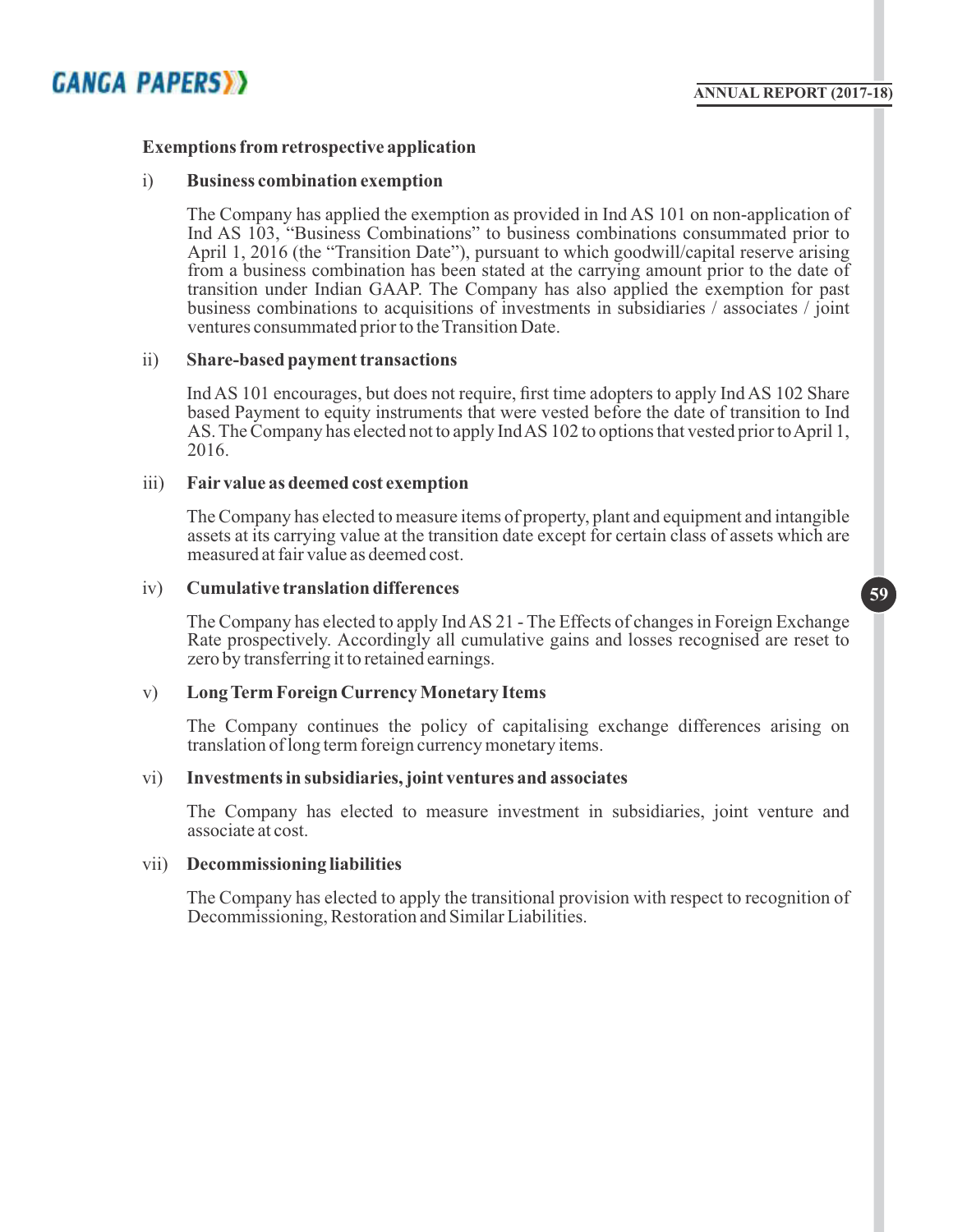

### **Exemptions from retrospective application**

#### i) **Business combination exemption**

 The Company has applied the exemption as provided in Ind AS 101 on non-application of Ind AS 103, "Business Combinations" to business combinations consummated prior to April 1, 2016 (the "Transition Date"), pursuant to which goodwill/capital reserve arising from a business combination has been stated at the carrying amount prior to the date of transition under Indian GAAP. The Company has also applied the exemption for past business combinations to acquisitions of investments in subsidiaries / associates / joint ventures consummated prior to the Transition Date.

#### ii) **Share-based payment transactions**

 Ind AS 101 encourages, but does not require, first time adopters to apply Ind AS 102 Share based Payment to equity instruments that were vested before the date of transition to Ind AS. The Company has elected not to apply Ind AS 102 to options that vested prior to April 1, 2016.

#### iii) **Fair value as deemed cost exemption**

 The Company has elected to measure items of property, plant and equipment and intangible assets at its carrying value at the transition date except for certain class of assets which are measured at fair value as deemed cost.

#### iv) **Cumulative translation differences**

 The Company has elected to apply Ind AS 21 - The Effects of changes in Foreign Exchange Rate prospectively. Accordingly all cumulative gains and losses recognised are reset to zero by transferring it to retained earnings.

#### v) **Long Term Foreign Currency Monetary Items**

 The Company continues the policy of capitalising exchange differences arising on translation of long term foreign currency monetary items.

#### vi) **Investments in subsidiaries, joint ventures and associates**

 The Company has elected to measure investment in subsidiaries, joint venture and associate at cost.

#### vii) **Decommissioning liabilities**

 The Company has elected to apply the transitional provision with respect to recognition of Decommissioning, Restoration and Similar Liabilities.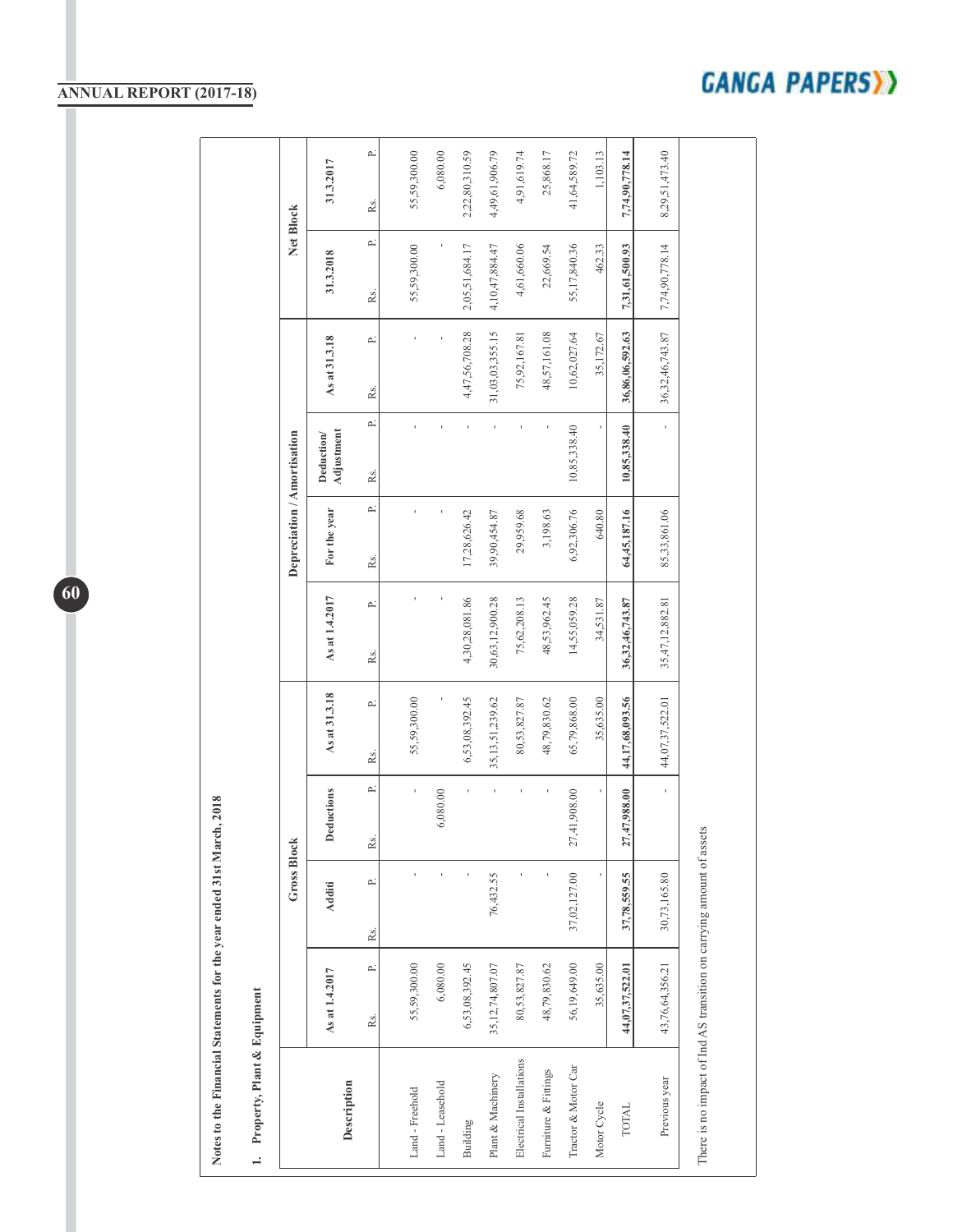**12 60**

Notes to the Financial Statements for the year ended 31st March, 2018 **Notes to the Financial Statements for the year ended 31st March, 2018**

1. Property, Plant & Equipment **1. Property, Plant & Equipment**

|                                                                      |                 | <b>Gross Block</b> |              |                    |                 | Depreciation / Amortisation |                          |                    | Net Block          |                |
|----------------------------------------------------------------------|-----------------|--------------------|--------------|--------------------|-----------------|-----------------------------|--------------------------|--------------------|--------------------|----------------|
| Description                                                          | As at 1.4.2017  | Additi             | Deductions   | As at 31.3.18      | As at 1.4.2017  | For the year                | Adjustment<br>Deduction/ | As at 31.3.18      | 31.3.2018          | 31.3.2017      |
|                                                                      | نم<br>Rs.       | P.<br>Rs.          | P.<br>Rs.    | P.<br>Rs.          | P.<br>Rs.       | P.<br>Rs.                   | $\approx$<br>Rs.         | P.<br>Rs.          | P.<br>Rs.          | P.<br>Rs.      |
| Land - Freehold                                                      | 55,59,300.00    |                    |              | 55,59,300.00       |                 |                             |                          |                    | 55,59,300.00       | 55,59,300.00   |
| Land - Leasehold                                                     | 6,080.00        |                    | 6,080.00     |                    |                 |                             |                          |                    |                    | 6,080.00       |
| Building                                                             | 6,53,08,392.45  |                    |              | 6,53,08,392.45     | 4,30,28,081.86  | 17,28,626.42                |                          | 4,47,56,708.28     | 2,05,51,684.17     | 2,22,80,310.59 |
| Plant & Machinery                                                    | 35,12,74,807.07 | 76,432.55          | ĭ.           | 35, 13, 51, 239.62 | 30,63,12,900.28 | 39,90,454.87                |                          | 31,03,03,355.15    | 4, 10, 47, 884. 47 | 4,49,61,906.79 |
| Electrical Installations                                             | 80,53,827.87    |                    |              | 80,53,827.87       | 75,62,208.13    | 29,959.68                   |                          | 75,92,167.81       | 4,61,660.06        | 4,91,619.74    |
| Furniture & Fittings                                                 | 48,79,830.62    |                    |              | 48,79,830.62       | 48,53,962.45    | 3,198.63                    |                          | 48,57,161.08       | 22,669.54          | 25,868.17      |
| Tractor & Motor Car                                                  | 56,19,649.00    | 37,02,127.00       | 27,41,908.00 | 65,79,868.00       | 14,55,059.28    | 6,92,306.76                 | 10,85,338.40             | 10,62,027.64       | 55,17,840.36       | 41,64,589.72   |
| Motor Cycle                                                          | 35,635.00       |                    |              | 35,635.00          | 34,531.87       | 640.80                      |                          | 35,172.67          | 462.33             | 1,103.13       |
| TOTAL                                                                | 44,07,37,522.01 | 37,78,559.55       | 27,47,988.00 | 44,17,68,093.56    | 36,32,46,743.87 | 64,45,187.16                | 10,85,338.40             | 36,86,06,592.63    | 7,31,61,500.93     | 7,74,90,778.14 |
| Previous year                                                        | 43,76,64,356.21 | 30,73,165.80       | f,           | 44,07,37,522.01    | 35,47,12,882.81 | 85,33,861.06                |                          | 36, 32, 46, 743.87 | 7,74,90,778.14     | 8,29,51,473.40 |
| There is no impact of Ind AS transition on carrying amount of assets |                 |                    |              |                    |                 |                             |                          |                    |                    |                |

# **GANGA PAPERS**>>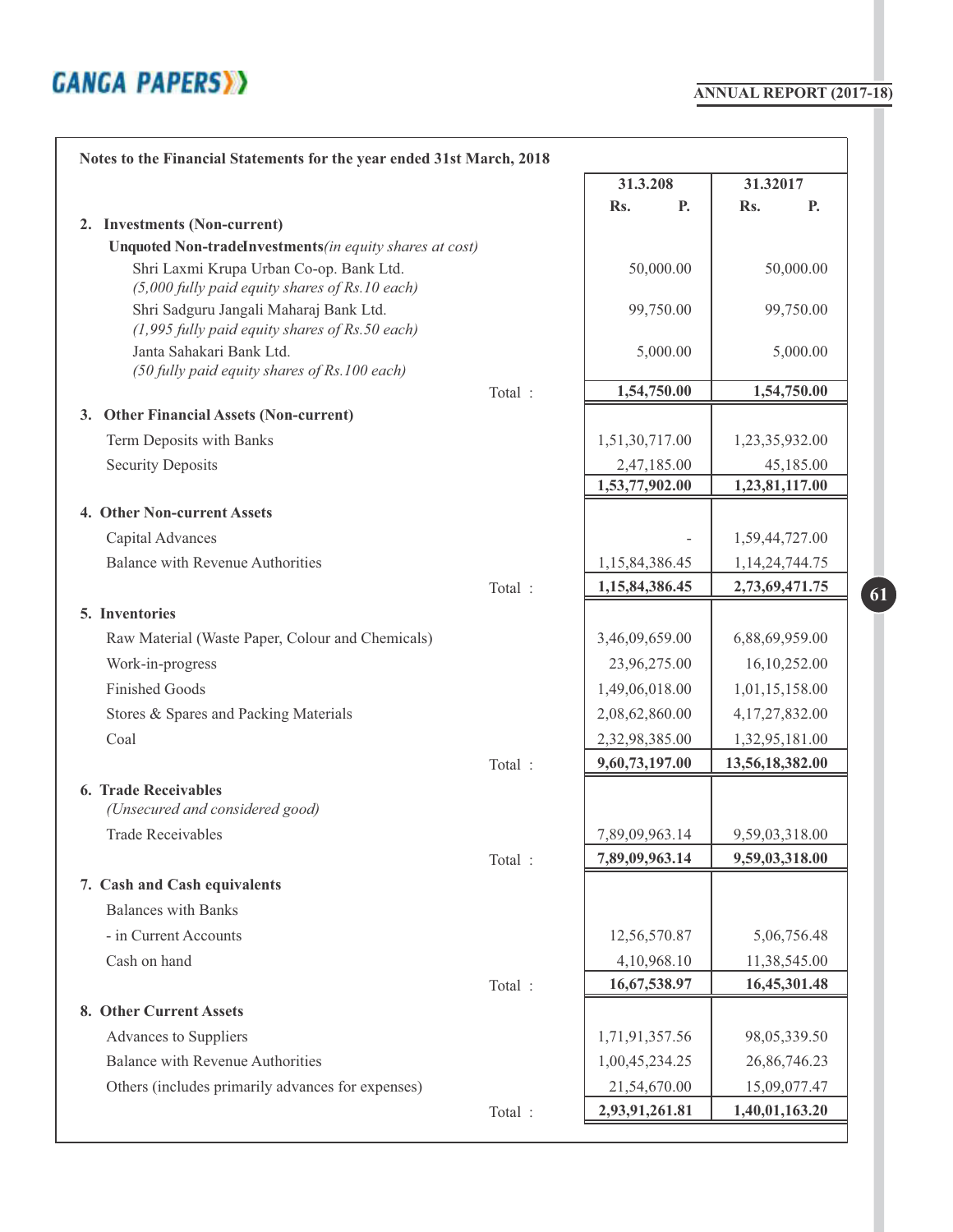| Notes to the Financial Statements for the year ended 31st March, 2018                              |        |                |                    |
|----------------------------------------------------------------------------------------------------|--------|----------------|--------------------|
|                                                                                                    |        | 31.3.208       | 31.32017           |
|                                                                                                    |        | Rs.<br>Р.      | Rs.<br><b>P.</b>   |
| 2. Investments (Non-current)                                                                       |        |                |                    |
| Unquoted Non-tradeInvestments(in equity shares at cost)<br>Shri Laxmi Krupa Urban Co-op. Bank Ltd. |        | 50,000.00      | 50,000.00          |
| (5,000 fully paid equity shares of Rs.10 each)                                                     |        |                |                    |
| Shri Sadguru Jangali Maharaj Bank Ltd.                                                             |        | 99,750.00      | 99,750.00          |
| (1,995 fully paid equity shares of Rs.50 each)                                                     |        |                |                    |
| Janta Sahakari Bank Ltd.                                                                           |        | 5,000.00       | 5,000.00           |
| (50 fully paid equity shares of Rs.100 each)                                                       | Total: | 1,54,750.00    | 1,54,750.00        |
| 3. Other Financial Assets (Non-current)                                                            |        |                |                    |
| Term Deposits with Banks                                                                           |        | 1,51,30,717.00 | 1,23,35,932.00     |
| <b>Security Deposits</b>                                                                           |        | 2,47,185.00    | 45,185.00          |
|                                                                                                    |        | 1,53,77,902.00 | 1,23,81,117.00     |
| 4. Other Non-current Assets                                                                        |        |                |                    |
| Capital Advances                                                                                   |        |                | 1,59,44,727.00     |
| <b>Balance with Revenue Authorities</b>                                                            |        | 1,15,84,386.45 | 1, 14, 24, 744. 75 |
|                                                                                                    | Total: | 1,15,84,386.45 | 2,73,69,471.75     |
| 5. Inventories                                                                                     |        |                |                    |
| Raw Material (Waste Paper, Colour and Chemicals)                                                   |        | 3,46,09,659.00 | 6,88,69,959.00     |
| Work-in-progress                                                                                   |        | 23,96,275.00   | 16, 10, 252.00     |
| <b>Finished Goods</b>                                                                              |        | 1,49,06,018.00 | 1,01,15,158.00     |
| Stores & Spares and Packing Materials                                                              |        | 2,08,62,860.00 | 4, 17, 27, 832.00  |
| Coal                                                                                               |        | 2,32,98,385.00 | 1,32,95,181.00     |
|                                                                                                    | Total: | 9,60,73,197.00 | 13,56,18,382.00    |
| <b>6. Trade Receivables</b>                                                                        |        |                |                    |
| (Unsecured and considered good)                                                                    |        |                |                    |
| <b>Trade Receivables</b>                                                                           |        | 7,89,09,963.14 | 9,59,03,318.00     |
|                                                                                                    | Total: | 7,89,09,963.14 | 9,59,03,318.00     |
| 7. Cash and Cash equivalents                                                                       |        |                |                    |
| <b>Balances with Banks</b>                                                                         |        |                |                    |
| - in Current Accounts                                                                              |        | 12,56,570.87   | 5,06,756.48        |
| Cash on hand                                                                                       |        | 4,10,968.10    | 11,38,545.00       |
|                                                                                                    | Total: | 16,67,538.97   | 16,45,301.48       |
| 8. Other Current Assets                                                                            |        |                |                    |
| <b>Advances to Suppliers</b>                                                                       |        | 1,71,91,357.56 | 98,05,339.50       |
| <b>Balance with Revenue Authorities</b>                                                            |        | 1,00,45,234.25 | 26,86,746.23       |
| Others (includes primarily advances for expenses)                                                  |        | 21,54,670.00   | 15,09,077.47       |
|                                                                                                    | Total: | 2,93,91,261.81 | 1,40,01,163.20     |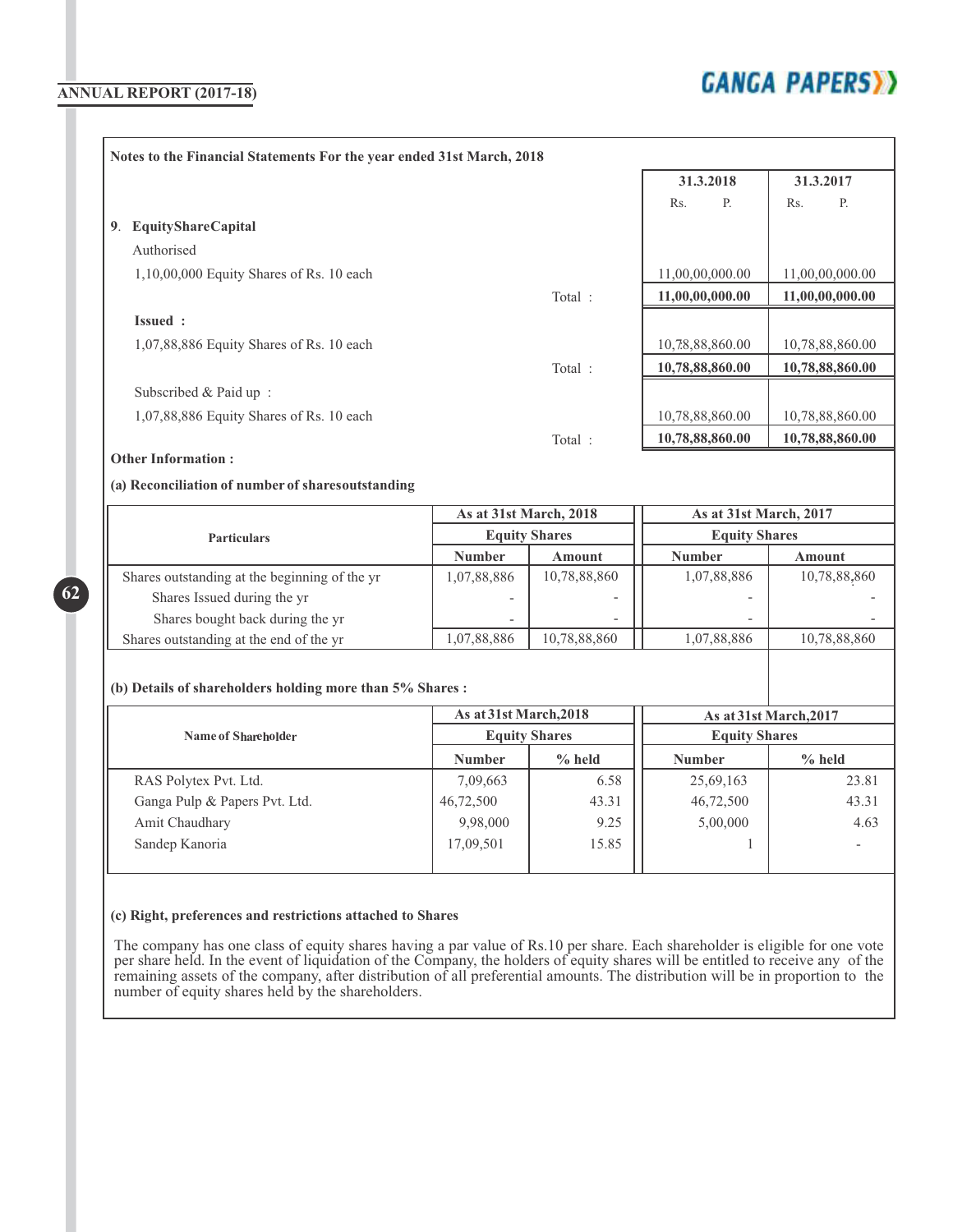# **GANGA PAPERS**>>

| Notes to the Financial Statements For the year ended 31st March, 2018                                                                                                                                                                                                                                                                                                                                                                                 |                        |                      |                        |                        |  |
|-------------------------------------------------------------------------------------------------------------------------------------------------------------------------------------------------------------------------------------------------------------------------------------------------------------------------------------------------------------------------------------------------------------------------------------------------------|------------------------|----------------------|------------------------|------------------------|--|
|                                                                                                                                                                                                                                                                                                                                                                                                                                                       |                        |                      | 31.3.2018              | 31.3.2017              |  |
|                                                                                                                                                                                                                                                                                                                                                                                                                                                       |                        |                      | Rs.<br>Ρ.              | Rs.<br>Р.              |  |
| 9. EquityShareCapital                                                                                                                                                                                                                                                                                                                                                                                                                                 |                        |                      |                        |                        |  |
| Authorised                                                                                                                                                                                                                                                                                                                                                                                                                                            |                        |                      |                        |                        |  |
|                                                                                                                                                                                                                                                                                                                                                                                                                                                       |                        |                      |                        |                        |  |
| 1,10,00,000 Equity Shares of Rs. 10 each                                                                                                                                                                                                                                                                                                                                                                                                              |                        |                      | 11,00,00,000.00        | 11,00,00,000.00        |  |
|                                                                                                                                                                                                                                                                                                                                                                                                                                                       |                        | Total:               | 11,00,00,000.00        | 11,00,00,000.00        |  |
| Issued :                                                                                                                                                                                                                                                                                                                                                                                                                                              |                        |                      |                        |                        |  |
| 1,07,88,886 Equity Shares of Rs. 10 each                                                                                                                                                                                                                                                                                                                                                                                                              |                        |                      | 10,78,88,860.00        | 10,78,88,860.00        |  |
|                                                                                                                                                                                                                                                                                                                                                                                                                                                       |                        | Total:               | 10,78,88,860.00        | 10,78,88,860.00        |  |
| Subscribed & Paid up:                                                                                                                                                                                                                                                                                                                                                                                                                                 |                        |                      |                        |                        |  |
| 1,07,88,886 Equity Shares of Rs. 10 each                                                                                                                                                                                                                                                                                                                                                                                                              |                        |                      | 10,78,88,860.00        | 10,78,88,860.00        |  |
|                                                                                                                                                                                                                                                                                                                                                                                                                                                       |                        | Total:               | 10,78,88,860.00        | 10,78,88,860.00        |  |
| <b>Other Information:</b>                                                                                                                                                                                                                                                                                                                                                                                                                             |                        |                      |                        |                        |  |
| (a) Reconciliation of number of sharesoutstanding                                                                                                                                                                                                                                                                                                                                                                                                     |                        |                      |                        |                        |  |
|                                                                                                                                                                                                                                                                                                                                                                                                                                                       | As at 31st March, 2018 |                      | As at 31st March, 2017 |                        |  |
| <b>Particulars</b>                                                                                                                                                                                                                                                                                                                                                                                                                                    |                        | <b>Equity Shares</b> | <b>Equity Shares</b>   |                        |  |
|                                                                                                                                                                                                                                                                                                                                                                                                                                                       | <b>Number</b>          | <b>Amount</b>        | <b>Number</b>          | Amount                 |  |
| Shares outstanding at the beginning of the yr                                                                                                                                                                                                                                                                                                                                                                                                         | 1,07,88,886            | 10,78,88,860         | 1,07,88,886            | 10,78,88,860           |  |
| Shares Issued during the yr                                                                                                                                                                                                                                                                                                                                                                                                                           |                        |                      |                        |                        |  |
| Shares bought back during the yr                                                                                                                                                                                                                                                                                                                                                                                                                      |                        |                      |                        |                        |  |
| Shares outstanding at the end of the yr                                                                                                                                                                                                                                                                                                                                                                                                               | 1,07,88,886            | 10,78,88,860         | 1,07,88,886            | 10,78,88,860           |  |
| (b) Details of shareholders holding more than 5% Shares:                                                                                                                                                                                                                                                                                                                                                                                              |                        |                      |                        |                        |  |
|                                                                                                                                                                                                                                                                                                                                                                                                                                                       |                        |                      |                        | As at 31st March, 2017 |  |
| As at 31st March, 2018<br><b>Equity Shares</b><br><b>Name of Shareholder</b>                                                                                                                                                                                                                                                                                                                                                                          |                        | <b>Equity Shares</b> |                        |                        |  |
|                                                                                                                                                                                                                                                                                                                                                                                                                                                       | <b>Number</b>          | $%$ held             | <b>Number</b>          | $%$ held               |  |
| RAS Polytex Pvt. Ltd.                                                                                                                                                                                                                                                                                                                                                                                                                                 | 7,09,663               | 6.58                 | 25,69,163              | 23.81                  |  |
| Ganga Pulp & Papers Pvt. Ltd.                                                                                                                                                                                                                                                                                                                                                                                                                         | 46,72,500              | 43.31                | 46,72,500              | 43.31                  |  |
| Amit Chaudhary                                                                                                                                                                                                                                                                                                                                                                                                                                        | 9,98,000               | 9.25                 | 5,00,000               | 4.63                   |  |
| Sandep Kanoria                                                                                                                                                                                                                                                                                                                                                                                                                                        | 17,09,501              | 15.85                | 1                      |                        |  |
|                                                                                                                                                                                                                                                                                                                                                                                                                                                       |                        |                      |                        |                        |  |
| (c) Right, preferences and restrictions attached to Shares                                                                                                                                                                                                                                                                                                                                                                                            |                        |                      |                        |                        |  |
| The company has one class of equity shares having a par value of Rs.10 per share. Each shareholder is eligible for one vote<br>per share held. In the event of liquidation of the Company, the holders of equity shares will be entitled to receive any of the<br>remaining assets of the company, after distribution of all preferential amounts. The distribution will be in proportion to the<br>number of equity shares held by the shareholders. |                        |                      |                        |                        |  |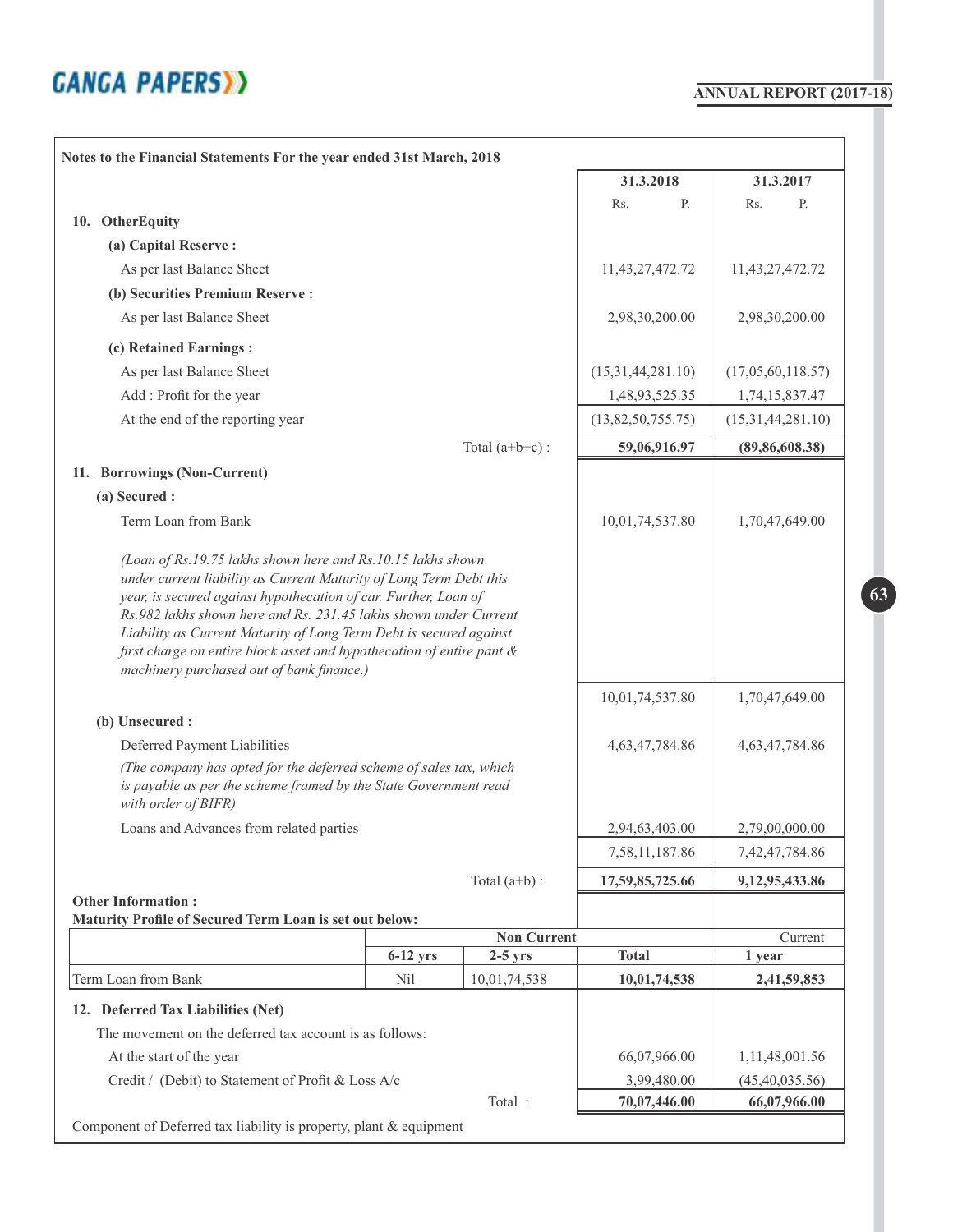# **GANGA PAPERS**>>

# **ANNUAL REPORT (2017-18)**

| Notes to the Financial Statements For the year ended 31st March, 2018                                                                                                                                                                                                                                                                                                                                                                                                |            |                    |                   |                   |
|----------------------------------------------------------------------------------------------------------------------------------------------------------------------------------------------------------------------------------------------------------------------------------------------------------------------------------------------------------------------------------------------------------------------------------------------------------------------|------------|--------------------|-------------------|-------------------|
|                                                                                                                                                                                                                                                                                                                                                                                                                                                                      |            |                    | 31.3.2018         | 31.3.2017         |
|                                                                                                                                                                                                                                                                                                                                                                                                                                                                      |            |                    | Rs.<br>Р.         | Rs.<br>Р.         |
| 10. OtherEquity                                                                                                                                                                                                                                                                                                                                                                                                                                                      |            |                    |                   |                   |
| (a) Capital Reserve:                                                                                                                                                                                                                                                                                                                                                                                                                                                 |            |                    |                   |                   |
| As per last Balance Sheet                                                                                                                                                                                                                                                                                                                                                                                                                                            |            |                    | 11,43,27,472.72   | 11,43,27,472.72   |
| (b) Securities Premium Reserve:                                                                                                                                                                                                                                                                                                                                                                                                                                      |            |                    |                   |                   |
| As per last Balance Sheet                                                                                                                                                                                                                                                                                                                                                                                                                                            |            |                    | 2,98,30,200.00    | 2,98,30,200.00    |
| (c) Retained Earnings :                                                                                                                                                                                                                                                                                                                                                                                                                                              |            |                    |                   |                   |
| As per last Balance Sheet                                                                                                                                                                                                                                                                                                                                                                                                                                            |            |                    | (15,31,44,281.10) | (17,05,60,118.57) |
| Add : Profit for the year                                                                                                                                                                                                                                                                                                                                                                                                                                            |            |                    | 1,48,93,525.35    | 1,74,15,837.47    |
| At the end of the reporting year                                                                                                                                                                                                                                                                                                                                                                                                                                     |            |                    | (13,82,50,755.75) | (15,31,44,281.10) |
|                                                                                                                                                                                                                                                                                                                                                                                                                                                                      |            | Total $(a+b+c)$ :  | 59,06,916.97      | (89, 86, 608.38)  |
| 11. Borrowings (Non-Current)                                                                                                                                                                                                                                                                                                                                                                                                                                         |            |                    |                   |                   |
| (a) Secured :                                                                                                                                                                                                                                                                                                                                                                                                                                                        |            |                    |                   |                   |
| Term Loan from Bank                                                                                                                                                                                                                                                                                                                                                                                                                                                  |            |                    | 10,01,74,537.80   | 1,70,47,649.00    |
| (Loan of Rs.19.75 lakhs shown here and Rs.10.15 lakhs shown<br>under current liability as Current Maturity of Long Term Debt this<br>year, is secured against hypothecation of car. Further, Loan of<br>Rs.982 lakhs shown here and Rs. 231.45 lakhs shown under Current<br>Liability as Current Maturity of Long Term Debt is secured against<br>first charge on entire block asset and hypothecation of entire pant &<br>machinery purchased out of bank finance.) |            |                    |                   |                   |
|                                                                                                                                                                                                                                                                                                                                                                                                                                                                      |            |                    | 10,01,74,537.80   | 1,70,47,649.00    |
| (b) Unsecured :                                                                                                                                                                                                                                                                                                                                                                                                                                                      |            |                    |                   |                   |
| Deferred Payment Liabilities<br>(The company has opted for the deferred scheme of sales tax, which<br>is payable as per the scheme framed by the State Government read<br>with order of BIFR)                                                                                                                                                                                                                                                                        |            |                    | 4,63,47,784.86    | 4,63,47,784.86    |
| Loans and Advances from related parties                                                                                                                                                                                                                                                                                                                                                                                                                              |            |                    | 2,94,63,403.00    | 2,79,00,000.00    |
|                                                                                                                                                                                                                                                                                                                                                                                                                                                                      |            |                    | 7,58,11,187.86    | 7,42,47,784.86    |
|                                                                                                                                                                                                                                                                                                                                                                                                                                                                      |            | Total $(a+b)$ :    | 17,59,85,725.66   | 9,12,95,433.86    |
| <b>Other Information:</b>                                                                                                                                                                                                                                                                                                                                                                                                                                            |            |                    |                   |                   |
| Maturity Profile of Secured Term Loan is set out below:                                                                                                                                                                                                                                                                                                                                                                                                              |            | <b>Non Current</b> |                   | Current           |
|                                                                                                                                                                                                                                                                                                                                                                                                                                                                      | $6-12$ yrs | $2-5$ yrs          | <b>Total</b>      | 1 year            |
| Term Loan from Bank                                                                                                                                                                                                                                                                                                                                                                                                                                                  | Nil        | 10,01,74,538       | 10,01,74,538      | 2,41,59,853       |
| 12. Deferred Tax Liabilities (Net)                                                                                                                                                                                                                                                                                                                                                                                                                                   |            |                    |                   |                   |
| The movement on the deferred tax account is as follows:                                                                                                                                                                                                                                                                                                                                                                                                              |            |                    |                   |                   |
| At the start of the year                                                                                                                                                                                                                                                                                                                                                                                                                                             |            |                    | 66,07,966.00      | 1,11,48,001.56    |
| Credit / (Debit) to Statement of Profit & Loss A/c                                                                                                                                                                                                                                                                                                                                                                                                                   |            |                    | 3,99,480.00       | (45, 40, 035.56)  |
|                                                                                                                                                                                                                                                                                                                                                                                                                                                                      |            | Total:             | 70,07,446.00      | 66,07,966.00      |
| Component of Deferred tax liability is property, plant & equipment                                                                                                                                                                                                                                                                                                                                                                                                   |            |                    |                   |                   |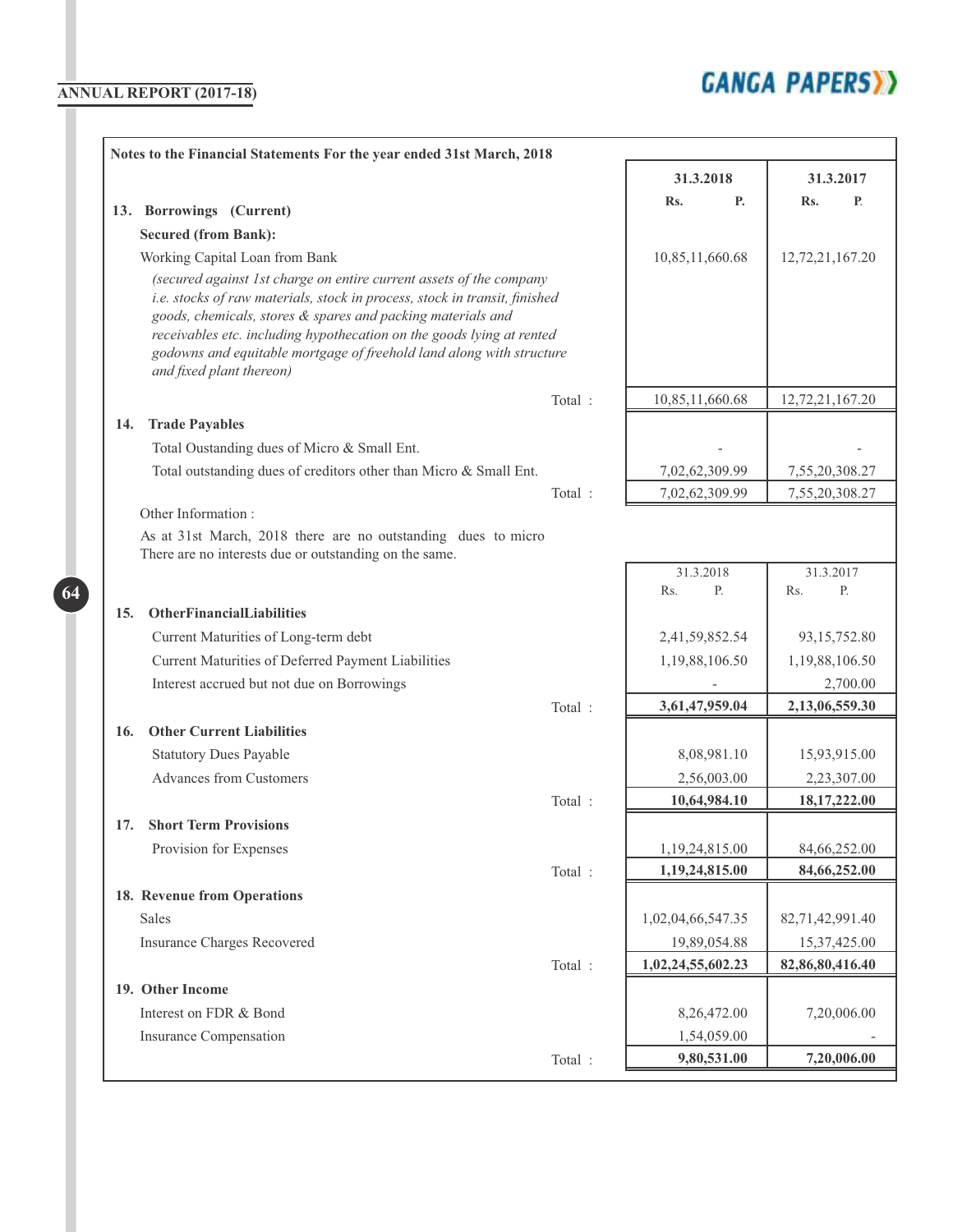**12 64**

# **GANGA PAPERSY**

| Notes to the Financial Statements For the year ended 31st March, 2018                                                                                                                                                                                                                                                                                                                         |        |                   |                 |
|-----------------------------------------------------------------------------------------------------------------------------------------------------------------------------------------------------------------------------------------------------------------------------------------------------------------------------------------------------------------------------------------------|--------|-------------------|-----------------|
|                                                                                                                                                                                                                                                                                                                                                                                               |        | 31.3.2018         | 31.3.2017       |
| 13. Borrowings (Current)                                                                                                                                                                                                                                                                                                                                                                      |        | Rs.<br>Р.         | Rs.<br>Р.       |
| <b>Secured (from Bank):</b>                                                                                                                                                                                                                                                                                                                                                                   |        |                   |                 |
| Working Capital Loan from Bank                                                                                                                                                                                                                                                                                                                                                                |        | 10,85,11,660.68   | 12,72,21,167.20 |
| (secured against 1st charge on entire current assets of the company<br>i.e. stocks of raw materials, stock in process, stock in transit, finished<br>goods, chemicals, stores & spares and packing materials and<br>receivables etc. including hypothecation on the goods lying at rented<br>godowns and equitable mortgage of freehold land along with structure<br>and fixed plant thereon) |        |                   |                 |
|                                                                                                                                                                                                                                                                                                                                                                                               | Total: | 10,85,11,660.68   | 12,72,21,167.20 |
| <b>Trade Payables</b><br>14.                                                                                                                                                                                                                                                                                                                                                                  |        |                   |                 |
| Total Oustanding dues of Micro & Small Ent.                                                                                                                                                                                                                                                                                                                                                   |        |                   |                 |
| Total outstanding dues of creditors other than Micro & Small Ent.                                                                                                                                                                                                                                                                                                                             |        | 7,02,62,309.99    | 7,55,20,308.27  |
|                                                                                                                                                                                                                                                                                                                                                                                               | Total: | 7,02,62,309.99    | 7,55,20,308.27  |
| Other Information:                                                                                                                                                                                                                                                                                                                                                                            |        |                   |                 |
| As at 31st March, 2018 there are no outstanding dues to micro                                                                                                                                                                                                                                                                                                                                 |        |                   |                 |
| There are no interests due or outstanding on the same.                                                                                                                                                                                                                                                                                                                                        |        | 31.3.2018         | 31.3.2017       |
|                                                                                                                                                                                                                                                                                                                                                                                               |        | Ρ.<br>Rs.         | Р.<br>Rs.       |
| <b>OtherFinancialLiabilities</b><br>15.                                                                                                                                                                                                                                                                                                                                                       |        |                   |                 |
| Current Maturities of Long-term debt                                                                                                                                                                                                                                                                                                                                                          |        | 2,41,59,852.54    | 93, 15, 752.80  |
| Current Maturities of Deferred Payment Liabilities                                                                                                                                                                                                                                                                                                                                            |        | 1,19,88,106.50    | 1,19,88,106.50  |
| Interest accrued but not due on Borrowings                                                                                                                                                                                                                                                                                                                                                    |        |                   | 2,700.00        |
|                                                                                                                                                                                                                                                                                                                                                                                               | Total: | 3,61,47,959.04    | 2,13,06,559.30  |
| <b>Other Current Liabilities</b><br>16.                                                                                                                                                                                                                                                                                                                                                       |        |                   |                 |
| <b>Statutory Dues Payable</b>                                                                                                                                                                                                                                                                                                                                                                 |        | 8,08,981.10       | 15,93,915.00    |
| <b>Advances from Customers</b>                                                                                                                                                                                                                                                                                                                                                                |        | 2,56,003.00       | 2,23,307.00     |
|                                                                                                                                                                                                                                                                                                                                                                                               | Total: | 10,64,984.10      | 18,17,222.00    |
| <b>Short Term Provisions</b><br>17.                                                                                                                                                                                                                                                                                                                                                           |        |                   |                 |
| Provision for Expenses                                                                                                                                                                                                                                                                                                                                                                        |        | 1,19,24,815.00    | 84,66,252.00    |
|                                                                                                                                                                                                                                                                                                                                                                                               | Total: | 1,19,24,815.00    | 84,66,252.00    |
| 18. Revenue from Operations                                                                                                                                                                                                                                                                                                                                                                   |        |                   |                 |
| <b>Sales</b>                                                                                                                                                                                                                                                                                                                                                                                  |        | 1,02,04,66,547.35 | 82,71,42,991.40 |
| <b>Insurance Charges Recovered</b>                                                                                                                                                                                                                                                                                                                                                            |        | 19,89,054.88      | 15,37,425.00    |
|                                                                                                                                                                                                                                                                                                                                                                                               | Total: | 1,02,24,55,602.23 | 82,86,80,416.40 |
| 19. Other Income                                                                                                                                                                                                                                                                                                                                                                              |        |                   |                 |
| Interest on FDR & Bond                                                                                                                                                                                                                                                                                                                                                                        |        | 8,26,472.00       | 7,20,006.00     |
| Insurance Compensation                                                                                                                                                                                                                                                                                                                                                                        |        | 1,54,059.00       |                 |
|                                                                                                                                                                                                                                                                                                                                                                                               | Total: | 9,80,531.00       | 7,20,006.00     |
|                                                                                                                                                                                                                                                                                                                                                                                               |        |                   |                 |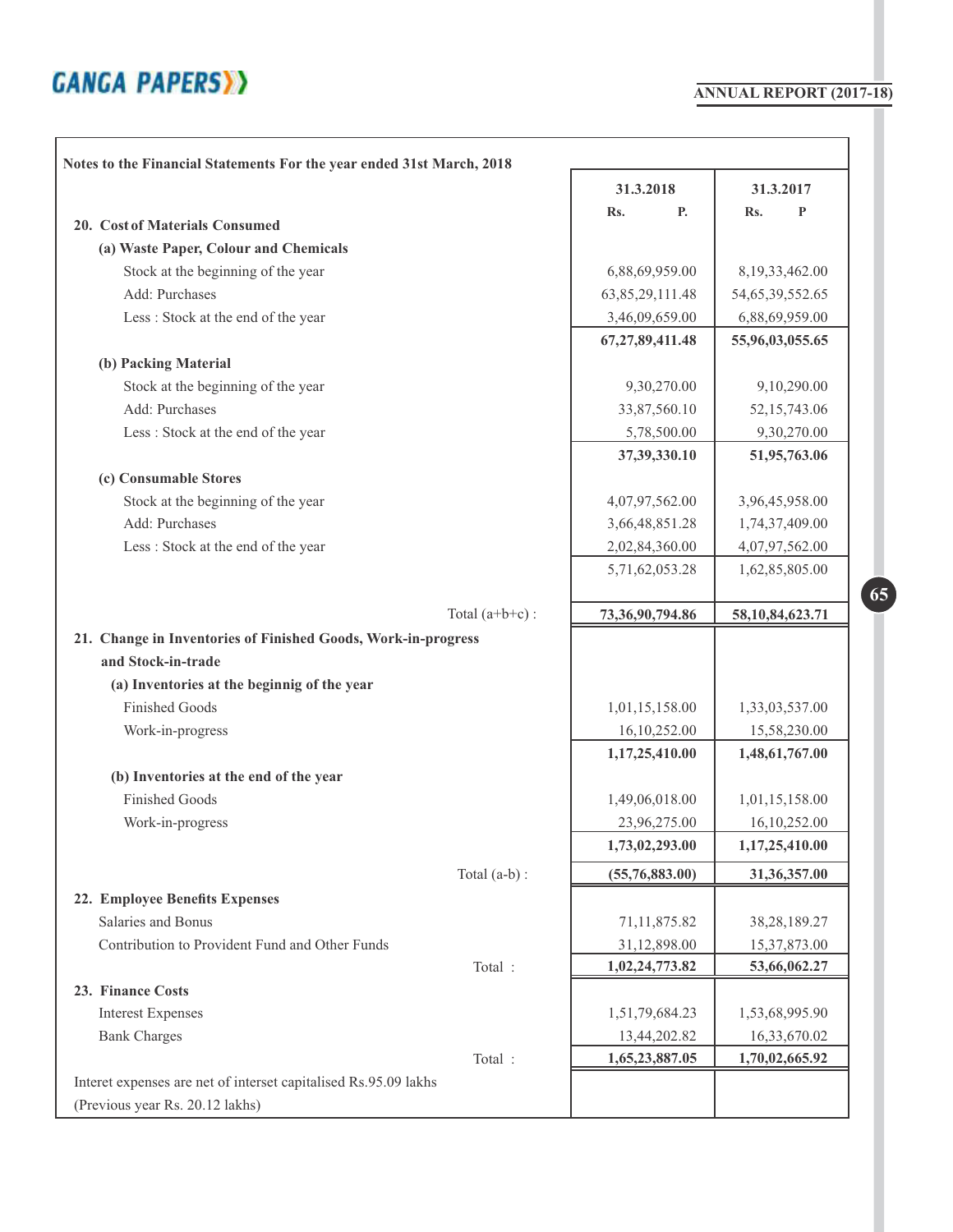# **GANGA PAPERS**>>

# **ANNUAL REPORT (2017-18)**

| Notes to the Financial Statements For the year ended 31st March, 2018 |                     |                     |
|-----------------------------------------------------------------------|---------------------|---------------------|
|                                                                       | 31.3.2018           | 31.3.2017           |
|                                                                       | Rs.<br>Р.           | Rs.<br>P            |
| 20. Cost of Materials Consumed                                        |                     |                     |
| (a) Waste Paper, Colour and Chemicals                                 |                     |                     |
| Stock at the beginning of the year                                    | 6,88,69,959.00      | 8,19,33,462.00      |
| Add: Purchases                                                        | 63, 85, 29, 111. 48 | 54, 65, 39, 552. 65 |
| Less: Stock at the end of the year                                    | 3,46,09,659.00      | 6,88,69,959.00      |
|                                                                       | 67, 27, 89, 411. 48 | 55,96,03,055.65     |
| (b) Packing Material                                                  |                     |                     |
| Stock at the beginning of the year                                    | 9,30,270.00         | 9,10,290.00         |
| Add: Purchases                                                        | 33,87,560.10        | 52, 15, 743.06      |
| Less: Stock at the end of the year                                    | 5,78,500.00         | 9,30,270.00         |
|                                                                       | 37, 39, 330. 10     | 51,95,763.06        |
| (c) Consumable Stores                                                 |                     |                     |
| Stock at the beginning of the year                                    | 4,07,97,562.00      | 3,96,45,958.00      |
| Add: Purchases                                                        | 3,66,48,851.28      | 1,74,37,409.00      |
| Less: Stock at the end of the year                                    | 2,02,84,360.00      | 4,07,97,562.00      |
|                                                                       | 5,71,62,053.28      | 1,62,85,805.00      |
| Total $(a+b+c)$ :                                                     | 73,36,90,794.86     | 58, 10, 84, 623. 71 |
| 21. Change in Inventories of Finished Goods, Work-in-progress         |                     |                     |
| and Stock-in-trade                                                    |                     |                     |
| (a) Inventories at the beginnig of the year                           |                     |                     |
| <b>Finished Goods</b>                                                 | 1,01,15,158.00      | 1,33,03,537.00      |
| Work-in-progress                                                      | 16, 10, 252.00      | 15,58,230.00        |
|                                                                       | 1,17,25,410.00      | 1,48,61,767.00      |
| (b) Inventories at the end of the year                                |                     |                     |
| <b>Finished Goods</b>                                                 | 1,49,06,018.00      | 1,01,15,158.00      |
| Work-in-progress                                                      | 23,96,275.00        | 16, 10, 252.00      |
|                                                                       | 1,73,02,293.00      | 1,17,25,410.00      |
| Total $(a-b)$ :                                                       | (55,76,883.00)      | 31,36,357.00        |
| 22. Employee Benefits Expenses                                        |                     |                     |
| Salaries and Bonus                                                    | 71, 11, 875.82      | 38,28,189.27        |
| Contribution to Provident Fund and Other Funds                        | 31,12,898.00        | 15,37,873.00        |
| Total:                                                                | 1,02,24,773.82      | 53,66,062.27        |
| 23. Finance Costs                                                     |                     |                     |
| <b>Interest Expenses</b>                                              | 1,51,79,684.23      | 1,53,68,995.90      |
| <b>Bank Charges</b>                                                   | 13,44,202.82        | 16,33,670.02        |
| Total:                                                                | 1,65,23,887.05      | 1,70,02,665.92      |
| Interet expenses are net of interset capitalised Rs.95.09 lakhs       |                     |                     |
| (Previous year Rs. 20.12 lakhs)                                       |                     |                     |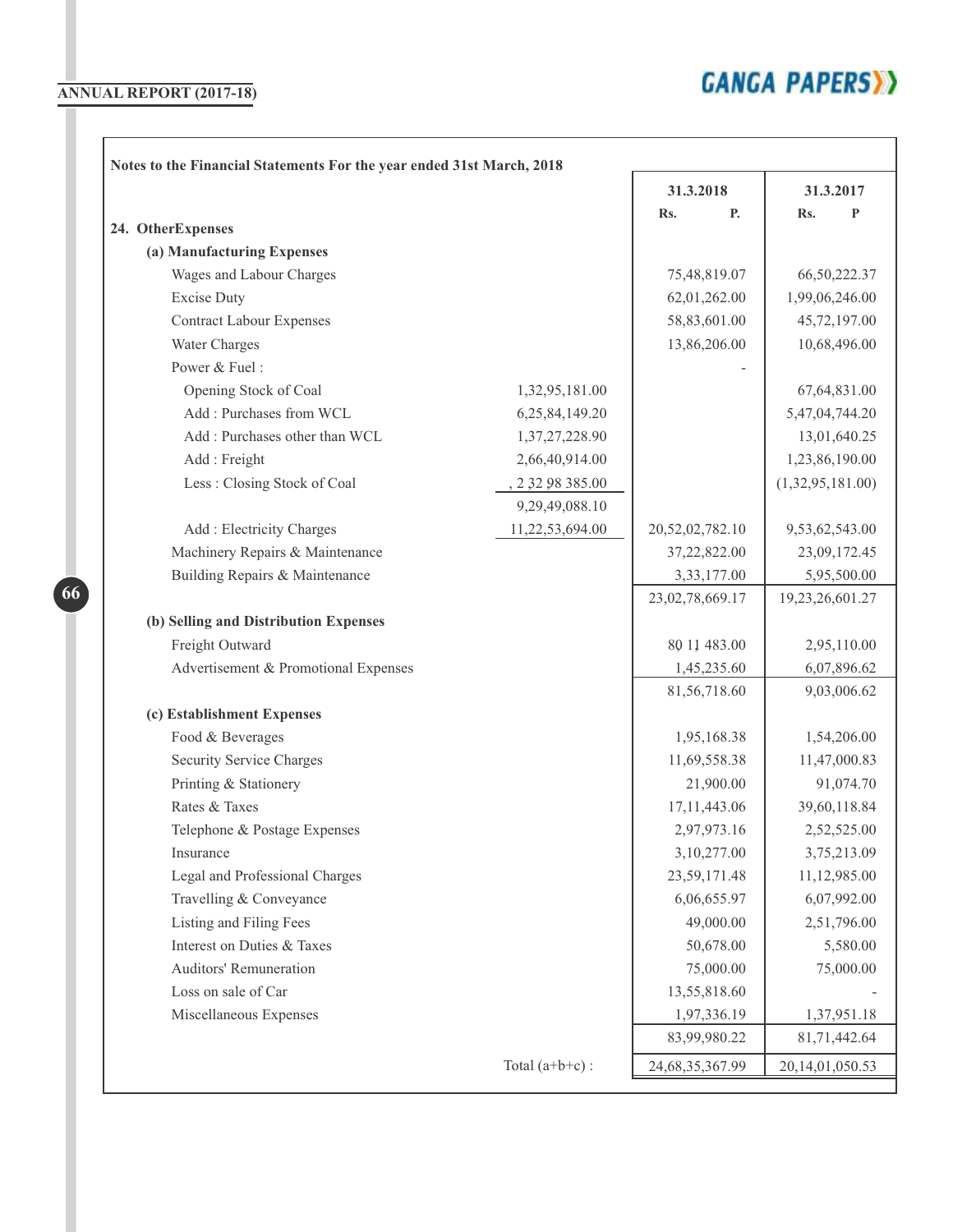| 31.3.2018<br>31.3.2017<br>Р.<br>Rs.<br>P<br>Rs.<br>24. OtherExpenses<br>(a) Manufacturing Expenses<br>Wages and Labour Charges<br>75,48,819.07<br>66,50,222.37<br><b>Excise Duty</b><br>62,01,262.00<br>1,99,06,246.00<br><b>Contract Labour Expenses</b><br>58,83,601.00<br>45,72,197.00<br>Water Charges<br>13,86,206.00<br>10,68,496.00<br>Power & Fuel:<br>Opening Stock of Coal<br>67, 64, 831.00<br>1,32,95,181.00<br>Add: Purchases from WCL<br>6,25,84,149.20<br>5,47,04,744.20<br>Add: Purchases other than WCL<br>1,37,27,228.90<br>13,01,640.25<br>Add: Freight<br>2,66,40,914.00<br>1,23,86,190.00<br>Less: Closing Stock of Coal<br>(1,32,95,181.00)<br>, 2 32 98 385.00<br>9,29,49,088.10<br>Add: Electricity Charges<br>11,22,53,694.00<br>20,52,02,782.10<br>9,53,62,543.00<br>Machinery Repairs & Maintenance<br>37,22,822.00<br>23,09,172.45<br>Building Repairs & Maintenance<br>3,33,177.00<br>5,95,500.00<br>23,02,78,669.17<br>19,23,26,601.27<br>(b) Selling and Distribution Expenses<br>Freight Outward<br>80 11 483.00<br>2,95,110.00<br>Advertisement & Promotional Expenses<br>1,45,235.60<br>6,07,896.62<br>81,56,718.60<br>9,03,006.62<br>(c) Establishment Expenses<br>Food & Beverages<br>1,95,168.38<br>1,54,206.00<br><b>Security Service Charges</b><br>11,69,558.38<br>11,47,000.83<br>Printing & Stationery<br>21,900.00<br>91,074.70<br>Rates & Taxes<br>17, 11, 443.06<br>39,60,118.84<br>2,97,973.16<br>2,52,525.00<br>Telephone & Postage Expenses<br>3,10,277.00<br>3,75,213.09<br>Insurance<br>Legal and Professional Charges<br>23,59,171.48<br>11,12,985.00<br>Travelling & Conveyance<br>6,06,655.97<br>6,07,992.00<br>Listing and Filing Fees<br>49,000.00<br>2,51,796.00<br>Interest on Duties & Taxes<br>50,678.00<br>5,580.00<br>Auditors' Remuneration<br>75,000.00<br>75,000.00<br>Loss on sale of Car<br>13,55,818.60 | Notes to the Financial Statements For the year ended 31st March, 2018 |             |                 |
|----------------------------------------------------------------------------------------------------------------------------------------------------------------------------------------------------------------------------------------------------------------------------------------------------------------------------------------------------------------------------------------------------------------------------------------------------------------------------------------------------------------------------------------------------------------------------------------------------------------------------------------------------------------------------------------------------------------------------------------------------------------------------------------------------------------------------------------------------------------------------------------------------------------------------------------------------------------------------------------------------------------------------------------------------------------------------------------------------------------------------------------------------------------------------------------------------------------------------------------------------------------------------------------------------------------------------------------------------------------------------------------------------------------------------------------------------------------------------------------------------------------------------------------------------------------------------------------------------------------------------------------------------------------------------------------------------------------------------------------------------------------------------------------------------------------------------------------------------------------------------|-----------------------------------------------------------------------|-------------|-----------------|
|                                                                                                                                                                                                                                                                                                                                                                                                                                                                                                                                                                                                                                                                                                                                                                                                                                                                                                                                                                                                                                                                                                                                                                                                                                                                                                                                                                                                                                                                                                                                                                                                                                                                                                                                                                                                                                                                            |                                                                       |             |                 |
|                                                                                                                                                                                                                                                                                                                                                                                                                                                                                                                                                                                                                                                                                                                                                                                                                                                                                                                                                                                                                                                                                                                                                                                                                                                                                                                                                                                                                                                                                                                                                                                                                                                                                                                                                                                                                                                                            |                                                                       |             |                 |
|                                                                                                                                                                                                                                                                                                                                                                                                                                                                                                                                                                                                                                                                                                                                                                                                                                                                                                                                                                                                                                                                                                                                                                                                                                                                                                                                                                                                                                                                                                                                                                                                                                                                                                                                                                                                                                                                            |                                                                       |             |                 |
|                                                                                                                                                                                                                                                                                                                                                                                                                                                                                                                                                                                                                                                                                                                                                                                                                                                                                                                                                                                                                                                                                                                                                                                                                                                                                                                                                                                                                                                                                                                                                                                                                                                                                                                                                                                                                                                                            |                                                                       |             |                 |
|                                                                                                                                                                                                                                                                                                                                                                                                                                                                                                                                                                                                                                                                                                                                                                                                                                                                                                                                                                                                                                                                                                                                                                                                                                                                                                                                                                                                                                                                                                                                                                                                                                                                                                                                                                                                                                                                            |                                                                       |             |                 |
|                                                                                                                                                                                                                                                                                                                                                                                                                                                                                                                                                                                                                                                                                                                                                                                                                                                                                                                                                                                                                                                                                                                                                                                                                                                                                                                                                                                                                                                                                                                                                                                                                                                                                                                                                                                                                                                                            |                                                                       |             |                 |
|                                                                                                                                                                                                                                                                                                                                                                                                                                                                                                                                                                                                                                                                                                                                                                                                                                                                                                                                                                                                                                                                                                                                                                                                                                                                                                                                                                                                                                                                                                                                                                                                                                                                                                                                                                                                                                                                            |                                                                       |             |                 |
|                                                                                                                                                                                                                                                                                                                                                                                                                                                                                                                                                                                                                                                                                                                                                                                                                                                                                                                                                                                                                                                                                                                                                                                                                                                                                                                                                                                                                                                                                                                                                                                                                                                                                                                                                                                                                                                                            |                                                                       |             |                 |
|                                                                                                                                                                                                                                                                                                                                                                                                                                                                                                                                                                                                                                                                                                                                                                                                                                                                                                                                                                                                                                                                                                                                                                                                                                                                                                                                                                                                                                                                                                                                                                                                                                                                                                                                                                                                                                                                            |                                                                       |             |                 |
|                                                                                                                                                                                                                                                                                                                                                                                                                                                                                                                                                                                                                                                                                                                                                                                                                                                                                                                                                                                                                                                                                                                                                                                                                                                                                                                                                                                                                                                                                                                                                                                                                                                                                                                                                                                                                                                                            |                                                                       |             |                 |
|                                                                                                                                                                                                                                                                                                                                                                                                                                                                                                                                                                                                                                                                                                                                                                                                                                                                                                                                                                                                                                                                                                                                                                                                                                                                                                                                                                                                                                                                                                                                                                                                                                                                                                                                                                                                                                                                            |                                                                       |             |                 |
|                                                                                                                                                                                                                                                                                                                                                                                                                                                                                                                                                                                                                                                                                                                                                                                                                                                                                                                                                                                                                                                                                                                                                                                                                                                                                                                                                                                                                                                                                                                                                                                                                                                                                                                                                                                                                                                                            |                                                                       |             |                 |
|                                                                                                                                                                                                                                                                                                                                                                                                                                                                                                                                                                                                                                                                                                                                                                                                                                                                                                                                                                                                                                                                                                                                                                                                                                                                                                                                                                                                                                                                                                                                                                                                                                                                                                                                                                                                                                                                            |                                                                       |             |                 |
|                                                                                                                                                                                                                                                                                                                                                                                                                                                                                                                                                                                                                                                                                                                                                                                                                                                                                                                                                                                                                                                                                                                                                                                                                                                                                                                                                                                                                                                                                                                                                                                                                                                                                                                                                                                                                                                                            |                                                                       |             |                 |
|                                                                                                                                                                                                                                                                                                                                                                                                                                                                                                                                                                                                                                                                                                                                                                                                                                                                                                                                                                                                                                                                                                                                                                                                                                                                                                                                                                                                                                                                                                                                                                                                                                                                                                                                                                                                                                                                            |                                                                       |             |                 |
|                                                                                                                                                                                                                                                                                                                                                                                                                                                                                                                                                                                                                                                                                                                                                                                                                                                                                                                                                                                                                                                                                                                                                                                                                                                                                                                                                                                                                                                                                                                                                                                                                                                                                                                                                                                                                                                                            |                                                                       |             |                 |
|                                                                                                                                                                                                                                                                                                                                                                                                                                                                                                                                                                                                                                                                                                                                                                                                                                                                                                                                                                                                                                                                                                                                                                                                                                                                                                                                                                                                                                                                                                                                                                                                                                                                                                                                                                                                                                                                            |                                                                       |             |                 |
|                                                                                                                                                                                                                                                                                                                                                                                                                                                                                                                                                                                                                                                                                                                                                                                                                                                                                                                                                                                                                                                                                                                                                                                                                                                                                                                                                                                                                                                                                                                                                                                                                                                                                                                                                                                                                                                                            |                                                                       |             |                 |
|                                                                                                                                                                                                                                                                                                                                                                                                                                                                                                                                                                                                                                                                                                                                                                                                                                                                                                                                                                                                                                                                                                                                                                                                                                                                                                                                                                                                                                                                                                                                                                                                                                                                                                                                                                                                                                                                            |                                                                       |             |                 |
|                                                                                                                                                                                                                                                                                                                                                                                                                                                                                                                                                                                                                                                                                                                                                                                                                                                                                                                                                                                                                                                                                                                                                                                                                                                                                                                                                                                                                                                                                                                                                                                                                                                                                                                                                                                                                                                                            |                                                                       |             |                 |
|                                                                                                                                                                                                                                                                                                                                                                                                                                                                                                                                                                                                                                                                                                                                                                                                                                                                                                                                                                                                                                                                                                                                                                                                                                                                                                                                                                                                                                                                                                                                                                                                                                                                                                                                                                                                                                                                            |                                                                       |             |                 |
|                                                                                                                                                                                                                                                                                                                                                                                                                                                                                                                                                                                                                                                                                                                                                                                                                                                                                                                                                                                                                                                                                                                                                                                                                                                                                                                                                                                                                                                                                                                                                                                                                                                                                                                                                                                                                                                                            |                                                                       |             |                 |
|                                                                                                                                                                                                                                                                                                                                                                                                                                                                                                                                                                                                                                                                                                                                                                                                                                                                                                                                                                                                                                                                                                                                                                                                                                                                                                                                                                                                                                                                                                                                                                                                                                                                                                                                                                                                                                                                            |                                                                       |             |                 |
|                                                                                                                                                                                                                                                                                                                                                                                                                                                                                                                                                                                                                                                                                                                                                                                                                                                                                                                                                                                                                                                                                                                                                                                                                                                                                                                                                                                                                                                                                                                                                                                                                                                                                                                                                                                                                                                                            |                                                                       |             |                 |
|                                                                                                                                                                                                                                                                                                                                                                                                                                                                                                                                                                                                                                                                                                                                                                                                                                                                                                                                                                                                                                                                                                                                                                                                                                                                                                                                                                                                                                                                                                                                                                                                                                                                                                                                                                                                                                                                            |                                                                       |             |                 |
|                                                                                                                                                                                                                                                                                                                                                                                                                                                                                                                                                                                                                                                                                                                                                                                                                                                                                                                                                                                                                                                                                                                                                                                                                                                                                                                                                                                                                                                                                                                                                                                                                                                                                                                                                                                                                                                                            |                                                                       |             |                 |
|                                                                                                                                                                                                                                                                                                                                                                                                                                                                                                                                                                                                                                                                                                                                                                                                                                                                                                                                                                                                                                                                                                                                                                                                                                                                                                                                                                                                                                                                                                                                                                                                                                                                                                                                                                                                                                                                            |                                                                       |             |                 |
|                                                                                                                                                                                                                                                                                                                                                                                                                                                                                                                                                                                                                                                                                                                                                                                                                                                                                                                                                                                                                                                                                                                                                                                                                                                                                                                                                                                                                                                                                                                                                                                                                                                                                                                                                                                                                                                                            |                                                                       |             |                 |
|                                                                                                                                                                                                                                                                                                                                                                                                                                                                                                                                                                                                                                                                                                                                                                                                                                                                                                                                                                                                                                                                                                                                                                                                                                                                                                                                                                                                                                                                                                                                                                                                                                                                                                                                                                                                                                                                            |                                                                       |             |                 |
|                                                                                                                                                                                                                                                                                                                                                                                                                                                                                                                                                                                                                                                                                                                                                                                                                                                                                                                                                                                                                                                                                                                                                                                                                                                                                                                                                                                                                                                                                                                                                                                                                                                                                                                                                                                                                                                                            |                                                                       |             |                 |
|                                                                                                                                                                                                                                                                                                                                                                                                                                                                                                                                                                                                                                                                                                                                                                                                                                                                                                                                                                                                                                                                                                                                                                                                                                                                                                                                                                                                                                                                                                                                                                                                                                                                                                                                                                                                                                                                            |                                                                       |             |                 |
|                                                                                                                                                                                                                                                                                                                                                                                                                                                                                                                                                                                                                                                                                                                                                                                                                                                                                                                                                                                                                                                                                                                                                                                                                                                                                                                                                                                                                                                                                                                                                                                                                                                                                                                                                                                                                                                                            |                                                                       |             |                 |
|                                                                                                                                                                                                                                                                                                                                                                                                                                                                                                                                                                                                                                                                                                                                                                                                                                                                                                                                                                                                                                                                                                                                                                                                                                                                                                                                                                                                                                                                                                                                                                                                                                                                                                                                                                                                                                                                            |                                                                       |             |                 |
|                                                                                                                                                                                                                                                                                                                                                                                                                                                                                                                                                                                                                                                                                                                                                                                                                                                                                                                                                                                                                                                                                                                                                                                                                                                                                                                                                                                                                                                                                                                                                                                                                                                                                                                                                                                                                                                                            |                                                                       |             |                 |
|                                                                                                                                                                                                                                                                                                                                                                                                                                                                                                                                                                                                                                                                                                                                                                                                                                                                                                                                                                                                                                                                                                                                                                                                                                                                                                                                                                                                                                                                                                                                                                                                                                                                                                                                                                                                                                                                            |                                                                       |             |                 |
|                                                                                                                                                                                                                                                                                                                                                                                                                                                                                                                                                                                                                                                                                                                                                                                                                                                                                                                                                                                                                                                                                                                                                                                                                                                                                                                                                                                                                                                                                                                                                                                                                                                                                                                                                                                                                                                                            | Miscellaneous Expenses                                                | 1,97,336.19 | 1,37,951.18     |
| 83,99,980.22                                                                                                                                                                                                                                                                                                                                                                                                                                                                                                                                                                                                                                                                                                                                                                                                                                                                                                                                                                                                                                                                                                                                                                                                                                                                                                                                                                                                                                                                                                                                                                                                                                                                                                                                                                                                                                                               |                                                                       |             | 81,71,442.64    |
| Total $(a+b+c)$ :<br>24, 68, 35, 367. 99                                                                                                                                                                                                                                                                                                                                                                                                                                                                                                                                                                                                                                                                                                                                                                                                                                                                                                                                                                                                                                                                                                                                                                                                                                                                                                                                                                                                                                                                                                                                                                                                                                                                                                                                                                                                                                   |                                                                       |             | 20,14,01,050.53 |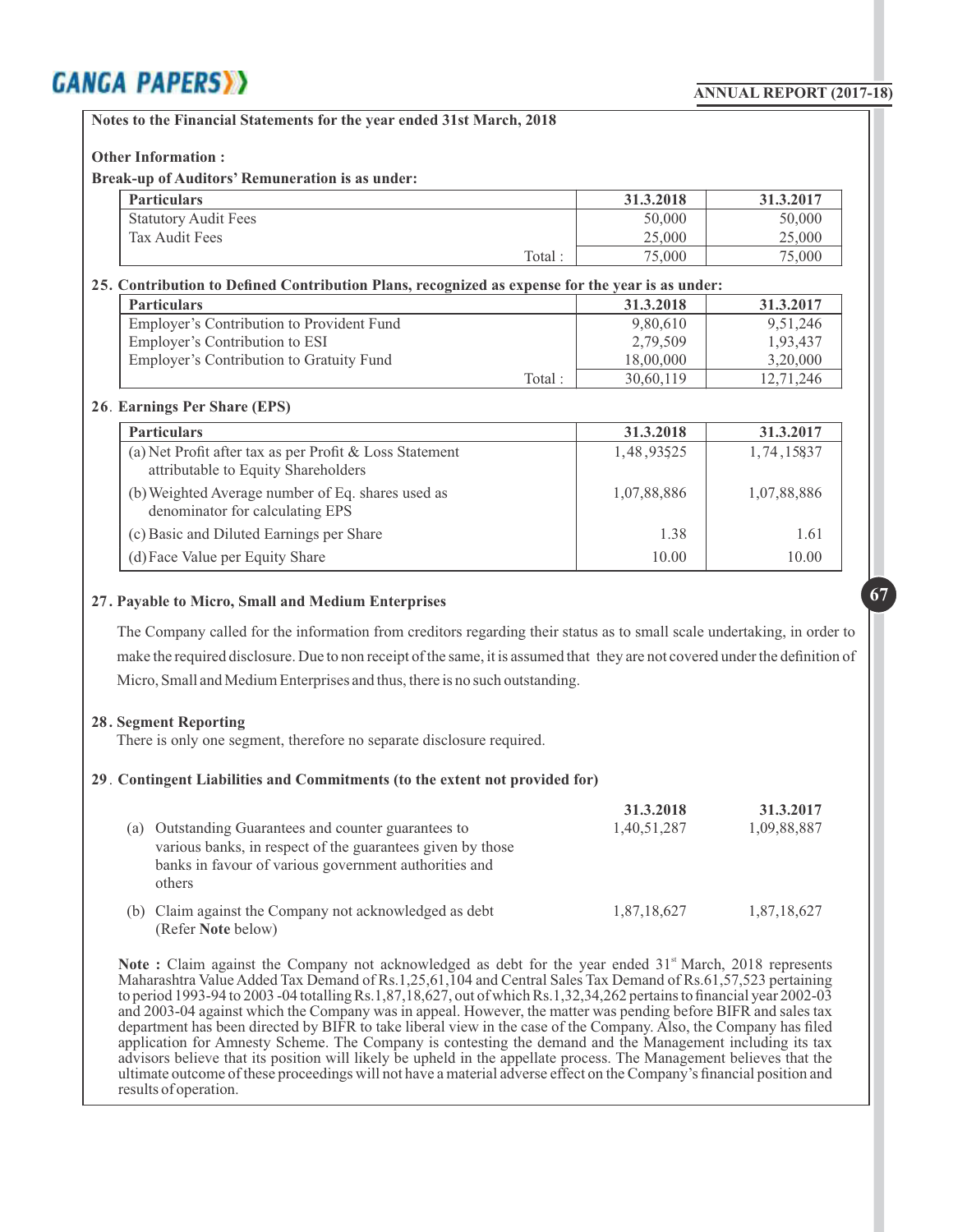# **GANGA PAPERS**)

#### **ANNUAL REPORT (2017-18)**

**Notes to the Financial Statements for the year ended 31st March, 2018**

#### **Other Information :**

**Break-up of Auditors' Remuneration is as under:**

| <b>Particulars</b>          | 31.3.2018 | 31.3.2017 |
|-----------------------------|-----------|-----------|
| <b>Statutory Audit Fees</b> | 50,000    | 50,000    |
| Tax Audit Fees              | 25,000    | 25,000    |
| Total:                      | 75,000    | 75,000    |

#### **25. Contribution to Defined Contribution Plans, recognized as expense for the year is as under:**

| <b>Particulars</b>                        | 31.3.2018 | 31.3.2017 |
|-------------------------------------------|-----------|-----------|
| Employer's Contribution to Provident Fund | 9,80,610  | 9,51,246  |
| Employer's Contribution to ESI            | 2,79,509  | 1.93.437  |
| Employer's Contribution to Gratuity Fund  | 18,00,000 | 3.20.000  |
| Total:                                    | 30.60.119 | 12.71.246 |

#### **26**. **Earnings Per Share (EPS)**

| <b>Particulars</b>                                                                               | 31.3.2018   | 31.3.2017   |
|--------------------------------------------------------------------------------------------------|-------------|-------------|
| (a) Net Profit after tax as per Profit $&$ Loss Statement<br>attributable to Equity Shareholders | 1,48,93525  | 1,74,15837  |
| (b) Weighted Average number of Eq. shares used as<br>denominator for calculating EPS             | 1,07,88,886 | 1,07,88,886 |
| (c) Basic and Diluted Earnings per Share                                                         | 1.38        | 1.61        |
| (d) Face Value per Equity Share                                                                  | 10.00       | 10.00       |

#### **27. Payable to Micro, Small and Medium Enterprises**

The Company called for the information from creditors regarding their status as to small scale undertaking, in order to make the required disclosure. Due to non receipt of the same, it is assumed that they are not covered under the definition of Micro, Small and Medium Enterprises and thus, there is no such outstanding.

#### **28. Segment Reporting**

There is only one segment, therefore no separate disclosure required.

#### **29**. **Contingent Liabilities and Commitments (to the extent not provided for)**

|                                                                                                                                                                                       | 31.3.2018   | 31.3.2017   |
|---------------------------------------------------------------------------------------------------------------------------------------------------------------------------------------|-------------|-------------|
| (a) Outstanding Guarantees and counter guarantees to<br>various banks, in respect of the guarantees given by those<br>banks in favour of various government authorities and<br>others | 1,40,51,287 | 1,09,88,887 |
| (b) Claim against the Company not acknowledged as debt<br>(Refer Note below)                                                                                                          | 1,87,18,627 | 1,87,18,627 |

**Note :** Claim against the Company not acknowledged as debt for the year ended 31<sup><sup>st</sup> March, 2018 represents</sup> Maharashtra Value Added Tax Demand of Rs.1,25,61,104 and Central Sales Tax Demand of Rs.61,57,523 pertaining to period 1993-94 to 2003 -04 totalling Rs.1,87,18,627, out of which Rs.1,32,34,262 pertains to financial year 2002-03 and 2003-04 against which the Company was in appeal. However, the matter was pending before BIFR and sales tax department has been directed by BIFR to take liberal view in the case of the Company. Also, the Company has filed application for Amnesty Scheme. The Company is contesting the demand and the Management including its tax advisors believe that its position will likely be upheld in the appellate process. The Management believes that the ultimate outcome of these proceedings will not have a material adverse effect on the Company's financial position and results of operation.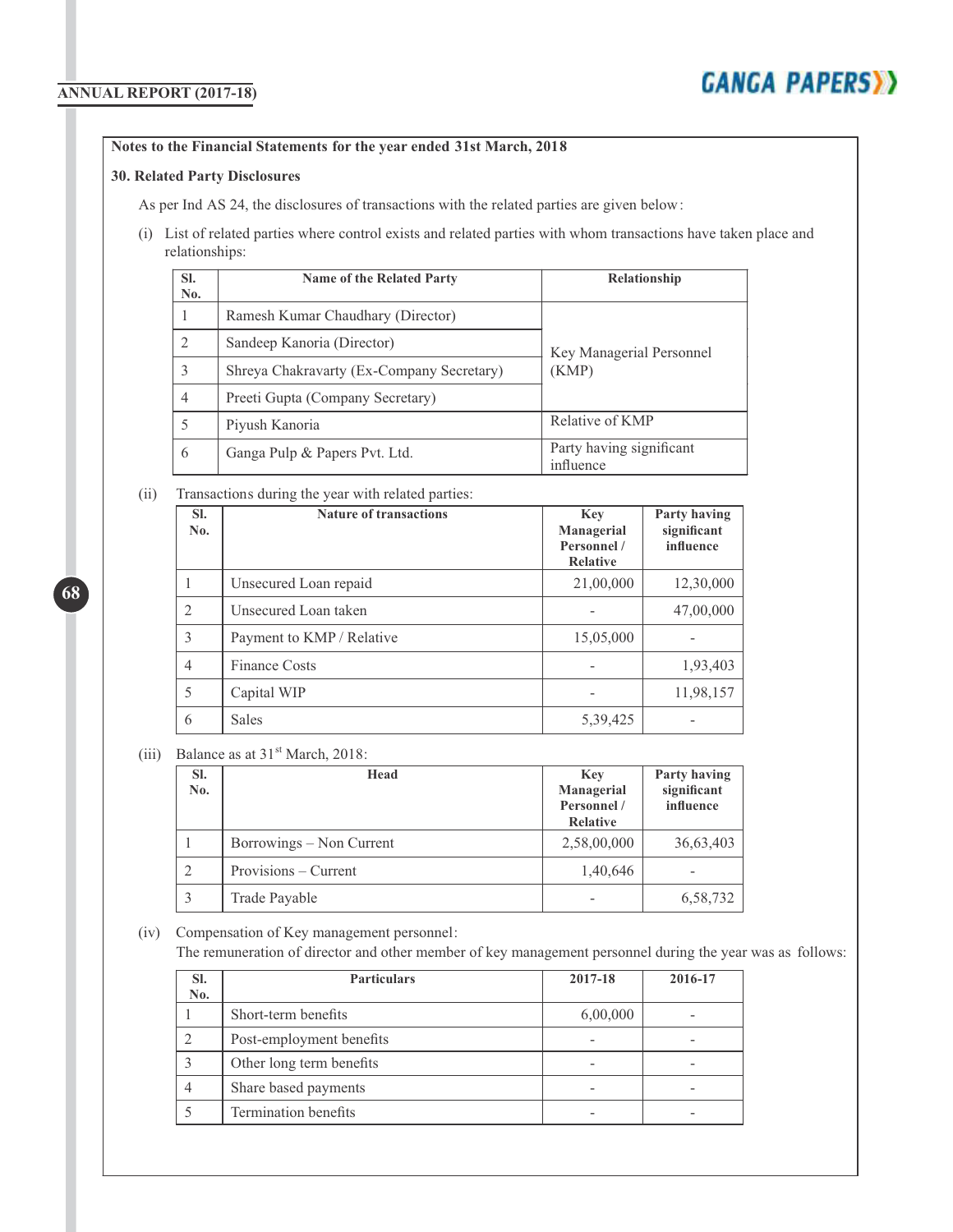# **GANGA PAPERS**>>

#### **ANNUAL REPORT (2017-18)**

#### **Notes to the Financial Statements for the year ended 31st March, 2018**

#### **30. Related Party Disclosures**

As per Ind AS 24, the disclosures of transactions with the related parties are given below:

(i) List of related parties where control exists and related parties with whom transactions have taken place and relationships:

| SI.<br>No.     | <b>Name of the Related Party</b>          | <b>Relationship</b>                   |  |
|----------------|-------------------------------------------|---------------------------------------|--|
|                | Ramesh Kumar Chaudhary (Director)         |                                       |  |
| $\overline{2}$ | Sandeep Kanoria (Director)                | Key Managerial Personnel              |  |
| 3              | Shreya Chakravarty (Ex-Company Secretary) | (KMP)                                 |  |
| $\overline{4}$ | Preeti Gupta (Company Secretary)          |                                       |  |
| 5              | Piyush Kanoria                            | Relative of KMP                       |  |
| 6              | Ganga Pulp & Papers Pvt. Ltd.             | Party having significant<br>influence |  |

#### (ii) Transactions during the year with related parties:

| SI.<br>No.     | <b>Nature of transactions</b> | <b>Key</b><br><b>Managerial</b><br>Personnel /<br><b>Relative</b> | Party having<br>significant<br>influence |
|----------------|-------------------------------|-------------------------------------------------------------------|------------------------------------------|
|                | Unsecured Loan repaid         | 21,00,000                                                         | 12,30,000                                |
| $\overline{2}$ | Unsecured Loan taken          |                                                                   | 47,00,000                                |
| 3              | Payment to KMP / Relative     | 15,05,000                                                         |                                          |
| $\overline{4}$ | <b>Finance Costs</b>          |                                                                   | 1,93,403                                 |
| 5              | Capital WIP                   |                                                                   | 11,98,157                                |
| 6              | <b>Sales</b>                  | 5, 39, 425                                                        |                                          |

### (iii) Balance as at  $31<sup>st</sup>$  March, 2018:

| SI.<br>No. | Head                     | <b>Key</b><br>Managerial<br>Personnel /<br><b>Relative</b> | Party having<br>significant<br>influence |
|------------|--------------------------|------------------------------------------------------------|------------------------------------------|
|            | Borrowings – Non Current | 2,58,00,000                                                | 36,63,403                                |
|            | Provisions – Current     | 1,40,646                                                   |                                          |
|            | Trade Payable            |                                                            | 6,58,732                                 |

(iv) Compensation of Key management personnel:

The remuneration of director and other member of key management personnel during the year was as follows:

| SI.<br>No. | <b>Particulars</b>       | 2017-18  | 2016-17 |
|------------|--------------------------|----------|---------|
|            | Short-term benefits      | 6,00,000 |         |
|            | Post-employment benefits |          |         |
|            | Other long term benefits |          |         |
|            | Share based payments     |          |         |
|            | Termination benefits     |          |         |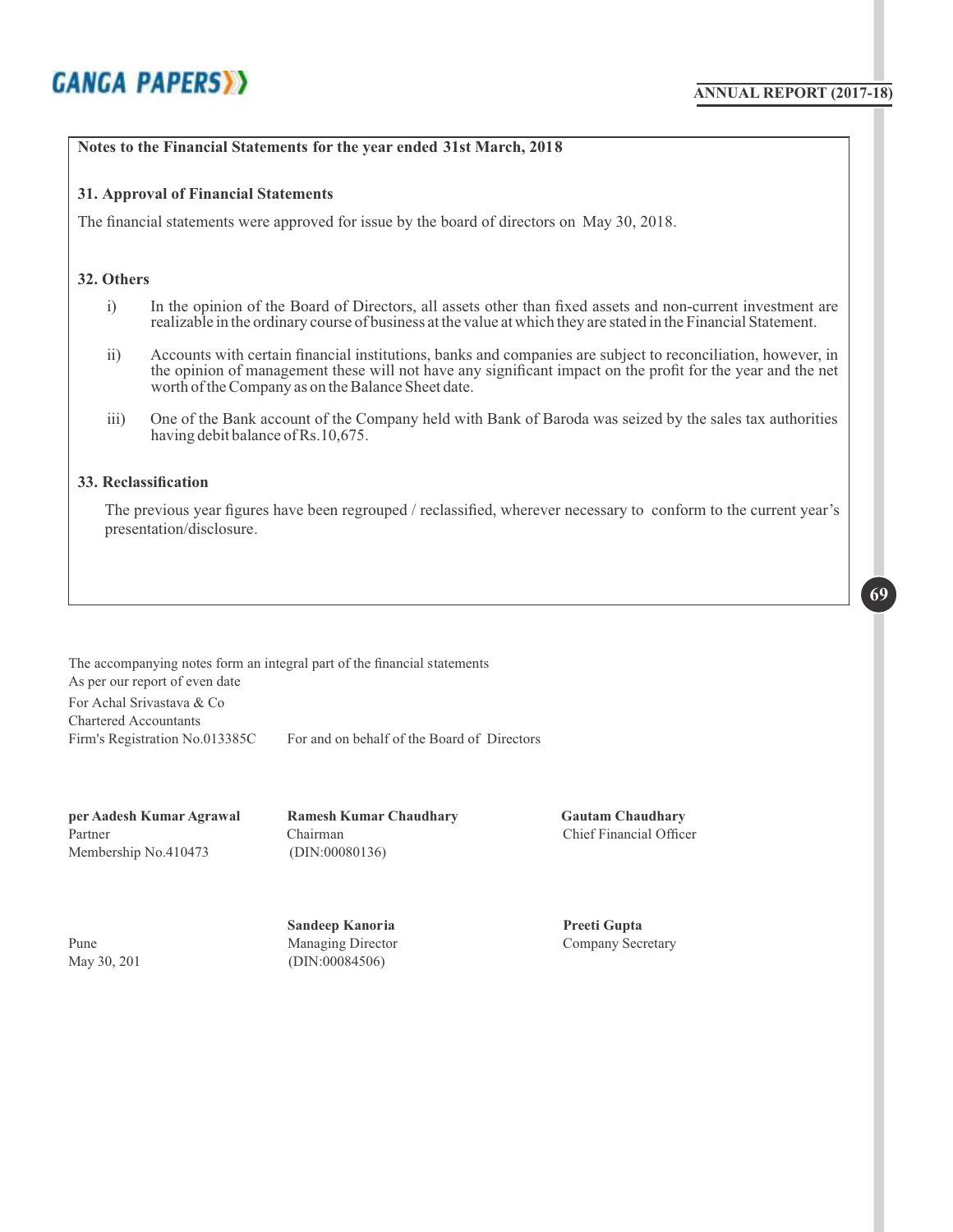#### **Notes to the Financial Statements for the year ended 31st March, 2018**

#### **31. Approval of Financial Statements**

The financial statements were approved for issue by the board of directors on May 30, 2018.

#### **32. Others**

- i) In the opinion of the Board of Directors, all assets other than fixed assets and non-current investment are realizable in the ordinary course of business at the value at which they are stated in the Financial Statement.
- ii) Accounts with certain financial institutions, banks and companies are subject to reconciliation, however, in the opinion of management these will not have any significant impact on the profit for the year and the net worth of the Company as on the Balance Sheet date.
- iii) One of the Bank account of the Company held with Bank of Baroda was seized by the sales tax authorities having debit balance of Rs.10,675.

#### **33. Reclassification**

The previous year figures have been regrouped / reclassified, wherever necessary to conform to the current year's presentation/disclosure.

The accompanying notes form an integral part of the financial statements As per our report of even date For Achal Srivastava & Co Chartered Accountants Firm's Registration No.013385C For and on behalf of the Board of Directors

**per Aadesh Kumar Agrawal Ramesh Kumar Chaudhary Gautam Chaudhary** Partner Chairman Chairman Chairman Chief Financial Officer Membership No.410473 (DIN:00080136)

**Sandeep Kanoria Preeti Gupta** Pune Managing Director Company Secretary May 30, 201 (DIN:00084506)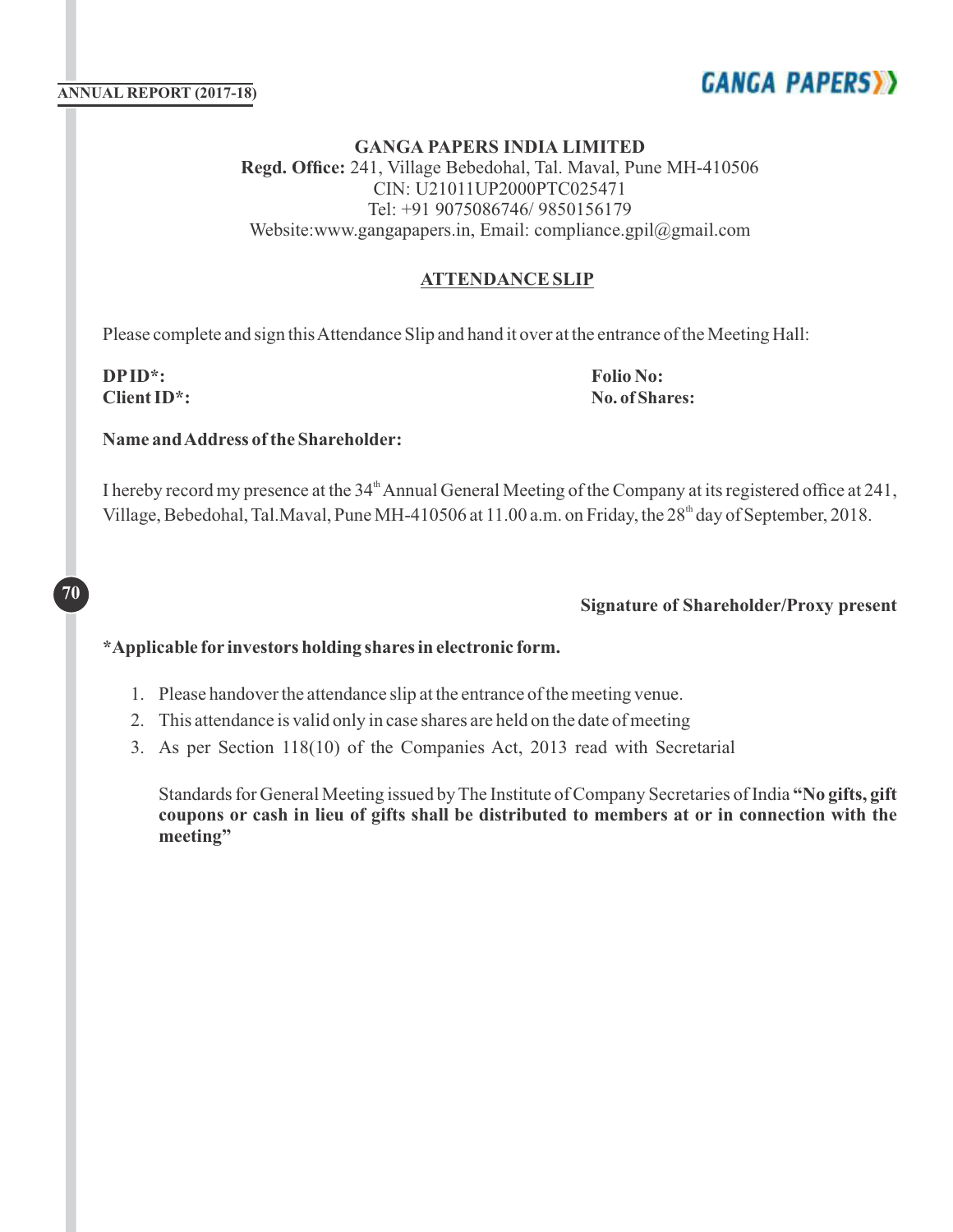

#### **GANGA PAPERS INDIA LIMITED**

**Regd. Office:** 241, Village Bebedohal, Tal. Maval, Pune MH-410506 CIN: U21011UP2000PTC025471 Tel: +91 9075086746/ 9850156179 Website:www.gangapapers.in, Email: compliance.gpil@gmail.com

#### **ATTENDANCE SLIP**

Please complete and sign this Attendance Slip and hand it over at the entrance of the Meeting Hall:

**DP ID\*: Folio No:**

**12 70**

**Client ID\*: No. of Shares:**

### **Name and Address of the Shareholder:**

I hereby record my presence at the 34<sup>th</sup> Annual General Meeting of the Company at its registered office at 241, Village, Bebedohal, Tal.Maval, Pune MH-410506 at 11.00 a.m. on Friday, the 28<sup>th</sup> day of September, 2018.

#### **Signature of Shareholder/Proxy present**

#### **\*Applicable for investors holding shares in electronic form.**

- 1. Please handover the attendance slip at the entrance of the meeting venue.
- 2. This attendance is valid only in case shares are held on the date of meeting
- 3. As per Section 118(10) of the Companies Act, 2013 read with Secretarial

Standards for General Meeting issued by The Institute of Company Secretaries of India **"No gifts, gift coupons or cash in lieu of gifts shall be distributed to members at or in connection with the meeting"**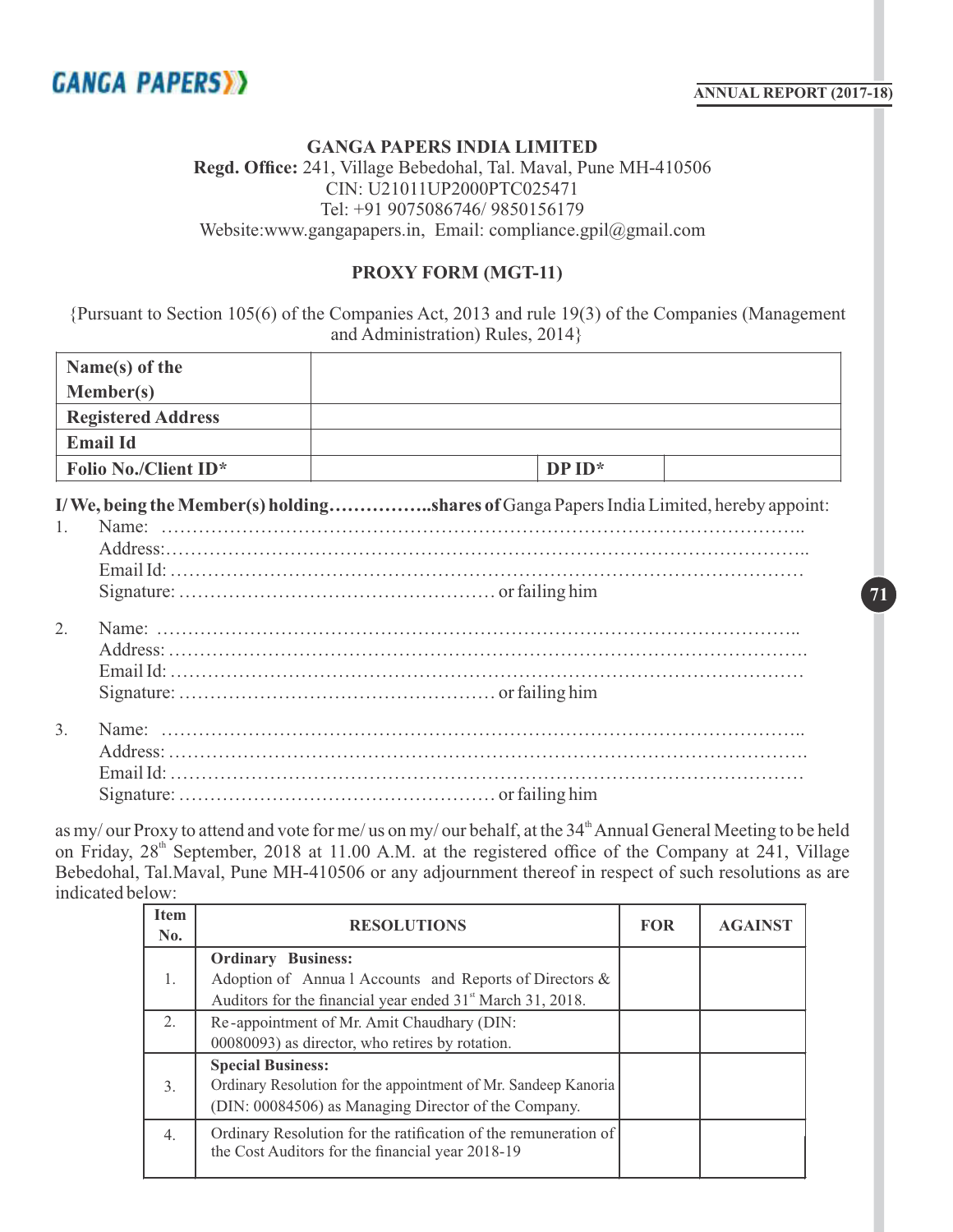

#### **GANGA PAPERS INDIA LIMITED**

**Regd. Office:** 241, Village Bebedohal, Tal. Maval, Pune MH-410506 CIN: U21011UP2000PTC025471 Tel: +91 9075086746/ 9850156179 Website:www.gangapapers.in, Email: compliance.gpil@gmail.com

#### **PROXY FORM (MGT-11)**

{Pursuant to Section 105(6) of the Companies Act, 2013 and rule 19(3) of the Companies (Management and Administration) Rules, 2014}

| Name(s) of the              |          |  |
|-----------------------------|----------|--|
| Member(s)                   |          |  |
| <b>Registered Address</b>   |          |  |
| <b>Email Id</b>             |          |  |
| <b>Folio No./Client ID*</b> | $DPID^*$ |  |

**I/ We, being the Member(s) holding……………..shares of** Ganga Papers India Limited, hereby appoint:

| 2.            |  |
|---------------|--|
| $\mathcal{E}$ |  |

as my/ our Proxy to attend and vote for me/ us on my/ our behalf, at the 34<sup>th</sup> Annual General Meeting to be held on Friday,  $28<sup>th</sup>$  September, 2018 at 11.00 A.M. at the registered office of the Company at 241, Village Bebedohal, Tal.Maval, Pune MH-410506 or any adjournment thereof in respect of such resolutions as are indicated below:

| <b>Item</b><br>No. | <b>RESOLUTIONS</b>                                                                                                                                             | <b>FOR</b> | <b>AGAINST</b> |
|--------------------|----------------------------------------------------------------------------------------------------------------------------------------------------------------|------------|----------------|
| 1.                 | <b>Ordinary Business:</b><br>Adoption of Annua 1 Accounts and Reports of Directors &<br>Auditors for the financial year ended 31 <sup>st</sup> March 31, 2018. |            |                |
| 2.                 | Re-appointment of Mr. Amit Chaudhary (DIN:<br>00080093) as director, who retires by rotation.                                                                  |            |                |
| 3.                 | <b>Special Business:</b><br>Ordinary Resolution for the appointment of Mr. Sandeep Kanoria<br>(DIN: 00084506) as Managing Director of the Company.             |            |                |
| 4.                 | Ordinary Resolution for the ratification of the remuneration of<br>the Cost Auditors for the financial year 2018-19                                            |            |                |

**71**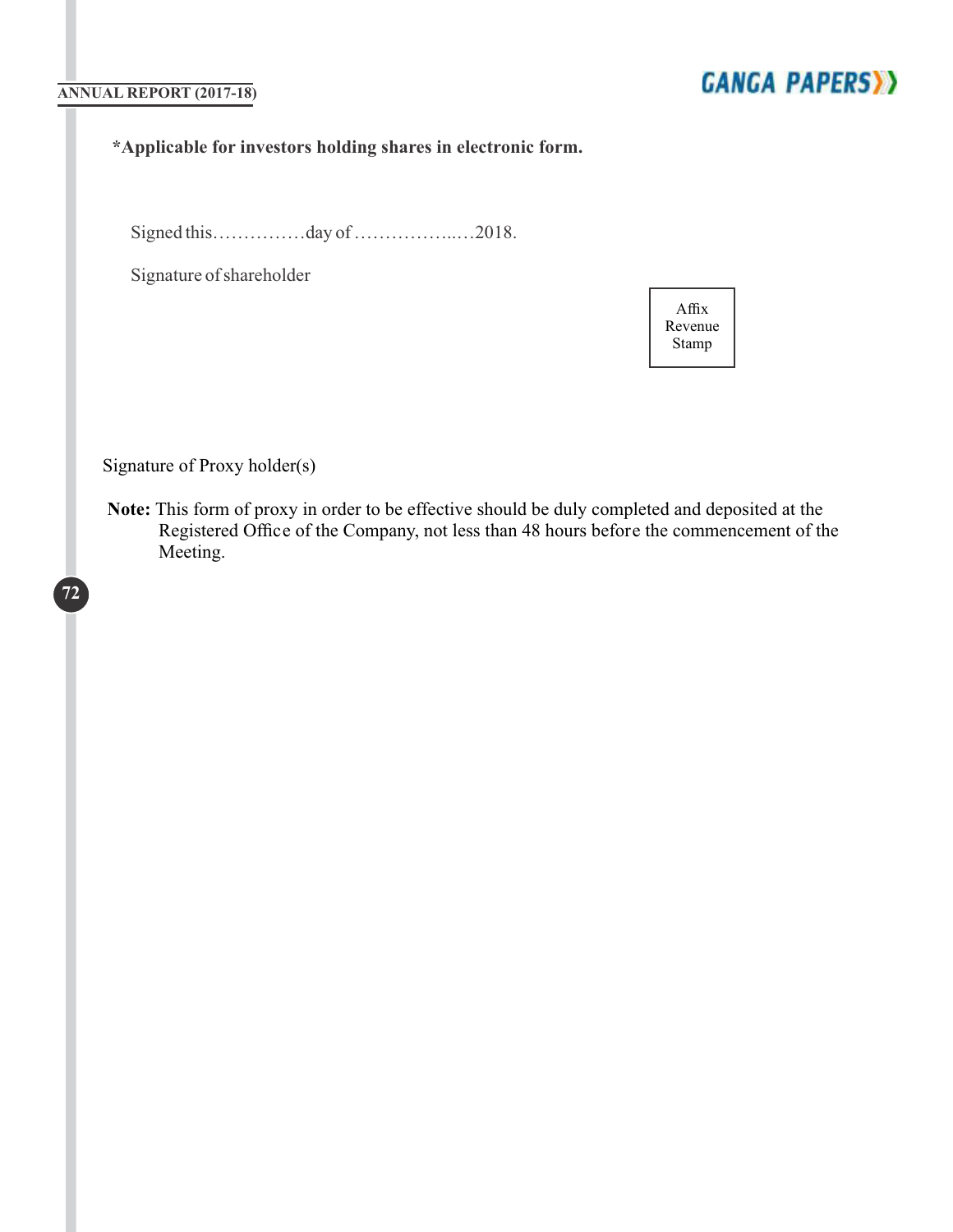# **GANGA PAPERS**>>

## **\*Applicable for investors holding shares in electronic form.**

Signed this……………day of ……………..…2018.

Signature of shareholder



Signature of Proxy holder(s)

**12 72**

Registered Office of the Company, not less than 48 hours before the commencement of the **Note:**  This form of proxy in order to be effective should be duly completed and deposited at the Meeting.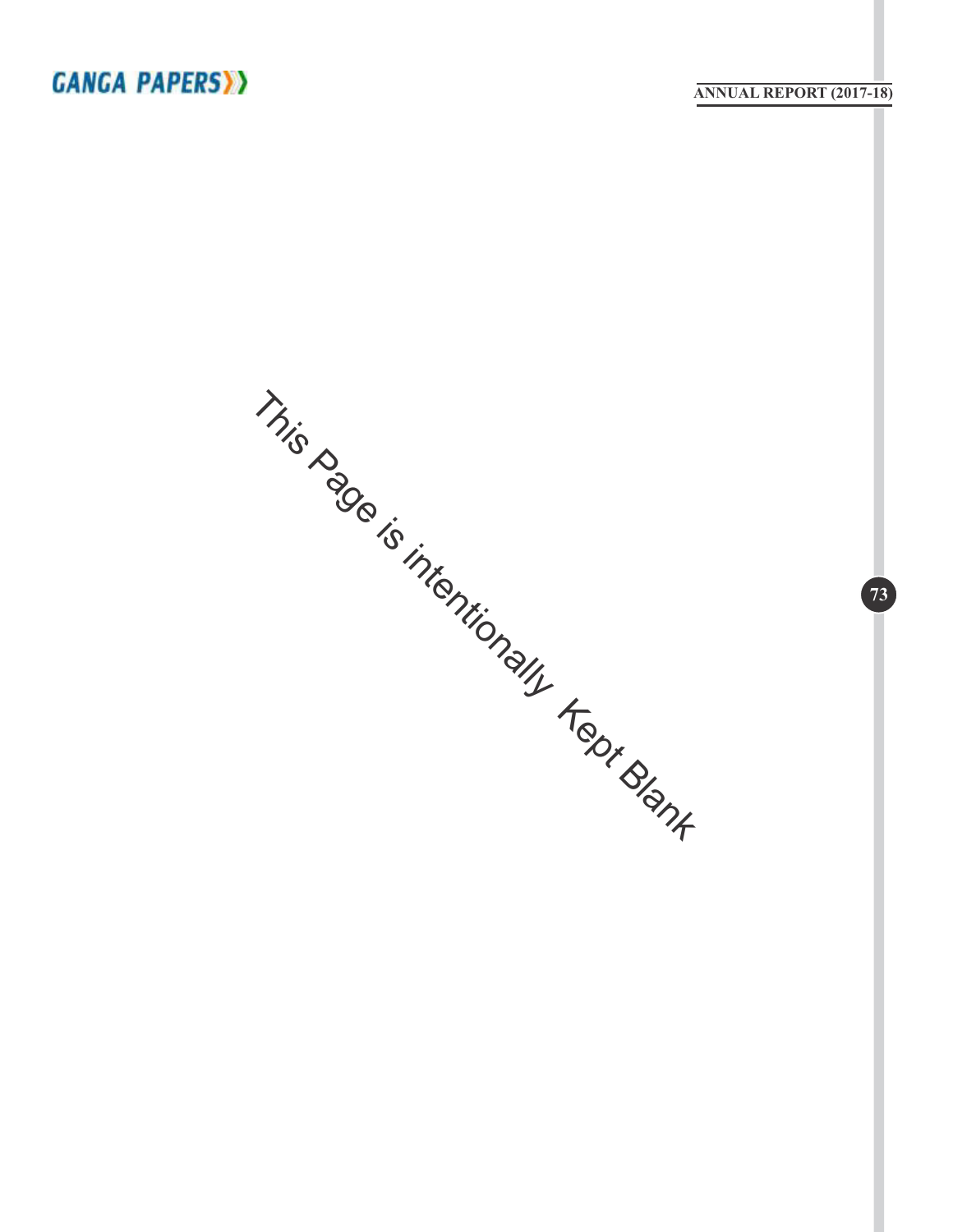This Page is intentionally Kept Birth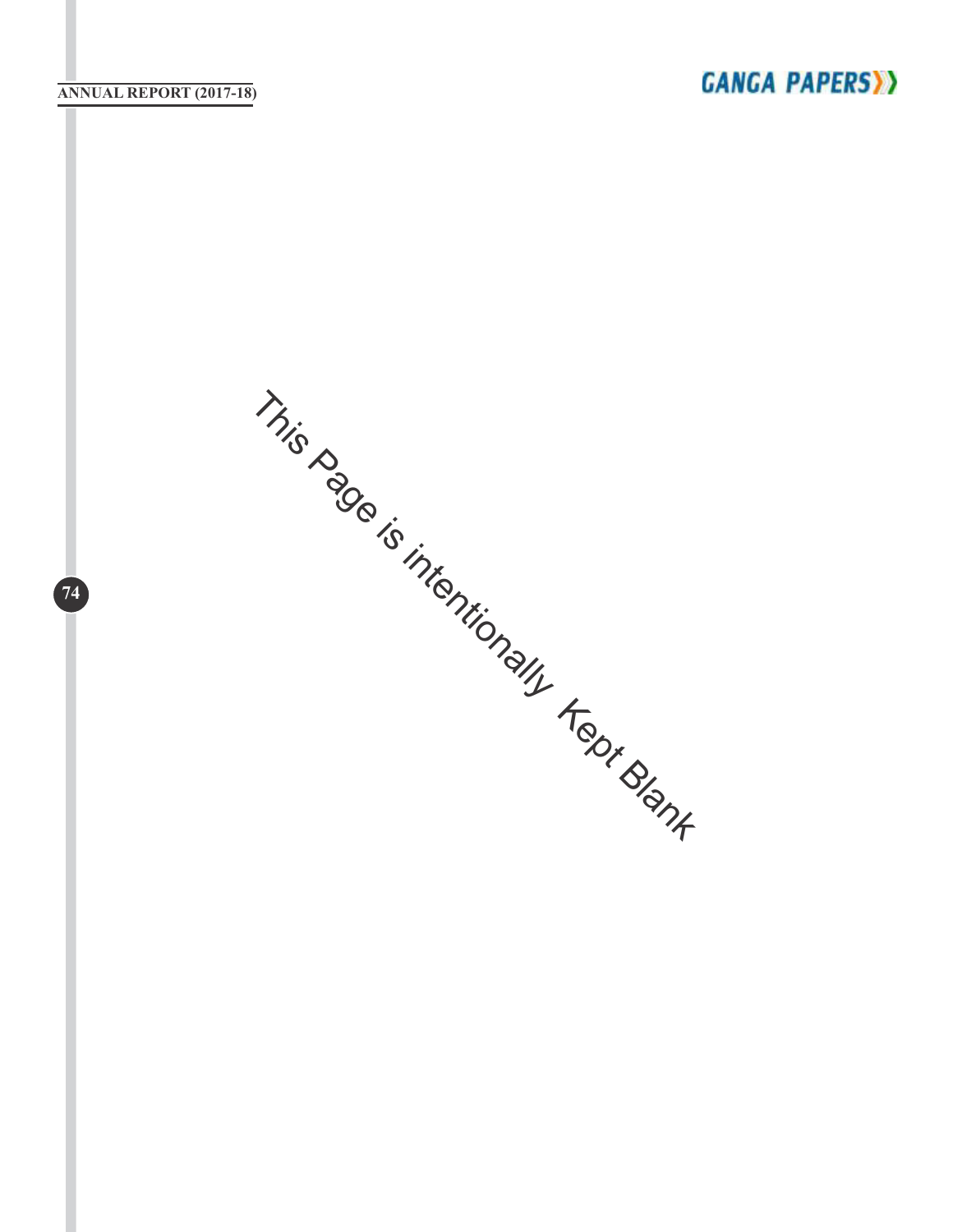**12**

# **GANGA PAPERS**>>

**This Page is intentionally Kept Blank**